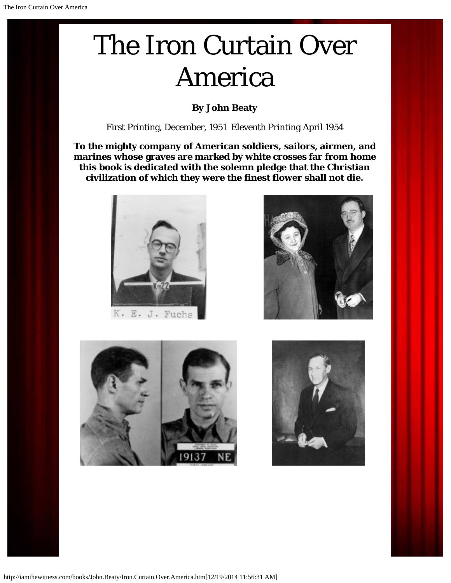# The Iron Curtain Over America

#### **By John Beaty**

First Printing, December, 1951 Eleventh Printing April 1954

**To the mighty company of American soldiers, sailors, airmen, and marines whose graves are marked by white crosses far from home this book is dedicated with the solemn pledge that the Christian civilization of which they were the finest flower shall not die.**



K. E. J. Fuchs





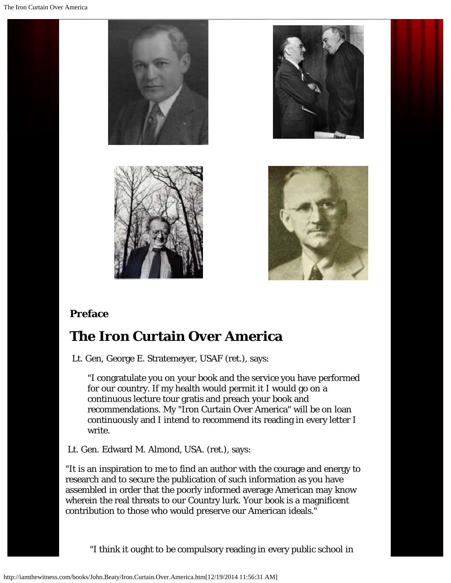







#### **Preface**

# **The Iron Curtain Over America**

Lt. Gen, George E. Stratemeyer, USAF (ret.), says:

"I congratulate you on your book and the service you have performed for our country. If my health would permit it I would go on a continuous lecture tour gratis and preach your book and recommendations. My "Iron Curtain Over America" will be on loan continuously and I intend to recommend its reading in every letter I write.

Lt. Gen. Edward M. Almond, USA. (ret.), says:

"It is an inspiration to me to find an author with the courage and energy to research and to secure the publication of such information as you have assembled in order that the poorly informed average American may know wherein the real threats to our Country lurk. Your book is a magnificent contribution to those who would preserve our American ideals."

"I think it ought to be compulsory reading in every public school in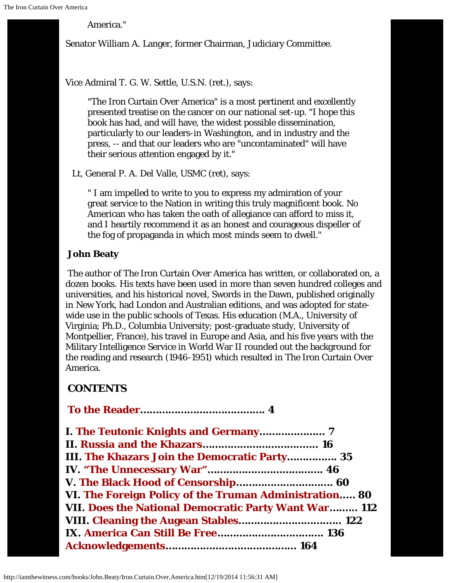America."

Senator William A. Langer, former Chairman, Judiciary Committee.

Vice Admiral T. G. W. Settle, U.S.N. (ret.), says:

"The Iron Curtain Over America" is a most pertinent and excellently presented treatise on the cancer on our national set-up. "I hope this book has had, and will have, the widest possible dissemination, particularly to our leaders-in Washington, and in industry and the press, -- and that our leaders who are "uncontaminated" will have their serious attention engaged by it."

Lt, General P. A. Del Valle, USMC (ret), says:

" I am impelled to write to you to express my admiration of your great service to the Nation in writing this truly magnificent book. No American who has taken the oath of allegiance can afford to miss it, and I heartily recommend it as an honest and courageous dispeller of the fog of propaganda in which most minds seem to dwell."

#### **John Beaty**

 The author of The Iron Curtain Over America has written, or collaborated on, a dozen books. His texts have been used in more than seven hundred colleges and universities, and his historical novel, Swords in the Dawn, published originally in New York, had London and Australian editions, and was adopted for statewide use in the public schools of Texas. His education (M.A., University of Virginia; Ph.D., Columbia University; post-graduate study, University of Montpellier, France), his travel in Europe and Asia, and his five years with the Military Intelligence Service in World War II rounded out the background for the reading and research (1946-1951) which resulted in The Iron Curtain Over America.

## **CONTENTS**

| III. The Khazars Join the Democratic Party 35          |
|--------------------------------------------------------|
|                                                        |
|                                                        |
| VI. The Foreign Policy of the Truman Administration 80 |
| VII. Does the National Democratic Party Want War 112   |
|                                                        |
|                                                        |
|                                                        |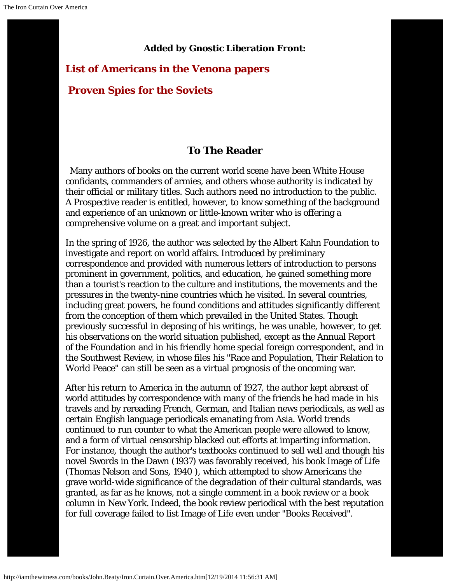#### **Added by Gnostic Liberation Front:**

#### **[List of Americans in the Venona papers](#page-159-0)**

#### **[Proven Spies for the Soviets](#page-159-0)**

#### **To The Reader**

<span id="page-3-0"></span> Many authors of books on the current world scene have been White House confidants, commanders of armies, and others whose authority is indicated by their official or military titles. Such authors need no introduction to the public. A Prospective reader is entitled, however, to know something of the background and experience of an unknown or little-known writer who is offering a comprehensive volume on a great and important subject.

In the spring of 1926, the author was selected by the Albert Kahn Foundation to investigate and report on world affairs. Introduced by preliminary correspondence and provided with numerous letters of introduction to persons prominent in government, politics, and education, he gained something more than a tourist's reaction to the culture and institutions, the movements and the pressures in the twenty-nine countries which he visited. In several countries, including great powers, he found conditions and attitudes significantly different from the conception of them which prevailed in the United States. Though previously successful in deposing of his writings, he was unable, however, to get his observations on the world situation published, except as the Annual Report of the Foundation and in his friendly home special foreign correspondent, and in the Southwest Review, in whose files his "Race and Population, Their Relation to World Peace" can still be seen as a virtual prognosis of the oncoming war.

After his return to America in the autumn of 1927, the author kept abreast of world attitudes by correspondence with many of the friends he had made in his travels and by rereading French, German, and Italian news periodicals, as well as certain English language periodicals emanating from Asia. World trends continued to run counter to what the American people were allowed to know, and a form of virtual censorship blacked out efforts at imparting information. For instance, though the author's textbooks continued to sell well and though his novel Swords in the Dawn (1937) was favorably received, his book Image of Life (Thomas Nelson and Sons, 1940 ), which attempted to show Americans the grave world-wide significance of the degradation of their cultural standards, was granted, as far as he knows, not a single comment in a book review or a book column in New York. Indeed, the book review periodical with the best reputation for full coverage failed to list Image of Life even under "Books Received".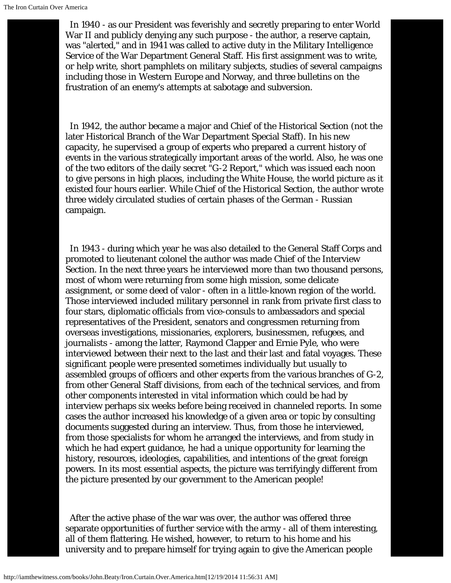In 1940 - as our President was feverishly and secretly preparing to enter World War II and publicly denying any such purpose - the author, a reserve captain, was "alerted," and in 1941 was called to active duty in the Military Intelligence Service of the War Department General Staff. His first assignment was to write, or help write, short pamphlets on military subjects, studies of several campaigns including those in Western Europe and Norway, and three bulletins on the frustration of an enemy's attempts at sabotage and subversion.

 In 1942, the author became a major and Chief of the Historical Section (not the later Historical Branch of the War Department Special Staff). In his new capacity, he supervised a group of experts who prepared a current history of events in the various strategically important areas of the world. Also, he was one of the two editors of the daily secret "G-2 Report," which was issued each noon to give persons in high places, including the White House, the world picture as it existed four hours earlier. While Chief of the Historical Section, the author wrote three widely circulated studies of certain phases of the German - Russian campaign.

 In 1943 - during which year he was also detailed to the General Staff Corps and promoted to lieutenant colonel the author was made Chief of the Interview Section. In the next three years he interviewed more than two thousand persons, most of whom were returning from some high mission, some delicate assignment, or some deed of valor - often in a little-known region of the world. Those interviewed included military personnel in rank from private first class to four stars, diplomatic officials from vice-consuls to ambassadors and special representatives of the President, senators and congressmen returning from overseas investigations, missionaries, explorers, businessmen, refugees, and journalists - among the latter, Raymond Clapper and Ernie Pyle, who were interviewed between their next to the last and their last and fatal voyages. These significant people were presented sometimes individually but usually to assembled groups of officers and other experts from the various branches of G-2, from other General Staff divisions, from each of the technical services, and from other components interested in vital information which could be had by interview perhaps six weeks before being received in channeled reports. In some cases the author increased his knowledge of a given area or topic by consulting documents suggested during an interview. Thus, from those he interviewed, from those specialists for whom he arranged the interviews, and from study in which he had expert guidance, he had a unique opportunity for learning the history, resources, ideologies, capabilities, and intentions of the great foreign powers. In its most essential aspects, the picture was terrifyingly different from the picture presented by our government to the American people!

 After the active phase of the war was over, the author was offered three separate opportunities of further service with the army - all of them interesting, all of them flattering. He wished, however, to return to his home and his university and to prepare himself for trying again to give the American people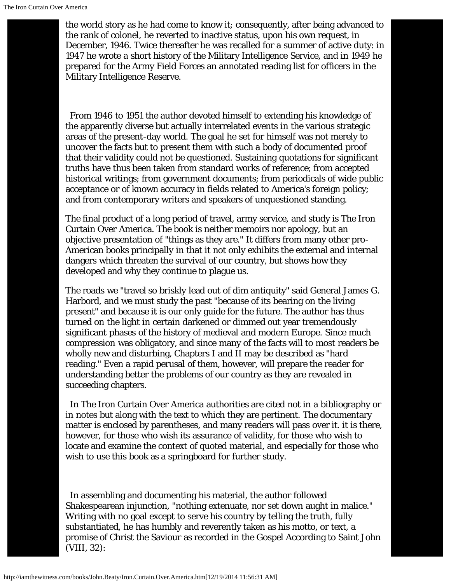the world story as he had come to know it; consequently, after being advanced to the rank of colonel, he reverted to inactive status, upon his own request, in December, 1946. Twice thereafter he was recalled for a summer of active duty: in 1947 he wrote a short history of the Military Intelligence Service, and in 1949 he prepared for the Army Field Forces an annotated reading list for officers in the Military Intelligence Reserve.

 From 1946 to 1951 the author devoted himself to extending his knowledge of the apparently diverse but actually interrelated events in the various strategic areas of the present-day world. The goal he set for himself was not merely to uncover the facts but to present them with such a body of documented proof that their validity could not be questioned. Sustaining quotations for significant truths have thus been taken from standard works of reference; from accepted historical writings; from government documents; from periodicals of wide public acceptance or of known accuracy in fields related to America's foreign policy; and from contemporary writers and speakers of unquestioned standing.

The final product of a long period of travel, army service, and study is The Iron Curtain Over America. The book is neither memoirs nor apology, but an objective presentation of "things as they are." It differs from many other pro-American books principally in that it not only exhibits the external and internal dangers which threaten the survival of our country, but shows how they developed and why they continue to plague us.

The roads we "travel so briskly lead out of dim antiquity" said General James G. Harbord, and we must study the past "because of its bearing on the living present" and because it is our only guide for the future. The author has thus turned on the light in certain darkened or dimmed out year tremendously significant phases of the history of medieval and modern Europe. Since much compression was obligatory, and since many of the facts will to most readers be wholly new and disturbing, Chapters I and II may be described as "hard reading." Even a rapid perusal of them, however, will prepare the reader for understanding better the problems of our country as they are revealed in succeeding chapters.

 In The Iron Curtain Over America authorities are cited not in a bibliography or in notes but along with the text to which they are pertinent. The documentary matter is enclosed by parentheses, and many readers will pass over it. it is there, however, for those who wish its assurance of validity, for those who wish to locate and examine the context of quoted material, and especially for those who wish to use this book as a springboard for further study.

 In assembling and documenting his material, the author followed Shakespearean injunction, "nothing extenuate, nor set down aught in malice." Writing with no goal except to serve his country by telling the truth, fully substantiated, he has humbly and reverently taken as his motto, or text, a promise of Christ the Saviour as recorded in the Gospel According to Saint John (VIII, 32):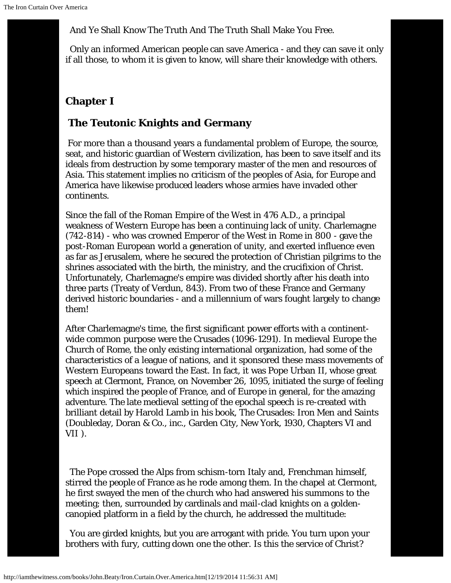And Ye Shall Know The Truth And The Truth Shall Make You Free.

 Only an informed American people can save America - and they can save it only if all those, to whom it is given to know, will share their knowledge with others.

# **Chapter I**

## <span id="page-6-0"></span>**The Teutonic Knights and Germany**

 For more than a thousand years a fundamental problem of Europe, the source, seat, and historic guardian of Western civilization, has been to save itself and its ideals from destruction by some temporary master of the men and resources of Asia. This statement implies no criticism of the peoples of Asia, for Europe and America have likewise produced leaders whose armies have invaded other continents.

Since the fall of the Roman Empire of the West in 476 A.D., a principal weakness of Western Europe has been a continuing lack of unity. Charlemagne (742-814) - who was crowned Emperor of the West in Rome in 800 - gave the post-Roman European world a generation of unity, and exerted influence even as far as Jerusalem, where he secured the protection of Christian pilgrims to the shrines associated with the birth, the ministry, and the crucifixion of Christ. Unfortunately, Charlemagne's empire was divided shortly after his death into three parts (Treaty of Verdun, 843). From two of these France and Germany derived historic boundaries - and a millennium of wars fought largely to change them!

After Charlemagne's time, the first significant power efforts with a continentwide common purpose were the Crusades (1096-1291). In medieval Europe the Church of Rome, the only existing international organization, had some of the characteristics of a league of nations, and it sponsored these mass movements of Western Europeans toward the East. In fact, it was Pope Urban II, whose great speech at Clermont, France, on November 26, 1095, initiated the surge of feeling which inspired the people of France, and of Europe in general, for the amazing adventure. The late medieval setting of the epochal speech is re-created with brilliant detail by Harold Lamb in his book, The Crusades: Iron Men and Saints (Doubleday, Doran & Co., inc., Garden City, New York, 1930, Chapters VI and VII ).

 The Pope crossed the Alps from schism-torn Italy and, Frenchman himself, stirred the people of France as he rode among them. In the chapel at Clermont, he first swayed the men of the church who had answered his summons to the meeting; then, surrounded by cardinals and mail-clad knights on a goldencanopied platform in a field by the church, he addressed the multitude:

 You are girded knights, but you are arrogant with pride. You turn upon your brothers with fury, cutting down one the other. Is this the service of Christ?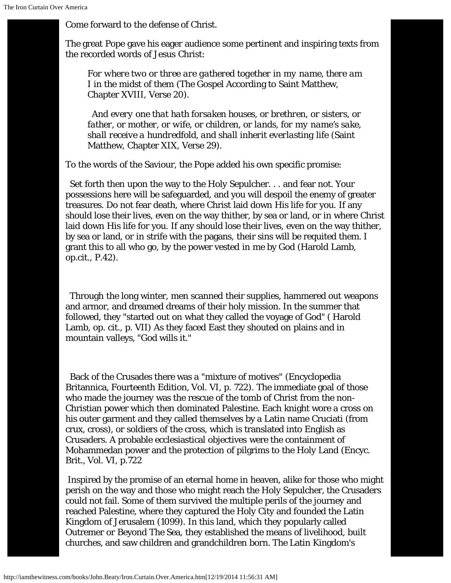Come forward to the defense of Christ.

The great Pope gave his eager audience some pertinent and inspiring texts from the recorded words of Jesus Christ:

*For where two or three are gathered together in my name, there am I in the midst of them* (The Gospel According to Saint Matthew, Chapter XVIII, Verse 20).

 *And every one that hath forsaken houses, or brethren, or sisters, or father, or mother, or wife, or children, or lands, for my name's sake, shall receive a hundredfold, and shall inherit everlasting life* (Saint Matthew, Chapter XIX, Verse 29).

To the words of the Saviour, the Pope added his own specific promise:

 Set forth then upon the way to the Holy Sepulcher. . . and fear not. Your possessions here will be safeguarded, and you will despoil the enemy of greater treasures. Do not fear death, where Christ laid down His life for you. If any should lose their lives, even on the way thither, by sea or land, or in where Christ laid down His life for you. If any should lose their lives, even on the way thither, by sea or land, or in strife with the pagans, their sins will be requited them. I grant this to all who go, by the power vested in me by God (Harold Lamb, op.cit., P.42).

 Through the long winter, men scanned their supplies, hammered out weapons and armor, and dreamed dreams of their holy mission. In the summer that followed, they "started out on what they called the voyage of God" ( Harold Lamb, op. cit., p. VII) As they faced East they shouted on plains and in mountain valleys, "God wills it."

 Back of the Crusades there was a "mixture of motives" (Encyclopedia Britannica, Fourteenth Edition, Vol. VI, p. 722). The immediate goal of those who made the journey was the rescue of the tomb of Christ from the non-Christian power which then dominated Palestine. Each knight wore a cross on his outer garment and they called themselves by a Latin name Cruciati (from crux, cross), or soldiers of the cross, which is translated into English as Crusaders. A probable ecclesiastical objectives were the containment of Mohammedan power and the protection of pilgrims to the Holy Land (Encyc. Brit., Vol. VI, p.722

 Inspired by the promise of an eternal home in heaven, alike for those who might perish on the way and those who might reach the Holy Sepulcher, the Crusaders could not fail. Some of them survived the multiple perils of the journey and reached Palestine, where they captured the Holy City and founded the Latin Kingdom of Jerusalem (1099). In this land, which they popularly called Outremer or Beyond The Sea, they established the means of livelihood, built churches, and saw children and grandchildren born. The Latin Kingdom's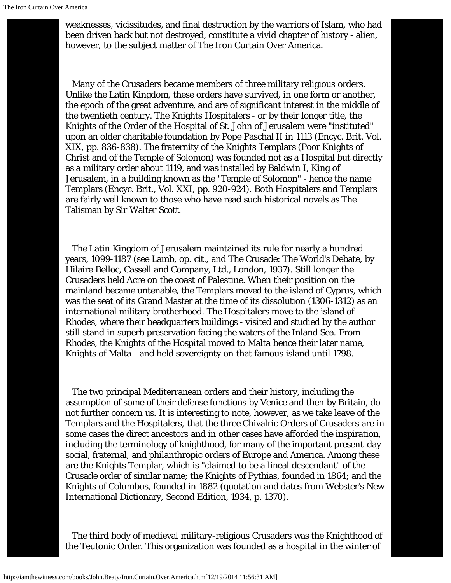weaknesses, vicissitudes, and final destruction by the warriors of Islam, who had been driven back but not destroyed, constitute a vivid chapter of history - alien, however, to the subject matter of The Iron Curtain Over America.

 Many of the Crusaders became members of three military religious orders. Unlike the Latin Kingdom, these orders have survived, in one form or another, the epoch of the great adventure, and are of significant interest in the middle of the twentieth century. The Knights Hospitalers - or by their longer title, the Knights of the Order of the Hospital of St. John of Jerusalem were "instituted" upon an older charitable foundation by Pope Paschal II in 1113 (Encyc. Brit. Vol. XIX, pp. 836-838). The fraternity of the Knights Templars (Poor Knights of Christ and of the Temple of Solomon) was founded not as a Hospital but directly as a military order about 1119, and was installed by Baldwin I, King of Jerusalem, in a building known as the "Temple of Solomon" - hence the name Templars (Encyc. Brit., Vol. XXI, pp. 920-924). Both Hospitalers and Templars are fairly well known to those who have read such historical novels as The Talisman by Sir Walter Scott.

 The Latin Kingdom of Jerusalem maintained its rule for nearly a hundred years, 1099-1187 (see Lamb, op. cit., and The Crusade: The World's Debate, by Hilaire Belloc, Cassell and Company, Ltd., London, 1937). Still longer the Crusaders held Acre on the coast of Palestine. When their position on the mainland became untenable, the Templars moved to the island of Cyprus, which was the seat of its Grand Master at the time of its dissolution (1306-1312) as an international military brotherhood. The Hospitalers move to the island of Rhodes, where their headquarters buildings - visited and studied by the author still stand in superb preservation facing the waters of the Inland Sea. From Rhodes, the Knights of the Hospital moved to Malta hence their later name, Knights of Malta - and held sovereignty on that famous island until 1798.

 The two principal Mediterranean orders and their history, including the assumption of some of their defense functions by Venice and then by Britain, do not further concern us. It is interesting to note, however, as we take leave of the Templars and the Hospitalers, that the three Chivalric Orders of Crusaders are in some cases the direct ancestors and in other cases have afforded the inspiration, including the terminology of knighthood, for many of the important present-day social, fraternal, and philanthropic orders of Europe and America. Among these are the Knights Templar, which is "claimed to be a lineal descendant" of the Crusade order of similar name; the Knights of Pythias, founded in 1864; and the Knights of Columbus, founded in 1882 (quotation and dates from Webster's New International Dictionary, Second Edition, 1934, p. 1370).

 The third body of medieval military-religious Crusaders was the Knighthood of the Teutonic Order. This organization was founded as a hospital in the winter of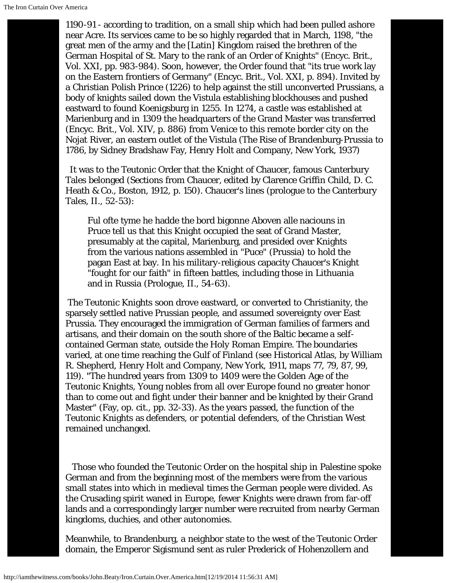1190-91 - according to tradition, on a small ship which had been pulled ashore near Acre. Its services came to be so highly regarded that in March, 1198, "the great men of the army and the [Latin] Kingdom raised the brethren of the German Hospital of St. Mary to the rank of an Order of Knights" (Encyc. Brit., Vol. XXI, pp. 983-984). Soon, however, the Order found that "its true work lay on the Eastern frontiers of Germany" (Encyc. Brit., Vol. XXI, p. 894). Invited by a Christian Polish Prince (1226) to help against the still unconverted Prussians, a body of knights sailed down the Vistula establishing blockhouses and pushed eastward to found Koenigsburg in 1255. In 1274, a castle was established at Marienburg and in 1309 the headquarters of the Grand Master was transferred (Encyc. Brit., Vol. XIV, p. 886) from Venice to this remote border city on the Nojat River, an eastern outlet of the Vistula (The Rise of Brandenburg-Prussia to 1786, by Sidney Bradshaw Fay, Henry Holt and Company, New York, 1937)

 It was to the Teutonic Order that the Knight of Chaucer, famous Canterbury Tales belonged (Sections from Chaucer, edited by Clarence Griffin Child, D. C. Heath & Co., Boston, 1912, p. 150). Chaucer's lines (prologue to the Canterbury Tales, II., 52-53):

Ful ofte tyme he hadde the bord bigonne Aboven alle naciouns in Pruce tell us that this Knight occupied the seat of Grand Master, presumably at the capital, Marienburg, and presided over Knights from the various nations assembled in "Puce" (Prussia) to hold the pagan East at bay. In his military-religious capacity Chaucer's Knight "fought for our faith" in fifteen battles, including those in Lithuania and in Russia (Prologue, II., 54-63).

 The Teutonic Knights soon drove eastward, or converted to Christianity, the sparsely settled native Prussian people, and assumed sovereignty over East Prussia. They encouraged the immigration of German families of farmers and artisans, and their domain on the south shore of the Baltic became a selfcontained German state, outside the Holy Roman Empire. The boundaries varied, at one time reaching the Gulf of Finland (see Historical Atlas, by William R. Shepherd, Henry Holt and Company, New York, 1911, maps 77, 79, 87, 99, 119). "The hundred years from 1309 to 1409 were the Golden Age of the Teutonic Knights, Young nobles from all over Europe found no greater honor than to come out and fight under their banner and be knighted by their Grand Master" (Fay, op. cit., pp. 32-33). As the years passed, the function of the Teutonic Knights as defenders, or potential defenders, of the Christian West remained unchanged.

 Those who founded the Teutonic Order on the hospital ship in Palestine spoke German and from the beginning most of the members were from the various small states into which in medieval times the German people were divided. As the Crusading spirit waned in Europe, fewer Knights were drawn from far-off lands and a correspondingly larger number were recruited from nearby German kingdoms, duchies, and other autonomies.

Meanwhile, to Brandenburg, a neighbor state to the west of the Teutonic Order domain, the Emperor Sigismund sent as ruler Prederick of Hohenzollern and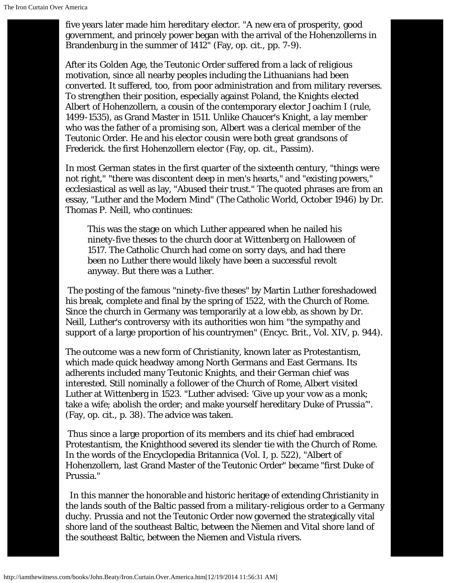five years later made him hereditary elector. "A new era of prosperity, good government, and princely power began with the arrival of the Hohenzollerns in Brandenburg in the summer of 1412" (Fay, op. cit., pp. 7-9).

After its Golden Age, the Teutonic Order suffered from a lack of religious motivation, since all nearby peoples including the Lithuanians had been converted. It suffered, too, from poor administration and from military reverses. To strengthen their position, especially against Poland, the Knights elected Albert of Hohenzollern, a cousin of the contemporary elector Joachim I (rule, 1499-1535), as Grand Master in 1511. Unlike Chaucer's Knight, a lay member who was the father of a promising son, Albert was a clerical member of the Teutonic Order. He and his elector cousin were both great grandsons of Frederick. the first Hohenzollern elector (Fay, op. cit., Passim).

In most German states in the first quarter of the sixteenth century, "things were not right," "there was discontent deep in men's hearts," and "existing powers," ecclesiastical as well as lay, "Abused their trust." The quoted phrases are from an essay, "Luther and the Modern Mind" (The Catholic World, October 1946) by Dr. Thomas P. Neill, who continues:

This was the stage on which Luther appeared when he nailed his ninety-five theses to the church door at Wittenberg on Halloween of 1517. The Catholic Church had come on sorry days, and had there been no Luther there would likely have been a successful revolt anyway. But there was a Luther.

 The posting of the famous "ninety-five theses" by Martin Luther foreshadowed his break, complete and final by the spring of 1522, with the Church of Rome. Since the church in Germany was temporarily at a low ebb, as shown by Dr. Neill, Luther's controversy with its authorities won him "the sympathy and support of a large proportion of his countrymen" (Encyc. Brit., Vol. XIV, p. 944).

The outcome was a new form of Christianity, known later as Protestantism, which made quick headway among North Germans and East Germans. Its adherents included many Teutonic Knights, and their German chief was interested. Still nominally a follower of the Church of Rome, Albert visited Luther at Wittenberg in 1523. "Luther advised: 'Give up your vow as a monk; take a wife; abolish the order; and make yourself hereditary Duke of Prussia'". (Fay, op. cit., p. 38). The advice was taken.

 Thus since a large proportion of its members and its chief had embraced Protestantism, the Knighthood severed its slender tie with the Church of Rome. In the words of the Encyclopedia Britannica (Vol. I, p. 522), "Albert of Hohenzollern, last Grand Master of the Teutonic Order" became "first Duke of Prussia."

 In this manner the honorable and historic heritage of extending Christianity in the lands south of the Baltic passed from a military-religious order to a Germany duchy. Prussia and not the Teutonic Order now governed the strategically vital shore land of the southeast Baltic, between the Niemen and Vital shore land of the southeast Baltic, between the Niemen and Vistula rivers.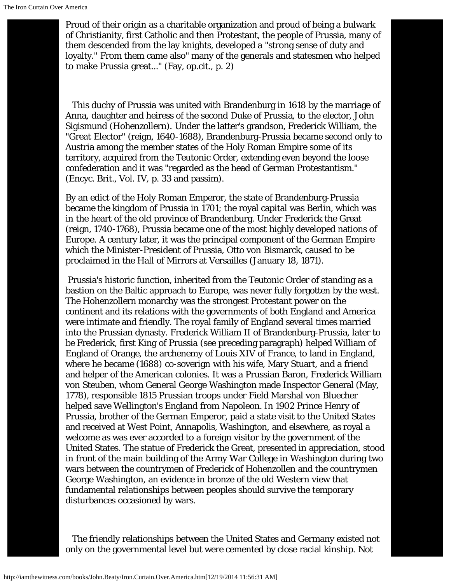Proud of their origin as a charitable organization and proud of being a bulwark of Christianity, first Catholic and then Protestant, the people of Prussia, many of them descended from the lay knights, developed a "strong sense of duty and loyalty." From them came also" many of the generals and statesmen who helped to make Prussia great..." (Fay, op.cit., p. 2)

 This duchy of Prussia was united with Brandenburg in 1618 by the marriage of Anna, daughter and heiress of the second Duke of Prussia, to the elector, John Sigismund (Hohenzollern). Under the latter's grandson, Frederick William, the "Great Elector" (reign, 1640-1688), Brandenburg-Prussia became second only to Austria among the member states of the Holy Roman Empire some of its territory, acquired from the Teutonic Order, extending even beyond the loose confederation and it was "regarded as the head of German Protestantism." (Encyc. Brit., Vol. IV, p. 33 and passim).

By an edict of the Holy Roman Emperor, the state of Brandenburg-Prussia became the kingdom of Prussia in 1701; the royal capital was Berlin, which was in the heart of the old province of Brandenburg. Under Frederick the Great (reign, 1740-1768), Prussia became one of the most highly developed nations of Europe. A century later, it was the principal component of the German Empire which the Minister-President of Prussia, Otto von Bismarck, caused to be proclaimed in the Hall of Mirrors at Versailles (January 18, 1871).

 Prussia's historic function, inherited from the Teutonic Order of standing as a bastion on the Baltic approach to Europe, was never fully forgotten by the west. The Hohenzollern monarchy was the strongest Protestant power on the continent and its relations with the governments of both England and America were intimate and friendly. The royal family of England several times married into the Prussian dynasty. Frederick William II of Brandenburg-Prussia, later to be Frederick, first King of Prussia (see preceding paragraph) helped William of England of Orange, the archenemy of Louis XIV of France, to land in England, where he became (1688) co-soverign with his wife, Mary Stuart, and a friend and helper of the American colonies. It was a Prussian Baron, Frederick William von Steuben, whom General George Washington made Inspector General (May, 1778), responsible 1815 Prussian troops under Field Marshal von Bluecher helped save Wellington's England from Napoleon. In 1902 Prince Henry of Prussia, brother of the German Emperor, paid a state visit to the United States and received at West Point, Annapolis, Washington, and elsewhere, as royal a welcome as was ever accorded to a foreign visitor by the government of the United States. The statue of Frederick the Great, presented in appreciation, stood in front of the main building of the Army War College in Washington during two wars between the countrymen of Frederick of Hohenzollen and the countrymen George Washington, an evidence in bronze of the old Western view that fundamental relationships between peoples should survive the temporary disturbances occasioned by wars.

 The friendly relationships between the United States and Germany existed not only on the governmental level but were cemented by close racial kinship. Not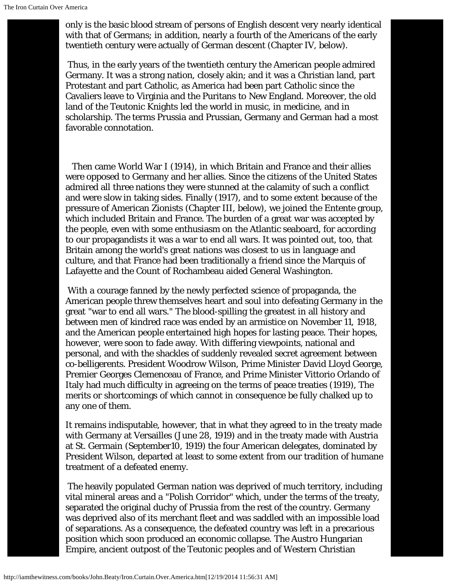only is the basic blood stream of persons of English descent very nearly identical with that of Germans; in addition, nearly a fourth of the Americans of the early twentieth century were actually of German descent (Chapter IV, below).

 Thus, in the early years of the twentieth century the American people admired Germany. It was a strong nation, closely akin; and it was a Christian land, part Protestant and part Catholic, as America had been part Catholic since the Cavaliers leave to Virginia and the Puritans to New England. Moreover, the old land of the Teutonic Knights led the world in music, in medicine, and in scholarship. The terms Prussia and Prussian, Germany and German had a most favorable connotation.

 Then came World War I (1914), in which Britain and France and their allies were opposed to Germany and her allies. Since the citizens of the United States admired all three nations they were stunned at the calamity of such a conflict and were slow in taking sides. Finally (1917), and to some extent because of the pressure of American Zionists (Chapter III, below), we joined the Entente group, which included Britain and France. The burden of a great war was accepted by the people, even with some enthusiasm on the Atlantic seaboard, for according to our propagandists it was a war to end all wars. It was pointed out, too, that Britain among the world's great nations was closest to us in language and culture, and that France had been traditionally a friend since the Marquis of Lafayette and the Count of Rochambeau aided General Washington.

 With a courage fanned by the newly perfected science of propaganda, the American people threw themselves heart and soul into defeating Germany in the great "war to end all wars." The blood-spilling the greatest in all history and between men of kindred race was ended by an armistice on November 11, 1918, and the American people entertained high hopes for lasting peace. Their hopes, however, were soon to fade away. With differing viewpoints, national and personal, and with the shackles of suddenly revealed secret agreement between co-belligerents. President Woodrow Wilson, Prime Minister David Lloyd George, Premier Georges Clemenceau of France, and Prime Minister Vittorio Orlando of Italy had much difficulty in agreeing on the terms of peace treaties (1919), The merits or shortcomings of which cannot in consequence be fully chalked up to any one of them.

It remains indisputable, however, that in what they agreed to in the treaty made with Germany at Versailles (June 28, 1919) and in the treaty made with Austria at St. Germain (September10, 1919) the four American delegates, dominated by President Wilson, departed at least to some extent from our tradition of humane treatment of a defeated enemy.

 The heavily populated German nation was deprived of much territory, including vital mineral areas and a "Polish Corridor" which, under the terms of the treaty, separated the original duchy of Prussia from the rest of the country. Germany was deprived also of its merchant fleet and was saddled with an impossible load of separations. As a consequence, the defeated country was left in a precarious position which soon produced an economic collapse. The Austro Hungarian Empire, ancient outpost of the Teutonic peoples and of Western Christian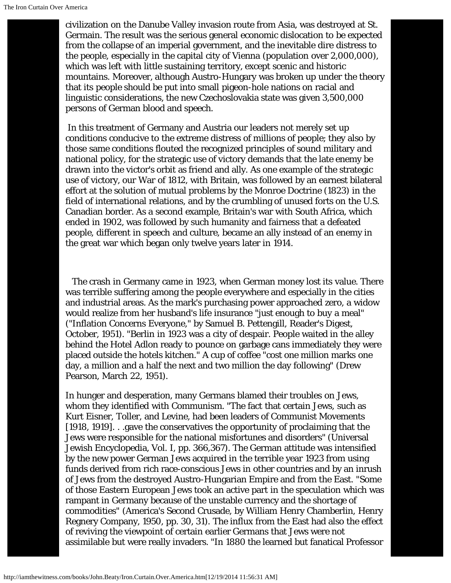civilization on the Danube Valley invasion route from Asia, was destroyed at St. Germain. The result was the serious general economic dislocation to be expected from the collapse of an imperial government, and the inevitable dire distress to the people, especially in the capital city of Vienna (population over 2,000,000), which was left with little sustaining territory, except scenic and historic mountains. Moreover, although Austro-Hungary was broken up under the theory that its people should be put into small pigeon-hole nations on racial and linguistic considerations, the new Czechoslovakia state was given 3,500,000 persons of German blood and speech.

 In this treatment of Germany and Austria our leaders not merely set up conditions conducive to the extreme distress of millions of people; they also by those same conditions flouted the recognized principles of sound military and national policy, for the strategic use of victory demands that the late enemy be drawn into the victor's orbit as friend and ally. As one example of the strategic use of victory, our War of 1812, with Britain, was followed by an earnest bilateral effort at the solution of mutual problems by the Monroe Doctrine (1823) in the field of international relations, and by the crumbling of unused forts on the U.S. Canadian border. As a second example, Britain's war with South Africa, which ended in 1902, was followed by such humanity and fairness that a defeated people, different in speech and culture, became an ally instead of an enemy in the great war which began only twelve years later in 1914.

 The crash in Germany came in 1923, when German money lost its value. There was terrible suffering among the people everywhere and especially in the cities and industrial areas. As the mark's purchasing power approached zero, a widow would realize from her husband's life insurance "just enough to buy a meal" ("Inflation Concerns Everyone," by Samuel B. Pettengill, Reader's Digest, October, 1951). "Berlin in 1923 was a city of despair. People waited in the alley behind the Hotel Adlon ready to pounce on garbage cans immediately they were placed outside the hotels kitchen." A cup of coffee "cost one million marks one day, a million and a half the next and two million the day following" (Drew Pearson, March 22, 1951).

In hunger and desperation, many Germans blamed their troubles on Jews, whom they identified with Communism. "The fact that certain Jews, such as Kurt Eisner, Toller, and Levine, had been leaders of Communist Movements [1918, 1919]. . .gave the conservatives the opportunity of proclaiming that the Jews were responsible for the national misfortunes and disorders" (Universal Jewish Encyclopedia, Vol. I, pp. 366,367). The German attitude was intensified by the new power German Jews acquired in the terrible year 1923 from using funds derived from rich race-conscious Jews in other countries and by an inrush of Jews from the destroyed Austro-Hungarian Empire and from the East. "Some of those Eastern European Jews took an active part in the speculation which was rampant in Germany because of the unstable currency and the shortage of commodities" (America's Second Crusade, by William Henry Chamberlin, Henry Regnery Company, 1950, pp. 30, 31). The influx from the East had also the effect of reviving the viewpoint of certain earlier Germans that Jews were not assimilable but were really invaders. "In 1880 the learned but fanatical Professor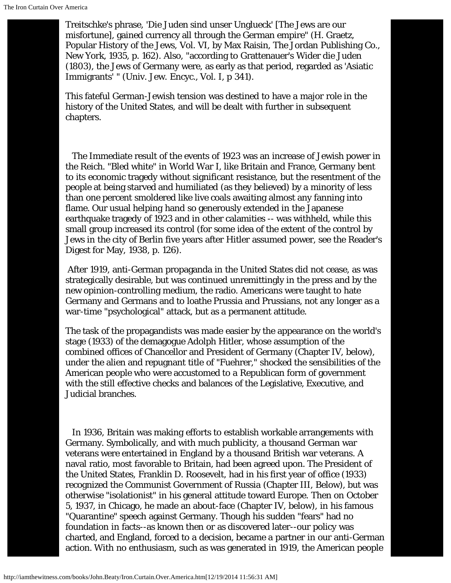Treitschke's phrase, 'Die Juden sind unser Unglueck' [The Jews are our misfortune], gained currency all through the German empire" (H. Graetz, Popular History of the Jews, Vol. VI, by Max Raisin, The Jordan Publishing Co., New York, 1935, p. 162). Also, "according to Grattenauer's Wider die Juden (1803), the Jews of Germany were, as early as that period, regarded as 'Asiatic Immigrants' " (Univ. Jew. Encyc., Vol. I, p 341).

This fateful German-Jewish tension was destined to have a major role in the history of the United States, and will be dealt with further in subsequent chapters.

 The Immediate result of the events of 1923 was an increase of Jewish power in the Reich. "Bled white" in World War I, like Britain and France, Germany bent to its economic tragedy without significant resistance, but the resentment of the people at being starved and humiliated (as they believed) by a minority of less than one percent smoldered like live coals awaiting almost any fanning into flame. Our usual helping hand so generously extended in the Japanese earthquake tragedy of 1923 and in other calamities -- was withheld, while this small group increased its control (for some idea of the extent of the control by Jews in the city of Berlin five years after Hitler assumed power, see the Reader's Digest for May, 1938, p. 126).

 After 1919, anti-German propaganda in the United States did not cease, as was strategically desirable, but was continued unremittingly in the press and by the new opinion-controlling medium, the radio. Americans were taught to hate Germany and Germans and to loathe Prussia and Prussians, not any longer as a war-time "psychological" attack, but as a permanent attitude.

The task of the propagandists was made easier by the appearance on the world's stage (1933) of the demagogue Adolph Hitler, whose assumption of the combined offices of Chancellor and President of Germany (Chapter IV, below), under the alien and repugnant title of "Fuehrer," shocked the sensibilities of the American people who were accustomed to a Republican form of government with the still effective checks and balances of the Legislative, Executive, and Judicial branches.

 In 1936, Britain was making efforts to establish workable arrangements with Germany. Symbolically, and with much publicity, a thousand German war veterans were entertained in England by a thousand British war veterans. A naval ratio, most favorable to Britain, had been agreed upon. The President of the United States, Franklin D. Roosevelt, had in his first year of office (1933) recognized the Communist Government of Russia (Chapter III, Below), but was otherwise "isolationist" in his general attitude toward Europe. Then on October 5, 1937, in Chicago, he made an about-face (Chapter IV, below), in his famous "Quarantine" speech against Germany. Though his sudden "fears" had no foundation in facts--as known then or as discovered later--our policy was charted, and England, forced to a decision, became a partner in our anti-German action. With no enthusiasm, such as was generated in 1919, the American people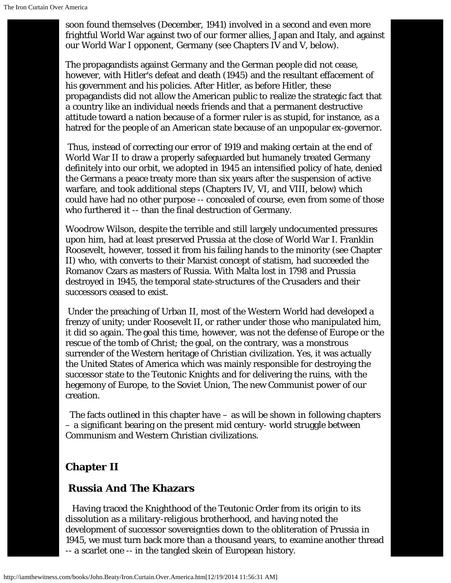soon found themselves (December, 1941) involved in a second and even more frightful World War against two of our former allies, Japan and Italy, and against our World War I opponent, Germany (see Chapters IV and V, below).

The propagandists against Germany and the German people did not cease, however, with Hitler's defeat and death (1945) and the resultant effacement of his government and his policies. After Hitler, as before Hitler, these propagandists did not allow the American public to realize the strategic fact that a country like an individual needs friends and that a permanent destructive attitude toward a nation because of a former ruler is as stupid, for instance, as a hatred for the people of an American state because of an unpopular ex-governor.

 Thus, instead of correcting our error of 1919 and making certain at the end of World War II to draw a properly safeguarded but humanely treated Germany definitely into our orbit, we adopted in 1945 an intensified policy of hate, denied the Germans a peace treaty more than six years after the suspension of active warfare, and took additional steps (Chapters IV, VI, and VIII, below) which could have had no other purpose -- concealed of course, even from some of those who furthered it -- than the final destruction of Germany.

Woodrow Wilson, despite the terrible and still largely undocumented pressures upon him, had at least preserved Prussia at the close of World War I. Franklin Roosevelt, however, tossed it from his failing hands to the minority (see Chapter II) who, with converts to their Marxist concept of statism, had succeeded the Romanov Czars as masters of Russia. With Malta lost in 1798 and Prussia destroyed in 1945, the temporal state-structures of the Crusaders and their successors ceased to exist.

 Under the preaching of Urban II, most of the Western World had developed a frenzy of unity; under Roosevelt II, or rather under those who manipulated him, it did so again. The goal this time, however, was not the defense of Europe or the rescue of the tomb of Christ; the goal, on the contrary, was a monstrous surrender of the Western heritage of Christian civilization. Yes, it was actually the United States of America which was mainly responsible for destroying the successor state to the Teutonic Knights and for delivering the ruins, with the hegemony of Europe, to the Soviet Union, The new Communist power of our creation.

 The facts outlined in this chapter have – as will be shown in following chapters – a significant bearing on the present mid century- world struggle between Communism and Western Christian civilizations.

## **Chapter II**

#### <span id="page-15-0"></span>**Russia And The Khazars**

 Having traced the Knighthood of the Teutonic Order from its origin to its dissolution as a military-religious brotherhood, and having noted the development of successor sovereignties down to the obliteration of Prussia in 1945, we must turn back more than a thousand years, to examine another thread -- a scarlet one -- in the tangled skein of European history.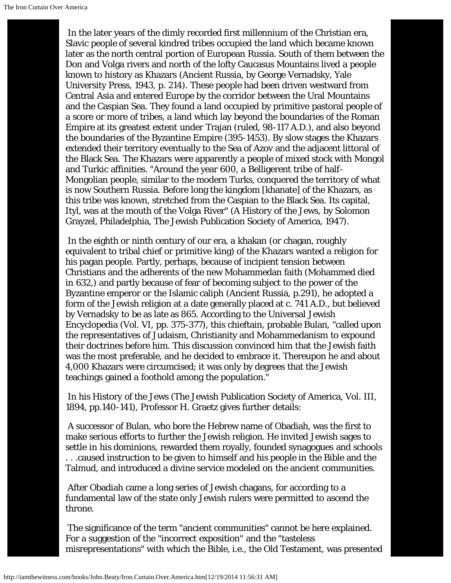In the later years of the dimly recorded first millennium of the Christian era, Slavic people of several kindred tribes occupied the land which became known later as the north central portion of European Russia. South of them between the Don and Volga rivers and north of the lofty Caucasus Mountains lived a people known to history as Khazars (Ancient Russia, by George Vernadsky, Yale University Press, 1943, p. 214). These people had been driven westward from Central Asia and entered Europe by the corridor between the Ural Mountains and the Caspian Sea. They found a land occupied by primitive pastoral people of a score or more of tribes, a land which lay beyond the boundaries of the Roman Empire at its greatest extent under Trajan (ruled, 98-117 A.D.), and also beyond the boundaries of the Byzantine Empire (395-1453). By slow stages the Khazars extended their territory eventually to the Sea of Azov and the adjacent littoral of the Black Sea. The Khazars were apparently a people of mixed stock with Mongol and Turkic affinities. "Around the year 600, a Belligerent tribe of half-Mongolian people, similar to the modern Turks, conquered the territory of what is now Southern Russia. Before long the kingdom [khanate] of the Khazars, as this tribe was known, stretched from the Caspian to the Black Sea. Its capital, Ityl, was at the mouth of the Volga River" (A History of the Jews, by Solomon Grayzel, Philadelphia, The Jewish Publication Society of America, 1947).

 In the eighth or ninth century of our era, a khakan (or chagan, roughly equivalent to tribal chief or primitive king) of the Khazars wanted a religion for his pagan people. Partly, perhaps, because of incipient tension between Christians and the adherents of the new Mohammedan faith (Mohammed died in 632,) and partly because of fear of becoming subject to the power of the Byzantine emperor or the Islamic caliph (Ancient Russia, p.291), he adopted a form of the Jewish religion at a date generally placed at c. 741 A.D., but believed by Vernadsky to be as late as 865. According to the Universal Jewish Encyclopedia (Vol. VI, pp. 375-377), this chieftain, probable Bulan, "called upon the representatives of Judaism, Christianity and Mohammedanism to expound their doctrines before him. This discussion convinced him that the Jewish faith was the most preferable, and he decided to embrace it. Thereupon he and about 4,000 Khazars were circumcised; it was only by degrees that the Jewish teachings gained a foothold among the population."

 In his History of the Jews (The Jewish Publication Society of America, Vol. III, 1894, pp.140-141), Professor H. Graetz gives further details:

 A successor of Bulan, who bore the Hebrew name of Obadiah, was the first to make serious efforts to further the Jewish religion. He invited Jewish sages to settle in his dominions, rewarded them royally, founded synagogues and schools . . .caused instruction to be given to himself and his people in the Bible and the Talmud, and introduced a divine service modeled on the ancient communities.

 After Obadiah came a long series of Jewish chagans, for according to a fundamental law of the state only Jewish rulers were permitted to ascend the throne.

 The significance of the term "ancient communities" cannot be here explained. For a suggestion of the "incorrect exposition" and the "tasteless misrepresentations" with which the Bible, i.e., the Old Testament, was presented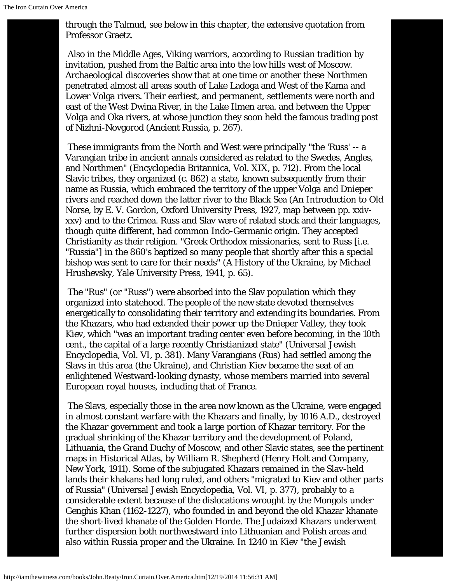through the Talmud, see below in this chapter, the extensive quotation from Professor Graetz.

 Also in the Middle Ages, Viking warriors, according to Russian tradition by invitation, pushed from the Baltic area into the low hills west of Moscow. Archaeological discoveries show that at one time or another these Northmen penetrated almost all areas south of Lake Ladoga and West of the Kama and Lower Volga rivers. Their earliest, and permanent, settlements were north and east of the West Dwina River, in the Lake Ilmen area. and between the Upper Volga and Oka rivers, at whose junction they soon held the famous trading post of Nizhni-Novgorod (Ancient Russia, p. 267).

 These immigrants from the North and West were principally "the 'Russ' -- a Varangian tribe in ancient annals considered as related to the Swedes, Angles, and Northmen" (Encyclopedia Britannica, Vol. XIX, p. 712). From the local Slavic tribes, they organized (c. 862) a state, known subsequently from their name as Russia, which embraced the territory of the upper Volga and Dnieper rivers and reached down the latter river to the Black Sea (An Introduction to Old Norse, by E. V. Gordon, Oxford University Press, 1927, map between pp. xxivxxv) and to the Crimea. Russ and Slav were of related stock and their languages, though quite different, had common Indo-Germanic origin. They accepted Christianity as their religion. "Greek Orthodox missionaries, sent to Russ [i.e. "Russia"] in the 860's baptized so many people that shortly after this a special bishop was sent to care for their needs" (A History of the Ukraine, by Michael Hrushevsky, Yale University Press, 1941, p. 65).

 The "Rus" (or "Russ") were absorbed into the Slav population which they organized into statehood. The people of the new state devoted themselves energetically to consolidating their territory and extending its boundaries. From the Khazars, who had extended their power up the Dnieper Valley, they took Kiev, which "was an important trading center even before becoming, in the 10th cent., the capital of a large recently Christianized state" (Universal Jewish Encyclopedia, Vol. VI, p. 381). Many Varangians (Rus) had settled among the Slavs in this area (the Ukraine), and Christian Kiev became the seat of an enlightened Westward-looking dynasty, whose members married into several European royal houses, including that of France.

 The Slavs, especially those in the area now known as the Ukraine, were engaged in almost constant warfare with the Khazars and finally, by 1016 A.D., destroyed the Khazar government and took a large portion of Khazar territory. For the gradual shrinking of the Khazar territory and the development of Poland, Lithuania, the Grand Duchy of Moscow, and other Slavic states, see the pertinent maps in Historical Atlas, by William R. Shepherd (Henry Holt and Company, New York, 1911). Some of the subjugated Khazars remained in the Slav-held lands their khakans had long ruled, and others "migrated to Kiev and other parts of Russia" (Universal Jewish Encyclopedia, Vol. VI, p. 377), probably to a considerable extent because of the dislocations wrought by the Mongols under Genghis Khan (1162-1227), who founded in and beyond the old Khazar khanate the short-lived khanate of the Golden Horde. The Judaized Khazars underwent further dispersion both northwestward into Lithuanian and Polish areas and also within Russia proper and the Ukraine. In 1240 in Kiev "the Jewish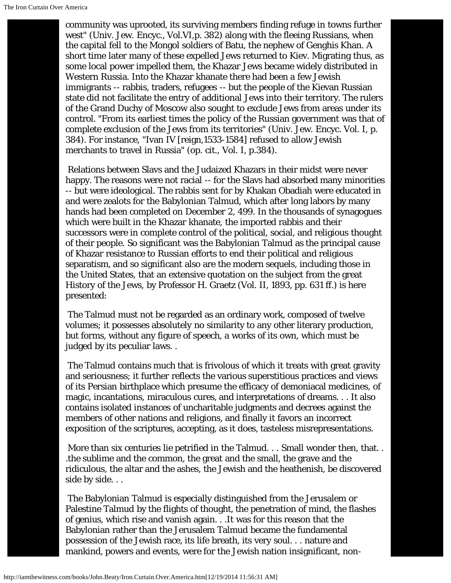community was uprooted, its surviving members finding refuge in towns further west" (Univ. Jew. Encyc., Vol.VI,p. 382) along with the fleeing Russians, when the capital fell to the Mongol soldiers of Batu, the nephew of Genghis Khan. A short time later many of these expelled Jews returned to Kiev. Migrating thus, as some local power impelled them, the Khazar Jews became widely distributed in Western Russia. Into the Khazar khanate there had been a few Jewish immigrants -- rabbis, traders, refugees -- but the people of the Kievan Russian state did not facilitate the entry of additional Jews into their territory. The rulers of the Grand Duchy of Moscow also sought to exclude Jews from areas under its control. "From its earliest times the policy of the Russian government was that of complete exclusion of the Jews from its territories" (Univ. Jew. Encyc. Vol. I, p. 384). For instance, "Ivan IV [reign,1533-1584] refused to allow Jewish merchants to travel in Russia" (op. cit., Vol. I, p.384).

 Relations between Slavs and the Judaized Khazars in their midst were never happy. The reasons were not racial -- for the Slavs had absorbed many minorities -- but were ideological. The rabbis sent for by Khakan Obadiah were educated in and were zealots for the Babylonian Talmud, which after long labors by many hands had been completed on December 2, 499. In the thousands of synagogues which were built in the Khazar khanate, the imported rabbis and their successors were in complete control of the political, social, and religious thought of their people. So significant was the Babylonian Talmud as the principal cause of Khazar resistance to Russian efforts to end their political and religious separatism, and so significant also are the modern sequels, including those in the United States, that an extensive quotation on the subject from the great History of the Jews, by Professor H. Graetz (Vol. II, 1893, pp. 631 ff.) is here presented:

 The Talmud must not be regarded as an ordinary work, composed of twelve volumes; it possesses absolutely no similarity to any other literary production, but forms, without any figure of speech, a works of its own, which must be judged by its peculiar laws. .

 The Talmud contains much that is frivolous of which it treats with great gravity and seriousness; it further reflects the various superstitious practices and views of its Persian birthplace which presume the efficacy of demoniacal medicines, of magic, incantations, miraculous cures, and interpretations of dreams. . . It also contains isolated instances of uncharitable judgments and decrees against the members of other nations and religions, and finally it favors an incorrect exposition of the scriptures, accepting, as it does, tasteless misrepresentations.

 More than six centuries lie petrified in the Talmud. . . Small wonder then, that. . .the sublime and the common, the great and the small, the grave and the ridiculous, the altar and the ashes, the Jewish and the heathenish, be discovered side by side. . .

 The Babylonian Talmud is especially distinguished from the Jerusalem or Palestine Talmud by the flights of thought, the penetration of mind, the flashes of genius, which rise and vanish again. . .It was for this reason that the Babylonian rather than the Jerusalem Talmud became the fundamental possession of the Jewish race, its life breath, its very soul. . . nature and mankind, powers and events, were for the Jewish nation insignificant, non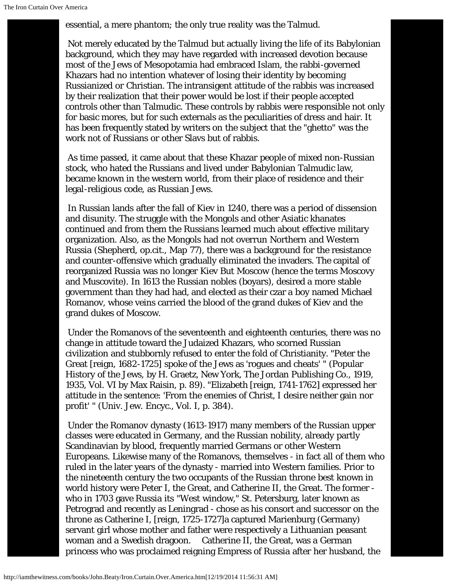essential, a mere phantom; the only true reality was the Talmud.

 Not merely educated by the Talmud but actually living the life of its Babylonian background, which they may have regarded with increased devotion because most of the Jews of Mesopotamia had embraced Islam, the rabbi-governed Khazars had no intention whatever of losing their identity by becoming Russianized or Christian. The intransigent attitude of the rabbis was increased by their realization that their power would be lost if their people accepted controls other than Talmudic. These controls by rabbis were responsible not only for basic mores, but for such externals as the peculiarities of dress and hair. It has been frequently stated by writers on the subject that the "ghetto" was the work not of Russians or other Slavs but of rabbis.

 As time passed, it came about that these Khazar people of mixed non-Russian stock, who hated the Russians and lived under Babylonian Talmudic law, became known in the western world, from their place of residence and their legal-religious code, as Russian Jews.

 In Russian lands after the fall of Kiev in 1240, there was a period of dissension and disunity. The struggle with the Mongols and other Asiatic khanates continued and from them the Russians learned much about effective military organization. Also, as the Mongols had not overrun Northern and Western Russia (Shepherd, op.cit., Map 77), there was a background for the resistance and counter-offensive which gradually eliminated the invaders. The capital of reorganized Russia was no longer Kiev But Moscow (hence the terms Moscovy and Muscovite). In 1613 the Russian nobles (boyars), desired a more stable government than they had had, and elected as their czar a boy named Michael Romanov, whose veins carried the blood of the grand dukes of Kiev and the grand dukes of Moscow.

 Under the Romanovs of the seventeenth and eighteenth centuries, there was no change in attitude toward the Judaized Khazars, who scorned Russian civilization and stubbornly refused to enter the fold of Christianity. "Peter the Great [reign, 1682-1725] spoke of the Jews as 'rogues and cheats' " (Popular History of the Jews, by H. Graetz, New York, The Jordan Publishing Co., 1919, 1935, Vol. VI by Max Raisin, p. 89). "Elizabeth [reign, 1741-1762] expressed her attitude in the sentence: 'From the enemies of Christ, I desire neither gain nor profit' " (Univ. Jew. Encyc., Vol. I, p. 384).

 Under the Romanov dynasty (1613-1917) many members of the Russian upper classes were educated in Germany, and the Russian nobility, already partly Scandinavian by blood, frequently married Germans or other Western Europeans. Likewise many of the Romanovs, themselves - in fact all of them who ruled in the later years of the dynasty - married into Western families. Prior to the nineteenth century the two occupants of the Russian throne best known in world history were Peter I, the Great, and Catherine II, the Great. The former who in 1703 gave Russia its "West window," St. Petersburg, later known as Petrograd and recently as Leningrad - chose as his consort and successor on the throne as Catherine I, [reign, 1725-1727]a captured Marienburg (Germany) servant girl whose mother and father were respectively a Lithuanian peasant woman and a Swedish dragoon. Catherine II, the Great, was a German princess who was proclaimed reigning Empress of Russia after her husband, the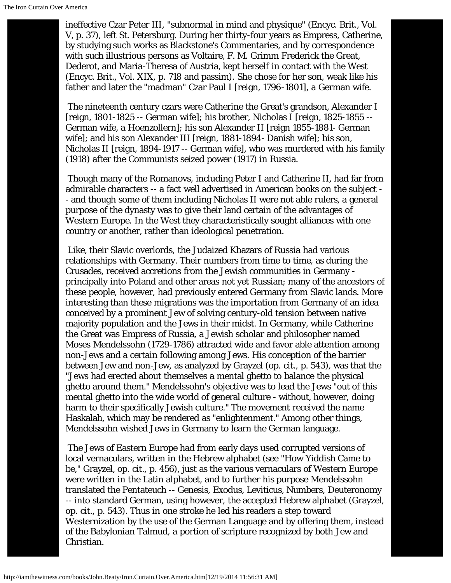ineffective Czar Peter III, "subnormal in mind and physique" (Encyc. Brit., Vol. V, p. 37), left St. Petersburg. During her thirty-four years as Empress, Catherine, by studying such works as Blackstone's Commentaries, and by correspondence with such illustrious persons as Voltaire, F. M. Grimm Frederick the Great, Dederot, and Maria-Theresa of Austria, kept herself in contact with the West (Encyc. Brit., Vol. XIX, p. 718 and passim). She chose for her son, weak like his father and later the "madman" Czar Paul I [reign, 1796-1801], a German wife.

 The nineteenth century czars were Catherine the Great's grandson, Alexander I [reign, 1801-1825 -- German wife]; his brother, Nicholas I [reign, 1825-1855 -- German wife, a Hoenzollern]; his son Alexander II [reign 1855-1881- German wife]; and his son Alexander III [reign, 1881-1894- Danish wife]; his son, Nicholas II [reign, 1894-1917 -- German wife], who was murdered with his family (1918) after the Communists seized power (1917) in Russia.

 Though many of the Romanovs, including Peter I and Catherine II, had far from admirable characters -- a fact well advertised in American books on the subject - - and though some of them including Nicholas II were not able rulers, a general purpose of the dynasty was to give their land certain of the advantages of Western Europe. In the West they characteristically sought alliances with one country or another, rather than ideological penetration.

 Like, their Slavic overlords, the Judaized Khazars of Russia had various relationships with Germany. Their numbers from time to time, as during the Crusades, received accretions from the Jewish communities in Germany principally into Poland and other areas not yet Russian; many of the ancestors of these people, however, had previously entered Germany from Slavic lands. More interesting than these migrations was the importation from Germany of an idea conceived by a prominent Jew of solving century-old tension between native majority population and the Jews in their midst. In Germany, while Catherine the Great was Empress of Russia, a Jewish scholar and philosopher named Moses Mendelssohn (1729-1786) attracted wide and favor able attention among non-Jews and a certain following among Jews. His conception of the barrier between Jew and non-Jew, as analyzed by Grayzel (op. cit., p. 543), was that the "Jews had erected about themselves a mental ghetto to balance the physical ghetto around them." Mendelssohn's objective was to lead the Jews "out of this mental ghetto into the wide world of general culture - without, however, doing harm to their specifically Jewish culture." The movement received the name Haskalah, which may be rendered as "enlightenment." Among other things, Mendelssohn wished Jews in Germany to learn the German language.

 The Jews of Eastern Europe had from early days used corrupted versions of local vernaculars, written in the Hebrew alphabet (see "How Yiddish Came to be," Grayzel, op. cit., p. 456), just as the various vernaculars of Western Europe were written in the Latin alphabet, and to further his purpose Mendelssohn translated the Pentateuch -- Genesis, Exodus, Leviticus, Numbers, Deuteronomy -- into standard German, using however, the accepted Hebrew alphabet (Grayzel, op. cit., p. 543). Thus in one stroke he led his readers a step toward Westernization by the use of the German Language and by offering them, instead of the Babylonian Talmud, a portion of scripture recognized by both Jew and Christian.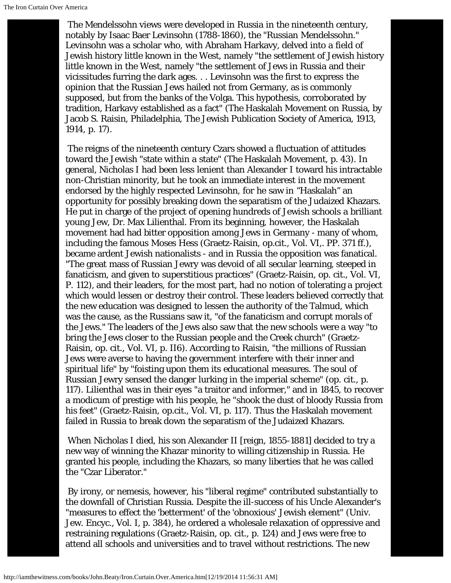The Mendelssohn views were developed in Russia in the nineteenth century, notably by Isaac Baer Levinsohn (1788-1860), the "Russian Mendelssohn." Levinsohn was a scholar who, with Abraham Harkavy, delved into a field of Jewish history little known in the West, namely "the settlement of Jewish history little known in the West, namely "the settlement of Jews in Russia and their vicissitudes furring the dark ages. . . Levinsohn was the first to express the opinion that the Russian Jews hailed not from Germany, as is commonly supposed, but from the banks of the Volga. This hypothesis, corroborated by tradition, Harkavy established as a fact" (The Haskalah Movement on Russia, by Jacob S. Raisin, Philadelphia, The Jewish Publication Society of America, 1913, 1914, p. 17).

 The reigns of the nineteenth century Czars showed a fluctuation of attitudes toward the Jewish "state within a state" (The Haskalah Movement, p. 43). In general, Nicholas I had been less lenient than Alexander I toward his intractable non-Christian minority, but he took an immediate interest in the movement endorsed by the highly respected Levinsohn, for he saw in "Haskalah" an opportunity for possibly breaking down the separatism of the Judaized Khazars. He put in charge of the project of opening hundreds of Jewish schools a brilliant young Jew, Dr. Max Lilienthal. From its beginning, however, the Haskalah movement had had bitter opposition among Jews in Germany - many of whom, including the famous Moses Hess (Graetz-Raisin, op.cit., Vol. VI,. PP. 371 ff.), became ardent Jewish nationalists - and in Russia the opposition was fanatical. "The great mass of Russian Jewry was devoid of all secular learning, steeped in fanaticism, and given to superstitious practices" (Graetz-Raisin, op. cit., Vol. VI, P. 112), and their leaders, for the most part, had no notion of tolerating a project which would lessen or destroy their control. These leaders believed correctly that the new education was designed to lessen the authority of the Talmud, which was the cause, as the Russians saw it, "of the fanaticism and corrupt morals of the Jews." The leaders of the Jews also saw that the new schools were a way "to bring the Jews closer to the Russian people and the Creek church" (Graetz-Raisin, op. cit., Vol. VI, p. II6). According to Raisin, "the millions of Russian Jews were averse to having the government interfere with their inner and spiritual life" by "foisting upon them its educational measures. The soul of Russian Jewry sensed the danger lurking in the imperial scheme" (op. cit., p. 117). Lilienthal was in their eyes "a traitor and informer," and in 1845, to recover a modicum of prestige with his people, he "shook the dust of bloody Russia from his feet" (Graetz-Raisin, op.cit., Vol. VI, p. 117). Thus the Haskalah movement failed in Russia to break down the separatism of the Judaized Khazars.

 When Nicholas I died, his son Alexander II [reign, 1855-1881] decided to try a new way of winning the Khazar minority to willing citizenship in Russia. He granted his people, including the Khazars, so many liberties that he was called the "Czar Liberator."

 By irony, or nemesis, however, his "liberal regime" contributed substantially to the downfall of Christian Russia. Despite the ill-success of his Uncle Alexander's "measures to effect the 'betterment' of the 'obnoxious' Jewish element" (Univ. Jew. Encyc., Vol. I, p. 384), he ordered a wholesale relaxation of oppressive and restraining regulations (Graetz-Raisin, op. cit., p. 124) and Jews were free to attend all schools and universities and to travel without restrictions. The new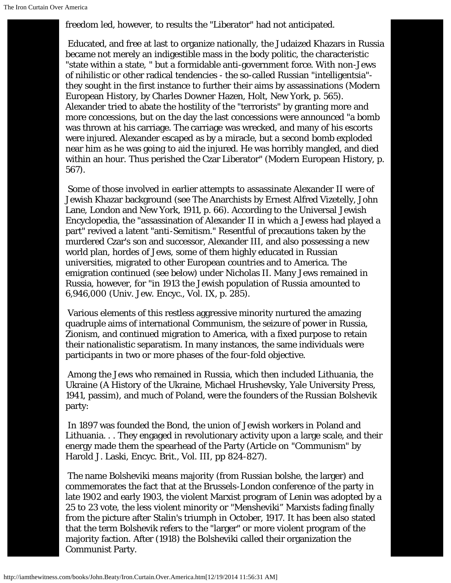freedom led, however, to results the "Liberator" had not anticipated.

 Educated, and free at last to organize nationally, the Judaized Khazars in Russia became not merely an indigestible mass in the body politic, the characteristic "state within a state, " but a formidable anti-government force. With non-Jews of nihilistic or other radical tendencies - the so-called Russian "intelligentsia" they sought in the first instance to further their aims by assassinations (Modern European History, by Charles Downer Hazen, Holt, New York, p. 565). Alexander tried to abate the hostility of the "terrorists" by granting more and more concessions, but on the day the last concessions were announced "a bomb was thrown at his carriage. The carriage was wrecked, and many of his escorts were injured. Alexander escaped as by a miracle, but a second bomb exploded near him as he was going to aid the injured. He was horribly mangled, and died within an hour. Thus perished the Czar Liberator" (Modern European History, p. 567).

 Some of those involved in earlier attempts to assassinate Alexander II were of Jewish Khazar background (see The Anarchists by Ernest Alfred Vizetelly, John Lane, London and New York, 1911, p. 66). According to the Universal Jewish Encyclopedia, the "assassination of Alexander II in which a Jewess had played a part" revived a latent "anti-Semitism." Resentful of precautions taken by the murdered Czar's son and successor, Alexander III, and also possessing a new world plan, hordes of Jews, some of them highly educated in Russian universities, migrated to other European countries and to America. The emigration continued (see below) under Nicholas II. Many Jews remained in Russia, however, for "in 1913 the Jewish population of Russia amounted to 6,946,000 (Univ. Jew. Encyc., Vol. IX, p. 285).

 Various elements of this restless aggressive minority nurtured the amazing quadruple aims of international Communism, the seizure of power in Russia, Zionism, and continued migration to America, with a fixed purpose to retain their nationalistic separatism. In many instances, the same individuals were participants in two or more phases of the four-fold objective.

 Among the Jews who remained in Russia, which then included Lithuania, the Ukraine (A History of the Ukraine, Michael Hrushevsky, Yale University Press, 1941, passim), and much of Poland, were the founders of the Russian Bolshevik party:

 In 1897 was founded the Bond, the union of Jewish workers in Poland and Lithuania. . . They engaged in revolutionary activity upon a large scale, and their energy made them the spearhead of the Party (Article on "Communism" by Harold J. Laski, Encyc. Brit., Vol. III, pp 824-827).

 The name Bolsheviki means majority (from Russian bolshe, the larger) and commemorates the fact that at the Brussels-London conference of the party in late 1902 and early 1903, the violent Marxist program of Lenin was adopted by a 25 to 23 vote, the less violent minority or "Mensheviki" Marxists fading finally from the picture after Stalin's triumph in October, 1917. It has been also stated that the term Bolshevik refers to the "larger" or more violent program of the majority faction. After (1918) the Bolsheviki called their organization the Communist Party.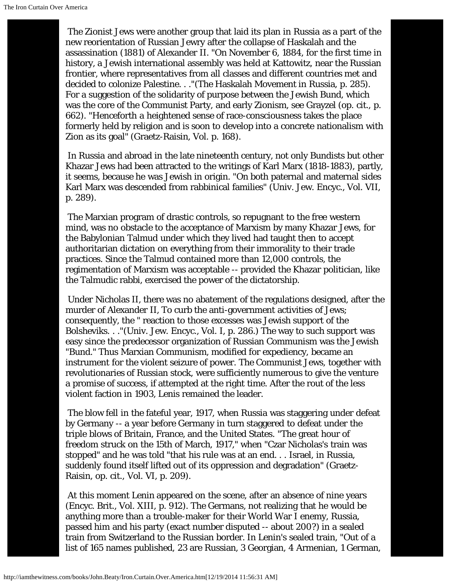The Zionist Jews were another group that laid its plan in Russia as a part of the new reorientation of Russian Jewry after the collapse of Haskalah and the assassination (1881) of Alexander II. "On November 6, 1884, for the first time in history, a Jewish international assembly was held at Kattowitz, near the Russian frontier, where representatives from all classes and different countries met and decided to colonize Palestine. . ."(The Haskalah Movement in Russia, p. 285). For a suggestion of the solidarity of purpose between the Jewish Bund, which was the core of the Communist Party, and early Zionism, see Grayzel (op. cit., p. 662). "Henceforth a heightened sense of race-consciousness takes the place formerly held by religion and is soon to develop into a concrete nationalism with Zion as its goal" (Graetz-Raisin, Vol. p. 168).

 In Russia and abroad in the late nineteenth century, not only Bundists but other Khazar Jews had been attracted to the writings of Karl Marx (1818-1883), partly, it seems, because he was Jewish in origin. "On both paternal and maternal sides Karl Marx was descended from rabbinical families" (Univ. Jew. Encyc., Vol. VII, p. 289).

 The Marxian program of drastic controls, so repugnant to the free western mind, was no obstacle to the acceptance of Marxism by many Khazar Jews, for the Babylonian Talmud under which they lived had taught then to accept authoritarian dictation on everything from their immorality to their trade practices. Since the Talmud contained more than 12,000 controls, the regimentation of Marxism was acceptable -- provided the Khazar politician, like the Talmudic rabbi, exercised the power of the dictatorship.

 Under Nicholas II, there was no abatement of the regulations designed, after the murder of Alexander II, To curb the anti-government activities of Jews; consequently, the " reaction to those excesses was Jewish support of the Bolsheviks. . ."(Univ. Jew. Encyc., Vol. I, p. 286.) The way to such support was easy since the predecessor organization of Russian Communism was the Jewish "Bund." Thus Marxian Communism, modified for expediency, became an instrument for the violent seizure of power. The Communist Jews, together with revolutionaries of Russian stock, were sufficiently numerous to give the venture a promise of success, if attempted at the right time. After the rout of the less violent faction in 1903, Lenis remained the leader.

 The blow fell in the fateful year, 1917, when Russia was staggering under defeat by Germany -- a year before Germany in turn staggered to defeat under the triple blows of Britain, France, and the United States. "The great hour of freedom struck on the 15th of March, 1917," when "Czar Nicholas's train was stopped" and he was told "that his rule was at an end. . . Israel, in Russia, suddenly found itself lifted out of its oppression and degradation" (Graetz-Raisin, op. cit., Vol. VI, p. 209).

 At this moment Lenin appeared on the scene, after an absence of nine years (Encyc. Brit., Vol. XIII, p. 912). The Germans, not realizing that he would be anything more than a trouble-maker for their World War I enemy, Russia, passed him and his party (exact number disputed -- about 200?) in a sealed train from Switzerland to the Russian border. In Lenin's sealed train, "Out of a list of 165 names published, 23 are Russian, 3 Georgian, 4 Armenian, 1 German,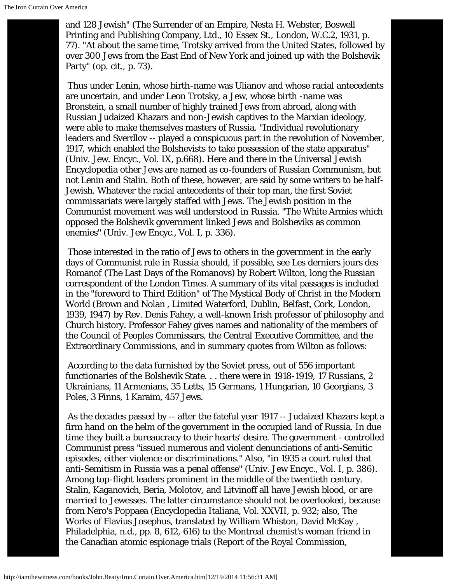and 128 Jewish" (The Surrender of an Empire, Nesta H. Webster, Boswell Printing and Publishing Company, Ltd., 10 Essex St., London, W.C.2, 1931, p. 77). "At about the same time, Trotsky arrived from the United States, followed by over 300 Jews from the East End of New York and joined up with the Bolshevik Party" (op. cit., p. 73).

 Thus under Lenin, whose birth-name was Ulianov and whose racial antecedents are uncertain, and under Leon Trotsky, a Jew, whose birth -name was Bronstein, a small number of highly trained Jews from abroad, along with Russian Judaized Khazars and non-Jewish captives to the Marxian ideology, were able to make themselves masters of Russia. "Individual revolutionary leaders and Sverdlov -- played a conspicuous part in the revolution of November, 1917, which enabled the Bolshevists to take possession of the state apparatus" (Univ. Jew. Encyc., Vol. IX, p.668). Here and there in the Universal Jewish Encyclopedia other Jews are named as co-founders of Russian Communism, but not Lenin and Stalin. Both of these, however, are said by some writers to be half-Jewish. Whatever the racial antecedents of their top man, the first Soviet commissariats were largely staffed with Jews. The Jewish position in the Communist movement was well understood in Russia. "The White Armies which opposed the Bolshevik government linked Jews and Bolsheviks as common enemies" (Univ. Jew Encyc., Vol. I, p. 336).

 Those interested in the ratio of Jews to others in the government in the early days of Communist rule in Russia should, if possible, see Les derniers jours des Romanof (The Last Days of the Romanovs) by Robert Wilton, long the Russian correspondent of the London Times. A summary of its vital passages is included in the "foreword to Third Edition" of The Mystical Body of Christ in the Modern World (Brown and Nolan , Limited Waterford, Dublin, Belfast, Cork, London, 1939, 1947) by Rev. Denis Fahey, a well-known Irish professor of philosophy and Church history. Professor Fahey gives names and nationality of the members of the Council of Peoples Commissars, the Central Executive Committee, and the Extraordinary Commissions, and in summary quotes from Wilton as follows:

 According to the data furnished by the Soviet press, out of 556 important functionaries of the Bolshevik State. . . there were in 1918-1919, 17 Russians, 2 Ukrainians, 11 Armenians, 35 Letts, 15 Germans, 1 Hungarian, 10 Georgians, 3 Poles, 3 Finns, 1 Karaim, 457 Jews.

 As the decades passed by -- after the fateful year 1917 -- Judaized Khazars kept a firm hand on the helm of the government in the occupied land of Russia. In due time they built a bureaucracy to their hearts' desire. The government - controlled Communist press "issued numerous and violent denunciations of anti-Semitic episodes, either violence or discriminations." Also, "in 1935 a court ruled that anti-Semitism in Russia was a penal offense" (Univ. Jew Encyc., Vol. I, p. 386). Among top-flight leaders prominent in the middle of the twentieth century. Stalin, Kaganovich, Beria, Molotov, and Litvinoff all have Jewish blood, or are married to Jewesses. The latter circumstance should not be overlooked, because from Nero's Poppaea (Encyclopedia Italiana, Vol. XXVII, p. 932; also, The Works of Flavius Josephus, translated by William Whiston, David McKay , Philadelphia, n.d., pp. 8, 612, 616) to the Montreal chemist's woman friend in the Canadian atomic espionage trials (Report of the Royal Commission,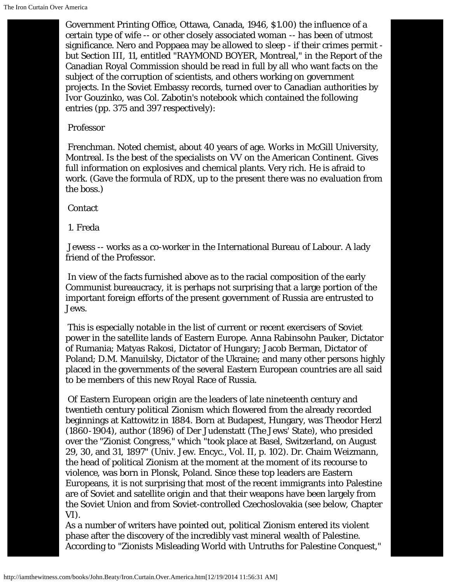Government Printing Office, Ottawa, Canada, 1946, \$1.00) the influence of a certain type of wife -- or other closely associated woman -- has been of utmost significance. Nero and Poppaea may be allowed to sleep - if their crimes permit but Section III, 11, entitled "RAYMOND BOYER, Montreal," in the Report of the Canadian Royal Commission should be read in full by all who want facts on the subject of the corruption of scientists, and others working on government projects. In the Soviet Embassy records, turned over to Canadian authorities by Ivor Gouzinko, was Col. Zabotin's notebook which contained the following entries (pp. 375 and 397 respectively):

#### Professor

 Frenchman. Noted chemist, about 40 years of age. Works in McGill University, Montreal. Is the best of the specialists on VV on the American Continent. Gives full information on explosives and chemical plants. Very rich. He is afraid to work. (Gave the formula of RDX, up to the present there was no evaluation from the boss.)

**Contact** 

1. Freda

 Jewess -- works as a co-worker in the International Bureau of Labour. A lady friend of the Professor.

 In view of the facts furnished above as to the racial composition of the early Communist bureaucracy, it is perhaps not surprising that a large portion of the important foreign efforts of the present government of Russia are entrusted to Jews.

 This is especially notable in the list of current or recent exercisers of Soviet power in the satellite lands of Eastern Europe. Anna Rabinsohn Pauker, Dictator of Rumania; Matyas Rakosi, Dictator of Hungary; Jacob Berman, Dictator of Poland; D.M. Manuilsky, Dictator of the Ukraine; and many other persons highly placed in the governments of the several Eastern European countries are all said to be members of this new Royal Race of Russia.

 Of Eastern European origin are the leaders of late nineteenth century and twentieth century political Zionism which flowered from the already recorded beginnings at Kattowitz in 1884. Born at Budapest, Hungary, was Theodor Herzl (1860-1904), author (1896) of Der Judenstatt (The Jews' State), who presided over the "Zionist Congress," which "took place at Basel, Switzerland, on August 29, 30, and 31, 1897" (Univ. Jew. Encyc., Vol. II, p. 102). Dr. Chaim Weizmann, the head of political Zionism at the moment at the moment of its recourse to violence, was born in Plonsk, Poland. Since these top leaders are Eastern Europeans, it is not surprising that most of the recent immigrants into Palestine are of Soviet and satellite origin and that their weapons have been largely from the Soviet Union and from Soviet-controlled Czechoslovakia (see below, Chapter VI).

As a number of writers have pointed out, political Zionism entered its violent phase after the discovery of the incredibly vast mineral wealth of Palestine. According to "Zionists Misleading World with Untruths for Palestine Conquest,"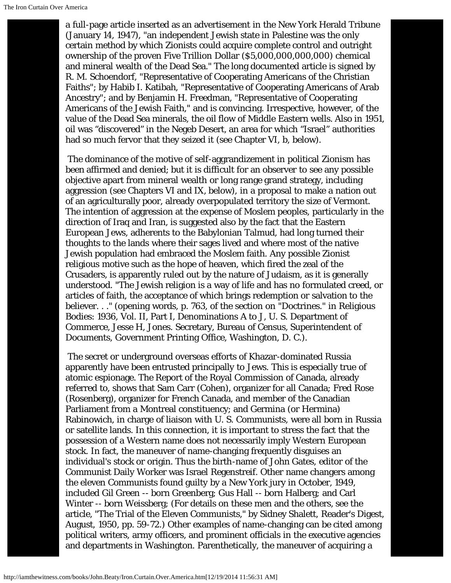a full-page article inserted as an advertisement in the New York Herald Tribune (January 14, 1947), "an independent Jewish state in Palestine was the only certain method by which Zionists could acquire complete control and outright ownership of the proven Five Trillion Dollar (\$5,000,000,000,000) chemical and mineral wealth of the Dead Sea." The long documented article is signed by R. M. Schoendorf, "Representative of Cooperating Americans of the Christian Faiths"; by Habib I. Katibah, "Representative of Cooperating Americans of Arab Ancestry"; and by Benjamin H. Freedman, "Representative of Cooperating Americans of the Jewish Faith," and is convincing. Irrespective, however, of the value of the Dead Sea minerals, the oil flow of Middle Eastern wells. Also in 1951, oil was "discovered" in the Negeb Desert, an area for which "Israel" authorities had so much fervor that they seized it (see Chapter VI, b, below).

 The dominance of the motive of self-aggrandizement in political Zionism has been affirmed and denied; but it is difficult for an observer to see any possible objective apart from mineral wealth or long range grand strategy, including aggression (see Chapters VI and IX, below), in a proposal to make a nation out of an agriculturally poor, already overpopulated territory the size of Vermont. The intention of aggression at the expense of Moslem peoples, particularly in the direction of Iraq and Iran, is suggested also by the fact that the Eastern European Jews, adherents to the Babylonian Talmud, had long turned their thoughts to the lands where their sages lived and where most of the native Jewish population had embraced the Moslem faith. Any possible Zionist religious motive such as the hope of heaven, which fired the zeal of the Crusaders, is apparently ruled out by the nature of Judaism, as it is generally understood. "The Jewish religion is a way of life and has no formulated creed, or articles of faith, the acceptance of which brings redemption or salvation to the believer. . ." (opening words, p. 763, of the section on "Doctrines." in Religious Bodies: 1936, Vol. II, Part I, Denominations A to J, U. S. Department of Commerce, Jesse H, Jones. Secretary, Bureau of Census, Superintendent of Documents, Government Printing Office, Washington, D. C.).

 The secret or underground overseas efforts of Khazar-dominated Russia apparently have been entrusted principally to Jews. This is especially true of atomic espionage. The Report of the Royal Commission of Canada, already referred to, shows that Sam Carr (Cohen), organizer for all Canada; Fred Rose (Rosenberg), organizer for French Canada, and member of the Canadian Parliament from a Montreal constituency; and Germina (or Hermina) Rabinowich, in charge of liaison with U. S. Communists, were all born in Russia or satellite lands. In this connection, it is important to stress the fact that the possession of a Western name does not necessarily imply Western European stock. In fact, the maneuver of name-changing frequently disguises an individual's stock or origin. Thus the birth-name of John Gates, editor of the Communist Daily Worker was Israel Regenstreif. Other name changers among the eleven Communists found guilty by a New York jury in October, 1949, included Gil Green -- born Greenberg; Gus Hall -- born Halberg; and Carl Winter -- born Weissberg; (For details on these men and the others, see the article, "The Trial of the Eleven Communists," by Sidney Shalett, Reader's Digest, August, 1950, pp. 59-72.) Other examples of name-changing can be cited among political writers, army officers, and prominent officials in the executive agencies and departments in Washington. Parenthetically, the maneuver of acquiring a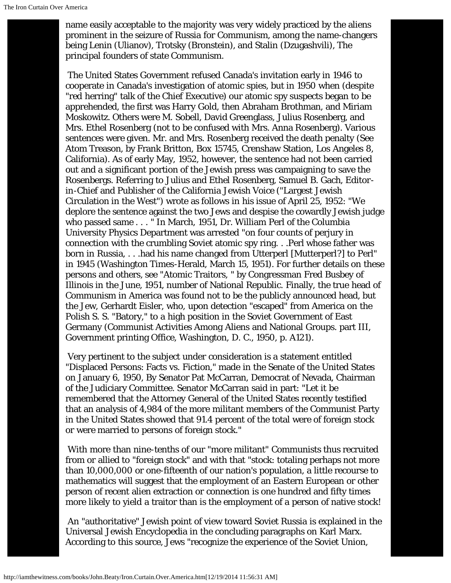name easily acceptable to the majority was very widely practiced by the aliens prominent in the seizure of Russia for Communism, among the name-changers being Lenin (Ulianov), Trotsky (Bronstein), and Stalin (Dzugashvili), The principal founders of state Communism.

 The United States Government refused Canada's invitation early in 1946 to cooperate in Canada's investigation of atomic spies, but in 1950 when (despite "red herring" talk of the Chief Executive) our atomic spy suspects began to be apprehended, the first was Harry Gold, then Abraham Brothman, and Miriam Moskowitz. Others were M. Sobell, David Greenglass, Julius Rosenberg, and Mrs. Ethel Rosenberg (not to be confused with Mrs. Anna Rosenberg). Various sentences were given. Mr. and Mrs. Rosenberg received the death penalty (See Atom Treason, by Frank Britton, Box 15745, Crenshaw Station, Los Angeles 8, California). As of early May, 1952, however, the sentence had not been carried out and a significant portion of the Jewish press was campaigning to save the Rosenbergs. Referring to Julius and Ethel Rosenberg, Samuel B. Gach, Editorin-Chief and Publisher of the California Jewish Voice ("Largest Jewish Circulation in the West") wrote as follows in his issue of April 25, 1952: "We deplore the sentence against the two Jews and despise the cowardly Jewish judge who passed same . . . " In March, 1951, Dr. William Perl of the Columbia University Physics Department was arrested "on four counts of perjury in connection with the crumbling Soviet atomic spy ring. . .Perl whose father was born in Russia, . . .had his name changed from Utterperl [Mutterperl?] to Perl" in 1945 (Washington Times-Herald, March 15, 1951). For further details on these persons and others, see "Atomic Traitors, " by Congressman Fred Busbey of Illinois in the June, 1951, number of National Republic. Finally, the true head of Communism in America was found not to be the publicly announced head, but the Jew, Gerhardt Eisler, who, upon detection "escaped" from America on the Polish S. S. "Batory," to a high position in the Soviet Government of East Germany (Communist Activities Among Aliens and National Groups. part III, Government printing Office, Washington, D. C., 1950, p. A121).

 Very pertinent to the subject under consideration is a statement entitled "Displaced Persons: Facts vs. Fiction," made in the Senate of the United States on January 6, 1950, By Senator Pat McCarran, Democrat of Nevada, Chairman of the Judiciary Committee. Senator McCarran said in part: "Let it be remembered that the Attorney General of the United States recently testified that an analysis of 4,984 of the more militant members of the Communist Party in the United States showed that 91.4 percent of the total were of foreign stock or were married to persons of foreign stock."

 With more than nine-tenths of our "more militant" Communists thus recruited from or allied to "foreign stock" and with that "stock: totaling perhaps not more than 10,000,000 or one-fifteenth of our nation's population, a little recourse to mathematics will suggest that the employment of an Eastern European or other person of recent alien extraction or connection is one hundred and fifty times more likely to yield a traitor than is the employment of a person of native stock!

 An "authoritative" Jewish point of view toward Soviet Russia is explained in the Universal Jewish Encyclopedia in the concluding paragraphs on Karl Marx. According to this source, Jews "recognize the experience of the Soviet Union,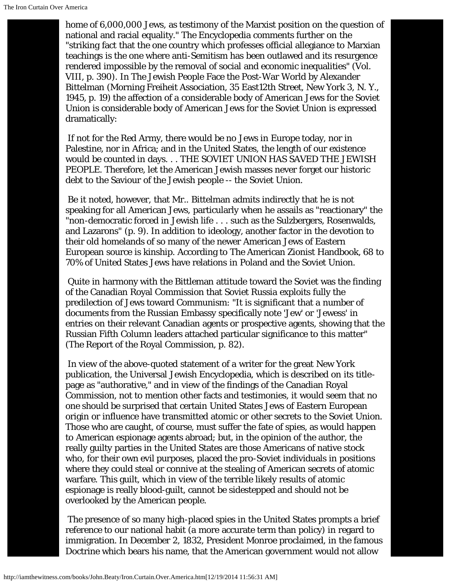home of 6,000,000 Jews, as testimony of the Marxist position on the question of national and racial equality." The Encyclopedia comments further on the "striking fact that the one country which professes official allegiance to Marxian teachings is the one where anti-Semitism has been outlawed and its resurgence rendered impossible by the removal of social and economic inequalities" (Vol. VIII, p. 390). In The Jewish People Face the Post-War World by Alexander Bittelman (Morning Freiheit Association, 35 East12th Street, New York 3, N. Y., 1945, p. 19) the affection of a considerable body of American Jews for the Soviet Union is considerable body of American Jews for the Soviet Union is expressed dramatically:

 If not for the Red Army, there would be no Jews in Europe today, nor in Palestine, nor in Africa; and in the United States, the length of our existence would be counted in days. . . THE SOVIET UNION HAS SAVED THE JEWISH PEOPLE. Therefore, let the American Jewish masses never forget our historic debt to the Saviour of the Jewish people -- the Soviet Union.

 Be it noted, however, that Mr.. Bittelman admits indirectly that he is not speaking for all American Jews, particularly when he assails as "reactionary" the "non-democratic forced in Jewish life . . . such as the Sulzbergers, Rosenwalds, and Lazarons" (p. 9). In addition to ideology, another factor in the devotion to their old homelands of so many of the newer American Jews of Eastern European source is kinship. According to The American Zionist Handbook, 68 to 70% of United States Jews have relations in Poland and the Soviet Union.

 Quite in harmony with the Bittleman attitude toward the Soviet was the finding of the Canadian Royal Commission that Soviet Russia exploits fully the predilection of Jews toward Communism: "It is significant that a number of documents from the Russian Embassy specifically note 'Jew' or 'Jewess' in entries on their relevant Canadian agents or prospective agents, showing that the Russian Fifth Column leaders attached particular significance to this matter" (The Report of the Royal Commission, p. 82).

 In view of the above-quoted statement of a writer for the great New York publication, the Universal Jewish Encyclopedia, which is described on its titlepage as "authorative," and in view of the findings of the Canadian Royal Commission, not to mention other facts and testimonies, it would seem that no one should be surprised that certain United States Jews of Eastern European origin or influence have transmitted atomic or other secrets to the Soviet Union. Those who are caught, of course, must suffer the fate of spies, as would happen to American espionage agents abroad; but, in the opinion of the author, the really guilty parties in the United States are those Americans of native stock who, for their own evil purposes, placed the pro-Soviet individuals in positions where they could steal or connive at the stealing of American secrets of atomic warfare. This guilt, which in view of the terrible likely results of atomic espionage is really blood-guilt, cannot be sidestepped and should not be overlooked by the American people.

 The presence of so many high-placed spies in the United States prompts a brief reference to our national habit (a more accurate term than policy) in regard to immigration. In December 2, 1832, President Monroe proclaimed, in the famous Doctrine which bears his name, that the American government would not allow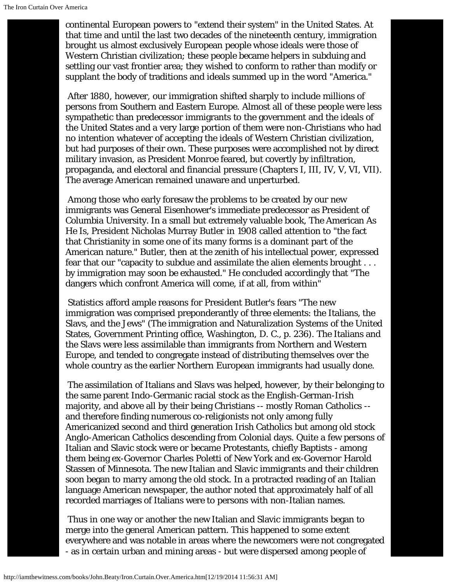continental European powers to "extend their system" in the United States. At that time and until the last two decades of the nineteenth century, immigration brought us almost exclusively European people whose ideals were those of Western Christian civilization; these people became helpers in subduing and settling our vast frontier area; they wished to conform to rather than modify or supplant the body of traditions and ideals summed up in the word "America."

 After 1880, however, our immigration shifted sharply to include millions of persons from Southern and Eastern Europe. Almost all of these people were less sympathetic than predecessor immigrants to the government and the ideals of the United States and a very large portion of them were non-Christians who had no intention whatever of accepting the ideals of Western Christian civilization, but had purposes of their own. These purposes were accomplished not by direct military invasion, as President Monroe feared, but covertly by infiltration, propaganda, and electoral and financial pressure (Chapters I, III, IV, V, VI, VII). The average American remained unaware and unperturbed.

 Among those who early foresaw the problems to be created by our new immigrants was General Eisenhower's immediate predecessor as President of Columbia University. In a small but extremely valuable book, The American As He Is, President Nicholas Murray Butler in 1908 called attention to "the fact that Christianity in some one of its many forms is a dominant part of the American nature." Butler, then at the zenith of his intellectual power, expressed fear that our "capacity to subdue and assimilate the alien elements brought . . . by immigration may soon be exhausted." He concluded accordingly that "The dangers which confront America will come, if at all, from within"

 Statistics afford ample reasons for President Butler's fears "The new immigration was comprised preponderantly of three elements: the Italians, the Slavs, and the Jews" (The immigration and Naturalization Systems of the United States, Government Printing office, Washington, D. C., p. 236). The Italians and the Slavs were less assimilable than immigrants from Northern and Western Europe, and tended to congregate instead of distributing themselves over the whole country as the earlier Northern European immigrants had usually done.

 The assimilation of Italians and Slavs was helped, however, by their belonging to the same parent Indo-Germanic racial stock as the English-German-Irish majority, and above all by their being Christians -- mostly Roman Catholics - and therefore finding numerous co-religionists not only among fully Americanized second and third generation Irish Catholics but among old stock Anglo-American Catholics descending from Colonial days. Quite a few persons of Italian and Slavic stock were or became Protestants, chiefly Baptists - among them being ex-Governor Charles Poletti of New York and ex-Governor Harold Stassen of Minnesota. The new Italian and Slavic immigrants and their children soon began to marry among the old stock. In a protracted reading of an Italian language American newspaper, the author noted that approximately half of all recorded marriages of Italians were to persons with non-Italian names.

 Thus in one way or another the new Italian and Slavic immigrants began to merge into the general American pattern. This happened to some extent everywhere and was notable in areas where the newcomers were not congregated - as in certain urban and mining areas - but were dispersed among people of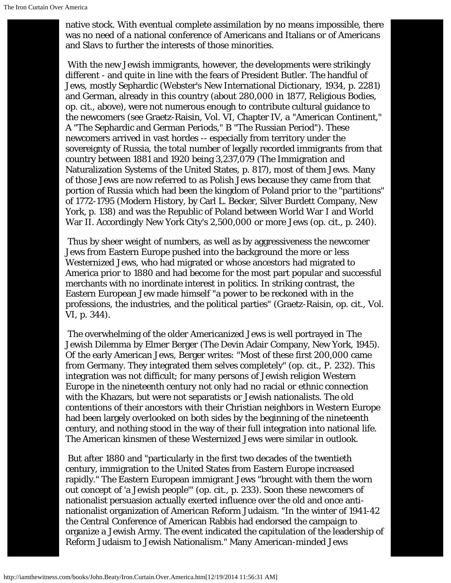native stock. With eventual complete assimilation by no means impossible, there was no need of a national conference of Americans and Italians or of Americans and Slavs to further the interests of those minorities.

 With the new Jewish immigrants, however, the developments were strikingly different - and quite in line with the fears of President Butler. The handful of Jews, mostly Sephardic (Webster's New International Dictionary, 1934, p. 2281) and German, already in this country (about 280,000 in 1877, Religious Bodies, op. cit., above), were not numerous enough to contribute cultural guidance to the newcomers (see Graetz-Raisin, Vol. VI, Chapter IV, a "American Continent," A "The Sephardic and German Periods," B "The Russian Period"). These newcomers arrived in vast hordes -- especially from territory under the sovereignty of Russia, the total number of legally recorded immigrants from that country between 1881 and 1920 being 3,237,079 (The Immigration and Naturalization Systems of the United States, p. 817), most of them Jews. Many of those Jews are now referred to as Polish Jews because they came from that portion of Russia which had been the kingdom of Poland prior to the "partitions" of 1772-1795 (Modern History, by Carl L. Becker, Silver Burdett Company, New York, p. 138) and was the Republic of Poland between World War I and World War II. Accordingly New York City's 2,500,000 or more Jews (op. cit., p. 240).

 Thus by sheer weight of numbers, as well as by aggressiveness the newcomer Jews from Eastern Europe pushed into the background the more or less Westernized Jews, who had migrated or whose ancestors had migrated to America prior to 1880 and had become for the most part popular and successful merchants with no inordinate interest in politics. In striking contrast, the Eastern European Jew made himself "a power to be reckoned with in the professions, the industries, and the political parties" (Graetz-Raisin, op. cit., Vol. VI, p. 344).

 The overwhelming of the older Americanized Jews is well portrayed in The Jewish Dilemma by Elmer Berger (The Devin Adair Company, New York, 1945). Of the early American Jews, Berger writes: "Most of these first 200,000 came from Germany. They integrated them selves completely" (op. cit., P. 232). This integration was not difficult; for many persons of Jewish religion Western Europe in the nineteenth century not only had no racial or ethnic connection with the Khazars, but were not separatists or Jewish nationalists. The old contentions of their ancestors with their Christian neighbors in Western Europe had been largely overlooked on both sides by the beginning of the nineteenth century, and nothing stood in the way of their full integration into national life. The American kinsmen of these Westernized Jews were similar in outlook.

 But after 1880 and "particularly in the first two decades of the twentieth century, immigration to the United States from Eastern Europe increased rapidly." The Eastern European immigrant Jews "brought with them the worn out concept of 'a Jewish people'" (op. cit., p. 233). Soon these newcomers of nationalist persuasion actually exerted influence over the old and once antinationalist organization of American Reform Judaism. "In the winter of 1941-42 the Central Conference of American Rabbis had endorsed the campaign to organize a Jewish Army. The event indicated the capitulation of the leadership of Reform Judaism to Jewish Nationalism." Many American-minded Jews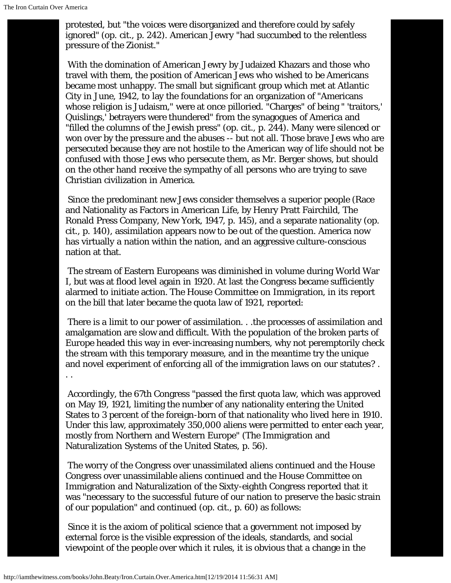protested, but "the voices were disorganized and therefore could by safely ignored" (op. cit., p. 242). American Jewry "had succumbed to the relentless pressure of the Zionist."

 With the domination of American Jewry by Judaized Khazars and those who travel with them, the position of American Jews who wished to be Americans became most unhappy. The small but significant group which met at Atlantic City in June, 1942, to lay the foundations for an organization of "Americans whose religion is Judaism," were at once pilloried. "Charges" of being " 'traitors,' Quislings,' betrayers were thundered" from the synagogues of America and "filled the columns of the Jewish press" (op. cit., p. 244). Many were silenced or won over by the pressure and the abuses -- but not all. Those brave Jews who are persecuted because they are not hostile to the American way of life should not be confused with those Jews who persecute them, as Mr. Berger shows, but should on the other hand receive the sympathy of all persons who are trying to save Christian civilization in America.

 Since the predominant new Jews consider themselves a superior people (Race and Nationality as Factors in American Life, by Henry Pratt Fairchild, The Ronald Press Company, New York, 1947, p. 145), and a separate nationality (op. cit., p. 140), assimilation appears now to be out of the question. America now has virtually a nation within the nation, and an aggressive culture-conscious nation at that.

 The stream of Eastern Europeans was diminished in volume during World War I, but was at flood level again in 1920. At last the Congress became sufficiently alarmed to initiate action. The House Committee on Immigration, in its report on the bill that later became the quota law of 1921, reported:

 There is a limit to our power of assimilation. . .the processes of assimilation and amalgamation are slow and difficult. With the population of the broken parts of Europe headed this way in ever-increasing numbers, why not peremptorily check the stream with this temporary measure, and in the meantime try the unique and novel experiment of enforcing all of the immigration laws on our statutes? . . .

 Accordingly, the 67th Congress "passed the first quota law, which was approved on May 19, 1921, limiting the number of any nationality entering the United States to 3 percent of the foreign-born of that nationality who lived here in 1910. Under this law, approximately 350,000 aliens were permitted to enter each year, mostly from Northern and Western Europe" (The Immigration and Naturalization Systems of the United States, p. 56).

 The worry of the Congress over unassimilated aliens continued and the House Congress over unassimilable aliens continued and the House Committee on Immigration and Naturalization of the Sixty-eighth Congress reported that it was "necessary to the successful future of our nation to preserve the basic strain of our population" and continued (op. cit., p. 60) as follows:

 Since it is the axiom of political science that a government not imposed by external force is the visible expression of the ideals, standards, and social viewpoint of the people over which it rules, it is obvious that a change in the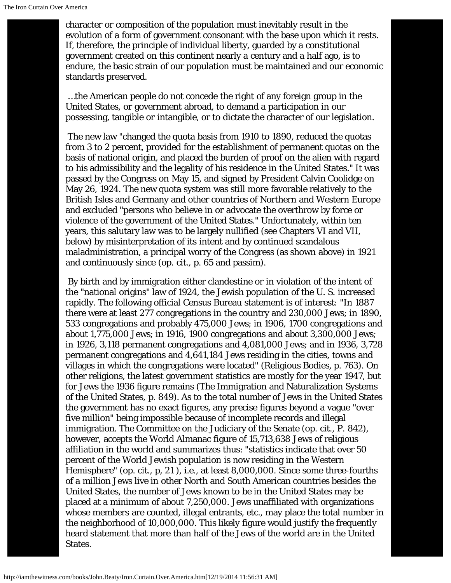character or composition of the population must inevitably result in the evolution of a form of government consonant with the base upon which it rests. If, therefore, the principle of individual liberty, guarded by a constitutional government created on this continent nearly a century and a half ago, is to endure, the basic strain of our population must be maintained and our economic standards preserved.

 …the American people do not concede the right of any foreign group in the United States, or government abroad, to demand a participation in our possessing, tangible or intangible, or to dictate the character of our legislation.

 The new law "changed the quota basis from 1910 to 1890, reduced the quotas from 3 to 2 percent, provided for the establishment of permanent quotas on the basis of national origin, and placed the burden of proof on the alien with regard to his admissibility and the legality of his residence in the United States." It was passed by the Congress on May 15, and signed by President Calvin Coolidge on May 26, 1924. The new quota system was still more favorable relatively to the British Isles and Germany and other countries of Northern and Western Europe and excluded "persons who believe in or advocate the overthrow by force or violence of the government of the United States." Unfortunately, within ten years, this salutary law was to be largely nullified (see Chapters VI and VII, below) by misinterpretation of its intent and by continued scandalous maladministration, a principal worry of the Congress (as shown above) in 1921 and continuously since (op. cit., p. 65 and passim).

 By birth and by immigration either clandestine or in violation of the intent of the "national origins" law of 1924, the Jewish population of the U. S. increased rapidly. The following official Census Bureau statement is of interest: "In 1887 there were at least 277 congregations in the country and 230,000 Jews; in 1890, 533 congregations and probably 475,000 Jews; in 1906, 1700 congregations and about 1,775,000 Jews; in 1916, 1900 congregations and about 3,300,000 Jews; in 1926, 3,118 permanent congregations and 4,081,000 Jews; and in 1936, 3,728 permanent congregations and 4,641,184 Jews residing in the cities, towns and villages in which the congregations were located" (Religious Bodies, p. 763). On other religions, the latest government statistics are mostly for the year 1947, but for Jews the 1936 figure remains (The Immigration and Naturalization Systems of the United States, p. 849). As to the total number of Jews in the United States the government has no exact figures, any precise figures beyond a vague "over five million" being impossible because of incomplete records and illegal immigration. The Committee on the Judiciary of the Senate (op. cit., P. 842), however, accepts the World Almanac figure of 15,713,638 Jews of religious affiliation in the world and summarizes thus: "statistics indicate that over 50 percent of the World Jewish population is now residing in the Western Hemisphere" (op. cit., p, 21 ), i.e., at least 8,000,000. Since some three-fourths of a million Jews live in other North and South American countries besides the United States, the number of Jews known to be in the United States may be placed at a minimum of about 7,250,000. Jews unaffiliated with organizations whose members are counted, illegal entrants, etc., may place the total number in the neighborhood of 10,000,000. This likely figure would justify the frequently heard statement that more than half of the Jews of the world are in the United States.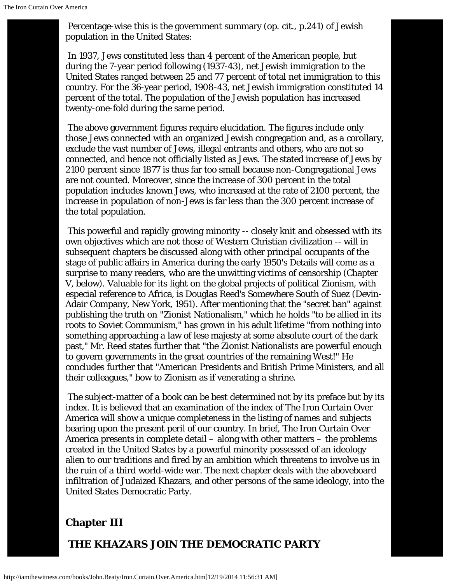Percentage-wise this is the government summary (op. cit., p.241) of Jewish population in the United States:

 In 1937, Jews constituted less than 4 percent of the American people, but during the 7-year period following (1937-43), net Jewish immigration to the United States ranged between 25 and 77 percent of total net immigration to this country. For the 36-year period, 1908-43, net Jewish immigration constituted 14 percent of the total. The population of the Jewish population has increased twenty-one-fold during the same period.

 The above government figures require elucidation. The figures include only those Jews connected with an organized Jewish congregation and, as a corollary, exclude the vast number of Jews, illegal entrants and others, who are not so connected, and hence not officially listed as Jews. The stated increase of Jews by 2100 percent since 1877 is thus far too small because non-Congregational Jews are not counted. Moreover, since the increase of 300 percent in the total population includes known Jews, who increased at the rate of 2100 percent, the increase in population of non-Jews is far less than the 300 percent increase of the total population.

 This powerful and rapidly growing minority -- closely knit and obsessed with its own objectives which are not those of Western Christian civilization -- will in subsequent chapters be discussed along with other principal occupants of the stage of public affairs in America during the early 1950's Details will come as a surprise to many readers, who are the unwitting victims of censorship (Chapter V, below). Valuable for its light on the global projects of political Zionism, with especial reference to Africa, is Douglas Reed's Somewhere South of Suez (Devin-Adair Company, New York, 1951). After mentioning that the "secret ban" against publishing the truth on "Zionist Nationalism," which he holds "to be allied in its roots to Soviet Communism," has grown in his adult lifetime "from nothing into something approaching a law of lese majesty at some absolute court of the dark past," Mr. Reed states further that "the Zionist Nationalists are powerful enough to govern governments in the great countries of the remaining West!" He concludes further that "American Presidents and British Prime Ministers, and all their colleagues," bow to Zionism as if venerating a shrine.

 The subject-matter of a book can be best determined not by its preface but by its index. It is believed that an examination of the index of The Iron Curtain Over America will show a unique completeness in the listing of names and subjects bearing upon the present peril of our country. In brief, The Iron Curtain Over America presents in complete detail – along with other matters – the problems created in the United States by a powerful minority possessed of an ideology alien to our traditions and fired by an ambition which threatens to involve us in the ruin of a third world-wide war. The next chapter deals with the aboveboard infiltration of Judaized Khazars, and other persons of the same ideology, into the United States Democratic Party.

## **Chapter III**

## <span id="page-33-0"></span>**THE KHAZARS JOIN THE DEMOCRATIC PARTY**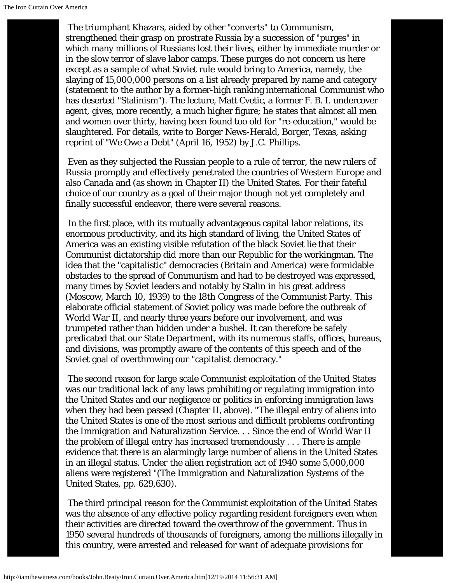The triumphant Khazars, aided by other "converts" to Communism, strengthened their grasp on prostrate Russia by a succession of "purges" in which many millions of Russians lost their lives, either by immediate murder or in the slow terror of slave labor camps. These purges do not concern us here except as a sample of what Soviet rule would bring to America, namely, the slaying of 15,000,000 persons on a list already prepared by name and category (statement to the author by a former-high ranking international Communist who has deserted "Stalinism"). The lecture, Matt Cvetic, a former F. B. I. undercover agent, gives, more recently, a much higher figure; he states that almost all men and women over thirty, having been found too old for "re-education," would be slaughtered. For details, write to Borger News-Herald, Borger, Texas, asking reprint of "We Owe a Debt" (April 16, 1952) by J.C. Phillips.

 Even as they subjected the Russian people to a rule of terror, the new rulers of Russia promptly and effectively penetrated the countries of Western Europe and also Canada and (as shown in Chapter II) the United States. For their fateful choice of our country as a goal of their major though not yet completely and finally successful endeavor, there were several reasons.

 In the first place, with its mutually advantageous capital labor relations, its enormous productivity, and its high standard of living, the United States of America was an existing visible refutation of the black Soviet lie that their Communist dictatorship did more than our Republic for the workingman. The idea that the "capitalistic" democracies (Britain and America) were formidable obstacles to the spread of Communism and had to be destroyed was expressed, many times by Soviet leaders and notably by Stalin in his great address (Moscow, March 10, 1939) to the 18th Congress of the Communist Party. This elaborate official statement of Soviet policy was made before the outbreak of World War II, and nearly three years before our involvement, and was trumpeted rather than hidden under a bushel. It can therefore be safely predicated that our State Department, with its numerous staffs, offices, bureaus, and divisions, was promptly aware of the contents of this speech and of the Soviet goal of overthrowing our "capitalist democracy."

 The second reason for large scale Communist exploitation of the United States was our traditional lack of any laws prohibiting or regulating immigration into the United States and our negligence or politics in enforcing immigration laws when they had been passed (Chapter II, above). "The illegal entry of aliens into the United States is one of the most serious and difficult problems confronting the Immigration and Naturalization Service. . . Since the end of World War II the problem of illegal entry has increased tremendously . . . There is ample evidence that there is an alarmingly large number of aliens in the United States in an illegal status. Under the alien registration act of 1940 some 5,000,000 aliens were registered "(The Immigration and Naturalization Systems of the United States, pp. 629,630).

 The third principal reason for the Communist exploitation of the United States was the absence of any effective policy regarding resident foreigners even when their activities are directed toward the overthrow of the government. Thus in 1950 several hundreds of thousands of foreigners, among the millions illegally in this country, were arrested and released for want of adequate provisions for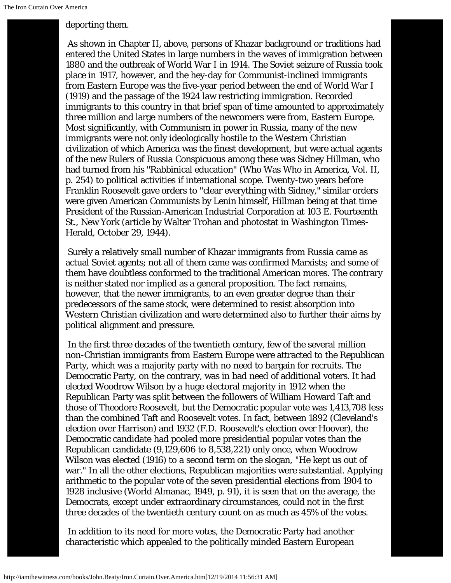#### deporting them.

 As shown in Chapter II, above, persons of Khazar background or traditions had entered the United States in large numbers in the waves of immigration between 1880 and the outbreak of World War I in 1914. The Soviet seizure of Russia took place in 1917, however, and the hey-day for Communist-inclined immigrants from Eastern Europe was the five-year period between the end of World War I (1919) and the passage of the 1924 law restricting immigration. Recorded immigrants to this country in that brief span of time amounted to approximately three million and large numbers of the newcomers were from, Eastern Europe. Most significantly, with Communism in power in Russia, many of the new immigrants were not only ideologically hostile to the Western Christian civilization of which America was the finest development, but were actual agents of the new Rulers of Russia Conspicuous among these was Sidney Hillman, who had turned from his "Rabbinical education" (Who Was Who in America, Vol. II, p. 254) to political activities if international scope. Twenty-two years before Franklin Roosevelt gave orders to "clear everything with Sidney," similar orders were given American Communists by Lenin himself, Hillman being at that time President of the Russian-American Industrial Corporation at 103 E. Fourteenth St., New York (article by Walter Trohan and photostat in Washington Times-Herald, October 29, 1944).

 Surely a relatively small number of Khazar immigrants from Russia came as actual Soviet agents; not all of them came was confirmed Marxists; and some of them have doubtless conformed to the traditional American mores. The contrary is neither stated nor implied as a general proposition. The fact remains, however, that the newer immigrants, to an even greater degree than their predecessors of the same stock, were determined to resist absorption into Western Christian civilization and were determined also to further their aims by political alignment and pressure.

 In the first three decades of the twentieth century, few of the several million non-Christian immigrants from Eastern Europe were attracted to the Republican Party, which was a majority party with no need to bargain for recruits. The Democratic Party, on the contrary, was in bad need of additional voters. It had elected Woodrow Wilson by a huge electoral majority in 1912 when the Republican Party was split between the followers of William Howard Taft and those of Theodore Roosevelt, but the Democratic popular vote was 1,413,708 less than the combined Taft and Roosevelt votes. In fact, between 1892 (Cleveland's election over Harrison) and 1932 (F.D. Roosevelt's election over Hoover), the Democratic candidate had pooled more presidential popular votes than the Republican candidate (9,129,606 to 8,538,221) only once, when Woodrow Wilson was elected (1916) to a second term on the slogan, "He kept us out of war." In all the other elections, Republican majorities were substantial. Applying arithmetic to the popular vote of the seven presidential elections from 1904 to 1928 inclusive (World Almanac, 1949, p. 91), it is seen that on the average, the Democrats, except under extraordinary circumstances, could not in the first three decades of the twentieth century count on as much as 45% of the votes.

 In addition to its need for more votes, the Democratic Party had another characteristic which appealed to the politically minded Eastern European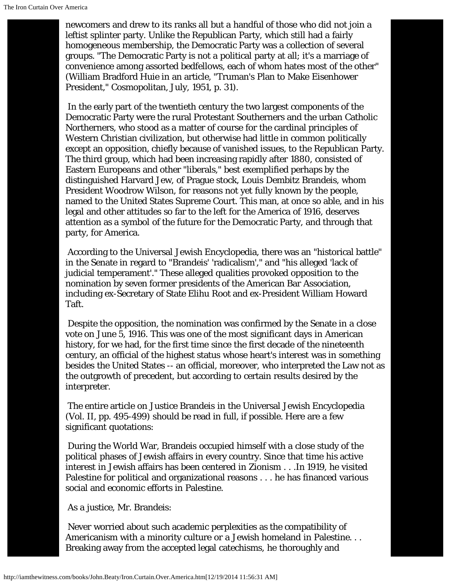newcomers and drew to its ranks all but a handful of those who did not join a leftist splinter party. Unlike the Republican Party, which still had a fairly homogeneous membership, the Democratic Party was a collection of several groups. "The Democratic Party is not a political party at all; it's a marriage of convenience among assorted bedfellows, each of whom hates most of the other" (William Bradford Huie in an article, "Truman's Plan to Make Eisenhower President," Cosmopolitan, July, 1951, p. 31).

 In the early part of the twentieth century the two largest components of the Democratic Party were the rural Protestant Southerners and the urban Catholic Northerners, who stood as a matter of course for the cardinal principles of Western Christian civilization, but otherwise had little in common politically except an opposition, chiefly because of vanished issues, to the Republican Party. The third group, which had been increasing rapidly after 1880, consisted of Eastern Europeans and other "liberals," best exemplified perhaps by the distinguished Harvard Jew, of Prague stock, Louis Dembitz Brandeis, whom President Woodrow Wilson, for reasons not yet fully known by the people, named to the United States Supreme Court. This man, at once so able, and in his legal and other attitudes so far to the left for the America of 1916, deserves attention as a symbol of the future for the Democratic Party, and through that party, for America.

 According to the Universal Jewish Encyclopedia, there was an "historical battle" in the Senate in regard to "Brandeis' 'radicalism'," and "his alleged 'lack of judicial temperament'." These alleged qualities provoked opposition to the nomination by seven former presidents of the American Bar Association, including ex-Secretary of State Elihu Root and ex-President William Howard Taft.

 Despite the opposition, the nomination was confirmed by the Senate in a close vote on June 5, 1916. This was one of the most significant days in American history, for we had, for the first time since the first decade of the nineteenth century, an official of the highest status whose heart's interest was in something besides the United States -- an official, moreover, who interpreted the Law not as the outgrowth of precedent, but according to certain results desired by the interpreter.

 The entire article on Justice Brandeis in the Universal Jewish Encyclopedia (Vol. II, pp. 495-499) should be read in full, if possible. Here are a few significant quotations:

 During the World War, Brandeis occupied himself with a close study of the political phases of Jewish affairs in every country. Since that time his active interest in Jewish affairs has been centered in Zionism . . .In 1919, he visited Palestine for political and organizational reasons . . . he has financed various social and economic efforts in Palestine.

As a justice, Mr. Brandeis:

 Never worried about such academic perplexities as the compatibility of Americanism with a minority culture or a Jewish homeland in Palestine. . . Breaking away from the accepted legal catechisms, he thoroughly and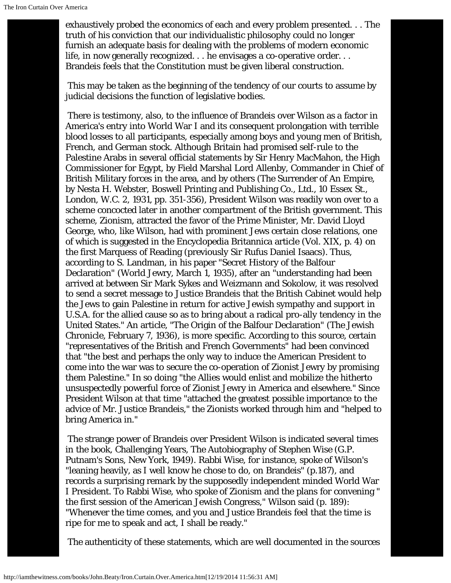exhaustively probed the economics of each and every problem presented. . . The truth of his conviction that our individualistic philosophy could no longer furnish an adequate basis for dealing with the problems of modern economic life, in now generally recognized. . . he envisages a co-operative order. . . Brandeis feels that the Constitution must be given liberal construction.

 This may be taken as the beginning of the tendency of our courts to assume by judicial decisions the function of legislative bodies.

 There is testimony, also, to the influence of Brandeis over Wilson as a factor in America's entry into World War I and its consequent prolongation with terrible blood losses to all participants, especially among boys and young men of British, French, and German stock. Although Britain had promised self-rule to the Palestine Arabs in several official statements by Sir Henry MacMahon, the High Commissioner for Egypt, by Field Marshal Lord Allenby, Commander in Chief of British Military forces in the area, and by others (The Surrender of An Empire, by Nesta H. Webster, Boswell Printing and Publishing Co., Ltd., 10 Essex St., London, W.C. 2, 1931, pp. 351-356), President Wilson was readily won over to a scheme concocted later in another compartment of the British government. This scheme, Zionism, attracted the favor of the Prime Minister, Mr. David Lloyd George, who, like Wilson, had with prominent Jews certain close relations, one of which is suggested in the Encyclopedia Britannica article (Vol. XIX, p. 4) on the first Marquess of Reading (previously Sir Rufus Daniel Isaacs). Thus, according to S. Landman, in his paper "Secret History of the Balfour Declaration" (World Jewry, March 1, 1935), after an "understanding had been arrived at between Sir Mark Sykes and Weizmann and Sokolow, it was resolved to send a secret message to Justice Brandeis that the British Cabinet would help the Jews to gain Palestine in return for active Jewish sympathy and support in U.S.A. for the allied cause so as to bring about a radical pro-ally tendency in the United States." An article, "The Origin of the Balfour Declaration" (The Jewish Chronicle, February 7, 1936), is more specific. According to this source, certain "representatives of the British and French Governments" had been convinced that "the best and perhaps the only way to induce the American President to come into the war was to secure the co-operation of Zionist Jewry by promising them Palestine." In so doing "the Allies would enlist and mobilize the hitherto unsuspectedly powerful force of Zionist Jewry in America and elsewhere." Since President Wilson at that time "attached the greatest possible importance to the advice of Mr. Justice Brandeis," the Zionists worked through him and "helped to bring America in."

 The strange power of Brandeis over President Wilson is indicated several times in the book, Challenging Years, The Autobiography of Stephen Wise (G.P. Putnam's Sons, New York, 1949). Rabbi Wise, for instance, spoke of Wilson's "leaning heavily, as I well know he chose to do, on Brandeis" (p.187), and records a surprising remark by the supposedly independent minded World War I President. To Rabbi Wise, who spoke of Zionism and the plans for convening " the first session of the American Jewish Congress," Wilson said (p. 189): "Whenever the time comes, and you and Justice Brandeis feel that the time is ripe for me to speak and act, I shall be ready."

The authenticity of these statements, which are well documented in the sources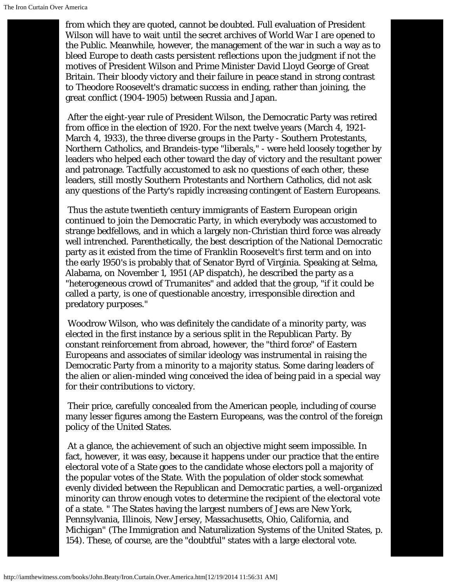from which they are quoted, cannot be doubted. Full evaluation of President Wilson will have to wait until the secret archives of World War I are opened to the Public. Meanwhile, however, the management of the war in such a way as to bleed Europe to death casts persistent reflections upon the judgment if not the motives of President Wilson and Prime Minister David Lloyd George of Great Britain. Their bloody victory and their failure in peace stand in strong contrast to Theodore Roosevelt's dramatic success in ending, rather than joining, the great conflict (1904-1905) between Russia and Japan.

 After the eight-year rule of President Wilson, the Democratic Party was retired from office in the election of 1920. For the next twelve years (March 4, 1921- March 4, 1933), the three diverse groups in the Party - Southern Protestants, Northern Catholics, and Brandeis-type "liberals," - were held loosely together by leaders who helped each other toward the day of victory and the resultant power and patronage. Tactfully accustomed to ask no questions of each other, these leaders, still mostly Southern Protestants and Northern Catholics, did not ask any questions of the Party's rapidly increasing contingent of Eastern Europeans.

 Thus the astute twentieth century immigrants of Eastern European origin continued to join the Democratic Party, in which everybody was accustomed to strange bedfellows, and in which a largely non-Christian third force was already well intrenched. Parenthetically, the best description of the National Democratic party as it existed from the time of Franklin Roosevelt's first term and on into the early 1950's is probably that of Senator Byrd of Virginia. Speaking at Selma, Alabama, on November 1, 1951 (AP dispatch), he described the party as a "heterogeneous crowd of Trumanites" and added that the group, "if it could be called a party, is one of questionable ancestry, irresponsible direction and predatory purposes."

 Woodrow Wilson, who was definitely the candidate of a minority party, was elected in the first instance by a serious split in the Republican Party. By constant reinforcement from abroad, however, the "third force" of Eastern Europeans and associates of similar ideology was instrumental in raising the Democratic Party from a minority to a majority status. Some daring leaders of the alien or alien-minded wing conceived the idea of being paid in a special way for their contributions to victory.

 Their price, carefully concealed from the American people, including of course many lesser figures among the Eastern Europeans, was the control of the foreign policy of the United States.

 At a glance, the achievement of such an objective might seem impossible. In fact, however, it was easy, because it happens under our practice that the entire electoral vote of a State goes to the candidate whose electors poll a majority of the popular votes of the State. With the population of older stock somewhat evenly divided between the Republican and Democratic parties, a well-organized minority can throw enough votes to determine the recipient of the electoral vote of a state. " The States having the largest numbers of Jews are New York, Pennsylvania, Illinois, New Jersey, Massachusetts, Ohio, California, and Michigan" (The Immigration and Naturalization Systems of the United States, p. 154). These, of course, are the "doubtful" states with a large electoral vote.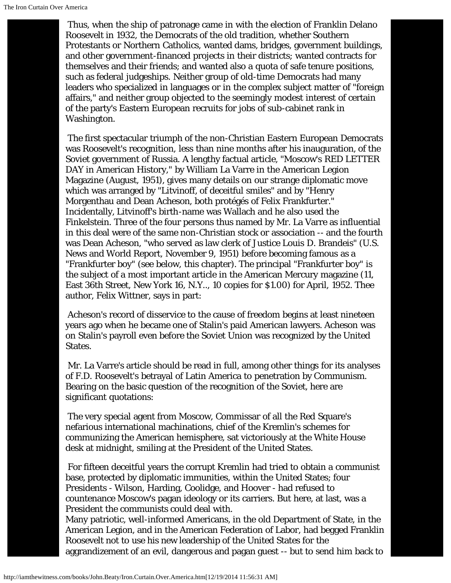Thus, when the ship of patronage came in with the election of Franklin Delano Roosevelt in 1932, the Democrats of the old tradition, whether Southern Protestants or Northern Catholics, wanted dams, bridges, government buildings, and other government-financed projects in their districts; wanted contracts for themselves and their friends; and wanted also a quota of safe tenure positions, such as federal judgeships. Neither group of old-time Democrats had many leaders who specialized in languages or in the complex subject matter of "foreign affairs," and neither group objected to the seemingly modest interest of certain of the party's Eastern European recruits for jobs of sub-cabinet rank in Washington.

 The first spectacular triumph of the non-Christian Eastern European Democrats was Roosevelt's recognition, less than nine months after his inauguration, of the Soviet government of Russia. A lengthy factual article, "Moscow's RED LETTER DAY in American History," by William La Varre in the American Legion Magazine (August, 1951), gives many details on our strange diplomatic move which was arranged by "Litvinoff, of deceitful smiles" and by "Henry Morgenthau and Dean Acheson, both protégés of Felix Frankfurter." Incidentally, Litvinoff's birth-name was Wallach and he also used the Finkelstein. Three of the four persons thus named by Mr. La Varre as influential in this deal were of the same non-Christian stock or association -- and the fourth was Dean Acheson, "who served as law clerk of Justice Louis D. Brandeis" (U.S. News and World Report, November 9, 1951) before becoming famous as a "Frankfurter boy" (see below, this chapter). The principal "Frankfurter boy" is the subject of a most important article in the American Mercury magazine (11, East 36th Street, New York 16, N.Y.., 10 copies for \$1.00) for April, 1952. Thee author, Felix Wittner, says in part:

 Acheson's record of disservice to the cause of freedom begins at least nineteen years ago when he became one of Stalin's paid American lawyers. Acheson was on Stalin's payroll even before the Soviet Union was recognized by the United States.

 Mr. La Varre's article should be read in full, among other things for its analyses of F.D. Roosevelt's betrayal of Latin America to penetration by Communism. Bearing on the basic question of the recognition of the Soviet, here are significant quotations:

 The very special agent from Moscow, Commissar of all the Red Square's nefarious international machinations, chief of the Kremlin's schemes for communizing the American hemisphere, sat victoriously at the White House desk at midnight, smiling at the President of the United States.

 For fifteen deceitful years the corrupt Kremlin had tried to obtain a communist base, protected by diplomatic immunities, within the United States; four Presidents - Wilson, Harding, Coolidge, and Hoover - had refused to countenance Moscow's pagan ideology or its carriers. But here, at last, was a President the communists could deal with.

Many patriotic, well-informed Americans, in the old Department of State, in the American Legion, and in the American Federation of Labor, had begged Franklin Roosevelt not to use his new leadership of the United States for the aggrandizement of an evil, dangerous and pagan guest -- but to send him back to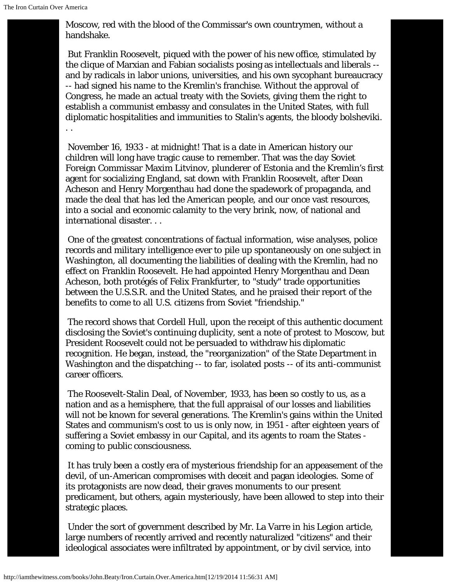Moscow, red with the blood of the Commissar's own countrymen, without a handshake.

 But Franklin Roosevelt, piqued with the power of his new office, stimulated by the clique of Marxian and Fabian socialists posing as intellectuals and liberals - and by radicals in labor unions, universities, and his own sycophant bureaucracy -- had signed his name to the Kremlin's franchise. Without the approval of Congress, he made an actual treaty with the Soviets, giving them the right to establish a communist embassy and consulates in the United States, with full diplomatic hospitalities and immunities to Stalin's agents, the bloody bolsheviki. . .

 November 16, 1933 - at midnight! That is a date in American history our children will long have tragic cause to remember. That was the day Soviet Foreign Commissar Maxim Litvinov, plunderer of Estonia and the Kremlin's first agent for socializing England, sat down with Franklin Roosevelt, after Dean Acheson and Henry Morgenthau had done the spadework of propaganda, and made the deal that has led the American people, and our once vast resources, into a social and economic calamity to the very brink, now, of national and international disaster. . .

 One of the greatest concentrations of factual information, wise analyses, police records and military intelligence ever to pile up spontaneously on one subject in Washington, all documenting the liabilities of dealing with the Kremlin, had no effect on Franklin Roosevelt. He had appointed Henry Morgenthau and Dean Acheson, both protégés of Felix Frankfurter, to "study" trade opportunities between the U.S.S.R. and the United States, and he praised their report of the benefits to come to all U.S. citizens from Soviet "friendship."

 The record shows that Cordell Hull, upon the receipt of this authentic document disclosing the Soviet's continuing duplicity, sent a note of protest to Moscow, but President Roosevelt could not be persuaded to withdraw his diplomatic recognition. He began, instead, the "reorganization" of the State Department in Washington and the dispatching -- to far, isolated posts -- of its anti-communist career officers.

 The Roosevelt-Stalin Deal, of November, 1933, has been so costly to us, as a nation and as a hemisphere, that the full appraisal of our losses and liabilities will not be known for several generations. The Kremlin's gains within the United States and communism's cost to us is only now, in 1951 - after eighteen years of suffering a Soviet embassy in our Capital, and its agents to roam the States coming to public consciousness.

 It has truly been a costly era of mysterious friendship for an appeasement of the devil, of un-American compromises with deceit and pagan ideologies. Some of its protagonists are now dead, their graves monuments to our present predicament, but others, again mysteriously, have been allowed to step into their strategic places.

 Under the sort of government described by Mr. La Varre in his Legion article, large numbers of recently arrived and recently naturalized "citizens" and their ideological associates were infiltrated by appointment, or by civil service, into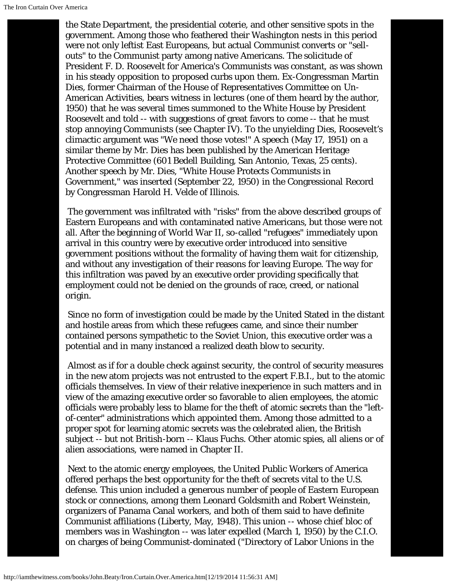the State Department, the presidential coterie, and other sensitive spots in the government. Among those who feathered their Washington nests in this period were not only leftist East Europeans, but actual Communist converts or "sellouts" to the Communist party among native Americans. The solicitude of President F. D. Roosevelt for America's Communists was constant, as was shown in his steady opposition to proposed curbs upon them. Ex-Congressman Martin Dies, former Chairman of the House of Representatives Committee on Un-American Activities, bears witness in lectures (one of them heard by the author, 1950) that he was several times summoned to the White House by President Roosevelt and told -- with suggestions of great favors to come -- that he must stop annoying Communists (see Chapter IV). To the unyielding Dies, Roosevelt's climactic argument was "We need those votes!" A speech (May 17, 1951) on a similar theme by Mr. Dies has been published by the American Heritage Protective Committee (601 Bedell Building, San Antonio, Texas, 25 cents). Another speech by Mr. Dies, "White House Protects Communists in Government," was inserted (September 22, 1950) in the Congressional Record by Congressman Harold H. Velde of Illinois.

 The government was infiltrated with "risks" from the above described groups of Eastern Europeans and with contaminated native Americans, but those were not all. After the beginning of World War II, so-called "refugees" immediately upon arrival in this country were by executive order introduced into sensitive government positions without the formality of having them wait for citizenship, and without any investigation of their reasons for leaving Europe. The way for this infiltration was paved by an executive order providing specifically that employment could not be denied on the grounds of race, creed, or national origin.

 Since no form of investigation could be made by the United Stated in the distant and hostile areas from which these refugees came, and since their number contained persons sympathetic to the Soviet Union, this executive order was a potential and in many instanced a realized death blow to security.

 Almost as if for a double check against security, the control of security measures in the new atom projects was not entrusted to the expert F.B.I., but to the atomic officials themselves. In view of their relative inexperience in such matters and in view of the amazing executive order so favorable to alien employees, the atomic officials were probably less to blame for the theft of atomic secrets than the "leftof-center" administrations which appointed them. Among those admitted to a proper spot for learning atomic secrets was the celebrated alien, the British subject -- but not British-born -- Klaus Fuchs. Other atomic spies, all aliens or of alien associations, were named in Chapter II.

 Next to the atomic energy employees, the United Public Workers of America offered perhaps the best opportunity for the theft of secrets vital to the U.S. defense. This union included a generous number of people of Eastern European stock or connections, among them Leonard Goldsmith and Robert Weinstein, organizers of Panama Canal workers, and both of them said to have definite Communist affiliations (Liberty, May, 1948). This union -- whose chief bloc of members was in Washington -- was later expelled (March 1, 1950) by the C.I.O. on charges of being Communist-dominated ("Directory of Labor Unions in the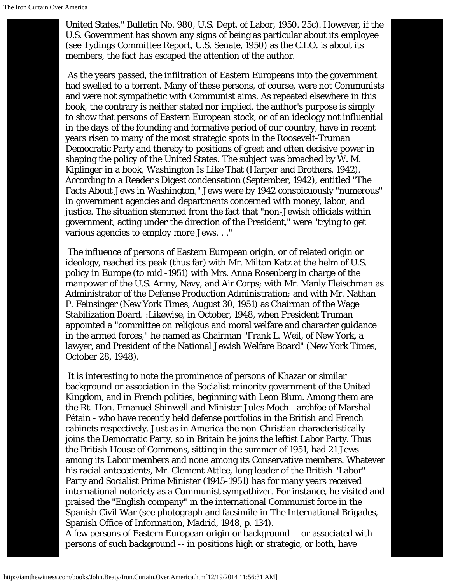United States," Bulletin No. 980, U.S. Dept. of Labor, 1950. 25c). However, if the U.S. Government has shown any signs of being as particular about its employee (see Tydings Committee Report, U.S. Senate, 1950) as the C.I.O. is about its members, the fact has escaped the attention of the author.

 As the years passed, the infiltration of Eastern Europeans into the government had swelled to a torrent. Many of these persons, of course, were not Communists and were not sympathetic with Communist aims. As repeated elsewhere in this book, the contrary is neither stated nor implied. the author's purpose is simply to show that persons of Eastern European stock, or of an ideology not influential in the days of the founding and formative period of our country, have in recent years risen to many of the most strategic spots in the Roosevelt-Truman Democratic Party and thereby to positions of great and often decisive power in shaping the policy of the United States. The subject was broached by W. M. Kiplinger in a book, Washington Is Like That (Harper and Brothers, 1942). According to a Reader's Digest condensation (September, 1942), entitled "The Facts About Jews in Washington," Jews were by 1942 conspicuously "numerous" in government agencies and departments concerned with money, labor, and justice. The situation stemmed from the fact that "non-Jewish officials within government, acting under the direction of the President," were "trying to get various agencies to employ more Jews. . ."

 The influence of persons of Eastern European origin, or of related origin or ideology, reached its peak (thus far) with Mr. Milton Katz at the helm of U.S. policy in Europe (to mid -1951) with Mrs. Anna Rosenberg in charge of the manpower of the U.S. Army, Navy, and Air Corps; with Mr. Manly Fleischman as Administrator of the Defense Production Administration; and with Mr. Nathan P. Feinsinger (New York Times, August 30, 1951) as Chairman of the Wage Stabilization Board. :Likewise, in October, 1948, when President Truman appointed a "committee on religious and moral welfare and character guidance in the armed forces," he named as Chairman "Frank L. Weil, of New York, a lawyer, and President of the National Jewish Welfare Board" (New York Times, October 28, 1948).

 It is interesting to note the prominence of persons of Khazar or similar background or association in the Socialist minority government of the United Kingdom, and in French polities, beginning with Leon Blum. Among them are the Rt. Hon. Emanuel Shinwell and Minister Jules Moch - archfoe of Marshal Pétain - who have recently held defense portfolios in the British and French cabinets respectively. Just as in America the non-Christian characteristically joins the Democratic Party, so in Britain he joins the leftist Labor Party. Thus the British House of Commons, sitting in the summer of 1951, had 21 Jews among its Labor members and none among its Conservative members. Whatever his racial antecedents, Mr. Clement Attlee, long leader of the British "Labor" Party and Socialist Prime Minister (1945-1951) has for many years received international notoriety as a Communist sympathizer. For instance, he visited and praised the "English company" in the international Communist force in the Spanish Civil War (see photograph and facsimile in The International Brigades, Spanish Office of Information, Madrid, 1948, p. 134).

A few persons of Eastern European origin or background -- or associated with persons of such background -- in positions high or strategic, or both, have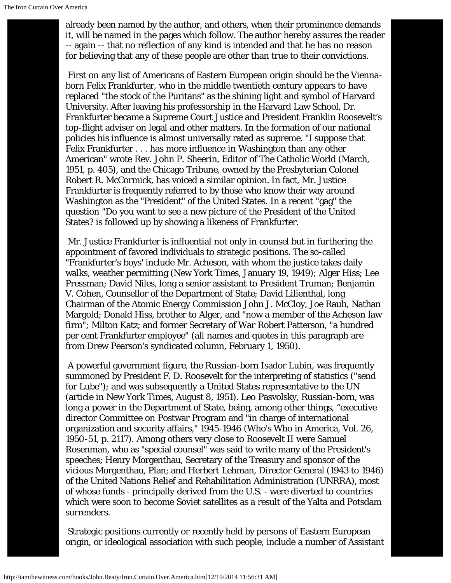already been named by the author, and others, when their prominence demands it, will be named in the pages which follow. The author hereby assures the reader -- again -- that no reflection of any kind is intended and that he has no reason for believing that any of these people are other than true to their convictions.

 First on any list of Americans of Eastern European origin should be the Viennaborn Felix Frankfurter, who in the middle twentieth century appears to have replaced "the stock of the Puritans" as the shining light and symbol of Harvard University. After leaving his professorship in the Harvard Law School, Dr. Frankfurter became a Supreme Court Justice and President Franklin Roosevelt's top-flight adviser on legal and other matters. In the formation of our national policies his influence is almost universally rated as supreme. "I suppose that Felix Frankfurter . . . has more influence in Washington than any other American" wrote Rev. John P. Sheerin, Editor of The Catholic World (March, 1951, p. 405), and the Chicago Tribune, owned by the Presbyterian Colonel Robert R. McCormick, has voiced a similar opinion. In fact, Mr. Justice Frankfurter is frequently referred to by those who know their way around Washington as the "President" of the United States. In a recent "gag" the question "Do you want to see a new picture of the President of the United States? is followed up by showing a likeness of Frankfurter.

 Mr. Justice Frankfurter is influential not only in counsel but in furthering the appointment of favored individuals to strategic positions. The so-called "Frankfurter's boys' include Mr. Acheson, with whom the justice takes daily walks, weather permitting (New York Times, January 19, 1949); Alger Hiss; Lee Pressman; David Niles, long a senior assistant to President Truman; Benjamin V. Cohen, Counsellor of the Department of State; David Lilienthal, long Chairman of the Atomic Energy Commission John J. McCloy, Joe Rauh, Nathan Margold; Donald Hiss, brother to Alger, and "now a member of the Acheson law firm"; Milton Katz; and former Secretary of War Robert Patterson, "a hundred per cent Frankfurter employee" (all names and quotes in this paragraph are from Drew Pearson's syndicated column, February 1, 1950).

 A powerful government figure, the Russian-born Isador Lubin, was frequently summoned by President F. D. Roosevelt for the interpreting of statistics ("send for Lube"); and was subsequently a United States representative to the UN (article in New York Times, August 8, 1951). Leo Pasvolsky, Russian-born, was long a power in the Department of State, being, among other things, "executive director Committee on Postwar Program and "in charge of international organization and security affairs," 1945-1946 (Who's Who in America, Vol. 26, 1950-51, p. 2117). Among others very close to Roosevelt II were Samuel Rosenman, who as "special counsel" was said to write many of the President's speeches; Henry Morgenthau, Secretary of the Treasury and sponsor of the vicious Morgenthau, Plan; and Herbert Lehman, Director General (1943 to 1946) of the United Nations Relief and Rehabilitation Administration (UNRRA), most of whose funds - principally derived from the U.S. - were diverted to countries which were soon to become Soviet satellites as a result of the Yalta and Potsdam surrenders.

 Strategic positions currently or recently held by persons of Eastern European origin, or ideological association with such people, include a number of Assistant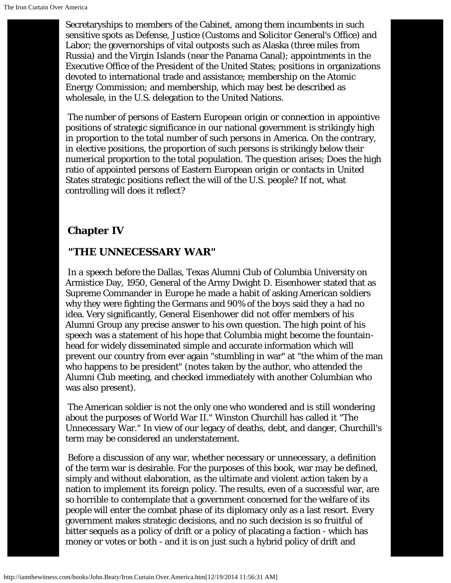Secretaryships to members of the Cabinet, among them incumbents in such sensitive spots as Defense, Justice (Customs and Solicitor General's Office) and Labor; the governorships of vital outposts such as Alaska (three miles from Russia) and the Virgin Islands (near the Panama Canal); appointments in the Executive Office of the President of the United States; positions in organizations devoted to international trade and assistance; membership on the Atomic Energy Commission; and membership, which may best be described as wholesale, in the U.S. delegation to the United Nations.

 The number of persons of Eastern European origin or connection in appointive positions of strategic significance in our national government is strikingly high in proportion to the total number of such persons in America. On the contrary, in elective positions, the proportion of such persons is strikingly below their numerical proportion to the total population. The question arises; Does the high ratio of appointed persons of Eastern European origin or contacts in United States strategic positions reflect the will of the U.S. people? If not, what controlling will does it reflect?

## **Chapter IV**

# **"THE UNNECESSARY WAR"**

 In a speech before the Dallas, Texas Alumni Club of Columbia University on Armistice Day, 1950, General of the Army Dwight D. Eisenhower stated that as Supreme Commander in Europe he made a habit of asking American soldiers why they were fighting the Germans and 90% of the boys said they a had no idea. Very significantly, General Eisenhower did not offer members of his Alumni Group any precise answer to his own question. The high point of his speech was a statement of his hope that Columbia might become the fountainhead for widely disseminated simple and accurate information which will prevent our country from ever again "stumbling in war" at "the whim of the man who happens to be president" (notes taken by the author, who attended the Alumni Club meeting, and checked immediately with another Columbian who was also present).

 The American soldier is not the only one who wondered and is still wondering about the purposes of World War II." Winston Churchill has called it "The Unnecessary War." In view of our legacy of deaths, debt, and danger, Churchill's term may be considered an understatement.

 Before a discussion of any war, whether necessary or unnecessary, a definition of the term war is desirable. For the purposes of this book, war may be defined, simply and without elaboration, as the ultimate and violent action taken by a nation to implement its foreign policy. The results, even of a successful war, are so horrible to contemplate that a government concerned for the welfare of its people will enter the combat phase of its diplomacy only as a last resort. Every government makes strategic decisions, and no such decision is so fruitful of bitter sequels as a policy of drift or a policy of placating a faction - which has money or votes or both - and it is on just such a hybrid policy of drift and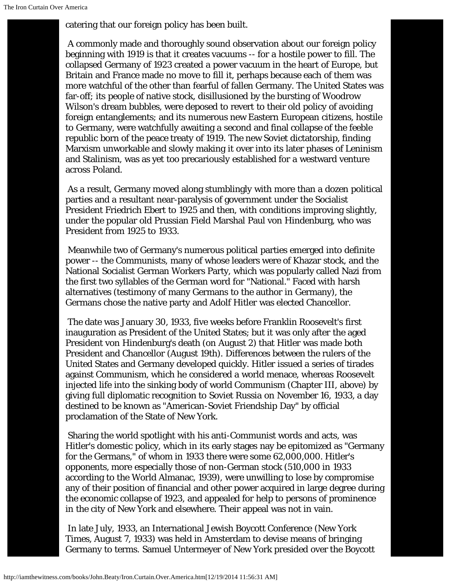catering that our foreign policy has been built.

 A commonly made and thoroughly sound observation about our foreign policy beginning with 1919 is that it creates vacuums -- for a hostile power to fill. The collapsed Germany of 1923 created a power vacuum in the heart of Europe, but Britain and France made no move to fill it, perhaps because each of them was more watchful of the other than fearful of fallen Germany. The United States was far-off; its people of native stock, disillusioned by the bursting of Woodrow Wilson's dream bubbles, were deposed to revert to their old policy of avoiding foreign entanglements; and its numerous new Eastern European citizens, hostile to Germany, were watchfully awaiting a second and final collapse of the feeble republic born of the peace treaty of 1919. The new Soviet dictatorship, finding Marxism unworkable and slowly making it over into its later phases of Leninism and Stalinism, was as yet too precariously established for a westward venture across Poland.

 As a result, Germany moved along stumblingly with more than a dozen political parties and a resultant near-paralysis of government under the Socialist President Friedrich Ebert to 1925 and then, with conditions improving slightly, under the popular old Prussian Field Marshal Paul von Hindenburg, who was President from 1925 to 1933.

 Meanwhile two of Germany's numerous political parties emerged into definite power -- the Communists, many of whose leaders were of Khazar stock, and the National Socialist German Workers Party, which was popularly called Nazi from the first two syllables of the German word for "National." Faced with harsh alternatives (testimony of many Germans to the author in Germany), the Germans chose the native party and Adolf Hitler was elected Chancellor.

 The date was January 30, 1933, five weeks before Franklin Roosevelt's first inauguration as President of the United States; but it was only after the aged President von Hindenburg's death (on August 2) that Hitler was made both President and Chancellor (August 19th). Differences between the rulers of the United States and Germany developed quickly. Hitler issued a series of tirades against Communism, which he considered a world menace, whereas Roosevelt injected life into the sinking body of world Communism (Chapter III, above) by giving full diplomatic recognition to Soviet Russia on November 16, 1933, a day destined to be known as "American-Soviet Friendship Day" by official proclamation of the State of New York.

 Sharing the world spotlight with his anti-Communist words and acts, was Hitler's domestic policy, which in its early stages nay be epitomized as "Germany for the Germans," of whom in 1933 there were some 62,000,000. Hitler's opponents, more especially those of non-German stock (510,000 in 1933 according to the World Almanac, 1939), were unwilling to lose by compromise any of their position of financial and other power acquired in large degree during the economic collapse of 1923, and appealed for help to persons of prominence in the city of New York and elsewhere. Their appeal was not in vain.

 In late July, 1933, an International Jewish Boycott Conference (New York Times, August 7, 1933) was held in Amsterdam to devise means of bringing Germany to terms. Samuel Untermeyer of New York presided over the Boycott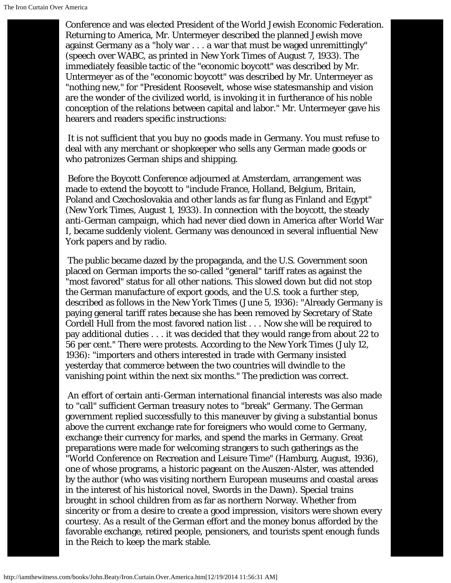Conference and was elected President of the World Jewish Economic Federation. Returning to America, Mr. Untermeyer described the planned Jewish move against Germany as a "holy war . . . a war that must be waged unremittingly" (speech over WABC, as printed in New York Times of August 7, 1933). The immediately feasible tactic of the "economic boycott" was described by Mr. Untermeyer as of the "economic boycott" was described by Mr. Untermeyer as "nothing new," for "President Roosevelt, whose wise statesmanship and vision are the wonder of the civilized world, is invoking it in furtherance of his noble conception of the relations between capital and labor." Mr. Untermeyer gave his hearers and readers specific instructions:

 It is not sufficient that you buy no goods made in Germany. You must refuse to deal with any merchant or shopkeeper who sells any German made goods or who patronizes German ships and shipping.

 Before the Boycott Conference adjourned at Amsterdam, arrangement was made to extend the boycott to "include France, Holland, Belgium, Britain, Poland and Czechoslovakia and other lands as far flung as Finland and Egypt" (New York Times, August 1, 1933). In connection with the boycott, the steady anti-German campaign, which had never died down in America after World War I, became suddenly violent. Germany was denounced in several influential New York papers and by radio.

 The public became dazed by the propaganda, and the U.S. Government soon placed on German imports the so-called "general" tariff rates as against the "most favored" status for all other nations. This slowed down but did not stop the German manufacture of export goods, and the U.S. took a further step, described as follows in the New York Times (June 5, 1936): "Already Germany is paying general tariff rates because she has been removed by Secretary of State Cordell Hull from the most favored nation list . . . Now she will be required to pay additional duties . . . it was decided that they would range from about 22 to 56 per cent." There were protests. According to the New York Times (July 12, 1936): "importers and others interested in trade with Germany insisted yesterday that commerce between the two countries will dwindle to the vanishing point within the next six months." The prediction was correct.

 An effort of certain anti-German international financial interests was also made to "call" sufficient German treasury notes to "break" Germany. The German government replied successfully to this maneuver by giving a substantial bonus above the current exchange rate for foreigners who would come to Germany, exchange their currency for marks, and spend the marks in Germany. Great preparations were made for welcoming strangers to such gatherings as the "World Conference on Recreation and Leisure Time" (Hamburg, August, 1936), one of whose programs, a historic pageant on the Auszen-Alster, was attended by the author (who was visiting northern European museums and coastal areas in the interest of his historical novel, Swords in the Dawn). Special trains brought in school children from as far as northern Norway. Whether from sincerity or from a desire to create a good impression, visitors were shown every courtesy. As a result of the German effort and the money bonus afforded by the favorable exchange, retired people, pensioners, and tourists spent enough funds in the Reich to keep the mark stable.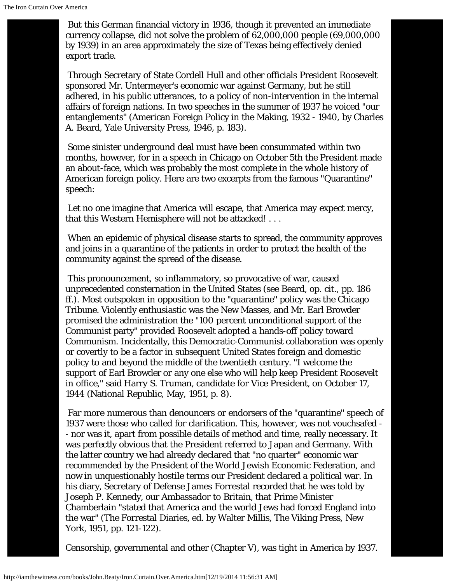But this German financial victory in 1936, though it prevented an immediate currency collapse, did not solve the problem of 62,000,000 people (69,000,000 by 1939) in an area approximately the size of Texas being effectively denied export trade.

 Through Secretary of State Cordell Hull and other officials President Roosevelt sponsored Mr. Untermeyer's economic war against Germany, but he still adhered, in his public utterances, to a policy of non-intervention in the internal affairs of foreign nations. In two speeches in the summer of 1937 he voiced "our entanglements" (American Foreign Policy in the Making, 1932 - 1940, by Charles A. Beard, Yale University Press, 1946, p. 183).

 Some sinister underground deal must have been consummated within two months, however, for in a speech in Chicago on October 5th the President made an about-face, which was probably the most complete in the whole history of American foreign policy. Here are two excerpts from the famous "Quarantine" speech:

 Let no one imagine that America will escape, that America may expect mercy, that this Western Hemisphere will not be attacked! . . .

 When an epidemic of physical disease starts to spread, the community approves and joins in a quarantine of the patients in order to protect the health of the community against the spread of the disease.

 This pronouncement, so inflammatory, so provocative of war, caused unprecedented consternation in the United States (see Beard, op. cit., pp. 186 ff.). Most outspoken in opposition to the "quarantine" policy was the Chicago Tribune. Violently enthusiastic was the New Masses, and Mr. Earl Browder promised the administration the "100 percent unconditional support of the Communist party" provided Roosevelt adopted a hands-off policy toward Communism. Incidentally, this Democratic-Communist collaboration was openly or covertly to be a factor in subsequent United States foreign and domestic policy to and beyond the middle of the twentieth century. "I welcome the support of Earl Browder or any one else who will help keep President Roosevelt in office," said Harry S. Truman, candidate for Vice President, on October 17, 1944 (National Republic, May, 1951, p. 8).

 Far more numerous than denouncers or endorsers of the "quarantine" speech of 1937 were those who called for clarification. This, however, was not vouchsafed - - nor was it, apart from possible details of method and time, really necessary. It was perfectly obvious that the President referred to Japan and Germany. With the latter country we had already declared that "no quarter" economic war recommended by the President of the World Jewish Economic Federation, and now in unquestionably hostile terms our President declared a political war. In his diary, Secretary of Defense James Forrestal recorded that he was told by Joseph P. Kennedy, our Ambassador to Britain, that Prime Minister Chamberlain "stated that America and the world Jews had forced England into the war" (The Forrestal Diaries, ed. by Walter Millis, The Viking Press, New York, 1951, pp. 121-122).

Censorship, governmental and other (Chapter V), was tight in America by 1937.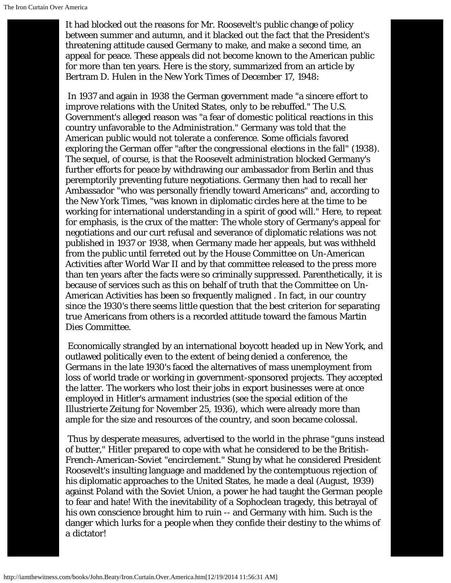It had blocked out the reasons for Mr. Roosevelt's public change of policy between summer and autumn, and it blacked out the fact that the President's threatening attitude caused Germany to make, and make a second time, an appeal for peace. These appeals did not become known to the American public for more than ten years. Here is the story, summarized from an article by Bertram D. Hulen in the New York Times of December 17, 1948:

 In 1937 and again in 1938 the German government made "a sincere effort to improve relations with the United States, only to be rebuffed." The U.S. Government's alleged reason was "a fear of domestic political reactions in this country unfavorable to the Administration." Germany was told that the American public would not tolerate a conference. Some officials favored exploring the German offer "after the congressional elections in the fall" (1938). The sequel, of course, is that the Roosevelt administration blocked Germany's further efforts for peace by withdrawing our ambassador from Berlin and thus peremptorily preventing future negotiations. Germany then had to recall her Ambassador "who was personally friendly toward Americans" and, according to the New York Times, "was known in diplomatic circles here at the time to be working for international understanding in a spirit of good will." Here, to repeat for emphasis, is the crux of the matter: The whole story of Germany's appeal for negotiations and our curt refusal and severance of diplomatic relations was not published in 1937 or 1938, when Germany made her appeals, but was withheld from the public until ferreted out by the House Committee on Un-American Activities after World War II and by that committee released to the press more than ten years after the facts were so criminally suppressed. Parenthetically, it is because of services such as this on behalf of truth that the Committee on Un-American Activities has been so frequently maligned . In fact, in our country since the 1930's there seems little question that the best criterion for separating true Americans from others is a recorded attitude toward the famous Martin Dies Committee.

 Economically strangled by an international boycott headed up in New York, and outlawed politically even to the extent of being denied a conference, the Germans in the late 1930's faced the alternatives of mass unemployment from loss of world trade or working in government-sponsored projects. They accepted the latter. The workers who lost their jobs in export businesses were at once employed in Hitler's armament industries (see the special edition of the Illustrierte Zeitung for November 25, 1936), which were already more than ample for the size and resources of the country, and soon became colossal.

 Thus by desperate measures, advertised to the world in the phrase "guns instead of butter," Hitler prepared to cope with what he considered to be the British-French-American-Soviet "encirclement." Stung by what he considered President Roosevelt's insulting language and maddened by the contemptuous rejection of his diplomatic approaches to the United States, he made a deal (August, 1939) against Poland with the Soviet Union, a power he had taught the German people to fear and hate! With the inevitability of a Sophoclean tragedy, this betrayal of his own conscience brought him to ruin -- and Germany with him. Such is the danger which lurks for a people when they confide their destiny to the whims of a dictator!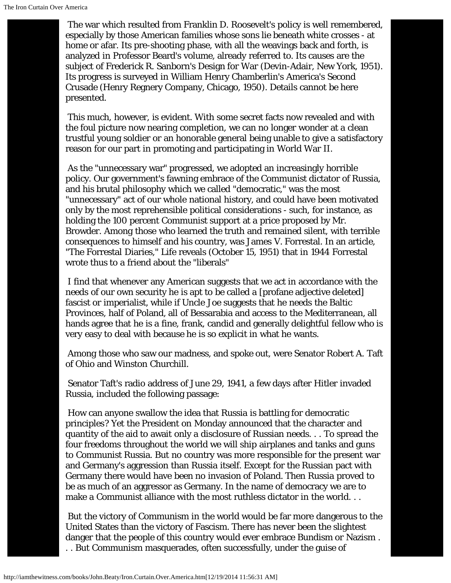The war which resulted from Franklin D. Roosevelt's policy is well remembered, especially by those American families whose sons lie beneath white crosses - at home or afar. Its pre-shooting phase, with all the weavings back and forth, is analyzed in Professor Beard's volume, already referred to. Its causes are the subject of Frederick R. Sanborn's Design for War (Devin-Adair, New York, 1951). Its progress is surveyed in William Henry Chamberlin's America's Second Crusade (Henry Regnery Company, Chicago, 1950). Details cannot be here presented.

 This much, however, is evident. With some secret facts now revealed and with the foul picture now nearing completion, we can no longer wonder at a clean trustful young soldier or an honorable general being unable to give a satisfactory reason for our part in promoting and participating in World War II.

 As the "unnecessary war" progressed, we adopted an increasingly horrible policy. Our government's fawning embrace of the Communist dictator of Russia, and his brutal philosophy which we called "democratic," was the most "unnecessary" act of our whole national history, and could have been motivated only by the most reprehensible political considerations - such, for instance, as holding the 100 percent Communist support at a price proposed by Mr. Browder. Among those who learned the truth and remained silent, with terrible consequences to himself and his country, was James V. Forrestal. In an article, "The Forrestal Diaries," Life reveals (October 15, 1951) that in 1944 Forrestal wrote thus to a friend about the "liberals"

 I find that whenever any American suggests that we act in accordance with the needs of our own security he is apt to be called a [profane adjective deleted] fascist or imperialist, while if Uncle Joe suggests that he needs the Baltic Provinces, half of Poland, all of Bessarabia and access to the Mediterranean, all hands agree that he is a fine, frank, candid and generally delightful fellow who is very easy to deal with because he is so explicit in what he wants.

 Among those who saw our madness, and spoke out, were Senator Robert A. Taft of Ohio and Winston Churchill.

 Senator Taft's radio address of June 29, 1941, a few days after Hitler invaded Russia, included the following passage:

 How can anyone swallow the idea that Russia is battling for democratic principles? Yet the President on Monday announced that the character and quantity of the aid to await only a disclosure of Russian needs. . . To spread the four freedoms throughout the world we will ship airplanes and tanks and guns to Communist Russia. But no country was more responsible for the present war and Germany's aggression than Russia itself. Except for the Russian pact with Germany there would have been no invasion of Poland. Then Russia proved to be as much of an aggressor as Germany. In the name of democracy we are to make a Communist alliance with the most ruthless dictator in the world. . .

 But the victory of Communism in the world would be far more dangerous to the United States than the victory of Fascism. There has never been the slightest danger that the people of this country would ever embrace Bundism or Nazism . . . But Communism masquerades, often successfully, under the guise of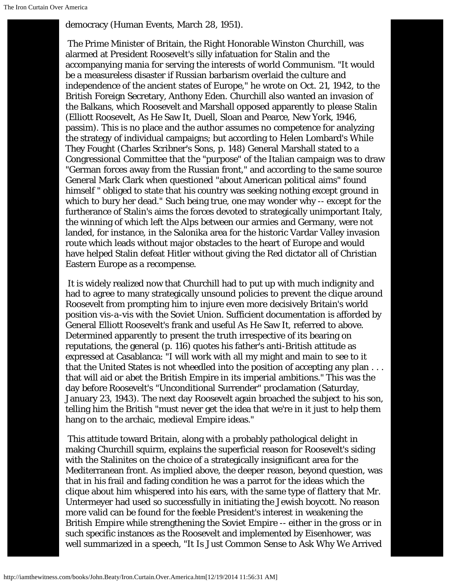democracy (Human Events, March 28, 1951).

 The Prime Minister of Britain, the Right Honorable Winston Churchill, was alarmed at President Roosevelt's silly infatuation for Stalin and the accompanying mania for serving the interests of world Communism. "It would be a measureless disaster if Russian barbarism overlaid the culture and independence of the ancient states of Europe," he wrote on Oct. 21, 1942, to the British Foreign Secretary, Anthony Eden. Churchill also wanted an invasion of the Balkans, which Roosevelt and Marshall opposed apparently to please Stalin (Elliott Roosevelt, As He Saw It, Duell, Sloan and Pearce, New York, 1946, passim). This is no place and the author assumes no competence for analyzing the strategy of individual campaigns; but according to Helen Lombard's While They Fought (Charles Scribner's Sons, p. 148) General Marshall stated to a Congressional Committee that the "purpose" of the Italian campaign was to draw "German forces away from the Russian front," and according to the same source General Mark Clark when questioned "about American political aims" found himself " obliged to state that his country was seeking nothing except ground in which to bury her dead." Such being true, one may wonder why -- except for the furtherance of Stalin's aims the forces devoted to strategically unimportant Italy, the winning of which left the Alps between our armies and Germany, were not landed, for instance, in the Salonika area for the historic Vardar Valley invasion route which leads without major obstacles to the heart of Europe and would have helped Stalin defeat Hitler without giving the Red dictator all of Christian Eastern Europe as a recompense.

 It is widely realized now that Churchill had to put up with much indignity and had to agree to many strategically unsound policies to prevent the clique around Roosevelt from prompting him to injure even more decisively Britain's world position vis-a-vis with the Soviet Union. Sufficient documentation is afforded by General Elliott Roosevelt's frank and useful As He Saw It, referred to above. Determined apparently to present the truth irrespective of its bearing on reputations, the general (p. 116) quotes his father's anti-British attitude as expressed at Casablanca: "I will work with all my might and main to see to it that the United States is not wheedled into the position of accepting any plan . . . that will aid or abet the British Empire in its imperial ambitions." This was the day before Roosevelt's "Unconditional Surrender" proclamation (Saturday, January 23, 1943). The next day Roosevelt again broached the subject to his son, telling him the British "must never get the idea that we're in it just to help them hang on to the archaic, medieval Empire ideas."

 This attitude toward Britain, along with a probably pathological delight in making Churchill squirm, explains the superficial reason for Roosevelt's siding with the Stalinites on the choice of a strategically insignificant area for the Mediterranean front. As implied above, the deeper reason, beyond question, was that in his frail and fading condition he was a parrot for the ideas which the clique about him whispered into his ears, with the same type of flattery that Mr. Untermeyer had used so successfully in initiating the Jewish boycott. No reason more valid can be found for the feeble President's interest in weakening the British Empire while strengthening the Soviet Empire -- either in the gross or in such specific instances as the Roosevelt and implemented by Eisenhower, was well summarized in a speech, "It Is Just Common Sense to Ask Why We Arrived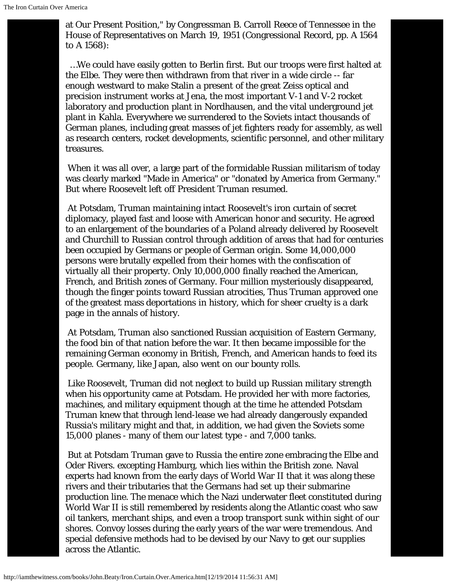at Our Present Position," by Congressman B. Carroll Reece of Tennessee in the House of Representatives on March 19, 1951 (Congressional Record, pp. A 1564 to A 1568):

 …We could have easily gotten to Berlin first. But our troops were first halted at the Elbe. They were then withdrawn from that river in a wide circle -- far enough westward to make Stalin a present of the great Zeiss optical and precision instrument works at Jena, the most important V-1 and V-2 rocket laboratory and production plant in Nordhausen, and the vital underground jet plant in Kahla. Everywhere we surrendered to the Soviets intact thousands of German planes, including great masses of jet fighters ready for assembly, as well as research centers, rocket developments, scientific personnel, and other military treasures.

 When it was all over, a large part of the formidable Russian militarism of today was clearly marked "Made in America" or "donated by America from Germany." But where Roosevelt left off President Truman resumed.

 At Potsdam, Truman maintaining intact Roosevelt's iron curtain of secret diplomacy, played fast and loose with American honor and security. He agreed to an enlargement of the boundaries of a Poland already delivered by Roosevelt and Churchill to Russian control through addition of areas that had for centuries been occupied by Germans or people of German origin. Some 14,000,000 persons were brutally expelled from their homes with the confiscation of virtually all their property. Only 10,000,000 finally reached the American, French, and British zones of Germany. Four million mysteriously disappeared, though the finger points toward Russian atrocities, Thus Truman approved one of the greatest mass deportations in history, which for sheer cruelty is a dark page in the annals of history.

 At Potsdam, Truman also sanctioned Russian acquisition of Eastern Germany, the food bin of that nation before the war. It then became impossible for the remaining German economy in British, French, and American hands to feed its people. Germany, like Japan, also went on our bounty rolls.

 Like Roosevelt, Truman did not neglect to build up Russian military strength when his opportunity came at Potsdam. He provided her with more factories, machines, and military equipment though at the time he attended Potsdam Truman knew that through lend-lease we had already dangerously expanded Russia's military might and that, in addition, we had given the Soviets some 15,000 planes - many of them our latest type - and 7,000 tanks.

 But at Potsdam Truman gave to Russia the entire zone embracing the Elbe and Oder Rivers. excepting Hamburg, which lies within the British zone. Naval experts had known from the early days of World War II that it was along these rivers and their tributaries that the Germans had set up their submarine production line. The menace which the Nazi underwater fleet constituted during World War II is still remembered by residents along the Atlantic coast who saw oil tankers, merchant ships, and even a troop transport sunk within sight of our shores. Convoy losses during the early years of the war were tremendous. And special defensive methods had to be devised by our Navy to get our supplies across the Atlantic.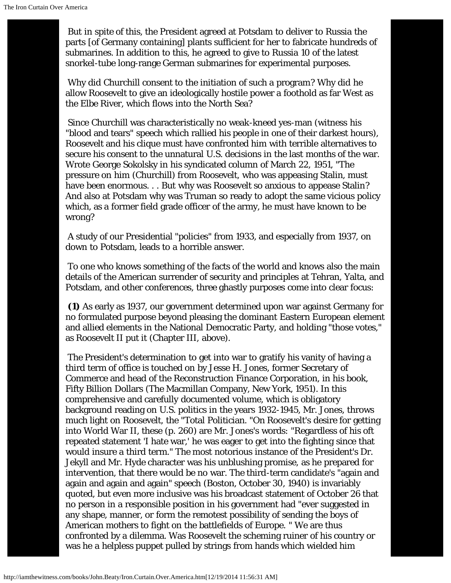But in spite of this, the President agreed at Potsdam to deliver to Russia the parts [of Germany containing] plants sufficient for her to fabricate hundreds of submarines. In addition to this, he agreed to give to Russia 10 of the latest snorkel-tube long-range German submarines for experimental purposes.

 Why did Churchill consent to the initiation of such a program? Why did he allow Roosevelt to give an ideologically hostile power a foothold as far West as the Elbe River, which flows into the North Sea?

 Since Churchill was characteristically no weak-kneed yes-man (witness his "blood and tears" speech which rallied his people in one of their darkest hours), Roosevelt and his clique must have confronted him with terrible alternatives to secure his consent to the unnatural U.S. decisions in the last months of the war. Wrote George Sokolsky in his syndicated column of March 22, 1951, "The pressure on him (Churchill) from Roosevelt, who was appeasing Stalin, must have been enormous. . . But why was Roosevelt so anxious to appease Stalin? And also at Potsdam why was Truman so ready to adopt the same vicious policy which, as a former field grade officer of the army, he must have known to be wrong?

 A study of our Presidential "policies" from 1933, and especially from 1937, on down to Potsdam, leads to a horrible answer.

 To one who knows something of the facts of the world and knows also the main details of the American surrender of security and principles at Tehran, Yalta, and Potsdam, and other conferences, three ghastly purposes come into clear focus:

**(1)** As early as 1937, our government determined upon war against Germany for no formulated purpose beyond pleasing the dominant Eastern European element and allied elements in the National Democratic Party, and holding "those votes," as Roosevelt II put it (Chapter III, above).

 The President's determination to get into war to gratify his vanity of having a third term of office is touched on by Jesse H. Jones, former Secretary of Commerce and head of the Reconstruction Finance Corporation, in his book, Fifty Billion Dollars (The Macmillan Company, New York, 1951). In this comprehensive and carefully documented volume, which is obligatory background reading on U.S. politics in the years 1932-1945, Mr. Jones, throws much light on Roosevelt, the "Total Politician. "On Roosevelt's desire for getting into World War II, these (p. 260) are Mr. Jones's words: "Regardless of his oft repeated statement 'I hate war,' he was eager to get into the fighting since that would insure a third term." The most notorious instance of the President's Dr. Jekyll and Mr. Hyde character was his unblushing promise, as he prepared for intervention, that there would be no war. The third-term candidate's "again and again and again and again" speech (Boston, October 30, 1940) is invariably quoted, but even more inclusive was his broadcast statement of October 26 that no person in a responsible position in his government had "ever suggested in any shape, manner, or form the remotest possibility of sending the boys of American mothers to fight on the battlefields of Europe. " We are thus confronted by a dilemma. Was Roosevelt the scheming ruiner of his country or was he a helpless puppet pulled by strings from hands which wielded him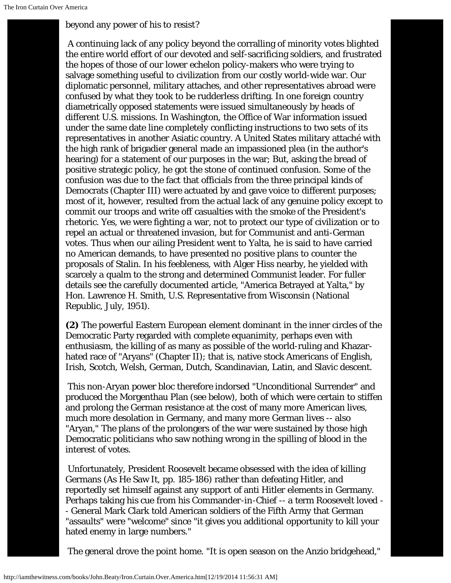### beyond any power of his to resist?

 A continuing lack of any policy beyond the corralling of minority votes blighted the entire world effort of our devoted and self-sacrificing soldiers, and frustrated the hopes of those of our lower echelon policy-makers who were trying to salvage something useful to civilization from our costly world-wide war. Our diplomatic personnel, military attaches, and other representatives abroad were confused by what they took to be rudderless drifting. In one foreign country diametrically opposed statements were issued simultaneously by heads of different U.S. missions. In Washington, the Office of War information issued under the same date line completely conflicting instructions to two sets of its representatives in another Asiatic country. A United States military attaché with the high rank of brigadier general made an impassioned plea (in the author's hearing) for a statement of our purposes in the war; But, asking the bread of positive strategic policy, he got the stone of continued confusion. Some of the confusion was due to the fact that officials from the three principal kinds of Democrats (Chapter III) were actuated by and gave voice to different purposes; most of it, however, resulted from the actual lack of any genuine policy except to commit our troops and write off casualties with the smoke of the President's rhetoric. Yes, we were fighting a war, not to protect our type of civilization or to repel an actual or threatened invasion, but for Communist and anti-German votes. Thus when our ailing President went to Yalta, he is said to have carried no American demands, to have presented no positive plans to counter the proposals of Stalin. In his feebleness, with Alger Hiss nearby, he yielded with scarcely a qualm to the strong and determined Communist leader. For fuller details see the carefully documented article, "America Betrayed at Yalta," by Hon. Lawrence H. Smith, U.S. Representative from Wisconsin (National Republic, July, 1951).

**(2)** The powerful Eastern European element dominant in the inner circles of the Democratic Party regarded with complete equanimity, perhaps even with enthusiasm, the killing of as many as possible of the world-ruling and Khazarhated race of "Aryans" (Chapter II); that is, native stock Americans of English, Irish, Scotch, Welsh, German, Dutch, Scandinavian, Latin, and Slavic descent.

 This non-Aryan power bloc therefore indorsed "Unconditional Surrender" and produced the Morgenthau Plan (see below), both of which were certain to stiffen and prolong the German resistance at the cost of many more American lives, much more desolation in Germany, and many more German lives -- also "Aryan," The plans of the prolongers of the war were sustained by those high Democratic politicians who saw nothing wrong in the spilling of blood in the interest of votes.

 Unfortunately, President Roosevelt became obsessed with the idea of killing Germans (As He Saw It, pp. 185-186) rather than defeating Hitler, and reportedly set himself against any support of anti Hitler elements in Germany. Perhaps taking his cue from his Commander-in-Chief -- a term Roosevelt loved - - General Mark Clark told American soldiers of the Fifth Army that German "assaults" were "welcome" since "it gives you additional opportunity to kill your hated enemy in large numbers."

The general drove the point home. "It is open season on the Anzio bridgehead,"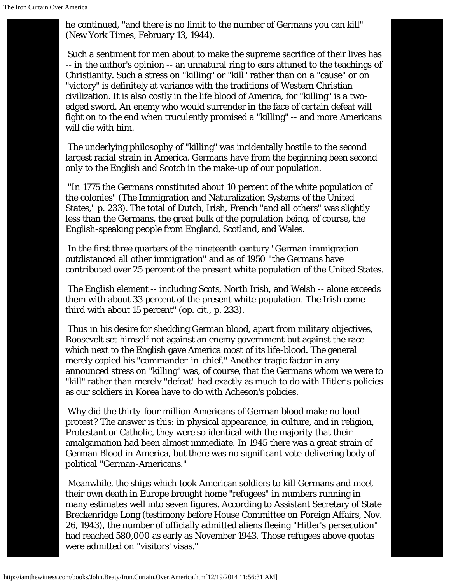he continued, "and there is no limit to the number of Germans you can kill" (New York Times, February 13, 1944).

 Such a sentiment for men about to make the supreme sacrifice of their lives has -- in the author's opinion -- an unnatural ring to ears attuned to the teachings of Christianity. Such a stress on "killing" or "kill" rather than on a "cause" or on "victory" is definitely at variance with the traditions of Western Christian civilization. It is also costly in the life blood of America, for "killing" is a twoedged sword. An enemy who would surrender in the face of certain defeat will fight on to the end when truculently promised a "killing" -- and more Americans will die with him.

 The underlying philosophy of "killing" was incidentally hostile to the second largest racial strain in America. Germans have from the beginning been second only to the English and Scotch in the make-up of our population.

 "In 1775 the Germans constituted about 10 percent of the white population of the colonies" (The Immigration and Naturalization Systems of the United States," p. 233). The total of Dutch, Irish, French "and all others" was slightly less than the Germans, the great bulk of the population being, of course, the English-speaking people from England, Scotland, and Wales.

 In the first three quarters of the nineteenth century "German immigration outdistanced all other immigration" and as of 1950 "the Germans have contributed over 25 percent of the present white population of the United States.

 The English element -- including Scots, North Irish, and Welsh -- alone exceeds them with about 33 percent of the present white population. The Irish come third with about 15 percent" (op. cit., p. 233).

 Thus in his desire for shedding German blood, apart from military objectives, Roosevelt set himself not against an enemy government but against the race which next to the English gave America most of its life-blood. The general merely copied his "commander-in-chief." Another tragic factor in any announced stress on "killing" was, of course, that the Germans whom we were to "kill" rather than merely "defeat" had exactly as much to do with Hitler's policies as our soldiers in Korea have to do with Acheson's policies.

 Why did the thirty-four million Americans of German blood make no loud protest? The answer is this: in physical appearance, in culture, and in religion, Protestant or Catholic, they were so identical with the majority that their amalgamation had been almost immediate. In 1945 there was a great strain of German Blood in America, but there was no significant vote-delivering body of political "German-Americans."

 Meanwhile, the ships which took American soldiers to kill Germans and meet their own death in Europe brought home "refugees" in numbers running in many estimates well into seven figures. According to Assistant Secretary of State Breckenridge Long (testimony before House Committee on Foreign Affairs, Nov. 26, 1943), the number of officially admitted aliens fleeing "Hitler's persecution" had reached 580,000 as early as November 1943. Those refugees above quotas were admitted on "visitors' visas."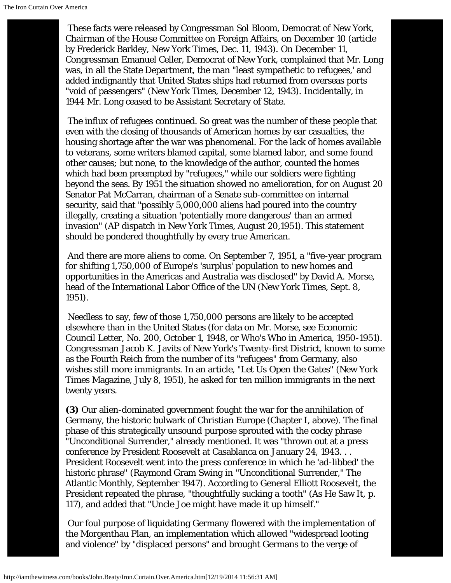These facts were released by Congressman Sol Bloom, Democrat of New York, Chairman of the House Committee on Foreign Affairs, on December 10 (article by Frederick Barkley, New York Times, Dec. 11, 1943). On December 11, Congressman Emanuel Celler, Democrat of New York, complained that Mr. Long was, in all the State Department, the man "least sympathetic to refugees,' and added indignantly that United States ships had returned from overseas ports "void of passengers" (New York Times, December 12, 1943). Incidentally, in 1944 Mr. Long ceased to be Assistant Secretary of State.

 The influx of refugees continued. So great was the number of these people that even with the closing of thousands of American homes by ear casualties, the housing shortage after the war was phenomenal. For the lack of homes available to veterans, some writers blamed capital, some blamed labor, and some found other causes; but none, to the knowledge of the author, counted the homes which had been preempted by "refugees," while our soldiers were fighting beyond the seas. By 1951 the situation showed no amelioration, for on August 20 Senator Pat McCarran, chairman of a Senate sub-committee on internal security, said that "possibly 5,000,000 aliens had poured into the country illegally, creating a situation 'potentially more dangerous' than an armed invasion" (AP dispatch in New York Times, August 20,1951). This statement should be pondered thoughtfully by every true American.

 And there are more aliens to come. On September 7, 1951, a "five-year program for shifting 1,750,000 of Europe's 'surplus' population to new homes and opportunities in the Americas and Australia was disclosed" by David A. Morse, head of the International Labor Office of the UN (New York Times, Sept. 8, 1951).

 Needless to say, few of those 1,750,000 persons are likely to be accepted elsewhere than in the United States (for data on Mr. Morse, see Economic Council Letter, No. 200, October 1, 1948, or Who's Who in America, 1950-1951). Congressman Jacob K. Javits of New York's Twenty-first District, known to some as the Fourth Reich from the number of its "refugees" from Germany, also wishes still more immigrants. In an article, "Let Us Open the Gates" (New York Times Magazine, July 8, 1951), he asked for ten million immigrants in the next twenty years.

**(3)** Our alien-dominated government fought the war for the annihilation of Germany, the historic bulwark of Christian Europe (Chapter I, above). The final phase of this strategically unsound purpose sprouted with the cocky phrase "Unconditional Surrender," already mentioned. It was "thrown out at a press conference by President Roosevelt at Casablanca on January 24, 1943. . . President Roosevelt went into the press conference in which he 'ad-libbed' the historic phrase" (Raymond Gram Swing in "Unconditional Surrender," The Atlantic Monthly, September 1947). According to General Elliott Roosevelt, the President repeated the phrase, "thoughtfully sucking a tooth" (As He Saw It, p. 117), and added that "Uncle Joe might have made it up himself."

 Our foul purpose of liquidating Germany flowered with the implementation of the Morgenthau Plan, an implementation which allowed "widespread looting and violence" by "displaced persons" and brought Germans to the verge of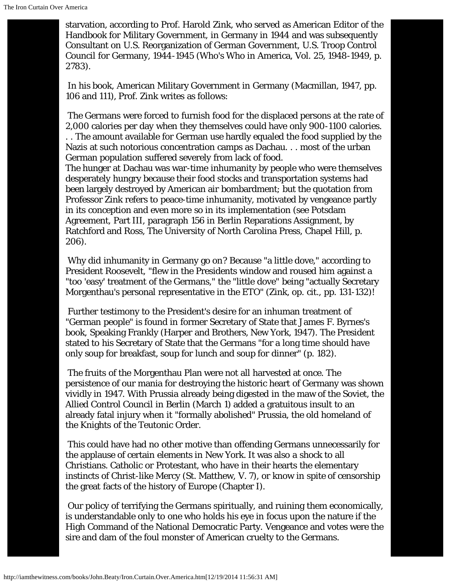starvation, according to Prof. Harold Zink, who served as American Editor of the Handbook for Military Government, in Germany in 1944 and was subsequently Consultant on U.S. Reorganization of German Government, U.S. Troop Control Council for Germany, 1944-1945 (Who's Who in America, Vol. 25, 1948-1949, p. 2783).

 In his book, American Military Government in Germany (Macmillan, 1947, pp. 106 and 111), Prof. Zink writes as follows:

 The Germans were forced to furnish food for the displaced persons at the rate of 2,000 calories per day when they themselves could have only 900-1100 calories. . . The amount available for German use hardly equaled the food supplied by the Nazis at such notorious concentration camps as Dachau. . . most of the urban German population suffered severely from lack of food.

The hunger at Dachau was war-time inhumanity by people who were themselves desperately hungry because their food stocks and transportation systems had been largely destroyed by American air bombardment; but the quotation from Professor Zink refers to peace-time inhumanity, motivated by vengeance partly in its conception and even more so in its implementation (see Potsdam Agreement, Part III, paragraph 156 in Berlin Reparations Assignment, by Ratchford and Ross, The University of North Carolina Press, Chapel Hill, p. 206).

 Why did inhumanity in Germany go on? Because "a little dove," according to President Roosevelt, "flew in the Presidents window and roused him against a "too 'easy' treatment of the Germans," the "little dove" being "actually Secretary Morgenthau's personal representative in the ETO" (Zink, op. cit., pp. 131-132)!

 Further testimony to the President's desire for an inhuman treatment of "German people" is found in former Secretary of State that James F. Byrnes's book, Speaking Frankly (Harper and Brothers, New York, 1947). The President stated to his Secretary of State that the Germans "for a long time should have only soup for breakfast, soup for lunch and soup for dinner" (p. 182).

 The fruits of the Morgenthau Plan were not all harvested at once. The persistence of our mania for destroying the historic heart of Germany was shown vividly in 1947. With Prussia already being digested in the maw of the Soviet, the Allied Control Council in Berlin (March 1) added a gratuitous insult to an already fatal injury when it "formally abolished" Prussia, the old homeland of the Knights of the Teutonic Order.

 This could have had no other motive than offending Germans unnecessarily for the applause of certain elements in New York. It was also a shock to all Christians. Catholic or Protestant, who have in their hearts the elementary instincts of Christ-like Mercy (St. Matthew, V. 7), or know in spite of censorship the great facts of the history of Europe (Chapter I).

 Our policy of terrifying the Germans spiritually, and ruining them economically, is understandable only to one who holds his eye in focus upon the nature if the High Command of the National Democratic Party. Vengeance and votes were the sire and dam of the foul monster of American cruelty to the Germans.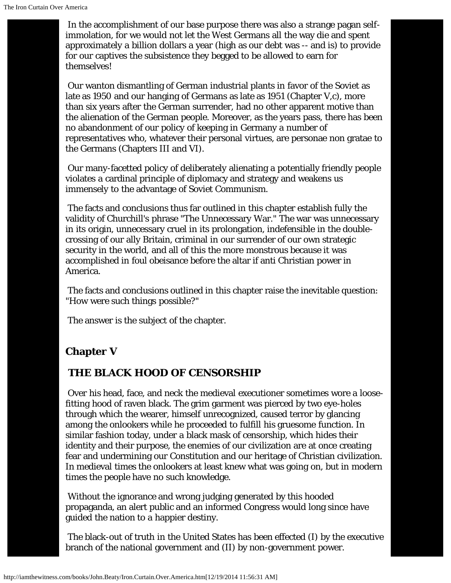In the accomplishment of our base purpose there was also a strange pagan selfimmolation, for we would not let the West Germans all the way die and spent approximately a billion dollars a year (high as our debt was -- and is) to provide for our captives the subsistence they begged to be allowed to earn for themselves!

 Our wanton dismantling of German industrial plants in favor of the Soviet as late as 1950 and our hanging of Germans as late as 1951 (Chapter V,c), more than six years after the German surrender, had no other apparent motive than the alienation of the German people. Moreover, as the years pass, there has been no abandonment of our policy of keeping in Germany a number of representatives who, whatever their personal virtues, are personae non gratae to the Germans (Chapters III and VI).

 Our many-facetted policy of deliberately alienating a potentially friendly people violates a cardinal principle of diplomacy and strategy and weakens us immensely to the advantage of Soviet Communism.

 The facts and conclusions thus far outlined in this chapter establish fully the validity of Churchill's phrase "The Unnecessary War." The war was unnecessary in its origin, unnecessary cruel in its prolongation, indefensible in the doublecrossing of our ally Britain, criminal in our surrender of our own strategic security in the world, and all of this the more monstrous because it was accomplished in foul obeisance before the altar if anti Christian power in America.

 The facts and conclusions outlined in this chapter raise the inevitable question: "How were such things possible?"

The answer is the subject of the chapter.

# **Chapter V**

## **THE BLACK HOOD OF CENSORSHIP**

 Over his head, face, and neck the medieval executioner sometimes wore a loosefitting hood of raven black. The grim garment was pierced by two eye-holes through which the wearer, himself unrecognized, caused terror by glancing among the onlookers while he proceeded to fulfill his gruesome function. In similar fashion today, under a black mask of censorship, which hides their identity and their purpose, the enemies of our civilization are at once creating fear and undermining our Constitution and our heritage of Christian civilization. In medieval times the onlookers at least knew what was going on, but in modern times the people have no such knowledge.

 Without the ignorance and wrong judging generated by this hooded propaganda, an alert public and an informed Congress would long since have guided the nation to a happier destiny.

 The black-out of truth in the United States has been effected (I) by the executive branch of the national government and (II) by non-government power.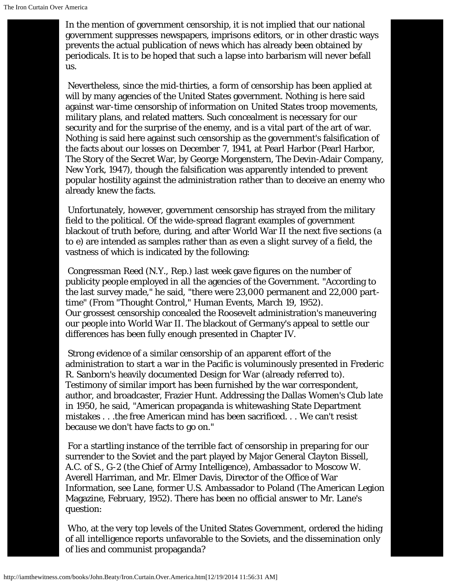In the mention of government censorship, it is not implied that our national government suppresses newspapers, imprisons editors, or in other drastic ways prevents the actual publication of news which has already been obtained by periodicals. It is to be hoped that such a lapse into barbarism will never befall us.

 Nevertheless, since the mid-thirties, a form of censorship has been applied at will by many agencies of the United States government. Nothing is here said against war-time censorship of information on United States troop movements, military plans, and related matters. Such concealment is necessary for our security and for the surprise of the enemy, and is a vital part of the art of war. Nothing is said here against such censorship as the government's falsification of the facts about our losses on December 7, 1941, at Pearl Harbor (Pearl Harbor, The Story of the Secret War, by George Morgenstern, The Devin-Adair Company, New York, 1947), though the falsification was apparently intended to prevent popular hostility against the administration rather than to deceive an enemy who already knew the facts.

 Unfortunately, however, government censorship has strayed from the military field to the political. Of the wide-spread flagrant examples of government blackout of truth before, during, and after World War II the next five sections (a to e) are intended as samples rather than as even a slight survey of a field, the vastness of which is indicated by the following:

 Congressman Reed (N.Y., Rep.) last week gave figures on the number of publicity people employed in all the agencies of the Government. "According to the last survey made," he said, "there were 23,000 permanent and 22,000 parttime" (From "Thought Control," Human Events, March 19, 1952). Our grossest censorship concealed the Roosevelt administration's maneuvering our people into World War II. The blackout of Germany's appeal to settle our differences has been fully enough presented in Chapter IV.

 Strong evidence of a similar censorship of an apparent effort of the administration to start a war in the Pacific is voluminously presented in Frederic R. Sanborn's heavily documented Design for War (already referred to). Testimony of similar import has been furnished by the war correspondent, author, and broadcaster, Frazier Hunt. Addressing the Dallas Women's Club late in 1950, he said, "American propaganda is whitewashing State Department mistakes . . .the free American mind has been sacrificed. . . We can't resist because we don't have facts to go on."

 For a startling instance of the terrible fact of censorship in preparing for our surrender to the Soviet and the part played by Major General Clayton Bissell, A.C. of S., G-2 (the Chief of Army Intelligence), Ambassador to Moscow W. Averell Harriman, and Mr. Elmer Davis, Director of the Office of War Information, see Lane, former U.S. Ambassador to Poland (The American Legion Magazine, February, 1952). There has been no official answer to Mr. Lane's question:

 Who, at the very top levels of the United States Government, ordered the hiding of all intelligence reports unfavorable to the Soviets, and the dissemination only of lies and communist propaganda?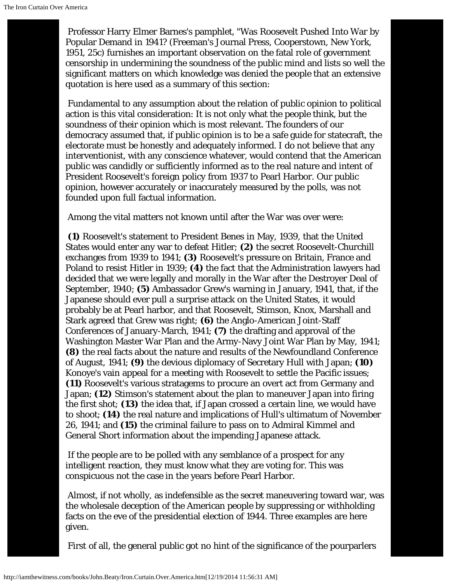Professor Harry Elmer Barnes's pamphlet, "Was Roosevelt Pushed Into War by Popular Demand in 1941? (Freeman's Journal Press, Cooperstown, New York, 1951, 25c) furnishes an important observation on the fatal role of government censorship in undermining the soundness of the public mind and lists so well the significant matters on which knowledge was denied the people that an extensive quotation is here used as a summary of this section:

 Fundamental to any assumption about the relation of public opinion to political action is this vital consideration: It is not only what the people think, but the soundness of their opinion which is most relevant. The founders of our democracy assumed that, if public opinion is to be a safe guide for statecraft, the electorate must be honestly and adequately informed. I do not believe that any interventionist, with any conscience whatever, would contend that the American public was candidly or sufficiently informed as to the real nature and intent of President Roosevelt's foreign policy from 1937 to Pearl Harbor. Our public opinion, however accurately or inaccurately measured by the polls, was not founded upon full factual information.

Among the vital matters not known until after the War was over were:

**(1)** Roosevelt's statement to President Benes in May, 1939, that the United States would enter any war to defeat Hitler; **(2)** the secret Roosevelt-Churchill exchanges from 1939 to 1941; **(3)** Roosevelt's pressure on Britain, France and Poland to resist Hitler in 1939; **(4)** the fact that the Administration lawyers had decided that we were legally and morally in the War after the Destroyer Deal of September, 1940; **(5)** Ambassador Grew's warning in January, 1941, that, if the Japanese should ever pull a surprise attack on the United States, it would probably be at Pearl harbor, and that Roosevelt, Stimson, Knox, Marshall and Stark agreed that Grew was right; **(6)** the Anglo-American Joint-Staff Conferences of January-March, 1941; **(7)** the drafting and approval of the Washington Master War Plan and the Army-Navy Joint War Plan by May, 1941; **(8)** the real facts about the nature and results of the Newfoundland Conference of August, 1941; **(9)** the devious diplomacy of Secretary Hull with Japan; **(10)** Konoye's vain appeal for a meeting with Roosevelt to settle the Pacific issues; **(11)** Roosevelt's various stratagems to procure an overt act from Germany and Japan; **(12)** Stimson's statement about the plan to maneuver Japan into firing the first shot; **(13)** the idea that, if Japan crossed a certain line, we would have to shoot; **(14)** the real nature and implications of Hull's ultimatum of November 26, 1941; and **(15)** the criminal failure to pass on to Admiral Kimmel and General Short information about the impending Japanese attack.

 If the people are to be polled with any semblance of a prospect for any intelligent reaction, they must know what they are voting for. This was conspicuous not the case in the years before Pearl Harbor.

 Almost, if not wholly, as indefensible as the secret maneuvering toward war, was the wholesale deception of the American people by suppressing or withholding facts on the eve of the presidential election of 1944. Three examples are here given.

First of all, the general public got no hint of the significance of the pourparlers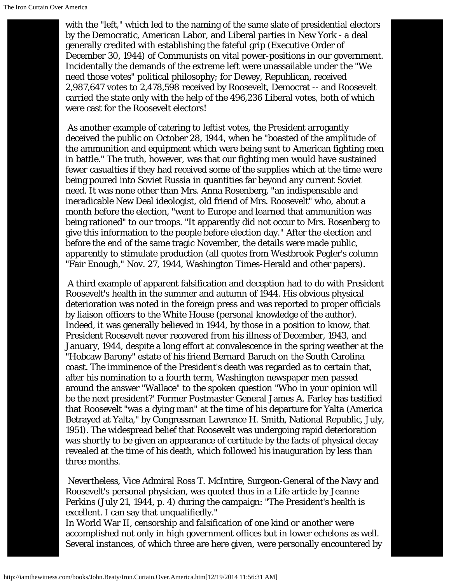with the "left," which led to the naming of the same slate of presidential electors by the Democratic, American Labor, and Liberal parties in New York - a deal generally credited with establishing the fateful grip (Executive Order of December 30, 1944) of Communists on vital power-positions in our government. Incidentally the demands of the extreme left were unassailable under the "We need those votes" political philosophy; for Dewey, Republican, received 2,987,647 votes to 2,478,598 received by Roosevelt, Democrat -- and Roosevelt carried the state only with the help of the 496,236 Liberal votes, both of which were cast for the Roosevelt electors!

 As another example of catering to leftist votes, the President arrogantly deceived the public on October 28, 1944, when he "boasted of the amplitude of the ammunition and equipment which were being sent to American fighting men in battle." The truth, however, was that our fighting men would have sustained fewer casualties if they had received some of the supplies which at the time were being poured into Soviet Russia in quantities far beyond any current Soviet need. It was none other than Mrs. Anna Rosenberg, "an indispensable and ineradicable New Deal ideologist, old friend of Mrs. Roosevelt" who, about a month before the election, "went to Europe and learned that ammunition was being rationed" to our troops. "It apparently did not occur to Mrs. Rosenberg to give this information to the people before election day." After the election and before the end of the same tragic November, the details were made public, apparently to stimulate production (all quotes from Westbrook Pegler's column "Fair Enough," Nov. 27, 1944, Washington Times-Herald and other papers).

 A third example of apparent falsification and deception had to do with President Roosevelt's health in the summer and autumn of 1944. His obvious physical deterioration was noted in the foreign press and was reported to proper officials by liaison officers to the White House (personal knowledge of the author). Indeed, it was generally believed in 1944, by those in a position to know, that President Roosevelt never recovered from his illness of December, 1943, and January, 1944, despite a long effort at convalescence in the spring weather at the "Hobcaw Barony" estate of his friend Bernard Baruch on the South Carolina coast. The imminence of the President's death was regarded as to certain that, after his nomination to a fourth term, Washington newspaper men passed around the answer "Wallace" to the spoken question "Who in your opinion will be the next president?' Former Postmaster General James A. Farley has testified that Roosevelt "was a dying man" at the time of his departure for Yalta (America Betrayed at Yalta," by Congressman Lawrence H. Smith, National Republic, July, 1951). The widespread belief that Roosevelt was undergoing rapid deterioration was shortly to be given an appearance of certitude by the facts of physical decay revealed at the time of his death, which followed his inauguration by less than three months.

 Nevertheless, Vice Admiral Ross T. McIntire, Surgeon-General of the Navy and Roosevelt's personal physician, was quoted thus in a Life article by Jeanne Perkins (July 21, 1944, p. 4) during the campaign: "The President's health is excellent. I can say that unqualifiedly."

In World War II, censorship and falsification of one kind or another were accomplished not only in high government offices but in lower echelons as well. Several instances, of which three are here given, were personally encountered by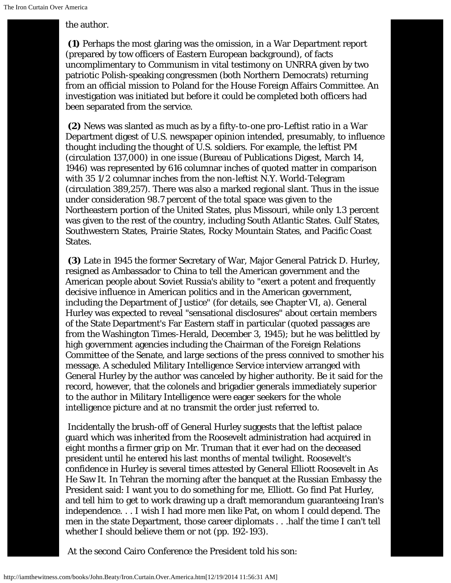the author.

**(1)** Perhaps the most glaring was the omission, in a War Department report (prepared by tow officers of Eastern European background), of facts uncomplimentary to Communism in vital testimony on UNRRA given by two patriotic Polish-speaking congressmen (both Northern Democrats) returning from an official mission to Poland for the House Foreign Affairs Committee. An investigation was initiated but before it could be completed both officers had been separated from the service.

**(2)** News was slanted as much as by a fifty-to-one pro-Leftist ratio in a War Department digest of U.S. newspaper opinion intended, presumably, to influence thought including the thought of U.S. soldiers. For example, the leftist PM (circulation 137,000) in one issue (Bureau of Publications Digest, March 14, 1946) was represented by 616 columnar inches of quoted matter in comparison with 35 1/2 columnar inches from the non-leftist N.Y. World-Telegram (circulation 389,257). There was also a marked regional slant. Thus in the issue under consideration 98.7 percent of the total space was given to the Northeastern portion of the United States, plus Missouri, while only 1.3 percent was given to the rest of the country, including South Atlantic States. Gulf States, Southwestern States, Prairie States, Rocky Mountain States, and Pacific Coast States.

**(3)** Late in 1945 the former Secretary of War, Major General Patrick D. Hurley, resigned as Ambassador to China to tell the American government and the American people about Soviet Russia's ability to "exert a potent and frequently decisive influence in American politics and in the American government, including the Department of Justice" (for details, see Chapter VI, a). General Hurley was expected to reveal "sensational disclosures" about certain members of the State Department's Far Eastern staff in particular (quoted passages are from the Washington Times-Herald, December 3, 1945); but he was belittled by high government agencies including the Chairman of the Foreign Relations Committee of the Senate, and large sections of the press connived to smother his message. A scheduled Military Intelligence Service interview arranged with General Hurley by the author was canceled by higher authority. Be it said for the record, however, that the colonels and brigadier generals immediately superior to the author in Military Intelligence were eager seekers for the whole intelligence picture and at no transmit the order just referred to.

 Incidentally the brush-off of General Hurley suggests that the leftist palace guard which was inherited from the Roosevelt administration had acquired in eight months a firmer grip on Mr. Truman that it ever had on the deceased president until he entered his last months of mental twilight. Roosevelt's confidence in Hurley is several times attested by General Elliott Roosevelt in As He Saw It. In Tehran the morning after the banquet at the Russian Embassy the President said: I want you to do something for me, Elliott. Go find Pat Hurley, and tell him to get to work drawing up a draft memorandum guaranteeing Iran's independence. . . I wish I had more men like Pat, on whom I could depend. The men in the state Department, those career diplomats . . .half the time I can't tell whether I should believe them or not (pp. 192-193).

At the second Cairo Conference the President told his son: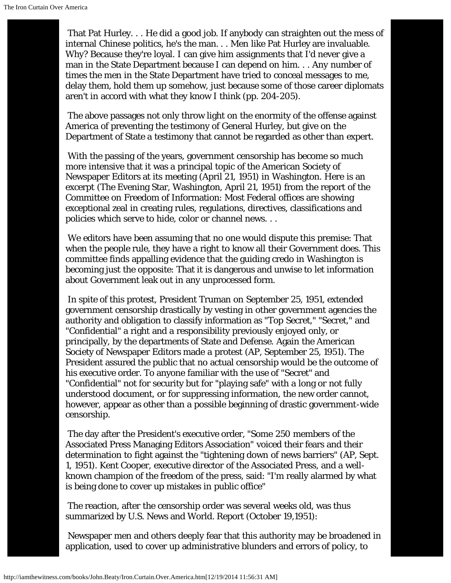That Pat Hurley. . . He did a good job. If anybody can straighten out the mess of internal Chinese politics, he's the man. . . Men like Pat Hurley are invaluable. Why? Because they're loyal. I can give him assignments that I'd never give a man in the State Department because I can depend on him. . . Any number of times the men in the State Department have tried to conceal messages to me, delay them, hold them up somehow, just because some of those career diplomats aren't in accord with what they know I think (pp. 204-205).

 The above passages not only throw light on the enormity of the offense against America of preventing the testimony of General Hurley, but give on the Department of State a testimony that cannot be regarded as other than expert.

 With the passing of the years, government censorship has become so much more intensive that it was a principal topic of the American Society of Newspaper Editors at its meeting (April 21, 1951) in Washington. Here is an excerpt (The Evening Star, Washington, April 21, 1951) from the report of the Committee on Freedom of Information: Most Federal offices are showing exceptional zeal in creating rules, regulations, directives, classifications and policies which serve to hide, color or channel news. . .

 We editors have been assuming that no one would dispute this premise: That when the people rule, they have a right to know all their Government does. This committee finds appalling evidence that the guiding credo in Washington is becoming just the opposite: That it is dangerous and unwise to let information about Government leak out in any unprocessed form.

 In spite of this protest, President Truman on September 25, 1951, extended government censorship drastically by vesting in other government agencies the authority and obligation to classify information as "Top Secret," "Secret," and "Confidential" a right and a responsibility previously enjoyed only, or principally, by the departments of State and Defense. Again the American Society of Newspaper Editors made a protest (AP, September 25, 1951). The President assured the public that no actual censorship would be the outcome of his executive order. To anyone familiar with the use of "Secret" and "Confidential" not for security but for "playing safe" with a long or not fully understood document, or for suppressing information, the new order cannot, however, appear as other than a possible beginning of drastic government-wide censorship.

 The day after the President's executive order, "Some 250 members of the Associated Press Managing Editors Association" voiced their fears and their determination to fight against the "tightening down of news barriers" (AP, Sept. 1, 1951). Kent Cooper, executive director of the Associated Press, and a wellknown champion of the freedom of the press, said: "I'm really alarmed by what is being done to cover up mistakes in public office"

 The reaction, after the censorship order was several weeks old, was thus summarized by U.S. News and World. Report (October 19,1951):

 Newspaper men and others deeply fear that this authority may be broadened in application, used to cover up administrative blunders and errors of policy, to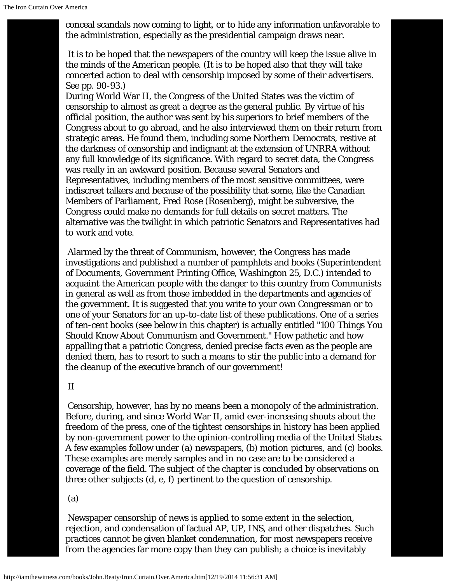conceal scandals now coming to light, or to hide any information unfavorable to the administration, especially as the presidential campaign draws near.

 It is to be hoped that the newspapers of the country will keep the issue alive in the minds of the American people. (It is to be hoped also that they will take concerted action to deal with censorship imposed by some of their advertisers. See pp. 90-93.)

During World War II, the Congress of the United States was the victim of censorship to almost as great a degree as the general public. By virtue of his official position, the author was sent by his superiors to brief members of the Congress about to go abroad, and he also interviewed them on their return from strategic areas. He found them, including some Northern Democrats, restive at the darkness of censorship and indignant at the extension of UNRRA without any full knowledge of its significance. With regard to secret data, the Congress was really in an awkward position. Because several Senators and Representatives, including members of the most sensitive committees, were indiscreet talkers and because of the possibility that some, like the Canadian Members of Parliament, Fred Rose (Rosenberg), might be subversive, the Congress could make no demands for full details on secret matters. The alternative was the twilight in which patriotic Senators and Representatives had to work and vote.

 Alarmed by the threat of Communism, however, the Congress has made investigations and published a number of pamphlets and books (Superintendent of Documents, Government Printing Office, Washington 25, D.C.) intended to acquaint the American people with the danger to this country from Communists in general as well as from those imbedded in the departments and agencies of the government. It is suggested that you write to your own Congressman or to one of your Senators for an up-to-date list of these publications. One of a series of ten-cent books (see below in this chapter) is actually entitled "100 Things You Should Know About Communism and Government." How pathetic and how appalling that a patriotic Congress, denied precise facts even as the people are denied them, has to resort to such a means to stir the public into a demand for the cleanup of the executive branch of our government!

#### II

 Censorship, however, has by no means been a monopoly of the administration. Before, during, and since World War II, amid ever-increasing shouts about the freedom of the press, one of the tightest censorships in history has been applied by non-government power to the opinion-controlling media of the United States. A few examples follow under (a) newspapers, (b) motion pictures, and (c) books. These examples are merely samples and in no case are to be considered a coverage of the field. The subject of the chapter is concluded by observations on three other subjects (d, e, f) pertinent to the question of censorship.

#### (a)

 Newspaper censorship of news is applied to some extent in the selection, rejection, and condensation of factual AP, UP, INS, and other dispatches. Such practices cannot be given blanket condemnation, for most newspapers receive from the agencies far more copy than they can publish; a choice is inevitably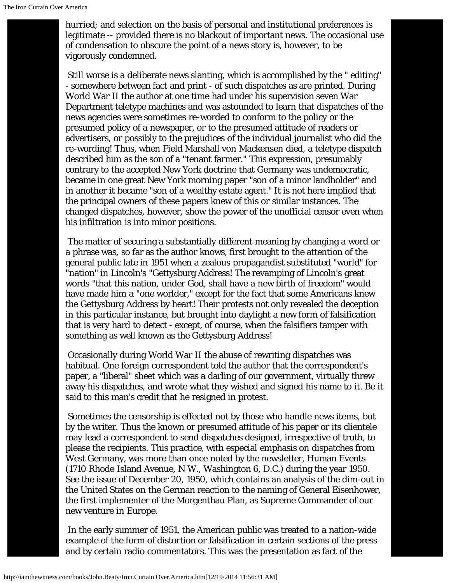hurried; and selection on the basis of personal and institutional preferences is legitimate -- provided there is no blackout of important news. The occasional use of condensation to obscure the point of a news story is, however, to be vigorously condemned.

 Still worse is a deliberate news slanting, which is accomplished by the " editing" - somewhere between fact and print - of such dispatches as are printed. During World War II the author at one time had under his supervision seven War Department teletype machines and was astounded to learn that dispatches of the news agencies were sometimes re-worded to conform to the policy or the presumed policy of a newspaper, or to the presumed attitude of readers or advertisers, or possibly to the prejudices of the individual journalist who did the re-wording! Thus, when Field Marshall von Mackensen died, a teletype dispatch described him as the son of a "tenant farmer." This expression, presumably contrary to the accepted New York doctrine that Germany was undemocratic, became in one great New York morning paper "son of a minor landholder" and in another it became "son of a wealthy estate agent." It is not here implied that the principal owners of these papers knew of this or similar instances. The changed dispatches, however, show the power of the unofficial censor even when his infiltration is into minor positions.

 The matter of securing a substantially different meaning by changing a word or a phrase was, so far as the author knows, first brought to the attention of the general public late in 1951 when a zealous propagandist substituted "world" for "nation" in Lincoln's "Gettysburg Address! The revamping of Lincoln's great words "that this nation, under God, shall have a new birth of freedom" would have made him a "one worlder," except for the fact that some Americans knew the Gettysburg Address by heart! Their protests not only revealed the deception in this particular instance, but brought into daylight a new form of falsification that is very hard to detect - except, of course, when the falsifiers tamper with something as well known as the Gettysburg Address!

 Occasionally during World War II the abuse of rewriting dispatches was habitual. One foreign correspondent told the author that the correspondent's paper, a "liberal" sheet which was a darling of our government, virtually threw away his dispatches, and wrote what they wished and signed his name to it. Be it said to this man's credit that he resigned in protest.

 Sometimes the censorship is effected not by those who handle news items, but by the writer. Thus the known or presumed attitude of his paper or its clientele may lead a correspondent to send dispatches designed, irrespective of truth, to please the recipients. This practice, with especial emphasis on dispatches from West Germany, was more than once noted by the newsletter, Human Events (1710 Rhode Island Avenue, N W., Washington 6, D.C.) during the year 1950. See the issue of December 20, 1950, which contains an analysis of the dim-out in the United States on the German reaction to the naming of General Eisenhower, the first implementer of the Morgenthau Plan, as Supreme Commander of our new venture in Europe.

 In the early summer of 1951, the American public was treated to a nation-wide example of the form of distortion or falsification in certain sections of the press and by certain radio commentators. This was the presentation as fact of the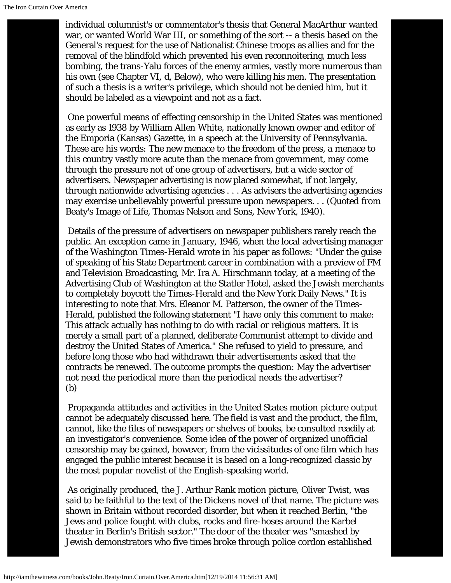individual columnist's or commentator's thesis that General MacArthur wanted war, or wanted World War III, or something of the sort -- a thesis based on the General's request for the use of Nationalist Chinese troops as allies and for the removal of the blindfold which prevented his even reconnoitering, much less bombing, the trans-Yalu forces of the enemy armies, vastly more numerous than his own (see Chapter VI, d, Below), who were killing his men. The presentation of such a thesis is a writer's privilege, which should not be denied him, but it should be labeled as a viewpoint and not as a fact.

 One powerful means of effecting censorship in the United States was mentioned as early as 1938 by William Allen White, nationally known owner and editor of the Emporia (Kansas) Gazette, in a speech at the University of Pennsylvania. These are his words: The new menace to the freedom of the press, a menace to this country vastly more acute than the menace from government, may come through the pressure not of one group of advertisers, but a wide sector of advertisers. Newspaper advertising is now placed somewhat, if not largely, through nationwide advertising agencies . . . As advisers the advertising agencies may exercise unbelievably powerful pressure upon newspapers. . . (Quoted from Beaty's Image of Life, Thomas Nelson and Sons, New York, 1940).

 Details of the pressure of advertisers on newspaper publishers rarely reach the public. An exception came in January, 1946, when the local advertising manager of the Washington Times-Herald wrote in his paper as follows: "Under the guise of speaking of his State Department career in combination with a preview of FM and Television Broadcasting, Mr. Ira A. Hirschmann today, at a meeting of the Advertising Club of Washington at the Statler Hotel, asked the Jewish merchants to completely boycott the Times-Herald and the New York Daily News." It is interesting to note that Mrs. Eleanor M. Patterson, the owner of the Times-Herald, published the following statement "I have only this comment to make: This attack actually has nothing to do with racial or religious matters. It is merely a small part of a planned, deliberate Communist attempt to divide and destroy the United States of America." She refused to yield to pressure, and before long those who had withdrawn their advertisements asked that the contracts be renewed. The outcome prompts the question: May the advertiser not need the periodical more than the periodical needs the advertiser? (b)

 Propaganda attitudes and activities in the United States motion picture output cannot be adequately discussed here. The field is vast and the product, the film, cannot, like the files of newspapers or shelves of books, be consulted readily at an investigator's convenience. Some idea of the power of organized unofficial censorship may be gained, however, from the vicissitudes of one film which has engaged the public interest because it is based on a long-recognized classic by the most popular novelist of the English-speaking world.

 As originally produced, the J. Arthur Rank motion picture, Oliver Twist, was said to be faithful to the text of the Dickens novel of that name. The picture was shown in Britain without recorded disorder, but when it reached Berlin, "the Jews and police fought with clubs, rocks and fire-hoses around the Karbel theater in Berlin's British sector." The door of the theater was "smashed by Jewish demonstrators who five times broke through police cordon established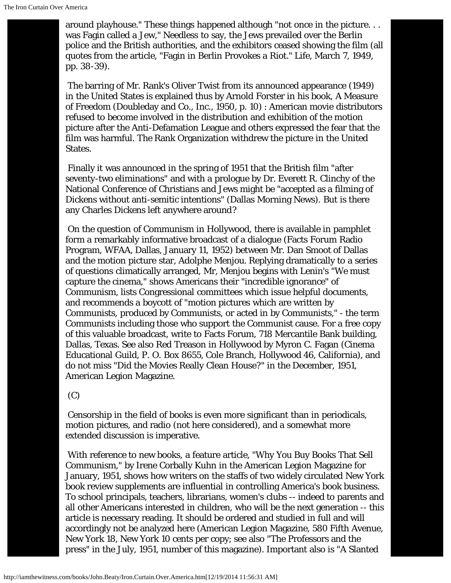around playhouse." These things happened although "not once in the picture. . . was Fagin called a Jew," Needless to say, the Jews prevailed over the Berlin police and the British authorities, and the exhibitors ceased showing the film (all quotes from the article, "Fagin in Berlin Provokes a Riot." Life, March 7, 1949, pp. 38-39).

 The barring of Mr. Rank's Oliver Twist from its announced appearance (1949) in the United States is explained thus by Arnold Forster in his book, A Measure of Freedom (Doubleday and Co., Inc., 1950, p. 10) : American movie distributors refused to become involved in the distribution and exhibition of the motion picture after the Anti-Defamation League and others expressed the fear that the film was harmful. The Rank Organization withdrew the picture in the United States.

 Finally it was announced in the spring of 1951 that the British film "after seventy-two eliminations" and with a prologue by Dr. Everett R. Clinchy of the National Conference of Christians and Jews might be "accepted as a filming of Dickens without anti-semitic intentions" (Dallas Morning News). But is there any Charles Dickens left anywhere around?

 On the question of Communism in Hollywood, there is available in pamphlet form a remarkably informative broadcast of a dialogue (Facts Forum Radio Program, WFAA, Dallas, January 11, 1952) between Mr. Dan Smoot of Dallas and the motion picture star, Adolphe Menjou. Replying dramatically to a series of questions climatically arranged, Mr, Menjou begins with Lenin's "We must capture the cinema," shows Americans their "incredible ignorance" of Communism, lists Congressional committees which issue helpful documents, and recommends a boycott of "motion pictures which are written by Communists, produced by Communists, or acted in by Communists," - the term Communists including those who support the Communist cause. For a free copy of this valuable broadcast, write to Facts Forum, 718 Mercantile Bank building, Dallas, Texas. See also Red Treason in Hollywood by Myron C. Fagan (Cinema Educational Guild, P. O. Box 8655, Cole Branch, Hollywood 46, California), and do not miss "Did the Movies Really Clean House?" in the December, 1951, American Legion Magazine.

#### (C)

 Censorship in the field of books is even more significant than in periodicals, motion pictures, and radio (not here considered), and a somewhat more extended discussion is imperative.

 With reference to new books, a feature article, "Why You Buy Books That Sell Communism," by Irene Corbally Kuhn in the American Legion Magazine for January, 1951, shows how writers on the staffs of two widely circulated New York book review supplements are influential in controlling America's book business. To school principals, teachers, librarians, women's clubs -- indeed to parents and all other Americans interested in children, who will be the next generation -- this article is necessary reading. It should be ordered and studied in full and will accordingly not be analyzed here (American Legion Magazine, 580 Fifth Avenue, New York 18, New York 10 cents per copy; see also "The Professors and the press" in the July, 1951, number of this magazine). Important also is "A Slanted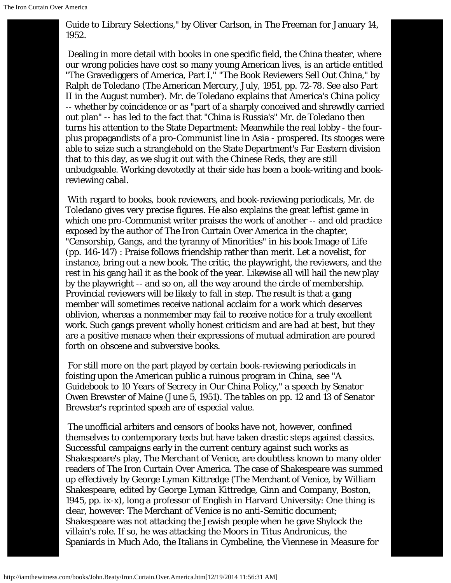Guide to Library Selections," by Oliver Carlson, in The Freeman for January 14, 1952.

 Dealing in more detail with books in one specific field, the China theater, where our wrong policies have cost so many young American lives, is an article entitled "The Gravediggers of America, Part I," "The Book Reviewers Sell Out China," by Ralph de Toledano (The American Mercury, July, 1951, pp. 72-78. See also Part II in the August number). Mr. de Toledano explains that America's China policy -- whether by coincidence or as "part of a sharply conceived and shrewdly carried out plan" -- has led to the fact that "China is Russia's" Mr. de Toledano then turns his attention to the State Department: Meanwhile the real lobby - the fourplus propagandists of a pro-Communist line in Asia - prospered. Its stooges were able to seize such a stranglehold on the State Department's Far Eastern division that to this day, as we slug it out with the Chinese Reds, they are still unbudgeable. Working devotedly at their side has been a book-writing and bookreviewing cabal.

 With regard to books, book reviewers, and book-reviewing periodicals, Mr. de Toledano gives very precise figures. He also explains the great leftist game in which one pro-Communist writer praises the work of another -- and old practice exposed by the author of The Iron Curtain Over America in the chapter, "Censorship, Gangs, and the tyranny of Minorities" in his book Image of Life (pp. 146-147) : Praise follows friendship rather than merit. Let a novelist, for instance, bring out a new book. The critic, the playwright, the reviewers, and the rest in his gang hail it as the book of the year. Likewise all will hail the new play by the playwright -- and so on, all the way around the circle of membership. Provincial reviewers will be likely to fall in step. The result is that a gang member will sometimes receive national acclaim for a work which deserves oblivion, whereas a nonmember may fail to receive notice for a truly excellent work. Such gangs prevent wholly honest criticism and are bad at best, but they are a positive menace when their expressions of mutual admiration are poured forth on obscene and subversive books.

 For still more on the part played by certain book-reviewing periodicals in foisting upon the American public a ruinous program in China, see "A Guidebook to 10 Years of Secrecy in Our China Policy," a speech by Senator Owen Brewster of Maine (June 5, 1951). The tables on pp. 12 and 13 of Senator Brewster's reprinted speeh are of especial value.

 The unofficial arbiters and censors of books have not, however, confined themselves to contemporary texts but have taken drastic steps against classics. Successful campaigns early in the current century against such works as Shakespeare's play, The Merchant of Venice, are doubtless known to many older readers of The Iron Curtain Over America. The case of Shakespeare was summed up effectively by George Lyman Kittredge (The Merchant of Venice, by William Shakespeare, edited by George Lyman Kittredge, Ginn and Company, Boston, 1945, pp. ix-x), long a professor of English in Harvard University: One thing is clear, however: The Merchant of Venice is no anti-Semitic document; Shakespeare was not attacking the Jewish people when he gave Shylock the villain's role. If so, he was attacking the Moors in Titus Andronicus, the Spaniards in Much Ado, the Italians in Cymbeline, the Viennese in Measure for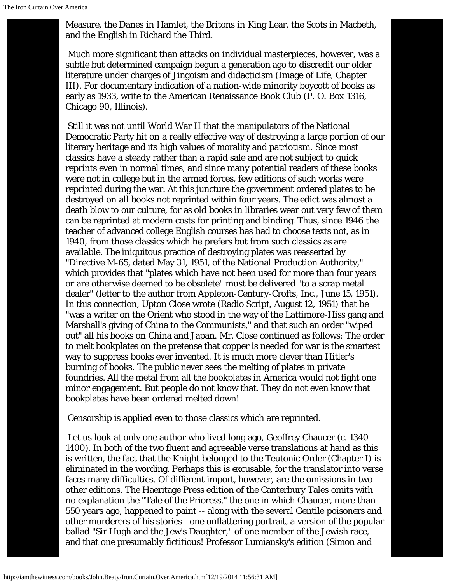Measure, the Danes in Hamlet, the Britons in King Lear, the Scots in Macbeth, and the English in Richard the Third.

 Much more significant than attacks on individual masterpieces, however, was a subtle but determined campaign begun a generation ago to discredit our older literature under charges of Jingoism and didacticism (Image of Life, Chapter III). For documentary indication of a nation-wide minority boycott of books as early as 1933, write to the American Renaissance Book Club (P. O. Box 1316, Chicago 90, Illinois).

 Still it was not until World War II that the manipulators of the National Democratic Party hit on a really effective way of destroying a large portion of our literary heritage and its high values of morality and patriotism. Since most classics have a steady rather than a rapid sale and are not subject to quick reprints even in normal times, and since many potential readers of these books were not in college but in the armed forces, few editions of such works were reprinted during the war. At this juncture the government ordered plates to be destroyed on all books not reprinted within four years. The edict was almost a death blow to our culture, for as old books in libraries wear out very few of them can be reprinted at modern costs for printing and binding. Thus, since 1946 the teacher of advanced college English courses has had to choose texts not, as in 1940, from those classics which he prefers but from such classics as are available. The iniquitous practice of destroying plates was reasserted by "Directive M-65, dated May 31, 1951, of the National Production Authority," which provides that "plates which have not been used for more than four years or are otherwise deemed to be obsolete" must be delivered "to a scrap metal dealer" (letter to the author from Appleton-Century-Crofts, Inc., June 15, 1951). In this connection, Upton Close wrote (Radio Script, August 12, 1951) that he "was a writer on the Orient who stood in the way of the Lattimore-Hiss gang and Marshall's giving of China to the Communists," and that such an order "wiped out" all his books on China and Japan. Mr. Close continued as follows: The order to melt bookplates on the pretense that copper is needed for war is the smartest way to suppress books ever invented. It is much more clever than Hitler's burning of books. The public never sees the melting of plates in private foundries. All the metal from all the bookplates in America would not fight one minor engagement. But people do not know that. They do not even know that bookplates have been ordered melted down!

Censorship is applied even to those classics which are reprinted.

 Let us look at only one author who lived long ago, Geoffrey Chaucer (c. 1340- 1400). In both of the two fluent and agreeable verse translations at hand as this is written, the fact that the Knight belonged to the Teutonic Order (Chapter I) is eliminated in the wording. Perhaps this is excusable, for the translator into verse faces many difficulties. Of different import, however, are the omissions in two other editions. The Haeritage Press edition of the Canterbury Tales omits with no explanation the "Tale of the Prioress," the one in which Chaucer, more than 550 years ago, happened to paint -- along with the several Gentile poisoners and other murderers of his stories - one unflattering portrait, a version of the popular ballad "Sir Hugh and the Jew's Daughter," of one member of the Jewish race, and that one presumably fictitious! Professor Lumiansky's edition (Simon and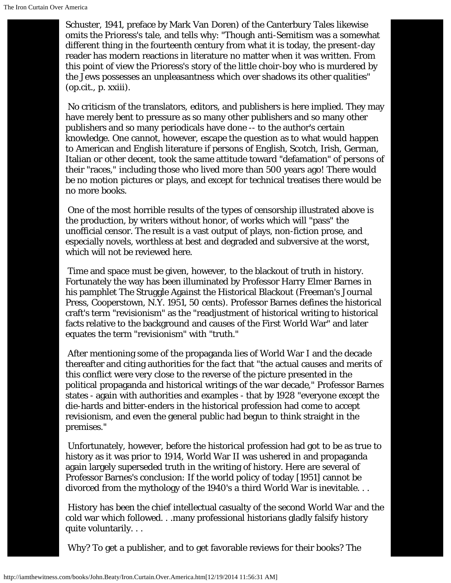Schuster, 1941, preface by Mark Van Doren) of the Canterbury Tales likewise omits the Prioress's tale, and tells why: "Though anti-Semitism was a somewhat different thing in the fourteenth century from what it is today, the present-day reader has modern reactions in literature no matter when it was written. From this point of view the Prioress's story of the little choir-boy who is murdered by the Jews possesses an unpleasantness which over shadows its other qualities" (op.cit., p. xxiii).

 No criticism of the translators, editors, and publishers is here implied. They may have merely bent to pressure as so many other publishers and so many other publishers and so many periodicals have done -- to the author's certain knowledge. One cannot, however, escape the question as to what would happen to American and English literature if persons of English, Scotch, Irish, German, Italian or other decent, took the same attitude toward "defamation" of persons of their "races," including those who lived more than 500 years ago! There would be no motion pictures or plays, and except for technical treatises there would be no more books.

 One of the most horrible results of the types of censorship illustrated above is the production, by writers without honor, of works which will "pass" the unofficial censor. The result is a vast output of plays, non-fiction prose, and especially novels, worthless at best and degraded and subversive at the worst, which will not be reviewed here.

 Time and space must be given, however, to the blackout of truth in history. Fortunately the way has been illuminated by Professor Harry Elmer Barnes in his pamphlet The Struggle Against the Historical Blackout (Freeman's Journal Press, Cooperstown, N.Y. 1951, 50 cents). Professor Barnes defines the historical craft's term "revisionism" as the "readjustment of historical writing to historical facts relative to the background and causes of the First World War" and later equates the term "revisionism" with "truth."

 After mentioning some of the propaganda lies of World War I and the decade thereafter and citing authorities for the fact that "the actual causes and merits of this conflict were very close to the reverse of the picture presented in the political propaganda and historical writings of the war decade," Professor Barnes states - again with authorities and examples - that by 1928 "everyone except the die-hards and bitter-enders in the historical profession had come to accept revisionism, and even the general public had begun to think straight in the premises."

 Unfortunately, however, before the historical profession had got to be as true to history as it was prior to 1914, World War II was ushered in and propaganda again largely superseded truth in the writing of history. Here are several of Professor Barnes's conclusion: If the world policy of today [1951] cannot be divorced from the mythology of the 1940's a third World War is inevitable. . .

 History has been the chief intellectual casualty of the second World War and the cold war which followed. . .many professional historians gladly falsify history quite voluntarily. . .

Why? To get a publisher, and to get favorable reviews for their books? The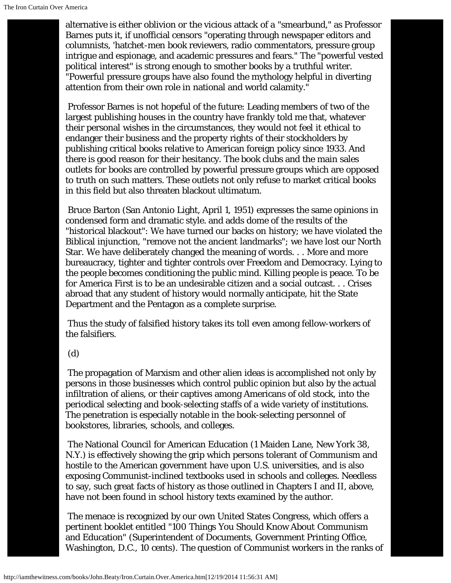alternative is either oblivion or the vicious attack of a "smearbund," as Professor Barnes puts it, if unofficial censors "operating through newspaper editors and columnists, 'hatchet-men book reviewers, radio commentators, pressure group intrigue and espionage, and academic pressures and fears." The "powerful vested political interest" is strong enough to smother books by a truthful writer. "Powerful pressure groups have also found the mythology helpful in diverting attention from their own role in national and world calamity."

 Professor Barnes is not hopeful of the future: Leading members of two of the largest publishing houses in the country have frankly told me that, whatever their personal wishes in the circumstances, they would not feel it ethical to endanger their business and the property rights of their stockholders by publishing critical books relative to American foreign policy since 1933. And there is good reason for their hesitancy. The book clubs and the main sales outlets for books are controlled by powerful pressure groups which are opposed to truth on such matters. These outlets not only refuse to market critical books in this field but also threaten blackout ultimatum.

 Bruce Barton (San Antonio Light, April 1, 1951) expresses the same opinions in condensed form and dramatic style. and adds dome of the results of the "historical blackout": We have turned our backs on history; we have violated the Biblical injunction, "remove not the ancient landmarks"; we have lost our North Star. We have deliberately changed the meaning of words. . . More and more bureaucracy, tighter and tighter controls over Freedom and Democracy. Lying to the people becomes conditioning the public mind. Killing people is peace. To be for America First is to be an undesirable citizen and a social outcast. . . Crises abroad that any student of history would normally anticipate, hit the State Department and the Pentagon as a complete surprise.

 Thus the study of falsified history takes its toll even among fellow-workers of the falsifiers.

### (d)

 The propagation of Marxism and other alien ideas is accomplished not only by persons in those businesses which control public opinion but also by the actual infiltration of aliens, or their captives among Americans of old stock, into the periodical selecting and book-selecting staffs of a wide variety of institutions. The penetration is especially notable in the book-selecting personnel of bookstores, libraries, schools, and colleges.

 The National Council for American Education (1 Maiden Lane, New York 38, N.Y.) is effectively showing the grip which persons tolerant of Communism and hostile to the American government have upon U.S. universities, and is also exposing Communist-inclined textbooks used in schools and colleges. Needless to say, such great facts of history as those outlined in Chapters I and II, above, have not been found in school history texts examined by the author.

 The menace is recognized by our own United States Congress, which offers a pertinent booklet entitled "100 Things You Should Know About Communism and Education" (Superintendent of Documents, Government Printing Office, Washington, D.C., 10 cents). The question of Communist workers in the ranks of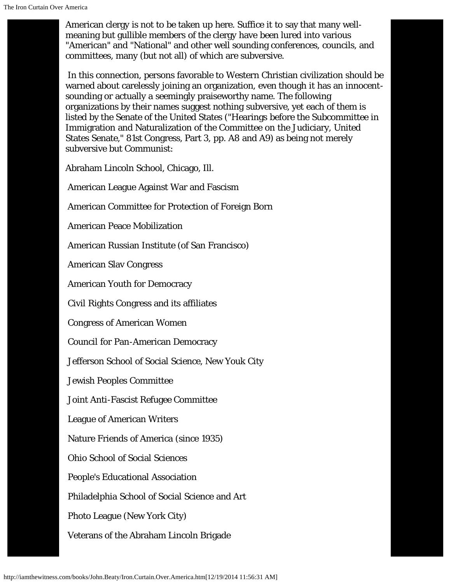American clergy is not to be taken up here. Suffice it to say that many wellmeaning but gullible members of the clergy have been lured into various "American" and "National" and other well sounding conferences, councils, and committees, many (but not all) of which are subversive.

 In this connection, persons favorable to Western Christian civilization should be warned about carelessly joining an organization, even though it has an innocentsounding or actually a seemingly praiseworthy name. The following organizations by their names suggest nothing subversive, yet each of them is listed by the Senate of the United States ("Hearings before the Subcommittee in Immigration and Naturalization of the Committee on the Judiciary, United States Senate," 81st Congress, Part 3, pp. A8 and A9) as being not merely subversive but Communist:

Abraham Lincoln School, Chicago, Ill.

American League Against War and Fascism

American Committee for Protection of Foreign Born

American Peace Mobilization

American Russian Institute (of San Francisco)

American Slav Congress

American Youth for Democracy

Civil Rights Congress and its affiliates

Congress of American Women

Council for Pan-American Democracy

Jefferson School of Social Science, New Youk City

Jewish Peoples Committee

Joint Anti-Fascist Refugee Committee

League of American Writers

Nature Friends of America (since 1935)

Ohio School of Social Sciences

People's Educational Association

Philadelphia School of Social Science and Art

Photo League (New York City)

Veterans of the Abraham Lincoln Brigade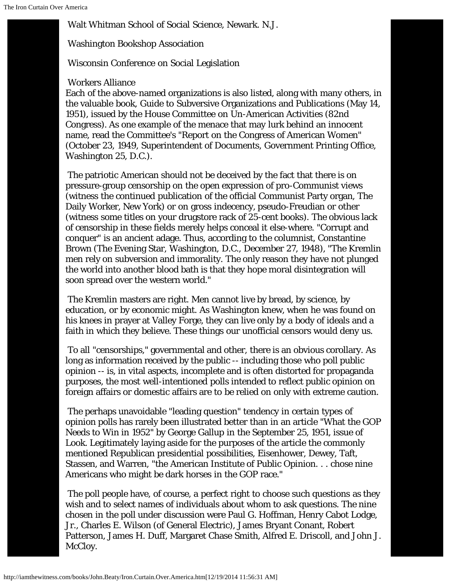Walt Whitman School of Social Science, Newark. N.J.

Washington Bookshop Association

Wisconsin Conference on Social Legislation

#### Workers Alliance

Each of the above-named organizations is also listed, along with many others, in the valuable book, Guide to Subversive Organizations and Publications (May 14, 1951), issued by the House Committee on Un-American Activities (82nd Congress). As one example of the menace that may lurk behind an innocent name, read the Committee's "Report on the Congress of American Women" (October 23, 1949, Superintendent of Documents, Government Printing Office, Washington 25, D.C.).

 The patriotic American should not be deceived by the fact that there is on pressure-group censorship on the open expression of pro-Communist views (witness the continued publication of the official Communist Party organ, The Daily Worker, New York) or on gross indecency, pseudo-Freudian or other (witness some titles on your drugstore rack of 25-cent books). The obvious lack of censorship in these fields merely helps conceal it else-where. "Corrupt and conquer" is an ancient adage. Thus, according to the columnist, Constantine Brown (The Evening Star, Washington, D.C., December 27, 1948), "The Kremlin men rely on subversion and immorality. The only reason they have not plunged the world into another blood bath is that they hope moral disintegration will soon spread over the western world."

 The Kremlin masters are right. Men cannot live by bread, by science, by education, or by economic might. As Washington knew, when he was found on his knees in prayer at Valley Forge, they can live only by a body of ideals and a faith in which they believe. These things our unofficial censors would deny us.

 To all "censorships," governmental and other, there is an obvious corollary. As long as information received by the public -- including those who poll public opinion -- is, in vital aspects, incomplete and is often distorted for propaganda purposes, the most well-intentioned polls intended to reflect public opinion on foreign affairs or domestic affairs are to be relied on only with extreme caution.

 The perhaps unavoidable "leading question" tendency in certain types of opinion polls has rarely been illustrated better than in an article "What the GOP Needs to Win in 1952" by George Gallup in the September 25, 1951, issue of Look. Legitimately laying aside for the purposes of the article the commonly mentioned Republican presidential possibilities, Eisenhower, Dewey, Taft, Stassen, and Warren, "the American Institute of Public Opinion. . . chose nine Americans who might be dark horses in the GOP race."

 The poll people have, of course, a perfect right to choose such questions as they wish and to select names of individuals about whom to ask questions. The nine chosen in the poll under discussion were Paul G. Hoffman, Henry Cabot Lodge, Jr., Charles E. Wilson (of General Electric), James Bryant Conant, Robert Patterson, James H. Duff, Margaret Chase Smith, Alfred E. Driscoll, and John J. McCloy.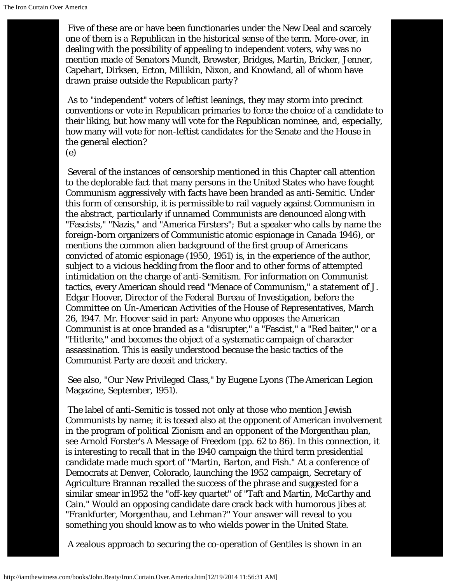Five of these are or have been functionaries under the New Deal and scarcely one of them is a Republican in the historical sense of the term. More-over, in dealing with the possibility of appealing to independent voters, why was no mention made of Senators Mundt, Brewster, Bridges, Martin, Bricker, Jenner, Capehart, Dirksen, Ecton, Millikin, Nixon, and Knowland, all of whom have drawn praise outside the Republican party?

 As to "independent" voters of leftist leanings, they may storm into precinct conventions or vote in Republican primaries to force the choice of a candidate to their liking, but how many will vote for the Republican nominee, and, especially, how many will vote for non-leftist candidates for the Senate and the House in the general election?

(e)

 Several of the instances of censorship mentioned in this Chapter call attention to the deplorable fact that many persons in the United States who have fought Communism aggressively with facts have been branded as anti-Semitic. Under this form of censorship, it is permissible to rail vaguely against Communism in the abstract, particularly if unnamed Communists are denounced along with "Fascists," "Nazis," and "America Firsters"; But a speaker who calls by name the foreign-born organizers of Communistic atomic espionage in Canada 1946), or mentions the common alien background of the first group of Americans convicted of atomic espionage (1950, 1951) is, in the experience of the author, subject to a vicious heckling from the floor and to other forms of attempted intimidation on the charge of anti-Semitism. For information on Communist tactics, every American should read "Menace of Communism," a statement of J. Edgar Hoover, Director of the Federal Bureau of Investigation, before the Committee on Un-American Activities of the House of Representatives, March 26, 1947. Mr. Hoover said in part: Anyone who opposes the American Communist is at once branded as a "disrupter," a "Fascist," a "Red baiter," or a "Hitlerite," and becomes the object of a systematic campaign of character assassination. This is easily understood because the basic tactics of the Communist Party are deceit and trickery.

 See also, "Our New Privileged Class," by Eugene Lyons (The American Legion Magazine, September, 1951).

 The label of anti-Semitic is tossed not only at those who mention Jewish Communists by name; it is tossed also at the opponent of American involvement in the program of political Zionism and an opponent of the Morgenthau plan, see Arnold Forster's A Message of Freedom (pp. 62 to 86). In this connection, it is interesting to recall that in the 1940 campaign the third term presidential candidate made much sport of "Martin, Barton, and Fish." At a conference of Democrats at Denver, Colorado, launching the 1952 campaign, Secretary of Agriculture Brannan recalled the success of the phrase and suggested for a similar smear in1952 the "off-key quartet" of "Taft and Martin, McCarthy and Cain." Would an opposing candidate dare crack back with humorous jibes at "Frankfurter, Morgenthau, and Lehman?" Your answer will reveal to you something you should know as to who wields power in the United State.

A zealous approach to securing the co-operation of Gentiles is shown in an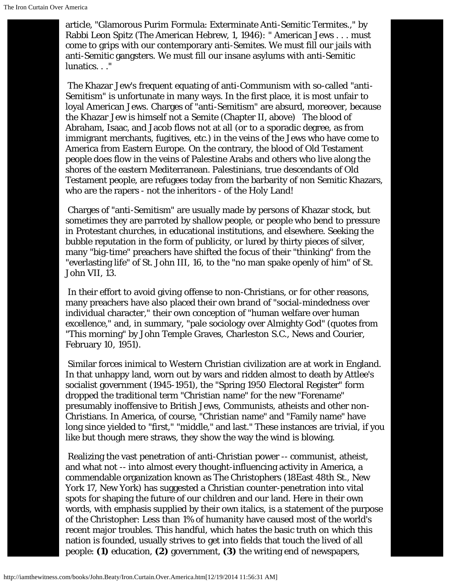article, "Glamorous Purim Formula: Exterminate Anti-Semitic Termites.," by Rabbi Leon Spitz (The American Hebrew, 1, 1946): " American Jews . . . must come to grips with our contemporary anti-Semites. We must fill our jails with anti-Semitic gangsters. We must fill our insane asylums with anti-Semitic lunatics. . ."

 The Khazar Jew's frequent equating of anti-Communism with so-called "anti-Semitism" is unfortunate in many ways. In the first place, it is most unfair to loyal American Jews. Charges of "anti-Semitism" are absurd, moreover, because the Khazar Jew is himself not a Semite (Chapter II, above) The blood of Abraham, Isaac, and Jacob flows not at all (or to a sporadic degree, as from immigrant merchants, fugitives, etc.) in the veins of the Jews who have come to America from Eastern Europe. On the contrary, the blood of Old Testament people does flow in the veins of Palestine Arabs and others who live along the shores of the eastern Mediterranean. Palestinians, true descendants of Old Testament people, are refugees today from the barbarity of non Semitic Khazars, who are the rapers - not the inheritors - of the Holy Land!

 Charges of "anti-Semitism" are usually made by persons of Khazar stock, but sometimes they are parroted by shallow people, or people who bend to pressure in Protestant churches, in educational institutions, and elsewhere. Seeking the bubble reputation in the form of publicity, or lured by thirty pieces of silver, many "big-time" preachers have shifted the focus of their "thinking" from the "everlasting life" of St. John III, 16, to the "no man spake openly of him" of St. John VII, 13.

 In their effort to avoid giving offense to non-Christians, or for other reasons, many preachers have also placed their own brand of "social-mindedness over individual character," their own conception of "human welfare over human excellence," and, in summary, "pale sociology over Almighty God" (quotes from "This morning" by John Temple Graves, Charleston S.C., News and Courier, February 10, 1951).

 Similar forces inimical to Western Christian civilization are at work in England. In that unhappy land, worn out by wars and ridden almost to death by Attlee's socialist government (1945-1951), the "Spring 1950 Electoral Register" form dropped the traditional term "Christian name" for the new "Forename" presumably inoffensive to British Jews, Communists, atheists and other non-Christians. In America, of course, "Christian name" and "Family name" have long since yielded to "first," "middle," and last." These instances are trivial, if you like but though mere straws, they show the way the wind is blowing.

 Realizing the vast penetration of anti-Christian power -- communist, atheist, and what not -- into almost every thought-influencing activity in America, a commendable organization known as The Christophers (18East 48th St., New York 17, New York) has suggested a Christian counter-penetration into vital spots for shaping the future of our children and our land. Here in their own words, with emphasis supplied by their own italics, is a statement of the purpose of the Christopher: Less than 1% of humanity have caused most of the world's recent major troubles. This handful, which hates the basic truth on which this nation is founded, usually strives to get into fields that touch the lived of all people: **(1)** education, **(2)** government, **(3)** the writing end of newspapers,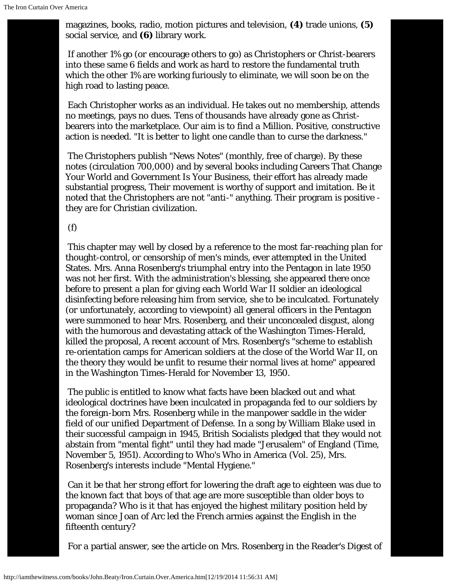magazines, books, radio, motion pictures and television, **(4)** trade unions, **(5)** social service, and **(6)** library work.

 If another 1% go (or encourage others to go) as Christophers or Christ-bearers into these same 6 fields and work as hard to restore the fundamental truth which the other 1% are working furiously to eliminate, we will soon be on the high road to lasting peace.

 Each Christopher works as an individual. He takes out no membership, attends no meetings, pays no dues. Tens of thousands have already gone as Christbearers into the marketplace. Our aim is to find a Million. Positive, constructive action is needed. "It is better to light one candle than to curse the darkness."

 The Christophers publish "News Notes" (monthly, free of charge). By these notes (circulation 700,000) and by several books including Careers That Change Your World and Government Is Your Business, their effort has already made substantial progress, Their movement is worthy of support and imitation. Be it noted that the Christophers are not "anti-" anything. Their program is positive they are for Christian civilization.

#### (f)

 This chapter may well by closed by a reference to the most far-reaching plan for thought-control, or censorship of men's minds, ever attempted in the United States. Mrs. Anna Rosenberg's triumphal entry into the Pentagon in late 1950 was not her first. With the administration's blessing, she appeared there once before to present a plan for giving each World War II soldier an ideological disinfecting before releasing him from service, she to be inculcated. Fortunately (or unfortunately, according to viewpoint) all general officers in the Pentagon were summoned to hear Mrs. Rosenberg, and their unconcealed disgust, along with the humorous and devastating attack of the Washington Times-Herald, killed the proposal, A recent account of Mrs. Rosenberg's "scheme to establish re-orientation camps for American soldiers at the close of the World War II, on the theory they would be unfit to resume their normal lives at home" appeared in the Washington Times-Herald for November 13, 1950.

 The public is entitled to know what facts have been blacked out and what ideological doctrines have been inculcated in propaganda fed to our soldiers by the foreign-born Mrs. Rosenberg while in the manpower saddle in the wider field of our unified Department of Defense. In a song by William Blake used in their successful campaign in 1945, British Socialists pledged that they would not abstain from "mental fight" until they had made "Jerusalem" of England (Time, November 5, 1951). According to Who's Who in America (Vol. 25), Mrs. Rosenberg's interests include "Mental Hygiene."

 Can it be that her strong effort for lowering the draft age to eighteen was due to the known fact that boys of that age are more susceptible than older boys to propaganda? Who is it that has enjoyed the highest military position held by woman since Joan of Arc led the French armies against the English in the fifteenth century?

For a partial answer, see the article on Mrs. Rosenberg in the Reader's Digest of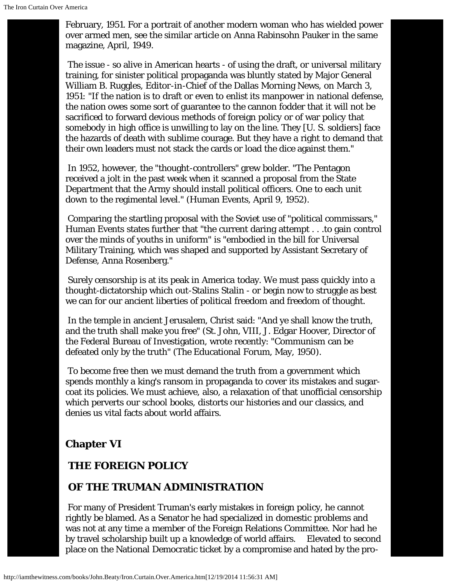February, 1951. For a portrait of another modern woman who has wielded power over armed men, see the similar article on Anna Rabinsohn Pauker in the same magazine, April, 1949.

 The issue - so alive in American hearts - of using the draft, or universal military training, for sinister political propaganda was bluntly stated by Major General William B. Ruggles, Editor-in-Chief of the Dallas Morning News, on March 3, 1951: "If the nation is to draft or even to enlist its manpower in national defense, the nation owes some sort of guarantee to the cannon fodder that it will not be sacrificed to forward devious methods of foreign policy or of war policy that somebody in high office is unwilling to lay on the line. They [U. S. soldiers] face the hazards of death with sublime courage. But they have a right to demand that their own leaders must not stack the cards or load the dice against them."

 In 1952, however, the "thought-controllers" grew bolder. "The Pentagon received a jolt in the past week when it scanned a proposal from the State Department that the Army should install political officers. One to each unit down to the regimental level." (Human Events, April 9, 1952).

 Comparing the startling proposal with the Soviet use of "political commissars," Human Events states further that "the current daring attempt . . .to gain control over the minds of youths in uniform" is "embodied in the bill for Universal Military Training, which was shaped and supported by Assistant Secretary of Defense, Anna Rosenberg."

 Surely censorship is at its peak in America today. We must pass quickly into a thought-dictatorship which out-Stalins Stalin - or begin now to struggle as best we can for our ancient liberties of political freedom and freedom of thought.

 In the temple in ancient Jerusalem, Christ said: "And ye shall know the truth, and the truth shall make you free" (St. John, VIII, J. Edgar Hoover, Director of the Federal Bureau of Investigation, wrote recently: "Communism can be defeated only by the truth" (The Educational Forum, May, 1950).

 To become free then we must demand the truth from a government which spends monthly a king's ransom in propaganda to cover its mistakes and sugarcoat its policies. We must achieve, also, a relaxation of that unofficial censorship which perverts our school books, distorts our histories and our classics, and denies us vital facts about world affairs.

# **Chapter VI**

## **THE FOREIGN POLICY**

## **OF THE TRUMAN ADMINISTRATION**

 For many of President Truman's early mistakes in foreign policy, he cannot rightly be blamed. As a Senator he had specialized in domestic problems and was not at any time a member of the Foreign Relations Committee. Nor had he by travel scholarship built up a knowledge of world affairs. Elevated to second place on the National Democratic ticket by a compromise and hated by the pro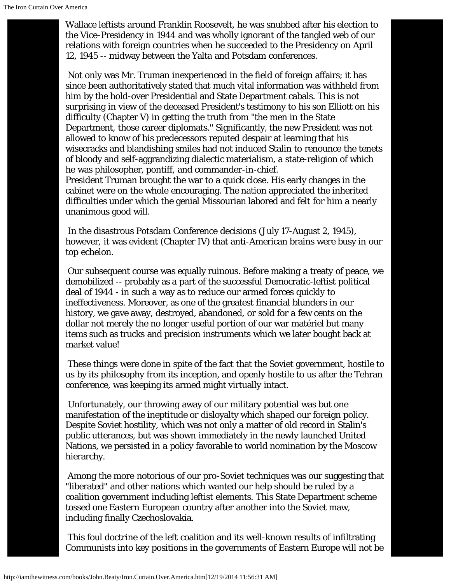Wallace leftists around Franklin Roosevelt, he was snubbed after his election to the Vice-Presidency in 1944 and was wholly ignorant of the tangled web of our relations with foreign countries when he succeeded to the Presidency on April 12, 1945 -- midway between the Yalta and Potsdam conferences.

 Not only was Mr. Truman inexperienced in the field of foreign affairs; it has since been authoritatively stated that much vital information was withheld from him by the hold-over Presidential and State Department cabals. This is not surprising in view of the deceased President's testimony to his son Elliott on his difficulty (Chapter V) in getting the truth from "the men in the State Department, those career diplomats." Significantly, the new President was not allowed to know of his predecessors reputed despair at learning that his wisecracks and blandishing smiles had not induced Stalin to renounce the tenets of bloody and self-aggrandizing dialectic materialism, a state-religion of which he was philosopher, pontiff, and commander-in-chief.

President Truman brought the war to a quick close. His early changes in the cabinet were on the whole encouraging. The nation appreciated the inherited difficulties under which the genial Missourian labored and felt for him a nearly unanimous good will.

 In the disastrous Potsdam Conference decisions (July 17-August 2, 1945), however, it was evident (Chapter IV) that anti-American brains were busy in our top echelon.

 Our subsequent course was equally ruinous. Before making a treaty of peace, we demobilized -- probably as a part of the successful Democratic-leftist political deal of 1944 - in such a way as to reduce our armed forces quickly to ineffectiveness. Moreover, as one of the greatest financial blunders in our history, we gave away, destroyed, abandoned, or sold for a few cents on the dollar not merely the no longer useful portion of our war matériel but many items such as trucks and precision instruments which we later bought back at market value!

 These things were done in spite of the fact that the Soviet government, hostile to us by its philosophy from its inception, and openly hostile to us after the Tehran conference, was keeping its armed might virtually intact.

 Unfortunately, our throwing away of our military potential was but one manifestation of the ineptitude or disloyalty which shaped our foreign policy. Despite Soviet hostility, which was not only a matter of old record in Stalin's public utterances, but was shown immediately in the newly launched United Nations, we persisted in a policy favorable to world nomination by the Moscow hierarchy.

 Among the more notorious of our pro-Soviet techniques was our suggesting that "liberated" and other nations which wanted our help should be ruled by a coalition government including leftist elements. This State Department scheme tossed one Eastern European country after another into the Soviet maw, including finally Czechoslovakia.

 This foul doctrine of the left coalition and its well-known results of infiltrating Communists into key positions in the governments of Eastern Europe will not be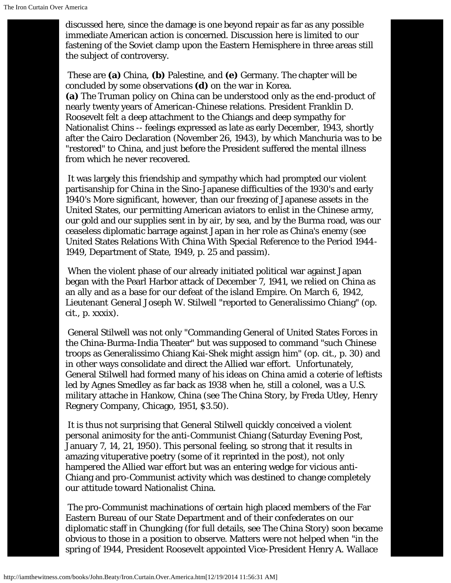discussed here, since the damage is one beyond repair as far as any possible immediate American action is concerned. Discussion here is limited to our fastening of the Soviet clamp upon the Eastern Hemisphere in three areas still the subject of controversy.

 These are **(a)** China, **(b)** Palestine, and **(e)** Germany. The chapter will be concluded by some observations **(d)** on the war in Korea. **(a)** The Truman policy on China can be understood only as the end-product of nearly twenty years of American-Chinese relations. President Franklin D. Roosevelt felt a deep attachment to the Chiangs and deep sympathy for Nationalist Chins -- feelings expressed as late as early December, 1943, shortly after the Cairo Declaration (November 26, 1943), by which Manchuria was to be "restored" to China, and just before the President suffered the mental illness from which he never recovered.

 It was largely this friendship and sympathy which had prompted our violent partisanship for China in the Sino-Japanese difficulties of the 1930's and early 1940's More significant, however, than our freezing of Japanese assets in the United States, our permitting American aviators to enlist in the Chinese army, our gold and our supplies sent in by air, by sea, and by the Burma road, was our ceaseless diplomatic barrage against Japan in her role as China's enemy (see United States Relations With China With Special Reference to the Period 1944- 1949, Department of State, 1949, p. 25 and passim).

 When the violent phase of our already initiated political war against Japan began with the Pearl Harbor attack of December 7, 1941, we relied on China as an ally and as a base for our defeat of the island Empire. On March 6, 1942, Lieutenant General Joseph W. Stilwell "reported to Generalissimo Chiang" (op. cit., p. xxxix).

 General Stilwell was not only "Commanding General of United States Forces in the China-Burma-India Theater" but was supposed to command "such Chinese troops as Generalissimo Chiang Kai-Shek might assign him" (op. cit., p. 30) and in other ways consolidate and direct the Allied war effort. Unfortunately, General Stilwell had formed many of his ideas on China amid a coterie of leftists led by Agnes Smedley as far back as 1938 when he, still a colonel, was a U.S. military attache in Hankow, China (see The China Story, by Freda Utley, Henry Regnery Company, Chicago, 1951, \$3.50).

 It is thus not surprising that General Stilwell quickly conceived a violent personal animosity for the anti-Communist Chiang (Saturday Evening Post, January 7, 14, 21, 1950). This personal feeling, so strong that it results in amazing vituperative poetry (some of it reprinted in the post), not only hampered the Allied war effort but was an entering wedge for vicious anti-Chiang and pro-Communist activity which was destined to change completely our attitude toward Nationalist China.

 The pro-Communist machinations of certain high placed members of the Far Eastern Bureau of our State Department and of their confederates on our diplomatic staff in Chungking (for full details, see The China Story) soon became obvious to those in a position to observe. Matters were not helped when "in the spring of 1944, President Roosevelt appointed Vice-President Henry A. Wallace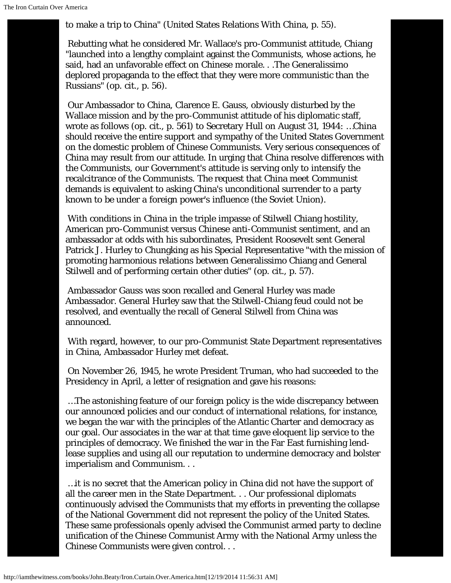to make a trip to China" (United States Relations With China, p. 55).

 Rebutting what he considered Mr. Wallace's pro-Communist attitude, Chiang "launched into a lengthy complaint against the Communists, whose actions, he said, had an unfavorable effect on Chinese morale. . .The Generalissimo deplored propaganda to the effect that they were more communistic than the Russians" (op. cit., p. 56).

 Our Ambassador to China, Clarence E. Gauss, obviously disturbed by the Wallace mission and by the pro-Communist attitude of his diplomatic staff, wrote as follows (op. cit., p. 561) to Secretary Hull on August 31, 1944: …China should receive the entire support and sympathy of the United States Government on the domestic problem of Chinese Communists. Very serious consequences of China may result from our attitude. In urging that China resolve differences with the Communists, our Government's attitude is serving only to intensify the recalcitrance of the Communists. The request that China meet Communist demands is equivalent to asking China's unconditional surrender to a party known to be under a foreign power's influence (the Soviet Union).

 With conditions in China in the triple impasse of Stilwell Chiang hostility, American pro-Communist versus Chinese anti-Communist sentiment, and an ambassador at odds with his subordinates, President Roosevelt sent General Patrick J. Hurley to Chungking as his Special Representative "with the mission of promoting harmonious relations between Generalissimo Chiang and General Stilwell and of performing certain other duties" (op. cit., p. 57).

 Ambassador Gauss was soon recalled and General Hurley was made Ambassador. General Hurley saw that the Stilwell-Chiang feud could not be resolved, and eventually the recall of General Stilwell from China was announced.

 With regard, however, to our pro-Communist State Department representatives in China, Ambassador Hurley met defeat.

 On November 26, 1945, he wrote President Truman, who had succeeded to the Presidency in April, a letter of resignation and gave his reasons:

 …The astonishing feature of our foreign policy is the wide discrepancy between our announced policies and our conduct of international relations, for instance, we began the war with the principles of the Atlantic Charter and democracy as our goal. Our associates in the war at that time gave eloquent lip service to the principles of democracy. We finished the war in the Far East furnishing lendlease supplies and using all our reputation to undermine democracy and bolster imperialism and Communism. . .

 …it is no secret that the American policy in China did not have the support of all the career men in the State Department. . . Our professional diplomats continuously advised the Communists that my efforts in preventing the collapse of the National Government did not represent the policy of the United States. These same professionals openly advised the Communist armed party to decline unification of the Chinese Communist Army with the National Army unless the Chinese Communists were given control. . .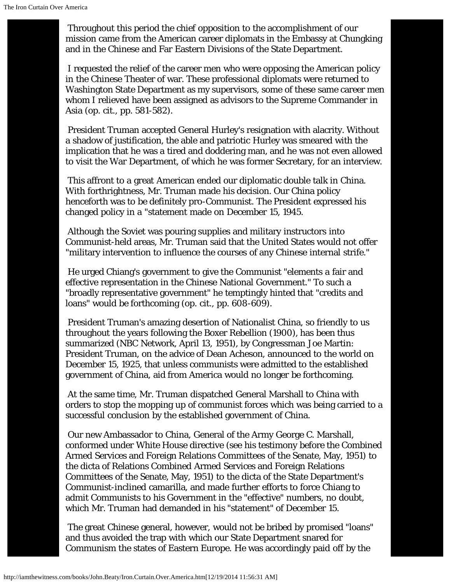Throughout this period the chief opposition to the accomplishment of our mission came from the American career diplomats in the Embassy at Chungking and in the Chinese and Far Eastern Divisions of the State Department.

 I requested the relief of the career men who were opposing the American policy in the Chinese Theater of war. These professional diplomats were returned to Washington State Department as my supervisors, some of these same career men whom I relieved have been assigned as advisors to the Supreme Commander in Asia (op. cit., pp. 581-582).

 President Truman accepted General Hurley's resignation with alacrity. Without a shadow of justification, the able and patriotic Hurley was smeared with the implication that he was a tired and doddering man, and he was not even allowed to visit the War Department, of which he was former Secretary, for an interview.

 This affront to a great American ended our diplomatic double talk in China. With forthrightness, Mr. Truman made his decision. Our China policy henceforth was to be definitely pro-Communist. The President expressed his changed policy in a "statement made on December 15, 1945.

 Although the Soviet was pouring supplies and military instructors into Communist-held areas, Mr. Truman said that the United States would not offer "military intervention to influence the courses of any Chinese internal strife."

 He urged Chiang's government to give the Communist "elements a fair and effective representation in the Chinese National Government." To such a "broadly representative government" he temptingly hinted that "credits and loans" would be forthcoming (op. cit., pp. 608-609).

 President Truman's amazing desertion of Nationalist China, so friendly to us throughout the years following the Boxer Rebellion (1900), has been thus summarized (NBC Network, April 13, 1951), by Congressman Joe Martin: President Truman, on the advice of Dean Acheson, announced to the world on December 15, 1925, that unless communists were admitted to the established government of China, aid from America would no longer be forthcoming.

 At the same time, Mr. Truman dispatched General Marshall to China with orders to stop the mopping up of communist forces which was being carried to a successful conclusion by the established government of China.

 Our new Ambassador to China, General of the Army George C. Marshall, conformed under White House directive (see his testimony before the Combined Armed Services and Foreign Relations Committees of the Senate, May, 1951) to the dicta of Relations Combined Armed Services and Foreign Relations Committees of the Senate, May, 1951) to the dicta of the State Department's Communist-inclined camarilla, and made further efforts to force Chiang to admit Communists to his Government in the "effective" numbers, no doubt, which Mr. Truman had demanded in his "statement" of December 15.

 The great Chinese general, however, would not be bribed by promised "loans" and thus avoided the trap with which our State Department snared for Communism the states of Eastern Europe. He was accordingly paid off by the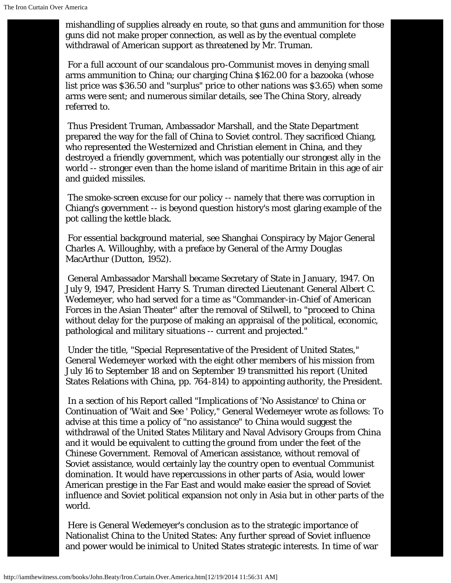mishandling of supplies already en route, so that guns and ammunition for those guns did not make proper connection, as well as by the eventual complete withdrawal of American support as threatened by Mr. Truman.

 For a full account of our scandalous pro-Communist moves in denying small arms ammunition to China; our charging China \$162.00 for a bazooka (whose list price was \$36.50 and "surplus" price to other nations was \$3.65) when some arms were sent; and numerous similar details, see The China Story, already referred to.

 Thus President Truman, Ambassador Marshall, and the State Department prepared the way for the fall of China to Soviet control. They sacrificed Chiang, who represented the Westernized and Christian element in China, and they destroyed a friendly government, which was potentially our strongest ally in the world -- stronger even than the home island of maritime Britain in this age of air and guided missiles.

 The smoke-screen excuse for our policy -- namely that there was corruption in Chiang's government -- is beyond question history's most glaring example of the pot calling the kettle black.

 For essential background material, see Shanghai Conspiracy by Major General Charles A. Willoughby, with a preface by General of the Army Douglas MacArthur (Dutton, 1952).

 General Ambassador Marshall became Secretary of State in January, 1947. On July 9, 1947, President Harry S. Truman directed Lieutenant General Albert C. Wedemeyer, who had served for a time as "Commander-in-Chief of American Forces in the Asian Theater" after the removal of Stilwell, to "proceed to China without delay for the purpose of making an appraisal of the political, economic, pathological and military situations -- current and projected."

 Under the title, "Special Representative of the President of United States," General Wedemeyer worked with the eight other members of his mission from July 16 to September 18 and on September 19 transmitted his report (United States Relations with China, pp. 764-814) to appointing authority, the President.

 In a section of his Report called "Implications of 'No Assistance' to China or Continuation of 'Wait and See ' Policy," General Wedemeyer wrote as follows: To advise at this time a policy of "no assistance" to China would suggest the withdrawal of the United States Military and Naval Advisory Groups from China and it would be equivalent to cutting the ground from under the feet of the Chinese Government. Removal of American assistance, without removal of Soviet assistance, would certainly lay the country open to eventual Communist domination. It would have repercussions in other parts of Asia, would lower American prestige in the Far East and would make easier the spread of Soviet influence and Soviet political expansion not only in Asia but in other parts of the world.

 Here is General Wedemeyer's conclusion as to the strategic importance of Nationalist China to the United States: Any further spread of Soviet influence and power would be inimical to United States strategic interests. In time of war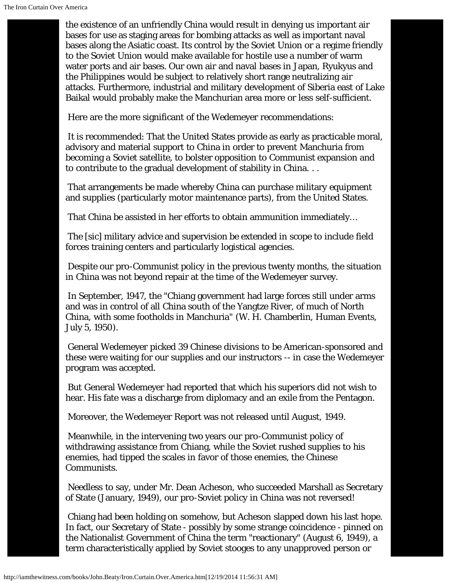the existence of an unfriendly China would result in denying us important air bases for use as staging areas for bombing attacks as well as important naval bases along the Asiatic coast. Its control by the Soviet Union or a regime friendly to the Soviet Union would make available for hostile use a number of warm water ports and air bases. Our own air and naval bases in Japan, Ryukyus and the Philippines would be subject to relatively short range neutralizing air attacks. Furthermore, industrial and military development of Siberia east of Lake Baikal would probably make the Manchurian area more or less self-sufficient.

Here are the more significant of the Wedemeyer recommendations:

 It is recommended: That the United States provide as early as practicable moral, advisory and material support to China in order to prevent Manchuria from becoming a Soviet satellite, to bolster opposition to Communist expansion and to contribute to the gradual development of stability in China. . .

 That arrangements be made whereby China can purchase military equipment and supplies (particularly motor maintenance parts), from the United States.

That China be assisted in her efforts to obtain ammunition immediately…

 The [sic] military advice and supervision be extended in scope to include field forces training centers and particularly logistical agencies.

 Despite our pro-Communist policy in the previous twenty months, the situation in China was not beyond repair at the time of the Wedemeyer survey.

 In September, 1947, the "Chiang government had large forces still under arms and was in control of all China south of the Yangtze River, of much of North China, with some footholds in Manchuria" (W. H. Chamberlin, Human Events, July 5, 1950).

 General Wedemeyer picked 39 Chinese divisions to be American-sponsored and these were waiting for our supplies and our instructors -- in case the Wedemeyer program was accepted.

 But General Wedemeyer had reported that which his superiors did not wish to hear. His fate was a discharge from diplomacy and an exile from the Pentagon.

Moreover, the Wedemeyer Report was not released until August, 1949.

 Meanwhile, in the intervening two years our pro-Communist policy of withdrawing assistance from Chiang, while the Soviet rushed supplies to his enemies, had tipped the scales in favor of those enemies, the Chinese Communists.

 Needless to say, under Mr. Dean Acheson, who succeeded Marshall as Secretary of State (January, 1949), our pro-Soviet policy in China was not reversed!

 Chiang had been holding on somehow, but Acheson slapped down his last hope. In fact, our Secretary of State - possibly by some strange coincidence - pinned on the Nationalist Government of China the term "reactionary" (August 6, 1949), a term characteristically applied by Soviet stooges to any unapproved person or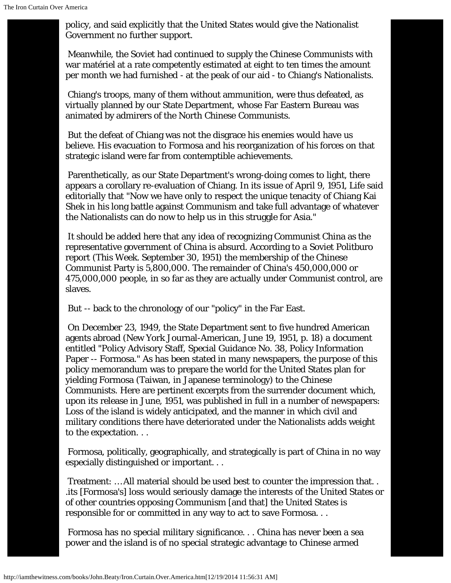policy, and said explicitly that the United States would give the Nationalist Government no further support.

 Meanwhile, the Soviet had continued to supply the Chinese Communists with war matériel at a rate competently estimated at eight to ten times the amount per month we had furnished - at the peak of our aid - to Chiang's Nationalists.

 Chiang's troops, many of them without ammunition, were thus defeated, as virtually planned by our State Department, whose Far Eastern Bureau was animated by admirers of the North Chinese Communists.

 But the defeat of Chiang was not the disgrace his enemies would have us believe. His evacuation to Formosa and his reorganization of his forces on that strategic island were far from contemptible achievements.

 Parenthetically, as our State Department's wrong-doing comes to light, there appears a corollary re-evaluation of Chiang. In its issue of April 9, 1951, Life said editorially that "Now we have only to respect the unique tenacity of Chiang Kai Shek in his long battle against Communism and take full advantage of whatever the Nationalists can do now to help us in this struggle for Asia."

 It should be added here that any idea of recognizing Communist China as the representative government of China is absurd. According to a Soviet Politburo report (This Week. September 30, 1951) the membership of the Chinese Communist Party is 5,800,000. The remainder of China's 450,000,000 or 475,000,000 people, in so far as they are actually under Communist control, are slaves.

But -- back to the chronology of our "policy" in the Far East.

 On December 23, 1949, the State Department sent to five hundred American agents abroad (New York Journal-American, June 19, 1951, p. 18) a document entitled "Policy Advisory Staff, Special Guidance No. 38, Policy Information Paper -- Formosa." As has been stated in many newspapers, the purpose of this policy memorandum was to prepare the world for the United States plan for yielding Formosa (Taiwan, in Japanese terminology) to the Chinese Communists. Here are pertinent excerpts from the surrender document which, upon its release in June, 1951, was published in full in a number of newspapers: Loss of the island is widely anticipated, and the manner in which civil and military conditions there have deteriorated under the Nationalists adds weight to the expectation. . .

 Formosa, politically, geographically, and strategically is part of China in no way especially distinguished or important. . .

 Treatment: … All material should be used best to counter the impression that. . .its [Formosa's] loss would seriously damage the interests of the United States or of other countries opposing Communism [and that] the United States is responsible for or committed in any way to act to save Formosa. . .

 Formosa has no special military significance. . . China has never been a sea power and the island is of no special strategic advantage to Chinese armed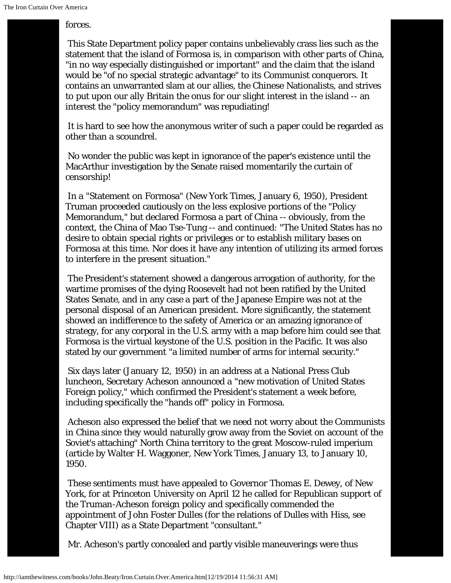#### forces.

 This State Department policy paper contains unbelievably crass lies such as the statement that the island of Formosa is, in comparison with other parts of China, "in no way especially distinguished or important" and the claim that the island would be "of no special strategic advantage" to its Communist conquerors. It contains an unwarranted slam at our allies, the Chinese Nationalists, and strives to put upon our ally Britain the onus for our slight interest in the island -- an interest the "policy memorandum" was repudiating!

 It is hard to see how the anonymous writer of such a paper could be regarded as other than a scoundrel.

 No wonder the public was kept in ignorance of the paper's existence until the MacArthur investigation by the Senate raised momentarily the curtain of censorship!

 In a "Statement on Formosa" (New York Times, January 6, 1950), President Truman proceeded cautiously on the less explosive portions of the "Policy Memorandum," but declared Formosa a part of China -- obviously, from the context, the China of Mao Tse-Tung -- and continued: "The United States has no desire to obtain special rights or privileges or to establish military bases on Formosa at this time. Nor does it have any intention of utilizing its armed forces to interfere in the present situation."

 The President's statement showed a dangerous arrogation of authority, for the wartime promises of the dying Roosevelt had not been ratified by the United States Senate, and in any case a part of the Japanese Empire was not at the personal disposal of an American president. More significantly, the statement showed an indifference to the safety of America or an amazing ignorance of strategy, for any corporal in the U.S. army with a map before him could see that Formosa is the virtual keystone of the U.S. position in the Pacific. It was also stated by our government "a limited number of arms for internal security."

 Six days later (January 12, 1950) in an address at a National Press Club luncheon, Secretary Acheson announced a "new motivation of United States Foreign policy," which confirmed the President's statement a week before, including specifically the "hands off" policy in Formosa.

 Acheson also expressed the belief that we need not worry about the Communists in China since they would naturally grow away from the Soviet on account of the Soviet's attaching" North China territory to the great Moscow-ruled imperium (article by Walter H. Waggoner, New York Times, January 13, to January 10, 1950.

 These sentiments must have appealed to Governor Thomas E. Dewey, of New York, for at Princeton University on April 12 he called for Republican support of the Truman-Acheson foreign policy and specifically commended the appointment of John Foster Dulles (for the relations of Dulles with Hiss, see Chapter VIII) as a State Department "consultant."

Mr. Acheson's partly concealed and partly visible maneuverings were thus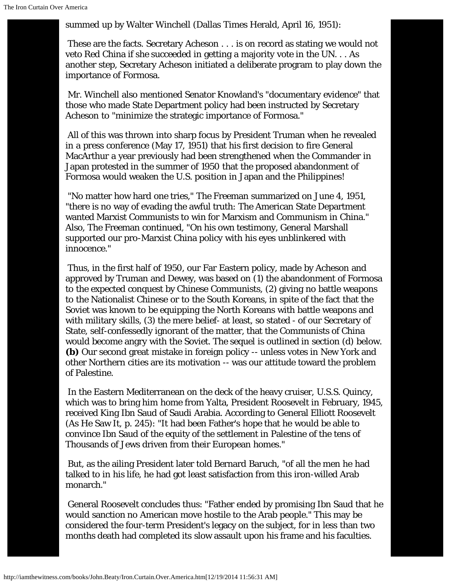summed up by Walter Winchell (Dallas Times Herald, April 16, 1951):

 These are the facts. Secretary Acheson . . . is on record as stating we would not veto Red China if she succeeded in getting a majority vote in the UN. . . As another step, Secretary Acheson initiated a deliberate program to play down the importance of Formosa.

 Mr. Winchell also mentioned Senator Knowland's "documentary evidence" that those who made State Department policy had been instructed by Secretary Acheson to "minimize the strategic importance of Formosa."

 All of this was thrown into sharp focus by President Truman when he revealed in a press conference (May 17, 1951) that his first decision to fire General MacArthur a year previously had been strengthened when the Commander in Japan protested in the summer of 1950 that the proposed abandonment of Formosa would weaken the U.S. position in Japan and the Philippines!

 "No matter how hard one tries," The Freeman summarized on June 4, 1951, "there is no way of evading the awful truth: The American State Department wanted Marxist Communists to win for Marxism and Communism in China." Also, The Freeman continued, "On his own testimony, General Marshall supported our pro-Marxist China policy with his eyes unblinkered with innocence."

 Thus, in the first half of 1950, our Far Eastern policy, made by Acheson and approved by Truman and Dewey, was based on (1) the abandonment of Formosa to the expected conquest by Chinese Communists, (2) giving no battle weapons to the Nationalist Chinese or to the South Koreans, in spite of the fact that the Soviet was known to be equipping the North Koreans with battle weapons and with military skills, (3) the mere belief- at least, so stated - of our Secretary of State, self-confessedly ignorant of the matter, that the Communists of China would become angry with the Soviet. The sequel is outlined in section (d) below. **(b)** Our second great mistake in foreign policy -- unless votes in New York and other Northern cities are its motivation -- was our attitude toward the problem of Palestine.

 In the Eastern Mediterranean on the deck of the heavy cruiser, U.S.S. Quincy, which was to bring him home from Yalta, President Roosevelt in February, 1945, received King Ibn Saud of Saudi Arabia. According to General Elliott Roosevelt (As He Saw It, p. 245): "It had been Father's hope that he would be able to convince Ibn Saud of the equity of the settlement in Palestine of the tens of Thousands of Jews driven from their European homes."

 But, as the ailing President later told Bernard Baruch, "of all the men he had talked to in his life, he had got least satisfaction from this iron-willed Arab monarch."

 General Roosevelt concludes thus: "Father ended by promising Ibn Saud that he would sanction no American move hostile to the Arab people." This may be considered the four-term President's legacy on the subject, for in less than two months death had completed its slow assault upon his frame and his faculties.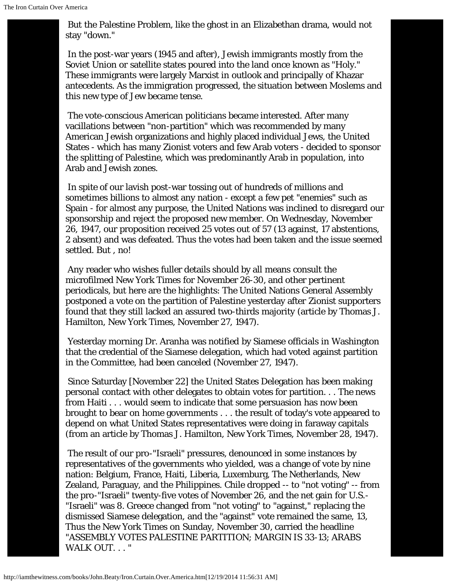But the Palestine Problem, like the ghost in an Elizabethan drama, would not stay "down."

 In the post-war years (1945 and after), Jewish immigrants mostly from the Soviet Union or satellite states poured into the land once known as "Holy." These immigrants were largely Marxist in outlook and principally of Khazar antecedents. As the immigration progressed, the situation between Moslems and this new type of Jew became tense.

 The vote-conscious American politicians became interested. After many vacillations between "non-partition" which was recommended by many American Jewish organizations and highly placed individual Jews, the United States - which has many Zionist voters and few Arab voters - decided to sponsor the splitting of Palestine, which was predominantly Arab in population, into Arab and Jewish zones.

 In spite of our lavish post-war tossing out of hundreds of millions and sometimes billions to almost any nation - except a few pet "enemies" such as Spain - for almost any purpose, the United Nations was inclined to disregard our sponsorship and reject the proposed new member. On Wednesday, November 26, 1947, our proposition received 25 votes out of 57 (13 against, 17 abstentions, 2 absent) and was defeated. Thus the votes had been taken and the issue seemed settled. But , no!

 Any reader who wishes fuller details should by all means consult the microfilmed New York Times for November 26-30, and other pertinent periodicals, but here are the highlights: The United Nations General Assembly postponed a vote on the partition of Palestine yesterday after Zionist supporters found that they still lacked an assured two-thirds majority (article by Thomas J. Hamilton, New York Times, November 27, 1947).

 Yesterday morning Dr. Aranha was notified by Siamese officials in Washington that the credential of the Siamese delegation, which had voted against partition in the Committee, had been canceled (November 27, 1947).

 Since Saturday [November 22] the United States Delegation has been making personal contact with other delegates to obtain votes for partition. . . The news from Haiti . . . would seem to indicate that some persuasion has now been brought to bear on home governments . . . the result of today's vote appeared to depend on what United States representatives were doing in faraway capitals (from an article by Thomas J. Hamilton, New York Times, November 28, 1947).

 The result of our pro-"Israeli" pressures, denounced in some instances by representatives of the governments who yielded, was a change of vote by nine nation: Belgium, France, Haiti, Liberia, Luxemburg, The Netherlands, New Zealand, Paraguay, and the Philippines. Chile dropped -- to "not voting" -- from the pro-"Israeli" twenty-five votes of November 26, and the net gain for U.S.- "Israeli" was 8. Greece changed from "not voting" to "against," replacing the dismissed Siamese delegation, and the "against" vote remained the same, 13, Thus the New York Times on Sunday, November 30, carried the headline "ASSEMBLY VOTES PALESTINE PARTITION; MARGIN IS 33-13; ARABS WALK OUT..."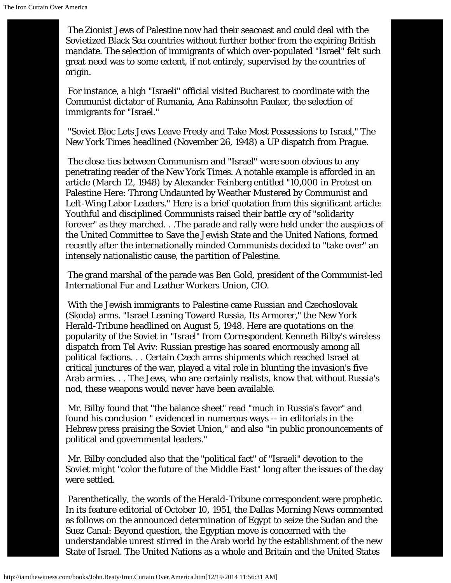The Zionist Jews of Palestine now had their seacoast and could deal with the Sovietized Black Sea countries without further bother from the expiring British mandate. The selection of immigrants of which over-populated "Israel" felt such great need was to some extent, if not entirely, supervised by the countries of origin.

 For instance, a high "Israeli" official visited Bucharest to coordinate with the Communist dictator of Rumania, Ana Rabinsohn Pauker, the selection of immigrants for "Israel."

 "Soviet Bloc Lets Jews Leave Freely and Take Most Possessions to Israel," The New York Times headlined (November 26, 1948) a UP dispatch from Prague.

 The close ties between Communism and "Israel" were soon obvious to any penetrating reader of the New York Times. A notable example is afforded in an article (March 12, 1948) by Alexander Feinberg entitled "10,000 in Protest on Palestine Here: Throng Undaunted by Weather Mustered by Communist and Left-Wing Labor Leaders." Here is a brief quotation from this significant article: Youthful and disciplined Communists raised their battle cry of "solidarity forever" as they marched. . .The parade and rally were held under the auspices of the United Committee to Save the Jewish State and the United Nations, formed recently after the internationally minded Communists decided to "take over" an intensely nationalistic cause, the partition of Palestine.

 The grand marshal of the parade was Ben Gold, president of the Communist-led International Fur and Leather Workers Union, CIO.

 With the Jewish immigrants to Palestine came Russian and Czechoslovak (Skoda) arms. "Israel Leaning Toward Russia, Its Armorer," the New York Herald-Tribune headlined on August 5, 1948. Here are quotations on the popularity of the Soviet in "Israel" from Correspondent Kenneth Bilby's wireless dispatch from Tel Aviv: Russian prestige has soared enormously among all political factions. . . Certain Czech arms shipments which reached Israel at critical junctures of the war, played a vital role in blunting the invasion's five Arab armies. . . The Jews, who are certainly realists, know that without Russia's nod, these weapons would never have been available.

 Mr. Bilby found that "the balance sheet" read "much in Russia's favor" and found his conclusion " evidenced in numerous ways -- in editorials in the Hebrew press praising the Soviet Union," and also "in public pronouncements of political and governmental leaders."

 Mr. Bilby concluded also that the "political fact" of "Israeli" devotion to the Soviet might "color the future of the Middle East" long after the issues of the day were settled.

 Parenthetically, the words of the Herald-Tribune correspondent were prophetic. In its feature editorial of October 10, 1951, the Dallas Morning News commented as follows on the announced determination of Egypt to seize the Sudan and the Suez Canal: Beyond question, the Egyptian move is concerned with the understandable unrest stirred in the Arab world by the establishment of the new State of Israel. The United Nations as a whole and Britain and the United States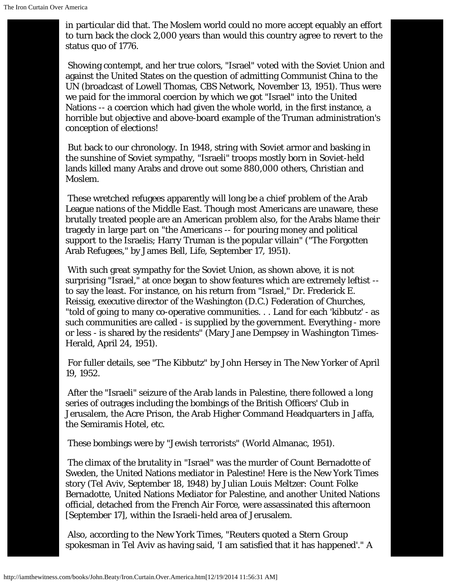in particular did that. The Moslem world could no more accept equably an effort to turn back the clock 2,000 years than would this country agree to revert to the status quo of 1776.

 Showing contempt, and her true colors, "Israel" voted with the Soviet Union and against the United States on the question of admitting Communist China to the UN (broadcast of Lowell Thomas, CBS Network, November 13, 1951). Thus were we paid for the immoral coercion by which we got "Israel" into the United Nations -- a coercion which had given the whole world, in the first instance, a horrible but objective and above-board example of the Truman administration's conception of elections!

 But back to our chronology. In 1948, string with Soviet armor and basking in the sunshine of Soviet sympathy, "Israeli" troops mostly born in Soviet-held lands killed many Arabs and drove out some 880,000 others, Christian and Moslem.

 These wretched refugees apparently will long be a chief problem of the Arab League nations of the Middle East. Though most Americans are unaware, these brutally treated people are an American problem also, for the Arabs blame their tragedy in large part on "the Americans -- for pouring money and political support to the Israelis; Harry Truman is the popular villain" ("The Forgotten Arab Refugees," by James Bell, Life, September 17, 1951).

 With such great sympathy for the Soviet Union, as shown above, it is not surprising "Israel," at once began to show features which are extremely leftist - to say the least. For instance, on his return from "Israel," Dr. Frederick E. Reissig, executive director of the Washington (D.C.) Federation of Churches, "told of going to many co-operative communities. . . Land for each 'kibbutz' - as such communities are called - is supplied by the government. Everything - more or less - is shared by the residents" (Mary Jane Dempsey in Washington Times-Herald, April 24, 1951).

 For fuller details, see "The Kibbutz" by John Hersey in The New Yorker of April 19, 1952.

 After the "Israeli" seizure of the Arab lands in Palestine, there followed a long series of outrages including the bombings of the British Officers' Club in Jerusalem, the Acre Prison, the Arab Higher Command Headquarters in Jaffa, the Semiramis Hotel, etc.

These bombings were by "Jewish terrorists" (World Almanac, 1951).

 The climax of the brutality in "Israel" was the murder of Count Bernadotte of Sweden, the United Nations mediator in Palestine! Here is the New York Times story (Tel Aviv, September 18, 1948) by Julian Louis Meltzer: Count Folke Bernadotte, United Nations Mediator for Palestine, and another United Nations official, detached from the French Air Force, were assassinated this afternoon [September 17], within the Israeli-held area of Jerusalem.

 Also, according to the New York Times, "Reuters quoted a Stern Group spokesman in Tel Aviv as having said, 'I am satisfied that it has happened'." A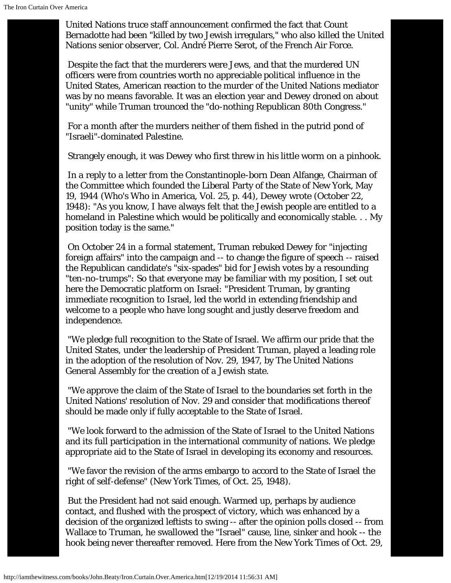United Nations truce staff announcement confirmed the fact that Count Bernadotte had been "killed by two Jewish irregulars," who also killed the United Nations senior observer, Col. André Pierre Serot, of the French Air Force.

 Despite the fact that the murderers were Jews, and that the murdered UN officers were from countries worth no appreciable political influence in the United States, American reaction to the murder of the United Nations mediator was by no means favorable. It was an election year and Dewey droned on about "unity" while Truman trounced the "do-nothing Republican 80th Congress."

 For a month after the murders neither of them fished in the putrid pond of "Israeli"-dominated Palestine.

Strangely enough, it was Dewey who first threw in his little worm on a pinhook.

 In a reply to a letter from the Constantinople-born Dean Alfange, Chairman of the Committee which founded the Liberal Party of the State of New York, May 19, 1944 (Who's Who in America, Vol. 25, p. 44), Dewey wrote (October 22, 1948): "As you know, I have always felt that the Jewish people are entitled to a homeland in Palestine which would be politically and economically stable. . . My position today is the same."

 On October 24 in a formal statement, Truman rebuked Dewey for "injecting foreign affairs" into the campaign and -- to change the figure of speech -- raised the Republican candidate's "six-spades" bid for Jewish votes by a resounding "ten-no-trumps": So that everyone may be familiar with my position, I set out here the Democratic platform on Israel: "President Truman, by granting immediate recognition to Israel, led the world in extending friendship and welcome to a people who have long sought and justly deserve freedom and independence.

 "We pledge full recognition to the State of Israel. We affirm our pride that the United States, under the leadership of President Truman, played a leading role in the adoption of the resolution of Nov. 29, 1947, by The United Nations General Assembly for the creation of a Jewish state.

 "We approve the claim of the State of Israel to the boundaries set forth in the United Nations' resolution of Nov. 29 and consider that modifications thereof should be made only if fully acceptable to the State of Israel.

 "We look forward to the admission of the State of Israel to the United Nations and its full participation in the international community of nations. We pledge appropriate aid to the State of Israel in developing its economy and resources.

 "We favor the revision of the arms embargo to accord to the State of Israel the right of self-defense" (New York Times, of Oct. 25, 1948).

 But the President had not said enough. Warmed up, perhaps by audience contact, and flushed with the prospect of victory, which was enhanced by a decision of the organized leftists to swing -- after the opinion polls closed -- from Wallace to Truman, he swallowed the "Israel" cause, line, sinker and hook -- the hook being never thereafter removed. Here from the New York Times of Oct. 29,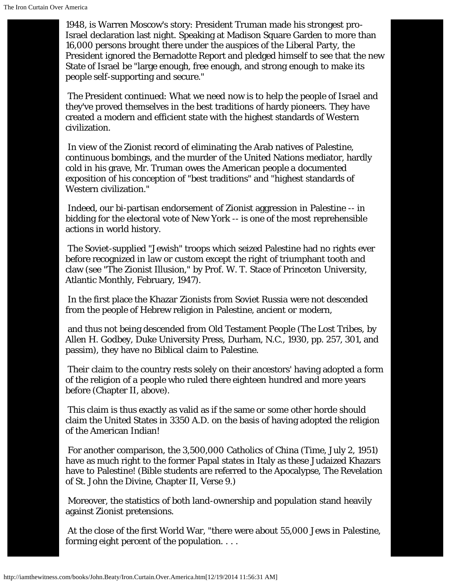1948, is Warren Moscow's story: President Truman made his strongest pro-Israel declaration last night. Speaking at Madison Square Garden to more than 16,000 persons brought there under the auspices of the Liberal Party, the President ignored the Bernadotte Report and pledged himself to see that the new State of Israel be "large enough, free enough, and strong enough to make its people self-supporting and secure."

 The President continued: What we need now is to help the people of Israel and they've proved themselves in the best traditions of hardy pioneers. They have created a modern and efficient state with the highest standards of Western civilization.

 In view of the Zionist record of eliminating the Arab natives of Palestine, continuous bombings, and the murder of the United Nations mediator, hardly cold in his grave, Mr. Truman owes the American people a documented exposition of his conception of "best traditions" and "highest standards of Western civilization."

 Indeed, our bi-partisan endorsement of Zionist aggression in Palestine -- in bidding for the electoral vote of New York -- is one of the most reprehensible actions in world history.

 The Soviet-supplied "Jewish" troops which seized Palestine had no rights ever before recognized in law or custom except the right of triumphant tooth and claw (see "The Zionist Illusion," by Prof. W. T. Stace of Princeton University, Atlantic Monthly, February, 1947).

 In the first place the Khazar Zionists from Soviet Russia were not descended from the people of Hebrew religion in Palestine, ancient or modern,

 and thus not being descended from Old Testament People (The Lost Tribes, by Allen H. Godbey, Duke University Press, Durham, N.C., 1930, pp. 257, 301, and passim), they have no Biblical claim to Palestine.

 Their claim to the country rests solely on their ancestors' having adopted a form of the religion of a people who ruled there eighteen hundred and more years before (Chapter II, above).

 This claim is thus exactly as valid as if the same or some other horde should claim the United States in 3350 A.D. on the basis of having adopted the religion of the American Indian!

 For another comparison, the 3,500,000 Catholics of China (Time, July 2, 1951) have as much right to the former Papal states in Italy as these Judaized Khazars have to Palestine! (Bible students are referred to the Apocalypse, The Revelation of St. John the Divine, Chapter II, Verse 9.)

 Moreover, the statistics of both land-ownership and population stand heavily against Zionist pretensions.

 At the close of the first World War, "there were about 55,000 Jews in Palestine, forming eight percent of the population. . . .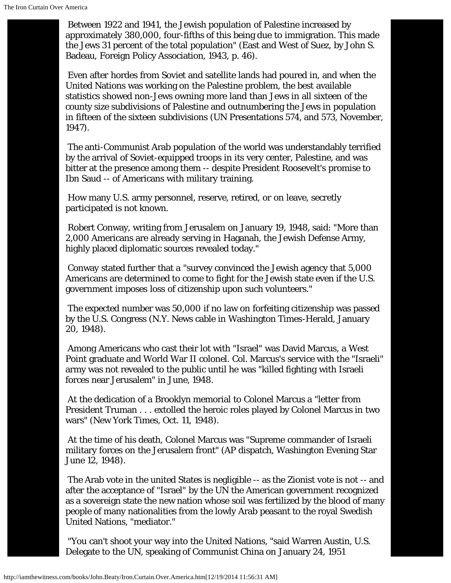Between 1922 and 1941, the Jewish population of Palestine increased by approximately 380,000, four-fifths of this being due to immigration. This made the Jews 31 percent of the total population" (East and West of Suez, by John S. Badeau, Foreign Policy Association, 1943, p. 46).

 Even after hordes from Soviet and satellite lands had poured in, and when the United Nations was working on the Palestine problem, the best available statistics showed non-Jews owning more land than Jews in all sixteen of the county size subdivisions of Palestine and outnumbering the Jews in population in fifteen of the sixteen subdivisions (UN Presentations 574, and 573, November, 1947).

 The anti-Communist Arab population of the world was understandably terrified by the arrival of Soviet-equipped troops in its very center, Palestine, and was bitter at the presence among them -- despite President Roosevelt's promise to Ibn Saud -- of Americans with military training.

 How many U.S. army personnel, reserve, retired, or on leave, secretly participated is not known.

 Robert Conway, writing from Jerusalem on January 19, 1948, said: "More than 2,000 Americans are already serving in Haganah, the Jewish Defense Army, highly placed diplomatic sources revealed today."

 Conway stated further that a "survey convinced the Jewish agency that 5,000 Americans are determined to come to fight for the Jewish state even if the U.S. government imposes loss of citizenship upon such volunteers."

 The expected number was 50,000 if no law on forfeiting citizenship was passed by the U.S. Congress (N.Y. News cable in Washington Times-Herald, January 20, 1948).

 Among Americans who cast their lot with "Israel" was David Marcus, a West Point graduate and World War II colonel. Col. Marcus's service with the "Israeli" army was not revealed to the public until he was "killed fighting with Israeli forces near Jerusalem" in June, 1948.

 At the dedication of a Brooklyn memorial to Colonel Marcus a "letter from President Truman . . . extolled the heroic roles played by Colonel Marcus in two wars" (New York Times, Oct. 11, 1948).

 At the time of his death, Colonel Marcus was "Supreme commander of Israeli military forces on the Jerusalem front" (AP dispatch, Washington Evening Star June 12, 1948).

 The Arab vote in the united States is negligible -- as the Zionist vote is not -- and after the acceptance of "Israel" by the UN the American government recognized as a sovereign state the new nation whose soil was fertilized by the blood of many people of many nationalities from the lowly Arab peasant to the royal Swedish United Nations, "mediator."

 "You can't shoot your way into the United Nations, "said Warren Austin, U.S. Delegate to the UN, speaking of Communist China on January 24, 1951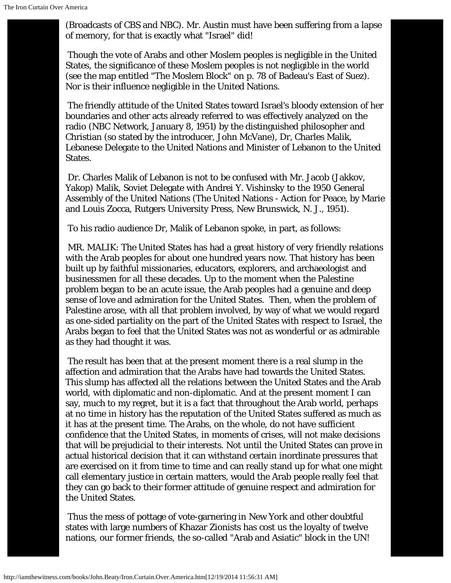(Broadcasts of CBS and NBC). Mr. Austin must have been suffering from a lapse of memory, for that is exactly what "Israel" did!

 Though the vote of Arabs and other Moslem peoples is negligible in the United States, the significance of these Moslem peoples is not negligible in the world (see the map entitled "The Moslem Block" on p. 78 of Badeau's East of Suez). Nor is their influence negligible in the United Nations.

 The friendly attitude of the United States toward Israel's bloody extension of her boundaries and other acts already referred to was effectively analyzed on the radio (NBC Network, January 8, 1951) by the distinguished philosopher and Christian (so stated by the introducer, John McVane), Dr, Charles Malik, Lebanese Delegate to the United Nations and Minister of Lebanon to the United States.

 Dr. Charles Malik of Lebanon is not to be confused with Mr. Jacob (Jakkov, Yakop) Malik, Soviet Delegate with Andrei Y. Vishinsky to the 1950 General Assembly of the United Nations (The United Nations - Action for Peace, by Marie and Louis Zocca, Rutgers University Press, New Brunswick, N. J., 1951).

To his radio audience Dr, Malik of Lebanon spoke, in part, as follows:

 MR. MALIK: The United States has had a great history of very friendly relations with the Arab peoples for about one hundred years now. That history has been built up by faithful missionaries, educators, explorers, and archaeologist and businessmen for all these decades. Up to the moment when the Palestine problem began to be an acute issue, the Arab peoples had a genuine and deep sense of love and admiration for the United States. Then, when the problem of Palestine arose, with all that problem involved, by way of what we would regard as one-sided partiality on the part of the United States with respect to Israel, the Arabs began to feel that the United States was not as wonderful or as admirable as they had thought it was.

 The result has been that at the present moment there is a real slump in the affection and admiration that the Arabs have had towards the United States. This slump has affected all the relations between the United States and the Arab world, with diplomatic and non-diplomatic. And at the present moment I can say, much to my regret, but it is a fact that throughout the Arab world, perhaps at no time in history has the reputation of the United States suffered as much as it has at the present time. The Arabs, on the whole, do not have sufficient confidence that the United States, in moments of crises, will not make decisions that will be prejudicial to their interests. Not until the United States can prove in actual historical decision that it can withstand certain inordinate pressures that are exercised on it from time to time and can really stand up for what one might call elementary justice in certain matters, would the Arab people really feel that they can go back to their former attitude of genuine respect and admiration for the United States.

 Thus the mess of pottage of vote-garnering in New York and other doubtful states with large numbers of Khazar Zionists has cost us the loyalty of twelve nations, our former friends, the so-called "Arab and Asiatic" block in the UN!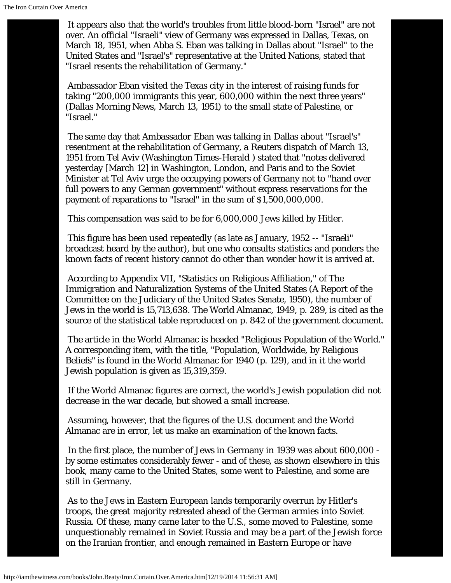It appears also that the world's troubles from little blood-born "Israel" are not over. An official "Israeli" view of Germany was expressed in Dallas, Texas, on March 18, 1951, when Abba S. Eban was talking in Dallas about "Israel" to the United States and "Israel's" representative at the United Nations, stated that "Israel resents the rehabilitation of Germany."

 Ambassador Eban visited the Texas city in the interest of raising funds for taking "200,000 immigrants this year, 600,000 within the next three years" (Dallas Morning News, March 13, 1951) to the small state of Palestine, or "Israel."

 The same day that Ambassador Eban was talking in Dallas about "Israel's" resentment at the rehabilitation of Germany, a Reuters dispatch of March 13, 1951 from Tel Aviv (Washington Times-Herald ) stated that "notes delivered yesterday [March 12] in Washington, London, and Paris and to the Soviet Minister at Tel Aviv urge the occupying powers of Germany not to "hand over full powers to any German government" without express reservations for the payment of reparations to "Israel" in the sum of \$1,500,000,000.

This compensation was said to be for 6,000,000 Jews killed by Hitler.

 This figure has been used repeatedly (as late as January, 1952 -- "Israeli" broadcast heard by the author), but one who consults statistics and ponders the known facts of recent history cannot do other than wonder how it is arrived at.

 According to Appendix VII, "Statistics on Religious Affiliation," of The Immigration and Naturalization Systems of the United States (A Report of the Committee on the Judiciary of the United States Senate, 1950), the number of Jews in the world is 15,713,638. The World Almanac, 1949, p. 289, is cited as the source of the statistical table reproduced on p. 842 of the government document.

 The article in the World Almanac is headed "Religious Population of the World." A corresponding item, with the title, "Population, Worldwide, by Religious Beliefs" is found in the World Almanac for 1940 (p. 129), and in it the world Jewish population is given as 15,319,359.

 If the World Almanac figures are correct, the world's Jewish population did not decrease in the war decade, but showed a small increase.

 Assuming, however, that the figures of the U.S. document and the World Almanac are in error, let us make an examination of the known facts.

 In the first place, the number of Jews in Germany in 1939 was about 600,000 by some estimates considerably fewer - and of these, as shown elsewhere in this book, many came to the United States, some went to Palestine, and some are still in Germany.

 As to the Jews in Eastern European lands temporarily overrun by Hitler's troops, the great majority retreated ahead of the German armies into Soviet Russia. Of these, many came later to the U.S., some moved to Palestine, some unquestionably remained in Soviet Russia and may be a part of the Jewish force on the Iranian frontier, and enough remained in Eastern Europe or have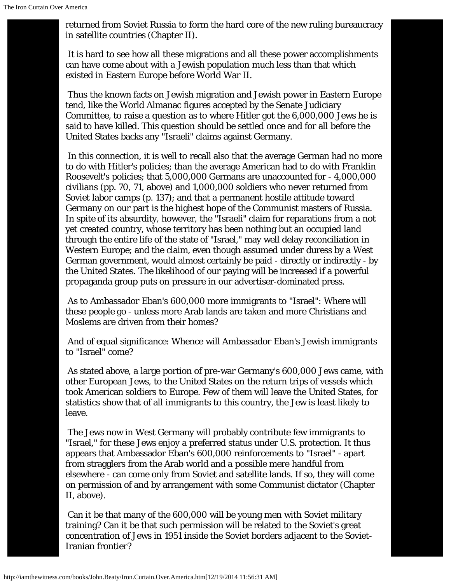returned from Soviet Russia to form the hard core of the new ruling bureaucracy in satellite countries (Chapter II).

 It is hard to see how all these migrations and all these power accomplishments can have come about with a Jewish population much less than that which existed in Eastern Europe before World War II.

 Thus the known facts on Jewish migration and Jewish power in Eastern Europe tend, like the World Almanac figures accepted by the Senate Judiciary Committee, to raise a question as to where Hitler got the 6,000,000 Jews he is said to have killed. This question should be settled once and for all before the United States backs any "Israeli" claims against Germany.

 In this connection, it is well to recall also that the average German had no more to do with Hitler's policies; than the average American had to do with Franklin Roosevelt's policies; that 5,000,000 Germans are unaccounted for - 4,000,000 civilians (pp. 70, 71, above) and 1,000,000 soldiers who never returned from Soviet labor camps (p. 137); and that a permanent hostile attitude toward Germany on our part is the highest hope of the Communist masters of Russia. In spite of its absurdity, however, the "Israeli" claim for reparations from a not yet created country, whose territory has been nothing but an occupied land through the entire life of the state of "Israel," may well delay reconciliation in Western Europe; and the claim, even though assumed under duress by a West German government, would almost certainly be paid - directly or indirectly - by the United States. The likelihood of our paying will be increased if a powerful propaganda group puts on pressure in our advertiser-dominated press.

 As to Ambassador Eban's 600,000 more immigrants to "Israel": Where will these people go - unless more Arab lands are taken and more Christians and Moslems are driven from their homes?

 And of equal significance: Whence will Ambassador Eban's Jewish immigrants to "Israel" come?

 As stated above, a large portion of pre-war Germany's 600,000 Jews came, with other European Jews, to the United States on the return trips of vessels which took American soldiers to Europe. Few of them will leave the United States, for statistics show that of all immigrants to this country, the Jew is least likely to leave.

 The Jews now in West Germany will probably contribute few immigrants to "Israel," for these Jews enjoy a preferred status under U.S. protection. It thus appears that Ambassador Eban's 600,000 reinforcements to "Israel" - apart from stragglers from the Arab world and a possible mere handful from elsewhere - can come only from Soviet and satellite lands. If so, they will come on permission of and by arrangement with some Communist dictator (Chapter II, above).

 Can it be that many of the 600,000 will be young men with Soviet military training? Can it be that such permission will be related to the Soviet's great concentration of Jews in 1951 inside the Soviet borders adjacent to the Soviet-Iranian frontier?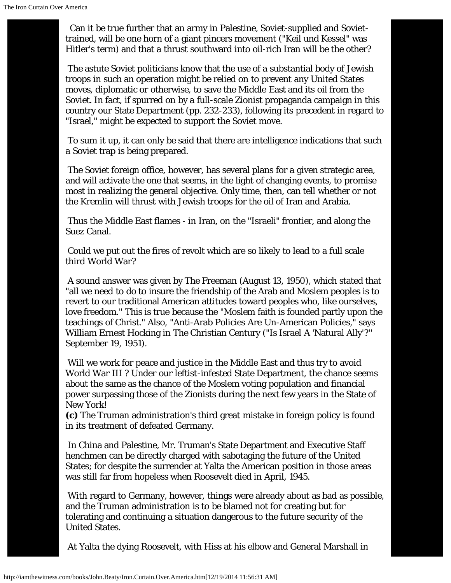Can it be true further that an army in Palestine, Soviet-supplied and Soviettrained, will be one horn of a giant pincers movement ("Keil und Kessel" was Hitler's term) and that a thrust southward into oil-rich Iran will be the other?

 The astute Soviet politicians know that the use of a substantial body of Jewish troops in such an operation might be relied on to prevent any United States moves, diplomatic or otherwise, to save the Middle East and its oil from the Soviet. In fact, if spurred on by a full-scale Zionist propaganda campaign in this country our State Department (pp. 232-233), following its precedent in regard to "Israel," might be expected to support the Soviet move.

 To sum it up, it can only be said that there are intelligence indications that such a Soviet trap is being prepared.

 The Soviet foreign office, however, has several plans for a given strategic area, and will activate the one that seems, in the light of changing events, to promise most in realizing the general objective. Only time, then, can tell whether or not the Kremlin will thrust with Jewish troops for the oil of Iran and Arabia.

 Thus the Middle East flames - in Iran, on the "Israeli" frontier, and along the Suez Canal.

 Could we put out the fires of revolt which are so likely to lead to a full scale third World War?

 A sound answer was given by The Freeman (August 13, 1950), which stated that "all we need to do to insure the friendship of the Arab and Moslem peoples is to revert to our traditional American attitudes toward peoples who, like ourselves, love freedom." This is true because the "Moslem faith is founded partly upon the teachings of Christ." Also, "Anti-Arab Policies Are Un-American Policies," says William Ernest Hocking in The Christian Century ("Is Israel A 'Natural Ally'?" September 19, 1951).

 Will we work for peace and justice in the Middle East and thus try to avoid World War III ? Under our leftist-infested State Department, the chance seems about the same as the chance of the Moslem voting population and financial power surpassing those of the Zionists during the next few years in the State of New York!

**(c)** The Truman administration's third great mistake in foreign policy is found in its treatment of defeated Germany.

 In China and Palestine, Mr. Truman's State Department and Executive Staff henchmen can be directly charged with sabotaging the future of the United States; for despite the surrender at Yalta the American position in those areas was still far from hopeless when Roosevelt died in April, 1945.

 With regard to Germany, however, things were already about as bad as possible, and the Truman administration is to be blamed not for creating but for tolerating and continuing a situation dangerous to the future security of the United States.

At Yalta the dying Roosevelt, with Hiss at his elbow and General Marshall in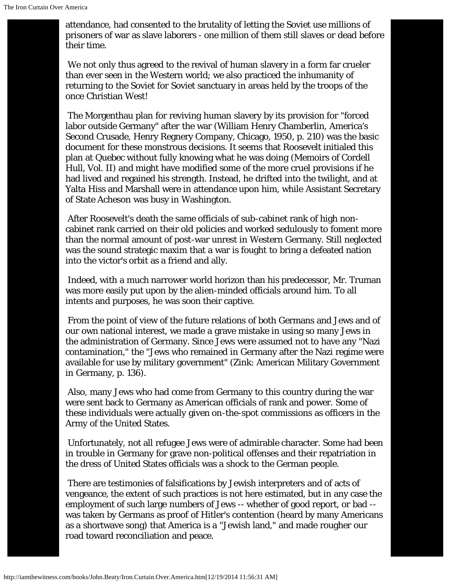attendance, had consented to the brutality of letting the Soviet use millions of prisoners of war as slave laborers - one million of them still slaves or dead before their time.

 We not only thus agreed to the revival of human slavery in a form far crueler than ever seen in the Western world; we also practiced the inhumanity of returning to the Soviet for Soviet sanctuary in areas held by the troops of the once Christian West!

 The Morgenthau plan for reviving human slavery by its provision for "forced labor outside Germany" after the war (William Henry Chamberlin, America's Second Crusade, Henry Regnery Company, Chicago, 1950, p. 210) was the basic document for these monstrous decisions. It seems that Roosevelt initialed this plan at Quebec without fully knowing what he was doing (Memoirs of Cordell Hull, Vol. II) and might have modified some of the more cruel provisions if he had lived and regained his strength. Instead, he drifted into the twilight, and at Yalta Hiss and Marshall were in attendance upon him, while Assistant Secretary of State Acheson was busy in Washington.

 After Roosevelt's death the same officials of sub-cabinet rank of high noncabinet rank carried on their old policies and worked sedulously to foment more than the normal amount of post-war unrest in Western Germany. Still neglected was the sound strategic maxim that a war is fought to bring a defeated nation into the victor's orbit as a friend and ally.

 Indeed, with a much narrower world horizon than his predecessor, Mr. Truman was more easily put upon by the alien-minded officials around him. To all intents and purposes, he was soon their captive.

 From the point of view of the future relations of both Germans and Jews and of our own national interest, we made a grave mistake in using so many Jews in the administration of Germany. Since Jews were assumed not to have any "Nazi contamination," the "Jews who remained in Germany after the Nazi regime were available for use by military government" (Zink: American Military Government in Germany, p. 136).

 Also, many Jews who had come from Germany to this country during the war were sent back to Germany as American officials of rank and power. Some of these individuals were actually given on-the-spot commissions as officers in the Army of the United States.

 Unfortunately, not all refugee Jews were of admirable character. Some had been in trouble in Germany for grave non-political offenses and their repatriation in the dress of United States officials was a shock to the German people.

 There are testimonies of falsifications by Jewish interpreters and of acts of vengeance, the extent of such practices is not here estimated, but in any case the employment of such large numbers of Jews -- whether of good report, or bad - was taken by Germans as proof of Hitler's contention (heard by many Americans as a shortwave song) that America is a "Jewish land," and made rougher our road toward reconciliation and peace.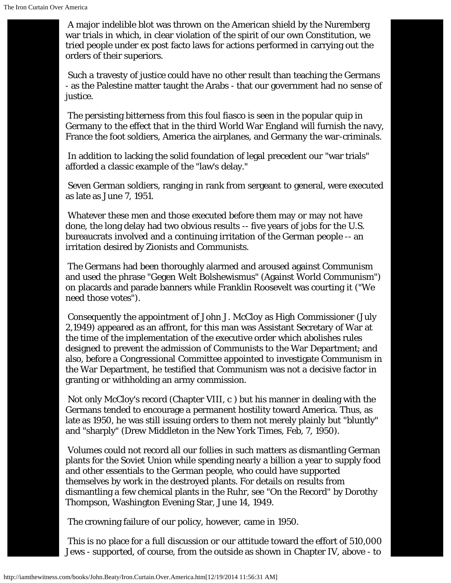A major indelible blot was thrown on the American shield by the Nuremberg war trials in which, in clear violation of the spirit of our own Constitution, we tried people under ex post facto laws for actions performed in carrying out the orders of their superiors.

 Such a travesty of justice could have no other result than teaching the Germans - as the Palestine matter taught the Arabs - that our government had no sense of justice.

 The persisting bitterness from this foul fiasco is seen in the popular quip in Germany to the effect that in the third World War England will furnish the navy, France the foot soldiers, America the airplanes, and Germany the war-criminals.

 In addition to lacking the solid foundation of legal precedent our "war trials" afforded a classic example of the "law's delay."

 Seven German soldiers, ranging in rank from sergeant to general, were executed as late as June 7, 1951.

 Whatever these men and those executed before them may or may not have done, the long delay had two obvious results -- five years of jobs for the U.S. bureaucrats involved and a continuing irritation of the German people -- an irritation desired by Zionists and Communists.

 The Germans had been thoroughly alarmed and aroused against Communism and used the phrase "Gegen Welt Bolshewismus" (Against World Communism") on placards and parade banners while Franklin Roosevelt was courting it ("We need those votes").

 Consequently the appointment of John J. McCloy as High Commissioner (July 2,1949) appeared as an affront, for this man was Assistant Secretary of War at the time of the implementation of the executive order which abolishes rules designed to prevent the admission of Communists to the War Department; and also, before a Congressional Committee appointed to investigate Communism in the War Department, he testified that Communism was not a decisive factor in granting or withholding an army commission.

 Not only McCloy's record (Chapter VIII, c ) but his manner in dealing with the Germans tended to encourage a permanent hostility toward America. Thus, as late as 1950, he was still issuing orders to them not merely plainly but "bluntly" and "sharply" (Drew Middleton in the New York Times, Feb, 7, 1950).

 Volumes could not record all our follies in such matters as dismantling German plants for the Soviet Union while spending nearly a billion a year to supply food and other essentials to the German people, who could have supported themselves by work in the destroyed plants. For details on results from dismantling a few chemical plants in the Ruhr, see "On the Record" by Dorothy Thompson, Washington Evening Star, June 14, 1949.

The crowning failure of our policy, however, came in 1950.

 This is no place for a full discussion or our attitude toward the effort of 510,000 Jews - supported, of course, from the outside as shown in Chapter IV, above - to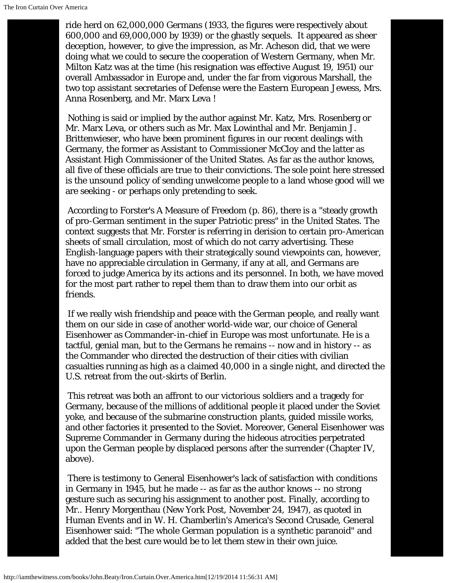ride herd on 62,000,000 Germans (1933, the figures were respectively about 600,000 and 69,000,000 by 1939) or the ghastly sequels. It appeared as sheer deception, however, to give the impression, as Mr. Acheson did, that we were doing what we could to secure the cooperation of Western Germany, when Mr. Milton Katz was at the time (his resignation was effective August 19, 1951) our overall Ambassador in Europe and, under the far from vigorous Marshall, the two top assistant secretaries of Defense were the Eastern European Jewess, Mrs. Anna Rosenberg, and Mr. Marx Leva !

 Nothing is said or implied by the author against Mr. Katz, Mrs. Rosenberg or Mr. Marx Leva, or others such as Mr. Max Lowinthal and Mr. Benjamin J. Brittenwieser, who have been prominent figures in our recent dealings with Germany, the former as Assistant to Commissioner McCloy and the latter as Assistant High Commissioner of the United States. As far as the author knows, all five of these officials are true to their convictions. The sole point here stressed is the unsound policy of sending unwelcome people to a land whose good will we are seeking - or perhaps only pretending to seek.

 According to Forster's A Measure of Freedom (p. 86), there is a "steady growth of pro-German sentiment in the super Patriotic press" in the United States. The context suggests that Mr. Forster is referring in derision to certain pro-American sheets of small circulation, most of which do not carry advertising. These English-language papers with their strategically sound viewpoints can, however, have no appreciable circulation in Germany, if any at all, and Germans are forced to judge America by its actions and its personnel. In both, we have moved for the most part rather to repel them than to draw them into our orbit as friends.

 If we really wish friendship and peace with the German people, and really want them on our side in case of another world-wide war, our choice of General Eisenhower as Commander-in-chief in Europe was most unfortunate. He is a tactful, genial man, but to the Germans he remains -- now and in history -- as the Commander who directed the destruction of their cities with civilian casualties running as high as a claimed 40,000 in a single night, and directed the U.S. retreat from the out-skirts of Berlin.

 This retreat was both an affront to our victorious soldiers and a tragedy for Germany, because of the millions of additional people it placed under the Soviet yoke, and because of the submarine construction plants, guided missile works, and other factories it presented to the Soviet. Moreover, General Eisenhower was Supreme Commander in Germany during the hideous atrocities perpetrated upon the German people by displaced persons after the surrender (Chapter IV, above).

 There is testimony to General Eisenhower's lack of satisfaction with conditions in Germany in 1945, but he made -- as far as the author knows -- no strong gesture such as securing his assignment to another post. Finally, according to Mr.. Henry Morgenthau (New York Post, November 24, 1947), as quoted in Human Events and in W. H. Chamberlin's America's Second Crusade, General Eisenhower said: "The whole German population is a synthetic paranoid" and added that the best cure would be to let them stew in their own juice.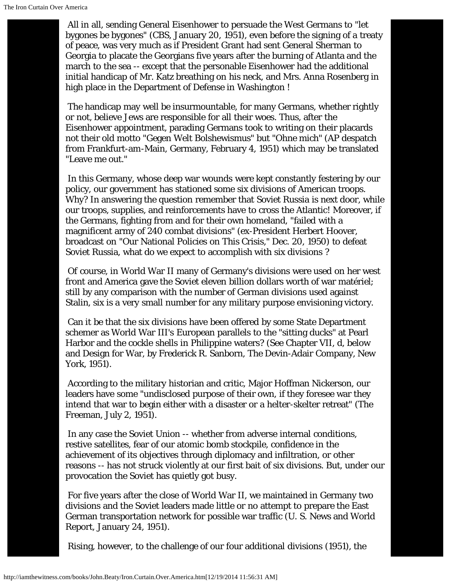All in all, sending General Eisenhower to persuade the West Germans to "let bygones be bygones" (CBS, January 20, 1951), even before the signing of a treaty of peace, was very much as if President Grant had sent General Sherman to Georgia to placate the Georgians five years after the burning of Atlanta and the march to the sea -- except that the personable Eisenhower had the additional initial handicap of Mr. Katz breathing on his neck, and Mrs. Anna Rosenberg in high place in the Department of Defense in Washington !

 The handicap may well be insurmountable, for many Germans, whether rightly or not, believe Jews are responsible for all their woes. Thus, after the Eisenhower appointment, parading Germans took to writing on their placards not their old motto "Gegen Welt Bolshewismus" but "Ohne mich" (AP despatch from Frankfurt-am-Main, Germany, February 4, 1951) which may be translated "Leave me out."

 In this Germany, whose deep war wounds were kept constantly festering by our policy, our government has stationed some six divisions of American troops. Why? In answering the question remember that Soviet Russia is next door, while our troops, supplies, and reinforcements have to cross the Atlantic! Moreover, if the Germans, fighting from and for their own homeland, "failed with a magnificent army of 240 combat divisions" (ex-President Herbert Hoover, broadcast on "Our National Policies on This Crisis," Dec. 20, 1950) to defeat Soviet Russia, what do we expect to accomplish with six divisions ?

 Of course, in World War II many of Germany's divisions were used on her west front and America gave the Soviet eleven billion dollars worth of war matériel; still by any comparison with the number of German divisions used against Stalin, six is a very small number for any military purpose envisioning victory.

 Can it be that the six divisions have been offered by some State Department schemer as World War III's European parallels to the "sitting ducks" at Pearl Harbor and the cockle shells in Philippine waters? (See Chapter VII, d, below and Design for War, by Frederick R. Sanborn, The Devin-Adair Company, New York, 1951).

 According to the military historian and critic, Major Hoffman Nickerson, our leaders have some "undisclosed purpose of their own, if they foresee war they intend that war to begin either with a disaster or a helter-skelter retreat" (The Freeman, July 2, 1951).

 In any case the Soviet Union -- whether from adverse internal conditions, restive satellites, fear of our atomic bomb stockpile, confidence in the achievement of its objectives through diplomacy and infiltration, or other reasons -- has not struck violently at our first bait of six divisions. But, under our provocation the Soviet has quietly got busy.

 For five years after the close of World War II, we maintained in Germany two divisions and the Soviet leaders made little or no attempt to prepare the East German transportation network for possible war traffic (U. S. News and World Report, January 24, 1951).

Rising, however, to the challenge of our four additional divisions (1951), the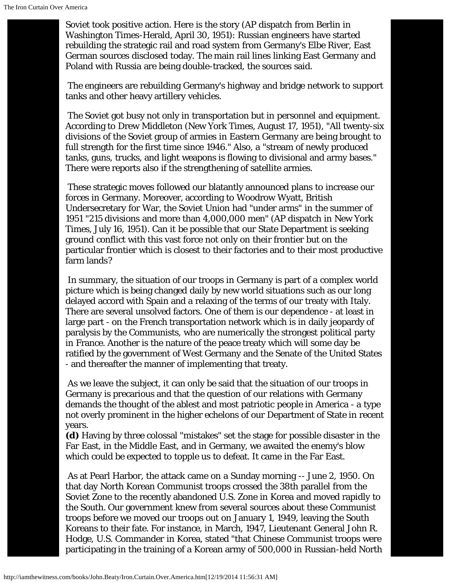Soviet took positive action. Here is the story (AP dispatch from Berlin in Washington Times-Herald, April 30, 1951): Russian engineers have started rebuilding the strategic rail and road system from Germany's Elbe River, East German sources disclosed today. The main rail lines linking East Germany and Poland with Russia are being double-tracked, the sources said.

 The engineers are rebuilding Germany's highway and bridge network to support tanks and other heavy artillery vehicles.

 The Soviet got busy not only in transportation but in personnel and equipment. According to Drew Middleton (New York Times, August 17, 1951), "All twenty-six divisions of the Soviet group of armies in Eastern Germany are being brought to full strength for the first time since 1946." Also, a "stream of newly produced tanks, guns, trucks, and light weapons is flowing to divisional and army bases." There were reports also if the strengthening of satellite armies.

 These strategic moves followed our blatantly announced plans to increase our forces in Germany. Moreover, according to Woodrow Wyatt, British Undersecretary for War, the Soviet Union had "under arms" in the summer of 1951 "215 divisions and more than 4,000,000 men" (AP dispatch in New York Times, July 16, 1951). Can it be possible that our State Department is seeking ground conflict with this vast force not only on their frontier but on the particular frontier which is closest to their factories and to their most productive farm lands?

 In summary, the situation of our troops in Germany is part of a complex world picture which is being changed daily by new world situations such as our long delayed accord with Spain and a relaxing of the terms of our treaty with Italy. There are several unsolved factors. One of them is our dependence - at least in large part - on the French transportation network which is in daily jeopardy of paralysis by the Communists, who are numerically the strongest political party in France. Another is the nature of the peace treaty which will some day be ratified by the government of West Germany and the Senate of the United States - and thereafter the manner of implementing that treaty.

 As we leave the subject, it can only be said that the situation of our troops in Germany is precarious and that the question of our relations with Germany demands the thought of the ablest and most patriotic people in America - a type not overly prominent in the higher echelons of our Department of State in recent years.

**(d)** Having by three colossal "mistakes" set the stage for possible disaster in the Far East, in the Middle East, and in Germany, we awaited the enemy's blow which could be expected to topple us to defeat. It came in the Far East.

 As at Pearl Harbor, the attack came on a Sunday morning -- June 2, 1950. On that day North Korean Communist troops crossed the 38th parallel from the Soviet Zone to the recently abandoned U.S. Zone in Korea and moved rapidly to the South. Our government knew from several sources about these Communist troops before we moved our troops out on January 1, 1949, leaving the South Koreans to their fate. For instance, in March, 1947, Lieutenant General John R. Hodge, U.S. Commander in Korea, stated "that Chinese Communist troops were participating in the training of a Korean army of 500,000 in Russian-held North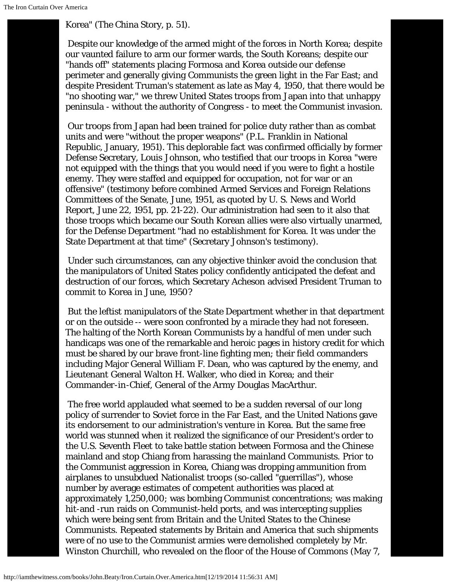### Korea" (The China Story, p. 51).

 Despite our knowledge of the armed might of the forces in North Korea; despite our vaunted failure to arm our former wards, the South Koreans; despite our "hands off" statements placing Formosa and Korea outside our defense perimeter and generally giving Communists the green light in the Far East; and despite President Truman's statement as late as May 4, 1950, that there would be "no shooting war," we threw United States troops from Japan into that unhappy peninsula - without the authority of Congress - to meet the Communist invasion.

 Our troops from Japan had been trained for police duty rather than as combat units and were "without the proper weapons" (P.L. Franklin in National Republic, January, 1951). This deplorable fact was confirmed officially by former Defense Secretary, Louis Johnson, who testified that our troops in Korea "were not equipped with the things that you would need if you were to fight a hostile enemy. They were staffed and equipped for occupation, not for war or an offensive" (testimony before combined Armed Services and Foreign Relations Committees of the Senate, June, 1951, as quoted by U. S. News and World Report, June 22, 1951, pp. 21-22). Our administration had seen to it also that those troops which became our South Korean allies were also virtually unarmed, for the Defense Department "had no establishment for Korea. It was under the State Department at that time" (Secretary Johnson's testimony).

 Under such circumstances, can any objective thinker avoid the conclusion that the manipulators of United States policy confidently anticipated the defeat and destruction of our forces, which Secretary Acheson advised President Truman to commit to Korea in June, 1950?

 But the leftist manipulators of the State Department whether in that department or on the outside -- were soon confronted by a miracle they had not foreseen. The halting of the North Korean Communists by a handful of men under such handicaps was one of the remarkable and heroic pages in history credit for which must be shared by our brave front-line fighting men; their field commanders including Major General William F. Dean, who was captured by the enemy, and Lieutenant General Walton H. Walker, who died in Korea; and their Commander-in-Chief, General of the Army Douglas MacArthur.

 The free world applauded what seemed to be a sudden reversal of our long policy of surrender to Soviet force in the Far East, and the United Nations gave its endorsement to our administration's venture in Korea. But the same free world was stunned when it realized the significance of our President's order to the U.S. Seventh Fleet to take battle station between Formosa and the Chinese mainland and stop Chiang from harassing the mainland Communists. Prior to the Communist aggression in Korea, Chiang was dropping ammunition from airplanes to unsubdued Nationalist troops (so-called "guerrillas"), whose number by average estimates of competent authorities was placed at approximately 1,250,000; was bombing Communist concentrations; was making hit-and -run raids on Communist-held ports, and was intercepting supplies which were being sent from Britain and the United States to the Chinese Communists. Repeated statements by Britain and America that such shipments were of no use to the Communist armies were demolished completely by Mr. Winston Churchill, who revealed on the floor of the House of Commons (May 7,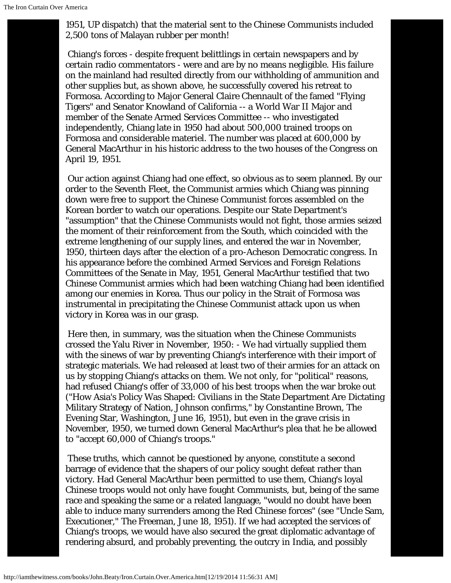1951, UP dispatch) that the material sent to the Chinese Communists included 2,500 tons of Malayan rubber per month!

 Chiang's forces - despite frequent belittlings in certain newspapers and by certain radio commentators - were and are by no means negligible. His failure on the mainland had resulted directly from our withholding of ammunition and other supplies but, as shown above, he successfully covered his retreat to Formosa. According to Major General Claire Chennault of the famed "Flying Tigers" and Senator Knowland of California -- a World War II Major and member of the Senate Armed Services Committee -- who investigated independently, Chiang late in 1950 had about 500,000 trained troops on Formosa and considerable materiel. The number was placed at 600,000 by General MacArthur in his historic address to the two houses of the Congress on April 19, 1951.

 Our action against Chiang had one effect, so obvious as to seem planned. By our order to the Seventh Fleet, the Communist armies which Chiang was pinning down were free to support the Chinese Communist forces assembled on the Korean border to watch our operations. Despite our State Department's "assumption" that the Chinese Communists would not fight, those armies seized the moment of their reinforcement from the South, which coincided with the extreme lengthening of our supply lines, and entered the war in November, 1950, thirteen days after the election of a pro-Acheson Democratic congress. In his appearance before the combined Armed Services and Foreign Relations Committees of the Senate in May, 1951, General MacArthur testified that two Chinese Communist armies which had been watching Chiang had been identified among our enemies in Korea. Thus our policy in the Strait of Formosa was instrumental in precipitating the Chinese Communist attack upon us when victory in Korea was in our grasp.

 Here then, in summary, was the situation when the Chinese Communists crossed the Yalu River in November, 1950: - We had virtually supplied them with the sinews of war by preventing Chiang's interference with their import of strategic materials. We had released at least two of their armies for an attack on us by stopping Chiang's attacks on them. We not only, for "political" reasons, had refused Chiang's offer of 33,000 of his best troops when the war broke out ("How Asia's Policy Was Shaped: Civilians in the State Department Are Dictating Military Strategy of Nation, Johnson confirms," by Constantine Brown, The Evening Star, Washington, June 16, 1951), but even in the grave crisis in November, 1950, we turned down General MacArthur's plea that he be allowed to "accept 60,000 of Chiang's troops."

 These truths, which cannot be questioned by anyone, constitute a second barrage of evidence that the shapers of our policy sought defeat rather than victory. Had General MacArthur been permitted to use them, Chiang's loyal Chinese troops would not only have fought Communists, but, being of the same race and speaking the same or a related language, "would no doubt have been able to induce many surrenders among the Red Chinese forces" (see "Uncle Sam, Executioner," The Freeman, June 18, 1951). If we had accepted the services of Chiang's troops, we would have also secured the great diplomatic advantage of rendering absurd, and probably preventing, the outcry in India, and possibly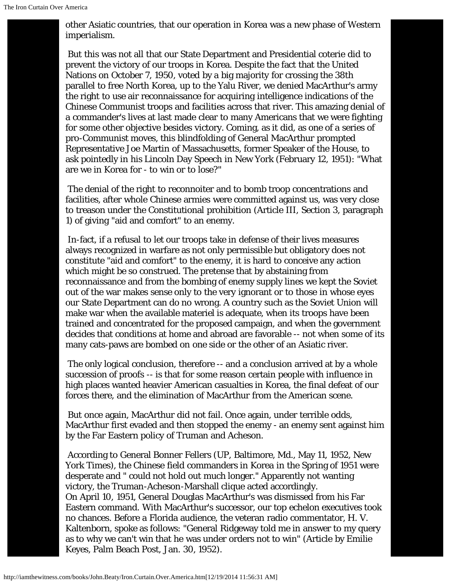other Asiatic countries, that our operation in Korea was a new phase of Western imperialism.

 But this was not all that our State Department and Presidential coterie did to prevent the victory of our troops in Korea. Despite the fact that the United Nations on October 7, 1950, voted by a big majority for crossing the 38th parallel to free North Korea, up to the Yalu River, we denied MacArthur's army the right to use air reconnaissance for acquiring intelligence indications of the Chinese Communist troops and facilities across that river. This amazing denial of a commander's lives at last made clear to many Americans that we were fighting for some other objective besides victory. Coming, as it did, as one of a series of pro-Communist moves, this blindfolding of General MacArthur prompted Representative Joe Martin of Massachusetts, former Speaker of the House, to ask pointedly in his Lincoln Day Speech in New York (February 12, 1951): "What are we in Korea for - to win or to lose?"

 The denial of the right to reconnoiter and to bomb troop concentrations and facilities, after whole Chinese armies were committed against us, was very close to treason under the Constitutional prohibition (Article III, Section 3, paragraph 1) of giving "aid and comfort" to an enemy.

 In-fact, if a refusal to let our troops take in defense of their lives measures always recognized in warfare as not only permissible but obligatory does not constitute "aid and comfort" to the enemy, it is hard to conceive any action which might be so construed. The pretense that by abstaining from reconnaissance and from the bombing of enemy supply lines we kept the Soviet out of the war makes sense only to the very ignorant or to those in whose eyes our State Department can do no wrong. A country such as the Soviet Union will make war when the available materiel is adequate, when its troops have been trained and concentrated for the proposed campaign, and when the government decides that conditions at home and abroad are favorable -- not when some of its many cats-paws are bombed on one side or the other of an Asiatic river.

 The only logical conclusion, therefore -- and a conclusion arrived at by a whole succession of proofs -- is that for some reason certain people with influence in high places wanted heavier American casualties in Korea, the final defeat of our forces there, and the elimination of MacArthur from the American scene.

 But once again, MacArthur did not fail. Once again, under terrible odds, MacArthur first evaded and then stopped the enemy - an enemy sent against him by the Far Eastern policy of Truman and Acheson.

 According to General Bonner Fellers (UP, Baltimore, Md., May 11, 1952, New York Times), the Chinese field commanders in Korea in the Spring of 1951 were desperate and " could not hold out much longer." Apparently not wanting victory, the Truman-Acheson-Marshall clique acted accordingly. On April 10, 1951, General Douglas MacArthur's was dismissed from his Far Eastern command. With MacArthur's successor, our top echelon executives took no chances. Before a Florida audience, the veteran radio commentator, H. V. Kaltenborn, spoke as follows: "General Ridgeway told me in answer to my query as to why we can't win that he was under orders not to win" (Article by Emilie Keyes, Palm Beach Post, Jan. 30, 1952).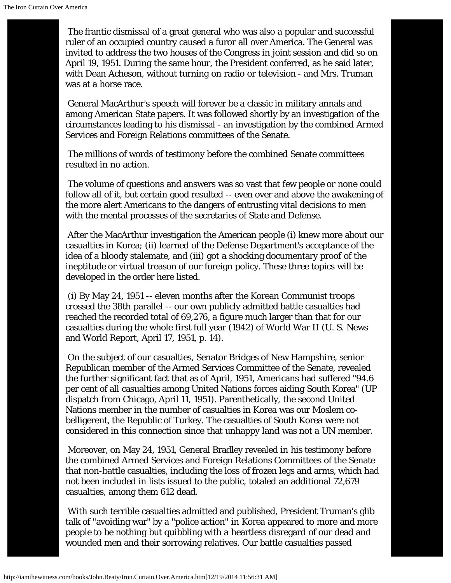The frantic dismissal of a great general who was also a popular and successful ruler of an occupied country caused a furor all over America. The General was invited to address the two houses of the Congress in joint session and did so on April 19, 1951. During the same hour, the President conferred, as he said later, with Dean Acheson, without turning on radio or television - and Mrs. Truman was at a horse race.

 General MacArthur's speech will forever be a classic in military annals and among American State papers. It was followed shortly by an investigation of the circumstances leading to his dismissal - an investigation by the combined Armed Services and Foreign Relations committees of the Senate.

 The millions of words of testimony before the combined Senate committees resulted in no action.

 The volume of questions and answers was so vast that few people or none could follow all of it, but certain good resulted -- even over and above the awakening of the more alert Americans to the dangers of entrusting vital decisions to men with the mental processes of the secretaries of State and Defense.

 After the MacArthur investigation the American people (i) knew more about our casualties in Korea; (ii) learned of the Defense Department's acceptance of the idea of a bloody stalemate, and (iii) got a shocking documentary proof of the ineptitude or virtual treason of our foreign policy. These three topics will be developed in the order here listed.

 (i) By May 24, 1951 -- eleven months after the Korean Communist troops crossed the 38th parallel -- our own publicly admitted battle casualties had reached the recorded total of 69,276, a figure much larger than that for our casualties during the whole first full year (1942) of World War II (U. S. News and World Report, April 17, 1951, p. 14).

 On the subject of our casualties, Senator Bridges of New Hampshire, senior Republican member of the Armed Services Committee of the Senate, revealed the further significant fact that as of April, 1951, Americans had suffered "94.6 per cent of all casualties among United Nations forces aiding South Korea" (UP dispatch from Chicago, April 11, 1951). Parenthetically, the second United Nations member in the number of casualties in Korea was our Moslem cobelligerent, the Republic of Turkey. The casualties of South Korea were not considered in this connection since that unhappy land was not a UN member.

 Moreover, on May 24, 1951, General Bradley revealed in his testimony before the combined Armed Services and Foreign Relations Committees of the Senate that non-battle casualties, including the loss of frozen legs and arms, which had not been included in lists issued to the public, totaled an additional 72,679 casualties, among them 612 dead.

 With such terrible casualties admitted and published, President Truman's glib talk of "avoiding war" by a "police action" in Korea appeared to more and more people to be nothing but quibbling with a heartless disregard of our dead and wounded men and their sorrowing relatives. Our battle casualties passed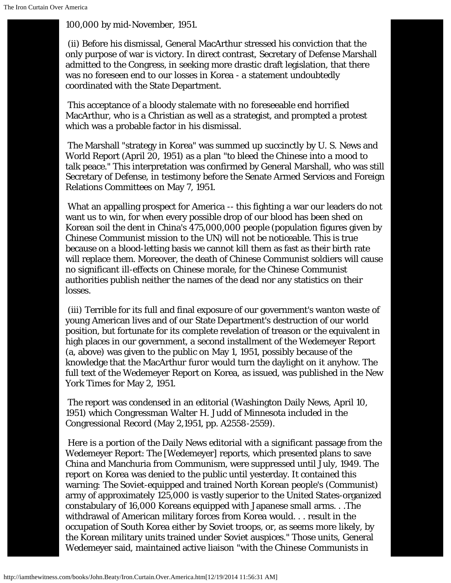100,000 by mid-November, 1951.

 (ii) Before his dismissal, General MacArthur stressed his conviction that the only purpose of war is victory. In direct contrast, Secretary of Defense Marshall admitted to the Congress, in seeking more drastic draft legislation, that there was no foreseen end to our losses in Korea - a statement undoubtedly coordinated with the State Department.

 This acceptance of a bloody stalemate with no foreseeable end horrified MacArthur, who is a Christian as well as a strategist, and prompted a protest which was a probable factor in his dismissal.

 The Marshall "strategy in Korea" was summed up succinctly by U. S. News and World Report (April 20, 1951) as a plan "to bleed the Chinese into a mood to talk peace." This interpretation was confirmed by General Marshall, who was still Secretary of Defense, in testimony before the Senate Armed Services and Foreign Relations Committees on May 7, 1951.

 What an appalling prospect for America -- this fighting a war our leaders do not want us to win, for when every possible drop of our blood has been shed on Korean soil the dent in China's 475,000,000 people (population figures given by Chinese Communist mission to the UN) will not be noticeable. This is true because on a blood-letting basis we cannot kill them as fast as their birth rate will replace them. Moreover, the death of Chinese Communist soldiers will cause no significant ill-effects on Chinese morale, for the Chinese Communist authorities publish neither the names of the dead nor any statistics on their losses.

 (iii) Terrible for its full and final exposure of our government's wanton waste of young American lives and of our State Department's destruction of our world position, but fortunate for its complete revelation of treason or the equivalent in high places in our government, a second installment of the Wedemeyer Report (a, above) was given to the public on May 1, 1951, possibly because of the knowledge that the MacArthur furor would turn the daylight on it anyhow. The full text of the Wedemeyer Report on Korea, as issued, was published in the New York Times for May 2, 1951.

 The report was condensed in an editorial (Washington Daily News, April 10, 1951) which Congressman Walter H. Judd of Minnesota included in the Congressional Record (May 2,1951, pp. A2558-2559).

 Here is a portion of the Daily News editorial with a significant passage from the Wedemeyer Report: The [Wedemeyer] reports, which presented plans to save China and Manchuria from Communism, were suppressed until July, 1949. The report on Korea was denied to the public until yesterday. It contained this warning: The Soviet-equipped and trained North Korean people's (Communist) army of approximately 125,000 is vastly superior to the United States-organized constabulary of 16,000 Koreans equipped with Japanese small arms. . .The withdrawal of American military forces from Korea would. . . result in the occupation of South Korea either by Soviet troops, or, as seems more likely, by the Korean military units trained under Soviet auspices." Those units, General Wedemeyer said, maintained active liaison "with the Chinese Communists in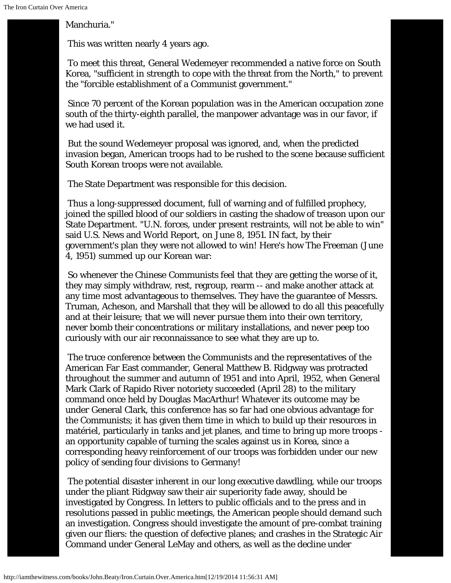Manchuria."

This was written nearly 4 years ago.

 To meet this threat, General Wedemeyer recommended a native force on South Korea, "sufficient in strength to cope with the threat from the North," to prevent the "forcible establishment of a Communist government."

 Since 70 percent of the Korean population was in the American occupation zone south of the thirty-eighth parallel, the manpower advantage was in our favor, if we had used it.

 But the sound Wedemeyer proposal was ignored, and, when the predicted invasion began, American troops had to be rushed to the scene because sufficient South Korean troops were not available.

The State Department was responsible for this decision.

 Thus a long-suppressed document, full of warning and of fulfilled prophecy, joined the spilled blood of our soldiers in casting the shadow of treason upon our State Department. "U.N. forces, under present restraints, will not be able to win" said U.S. News and World Report, on June 8, 1951. IN fact, by their government's plan they were not allowed to win! Here's how The Freeman (June 4, 1951) summed up our Korean war:

 So whenever the Chinese Communists feel that they are getting the worse of it, they may simply withdraw, rest, regroup, rearm -- and make another attack at any time most advantageous to themselves. They have the guarantee of Messrs. Truman, Acheson, and Marshall that they will be allowed to do all this peacefully and at their leisure; that we will never pursue them into their own territory, never bomb their concentrations or military installations, and never peep too curiously with our air reconnaissance to see what they are up to.

 The truce conference between the Communists and the representatives of the American Far East commander, General Matthew B. Ridgway was protracted throughout the summer and autumn of 1951 and into April, 1952, when General Mark Clark of Rapido River notoriety succeeded (April 28) to the military command once held by Douglas MacArthur! Whatever its outcome may be under General Clark, this conference has so far had one obvious advantage for the Communists; it has given them time in which to build up their resources in matériel, particularly in tanks and jet planes, and time to bring up more troops an opportunity capable of turning the scales against us in Korea, since a corresponding heavy reinforcement of our troops was forbidden under our new policy of sending four divisions to Germany!

 The potential disaster inherent in our long executive dawdling, while our troops under the pliant Ridgway saw their air superiority fade away, should be investigated by Congress. In letters to public officials and to the press and in resolutions passed in public meetings, the American people should demand such an investigation. Congress should investigate the amount of pre-combat training given our fliers: the question of defective planes; and crashes in the Strategic Air Command under General LeMay and others, as well as the decline under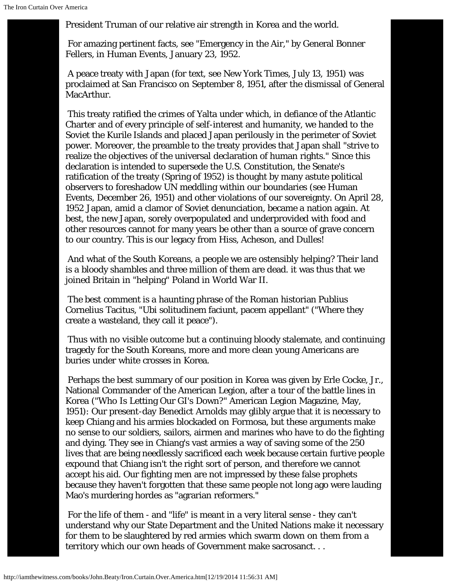President Truman of our relative air strength in Korea and the world.

 For amazing pertinent facts, see "Emergency in the Air," by General Bonner Fellers, in Human Events, January 23, 1952.

 A peace treaty with Japan (for text, see New York Times, July 13, 1951) was proclaimed at San Francisco on September 8, 1951, after the dismissal of General MacArthur.

 This treaty ratified the crimes of Yalta under which, in defiance of the Atlantic Charter and of every principle of self-interest and humanity, we handed to the Soviet the Kurile Islands and placed Japan perilously in the perimeter of Soviet power. Moreover, the preamble to the treaty provides that Japan shall "strive to realize the objectives of the universal declaration of human rights." Since this declaration is intended to supersede the U.S. Constitution, the Senate's ratification of the treaty (Spring of 1952) is thought by many astute political observers to foreshadow UN meddling within our boundaries (see Human Events, December 26, 1951) and other violations of our sovereignty. On April 28, 1952 Japan, amid a clamor of Soviet denunciation, became a nation again. At best, the new Japan, sorely overpopulated and underprovided with food and other resources cannot for many years be other than a source of grave concern to our country. This is our legacy from Hiss, Acheson, and Dulles!

 And what of the South Koreans, a people we are ostensibly helping? Their land is a bloody shambles and three million of them are dead. it was thus that we joined Britain in "helping" Poland in World War II.

 The best comment is a haunting phrase of the Roman historian Publius Cornelius Tacitus, "Ubi solitudinem faciunt, pacem appellant" ("Where they create a wasteland, they call it peace").

 Thus with no visible outcome but a continuing bloody stalemate, and continuing tragedy for the South Koreans, more and more clean young Americans are buries under white crosses in Korea.

 Perhaps the best summary of our position in Korea was given by Erle Cocke, Jr., National Commander of the American Legion, after a tour of the battle lines in Korea ("Who Is Letting Our GI's Down?" American Legion Magazine, May, 1951): Our present-day Benedict Arnolds may glibly argue that it is necessary to keep Chiang and his armies blockaded on Formosa, but these arguments make no sense to our soldiers, sailors, airmen and marines who have to do the fighting and dying. They see in Chiang's vast armies a way of saving some of the 250 lives that are being needlessly sacrificed each week because certain furtive people expound that Chiang isn't the right sort of person, and therefore we cannot accept his aid. Our fighting men are not impressed by these false prophets because they haven't forgotten that these same people not long ago were lauding Mao's murdering hordes as "agrarian reformers."

 For the life of them - and "life" is meant in a very literal sense - they can't understand why our State Department and the United Nations make it necessary for them to be slaughtered by red armies which swarm down on them from a territory which our own heads of Government make sacrosanct. . .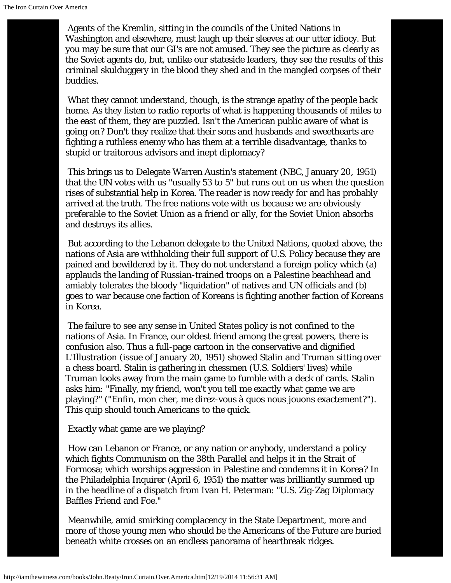Agents of the Kremlin, sitting in the councils of the United Nations in Washington and elsewhere, must laugh up their sleeves at our utter idiocy. But you may be sure that our GI's are not amused. They see the picture as clearly as the Soviet agents do, but, unlike our stateside leaders, they see the results of this criminal skulduggery in the blood they shed and in the mangled corpses of their buddies.

 What they cannot understand, though, is the strange apathy of the people back home. As they listen to radio reports of what is happening thousands of miles to the east of them, they are puzzled. Isn't the American public aware of what is going on? Don't they realize that their sons and husbands and sweethearts are fighting a ruthless enemy who has them at a terrible disadvantage, thanks to stupid or traitorous advisors and inept diplomacy?

 This brings us to Delegate Warren Austin's statement (NBC, January 20, 1951) that the UN votes with us "usually 53 to 5" but runs out on us when the question rises of substantial help in Korea. The reader is now ready for and has probably arrived at the truth. The free nations vote with us because we are obviously preferable to the Soviet Union as a friend or ally, for the Soviet Union absorbs and destroys its allies.

 But according to the Lebanon delegate to the United Nations, quoted above, the nations of Asia are withholding their full support of U.S. Policy because they are pained and bewildered by it. They do not understand a foreign policy which (a) applauds the landing of Russian-trained troops on a Palestine beachhead and amiably tolerates the bloody "liquidation" of natives and UN officials and (b) goes to war because one faction of Koreans is fighting another faction of Koreans in Korea.

 The failure to see any sense in United States policy is not confined to the nations of Asia. In France, our oldest friend among the great powers, there is confusion also. Thus a full-page cartoon in the conservative and dignified L'Illustration (issue of January 20, 1951) showed Stalin and Truman sitting over a chess board. Stalin is gathering in chessmen (U.S. Soldiers' lives) while Truman looks away from the main game to fumble with a deck of cards. Stalin asks him: "Finally, my friend, won't you tell me exactly what game we are playing?" ("Enfin, mon cher, me direz-vous à quos nous jouons exactement?"). This quip should touch Americans to the quick.

Exactly what game are we playing?

 How can Lebanon or France, or any nation or anybody, understand a policy which fights Communism on the 38th Parallel and helps it in the Strait of Formosa; which worships aggression in Palestine and condemns it in Korea? In the Philadelphia Inquirer (April 6, 1951) the matter was brilliantly summed up in the headline of a dispatch from Ivan H. Peterman: "U.S. Zig-Zag Diplomacy Baffles Friend and Foe."

 Meanwhile, amid smirking complacency in the State Department, more and more of those young men who should be the Americans of the Future are buried beneath white crosses on an endless panorama of heartbreak ridges.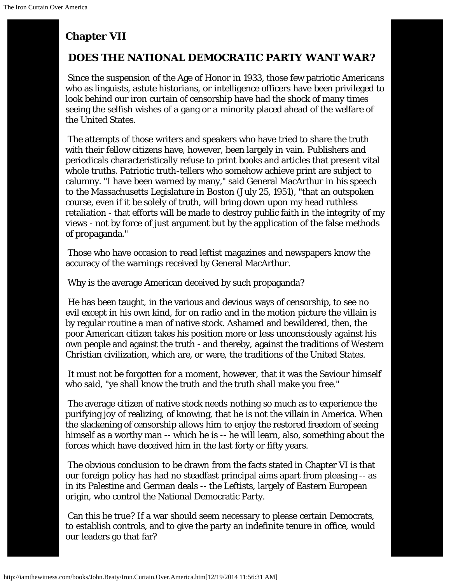## **Chapter VII**

### **DOES THE NATIONAL DEMOCRATIC PARTY WANT WAR?**

 Since the suspension of the Age of Honor in 1933, those few patriotic Americans who as linguists, astute historians, or intelligence officers have been privileged to look behind our iron curtain of censorship have had the shock of many times seeing the selfish wishes of a gang or a minority placed ahead of the welfare of the United States.

 The attempts of those writers and speakers who have tried to share the truth with their fellow citizens have, however, been largely in vain. Publishers and periodicals characteristically refuse to print books and articles that present vital whole truths. Patriotic truth-tellers who somehow achieve print are subject to calumny. "I have been warned by many," said General MacArthur in his speech to the Massachusetts Legislature in Boston (July 25, 1951), "that an outspoken course, even if it be solely of truth, will bring down upon my head ruthless retaliation - that efforts will be made to destroy public faith in the integrity of my views - not by force of just argument but by the application of the false methods of propaganda."

 Those who have occasion to read leftist magazines and newspapers know the accuracy of the warnings received by General MacArthur.

Why is the average American deceived by such propaganda?

 He has been taught, in the various and devious ways of censorship, to see no evil except in his own kind, for on radio and in the motion picture the villain is by regular routine a man of native stock. Ashamed and bewildered, then, the poor American citizen takes his position more or less unconsciously against his own people and against the truth - and thereby, against the traditions of Western Christian civilization, which are, or were, the traditions of the United States.

 It must not be forgotten for a moment, however, that it was the Saviour himself who said, "ye shall know the truth and the truth shall make you free."

 The average citizen of native stock needs nothing so much as to experience the purifying joy of realizing, of knowing, that he is not the villain in America. When the slackening of censorship allows him to enjoy the restored freedom of seeing himself as a worthy man -- which he is -- he will learn, also, something about the forces which have deceived him in the last forty or fifty years.

 The obvious conclusion to be drawn from the facts stated in Chapter VI is that our foreign policy has had no steadfast principal aims apart from pleasing -- as in its Palestine and German deals -- the Leftists, largely of Eastern European origin, who control the National Democratic Party.

 Can this be true? If a war should seem necessary to please certain Democrats, to establish controls, and to give the party an indefinite tenure in office, would our leaders go that far?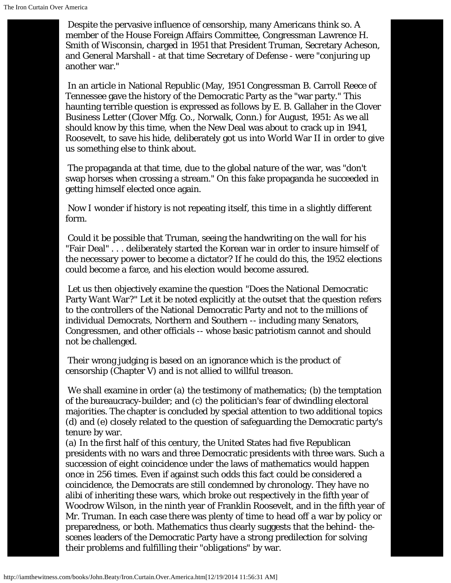Despite the pervasive influence of censorship, many Americans think so. A member of the House Foreign Affairs Committee, Congressman Lawrence H. Smith of Wisconsin, charged in 1951 that President Truman, Secretary Acheson, and General Marshall - at that time Secretary of Defense - were "conjuring up another war."

 In an article in National Republic (May, 1951 Congressman B. Carroll Reece of Tennessee gave the history of the Democratic Party as the "war party." This haunting terrible question is expressed as follows by E. B. Gallaher in the Clover Business Letter (Clover Mfg. Co., Norwalk, Conn.) for August, 1951: As we all should know by this time, when the New Deal was about to crack up in 1941, Roosevelt, to save his hide, deliberately got us into World War II in order to give us something else to think about.

 The propaganda at that time, due to the global nature of the war, was "don't swap horses when crossing a stream." On this fake propaganda he succeeded in getting himself elected once again.

 Now I wonder if history is not repeating itself, this time in a slightly different form.

 Could it be possible that Truman, seeing the handwriting on the wall for his "Fair Deal" . . . deliberately started the Korean war in order to insure himself of the necessary power to become a dictator? If he could do this, the 1952 elections could become a farce, and his election would become assured.

 Let us then objectively examine the question "Does the National Democratic Party Want War?" Let it be noted explicitly at the outset that the question refers to the controllers of the National Democratic Party and not to the millions of individual Democrats, Northern and Southern -- including many Senators, Congressmen, and other officials -- whose basic patriotism cannot and should not be challenged.

 Their wrong judging is based on an ignorance which is the product of censorship (Chapter V) and is not allied to willful treason.

We shall examine in order (a) the testimony of mathematics; (b) the temptation of the bureaucracy-builder; and (c) the politician's fear of dwindling electoral majorities. The chapter is concluded by special attention to two additional topics (d) and (e) closely related to the question of safeguarding the Democratic party's tenure by war.

(a) In the first half of this century, the United States had five Republican presidents with no wars and three Democratic presidents with three wars. Such a succession of eight coincidence under the laws of mathematics would happen once in 256 times. Even if against such odds this fact could be considered a coincidence, the Democrats are still condemned by chronology. They have no alibi of inheriting these wars, which broke out respectively in the fifth year of Woodrow Wilson, in the ninth year of Franklin Roosevelt, and in the fifth year of Mr. Truman. In each case there was plenty of time to head off a war by policy or preparedness, or both. Mathematics thus clearly suggests that the behind- thescenes leaders of the Democratic Party have a strong predilection for solving their problems and fulfilling their "obligations" by war.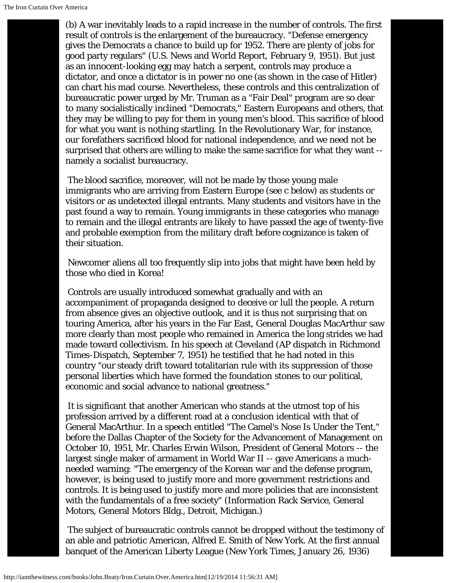(b) A war inevitably leads to a rapid increase in the number of controls. The first result of controls is the enlargement of the bureaucracy. "Defense emergency gives the Democrats a chance to build up for 1952. There are plenty of jobs for good party regulars" (U.S. News and World Report, February 9, 1951). But just as an innocent-looking egg may hatch a serpent, controls may produce a dictator, and once a dictator is in power no one (as shown in the case of Hitler) can chart his mad course. Nevertheless, these controls and this centralization of bureaucratic power urged by Mr. Truman as a "Fair Deal" program are so dear to many socialistically inclined "Democrats," Eastern Europeans and others, that they may be willing to pay for them in young men's blood. This sacrifice of blood for what you want is nothing startling. In the Revolutionary War, for instance, our forefathers sacrificed blood for national independence, and we need not be surprised that others are willing to make the same sacrifice for what they want - namely a socialist bureaucracy.

 The blood sacrifice, moreover, will not be made by those young male immigrants who are arriving from Eastern Europe (see c below) as students or visitors or as undetected illegal entrants. Many students and visitors have in the past found a way to remain. Young immigrants in these categories who manage to remain and the illegal entrants are likely to have passed the age of twenty-five and probable exemption from the military draft before cognizance is taken of their situation.

 Newcomer aliens all too frequently slip into jobs that might have been held by those who died in Korea!

 Controls are usually introduced somewhat gradually and with an accompaniment of propaganda designed to deceive or lull the people. A return from absence gives an objective outlook, and it is thus not surprising that on touring America, after his years in the Far East, General Douglas MacArthur saw more clearly than most people who remained in America the long strides we had made toward collectivism. In his speech at Cleveland (AP dispatch in Richmond Times-Dispatch, September 7, 1951) he testified that he had noted in this country "our steady drift toward totalitarian rule with its suppression of those personal liberties which have formed the foundation stones to our political, economic and social advance to national greatness."

 It is significant that another American who stands at the utmost top of his profession arrived by a different road at a conclusion identical with that of General MacArthur. In a speech entitled "The Camel's Nose Is Under the Tent," before the Dallas Chapter of the Society for the Advancement of Management on October 10, 1951, Mr. Charles Erwin Wilson, President of General Motors -- the largest single maker of armament in World War II -- gave Americans a muchneeded warning: "The emergency of the Korean war and the defense program, however, is being used to justify more and more government restrictions and controls. It is being used to justify more and more policies that are inconsistent with the fundamentals of a free society" (Information Rack Service, General Motors, General Motors Bldg., Detroit, Michigan.)

 The subject of bureaucratic controls cannot be dropped without the testimony of an able and patriotic American, Alfred E. Smith of New York. At the first annual banquet of the American Liberty League (New York Times, January 26, 1936)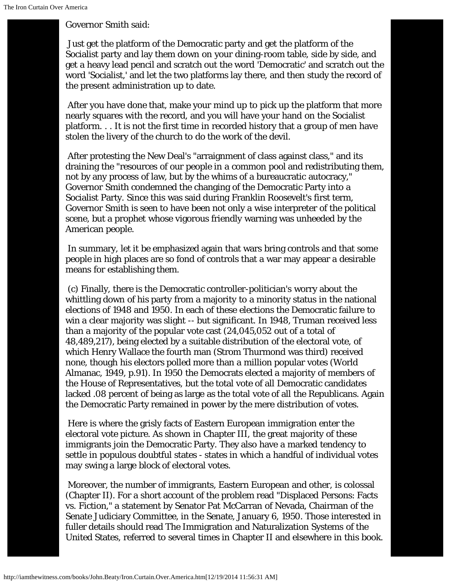Governor Smith said:

 Just get the platform of the Democratic party and get the platform of the Socialist party and lay them down on your dining-room table, side by side, and get a heavy lead pencil and scratch out the word 'Democratic' and scratch out the word 'Socialist,' and let the two platforms lay there, and then study the record of the present administration up to date.

 After you have done that, make your mind up to pick up the platform that more nearly squares with the record, and you will have your hand on the Socialist platform. . . It is not the first time in recorded history that a group of men have stolen the livery of the church to do the work of the devil.

 After protesting the New Deal's "arraignment of class against class," and its draining the "resources of our people in a common pool and redistributing them, not by any process of law, but by the whims of a bureaucratic autocracy," Governor Smith condemned the changing of the Democratic Party into a Socialist Party. Since this was said during Franklin Roosevelt's first term, Governor Smith is seen to have been not only a wise interpreter of the political scene, but a prophet whose vigorous friendly warning was unheeded by the American people.

 In summary, let it be emphasized again that wars bring controls and that some people in high places are so fond of controls that a war may appear a desirable means for establishing them.

 (c) Finally, there is the Democratic controller-politician's worry about the whittling down of his party from a majority to a minority status in the national elections of 1948 and 1950. In each of these elections the Democratic failure to win a clear majority was slight -- but significant. In 1948, Truman received less than a majority of the popular vote cast (24,045,052 out of a total of 48,489,217), being elected by a suitable distribution of the electoral vote, of which Henry Wallace the fourth man (Strom Thurmond was third) received none, though his electors polled more than a million popular votes (World Almanac, 1949, p.91). In 1950 the Democrats elected a majority of members of the House of Representatives, but the total vote of all Democratic candidates lacked .08 percent of being as large as the total vote of all the Republicans. Again the Democratic Party remained in power by the mere distribution of votes.

 Here is where the grisly facts of Eastern European immigration enter the electoral vote picture. As shown in Chapter III, the great majority of these immigrants join the Democratic Party. They also have a marked tendency to settle in populous doubtful states - states in which a handful of individual votes may swing a large block of electoral votes.

 Moreover, the number of immigrants, Eastern European and other, is colossal (Chapter II). For a short account of the problem read "Displaced Persons: Facts vs. Fiction," a statement by Senator Pat McCarran of Nevada, Chairman of the Senate Judiciary Committee, in the Senate, January 6, 1950. Those interested in fuller details should read The Immigration and Naturalization Systems of the United States, referred to several times in Chapter II and elsewhere in this book.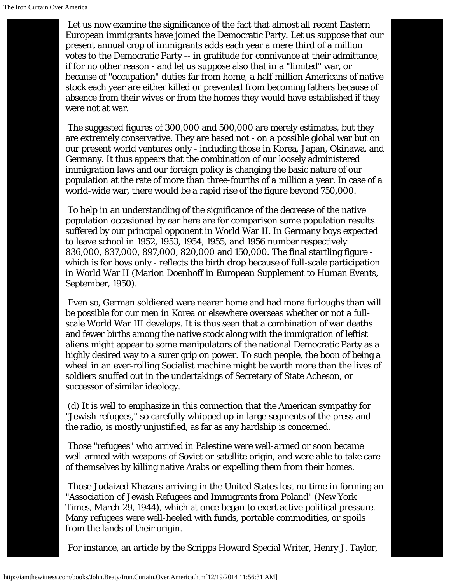Let us now examine the significance of the fact that almost all recent Eastern European immigrants have joined the Democratic Party. Let us suppose that our present annual crop of immigrants adds each year a mere third of a million votes to the Democratic Party -- in gratitude for connivance at their admittance, if for no other reason - and let us suppose also that in a "limited" war, or because of "occupation" duties far from home, a half million Americans of native stock each year are either killed or prevented from becoming fathers because of absence from their wives or from the homes they would have established if they were not at war.

 The suggested figures of 300,000 and 500,000 are merely estimates, but they are extremely conservative. They are based not - on a possible global war but on our present world ventures only - including those in Korea, Japan, Okinawa, and Germany. It thus appears that the combination of our loosely administered immigration laws and our foreign policy is changing the basic nature of our population at the rate of more than three-fourths of a million a year. In case of a world-wide war, there would be a rapid rise of the figure beyond 750,000.

 To help in an understanding of the significance of the decrease of the native population occasioned by ear here are for comparison some population results suffered by our principal opponent in World War II. In Germany boys expected to leave school in 1952, 1953, 1954, 1955, and 1956 number respectively 836,000, 837,000, 897,000, 820,000 and 150,000. The final startling figure which is for boys only - reflects the birth drop because of full-scale participation in World War II (Marion Doenhoff in European Supplement to Human Events, September, 1950).

 Even so, German soldiered were nearer home and had more furloughs than will be possible for our men in Korea or elsewhere overseas whether or not a fullscale World War III develops. It is thus seen that a combination of war deaths and fewer births among the native stock along with the immigration of leftist aliens might appear to some manipulators of the national Democratic Party as a highly desired way to a surer grip on power. To such people, the boon of being a wheel in an ever-rolling Socialist machine might be worth more than the lives of soldiers snuffed out in the undertakings of Secretary of State Acheson, or successor of similar ideology.

 (d) It is well to emphasize in this connection that the American sympathy for "Jewish refugees," so carefully whipped up in large segments of the press and the radio, is mostly unjustified, as far as any hardship is concerned.

 Those "refugees" who arrived in Palestine were well-armed or soon became well-armed with weapons of Soviet or satellite origin, and were able to take care of themselves by killing native Arabs or expelling them from their homes.

 Those Judaized Khazars arriving in the United States lost no time in forming an "Association of Jewish Refugees and Immigrants from Poland" (New York Times, March 29, 1944), which at once began to exert active political pressure. Many refugees were well-heeled with funds, portable commodities, or spoils from the lands of their origin.

For instance, an article by the Scripps Howard Special Writer, Henry J. Taylor,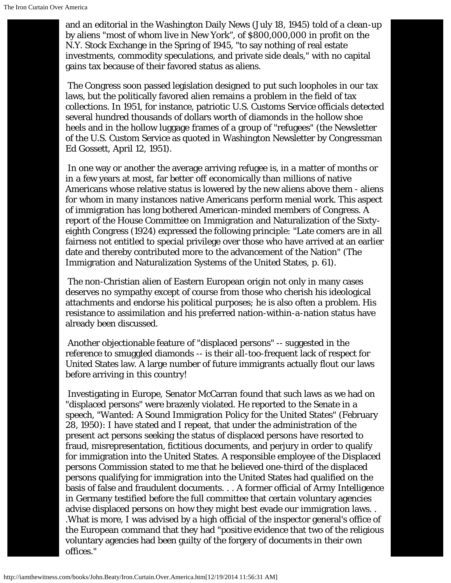and an editorial in the Washington Daily News (July 18, 1945) told of a clean-up by aliens "most of whom live in New York", of \$800,000,000 in profit on the N.Y. Stock Exchange in the Spring of 1945, "to say nothing of real estate investments, commodity speculations, and private side deals," with no capital gains tax because of their favored status as aliens.

 The Congress soon passed legislation designed to put such loopholes in our tax laws, but the politically favored alien remains a problem in the field of tax collections. In 1951, for instance, patriotic U.S. Customs Service officials detected several hundred thousands of dollars worth of diamonds in the hollow shoe heels and in the hollow luggage frames of a group of "refugees" (the Newsletter of the U.S. Custom Service as quoted in Washington Newsletter by Congressman Ed Gossett, April 12, 1951).

 In one way or another the average arriving refugee is, in a matter of months or in a few years at most, far better off economically than millions of native Americans whose relative status is lowered by the new aliens above them - aliens for whom in many instances native Americans perform menial work. This aspect of immigration has long bothered American-minded members of Congress. A report of the House Committee on Immigration and Naturalization of the Sixtyeighth Congress (1924) expressed the following principle: "Late comers are in all fairness not entitled to special privilege over those who have arrived at an earlier date and thereby contributed more to the advancement of the Nation" (The Immigration and Naturalization Systems of the United States, p. 61).

 The non-Christian alien of Eastern European origin not only in many cases deserves no sympathy except of course from those who cherish his ideological attachments and endorse his political purposes; he is also often a problem. His resistance to assimilation and his preferred nation-within-a-nation status have already been discussed.

 Another objectionable feature of "displaced persons" -- suggested in the reference to smuggled diamonds -- is their all-too-frequent lack of respect for United States law. A large number of future immigrants actually flout our laws before arriving in this country!

 Investigating in Europe, Senator McCarran found that such laws as we had on "displaced persons" were brazenly violated. He reported to the Senate in a speech, "Wanted: A Sound Immigration Policy for the United States" (February 28, 1950): I have stated and I repeat, that under the administration of the present act persons seeking the status of displaced persons have resorted to fraud, misrepresentation, fictitious documents, and perjury in order to qualify for immigration into the United States. A responsible employee of the Displaced persons Commission stated to me that he believed one-third of the displaced persons qualifying for immigration into the United States had qualified on the basis of false and fraudulent documents. . . A former official of Army Intelligence in Germany testified before the full committee that certain voluntary agencies advise displaced persons on how they might best evade our immigration laws. . .What is more, I was advised by a high official of the inspector general's office of the European command that they had "positive evidence that two of the religious voluntary agencies had been guilty of the forgery of documents in their own offices."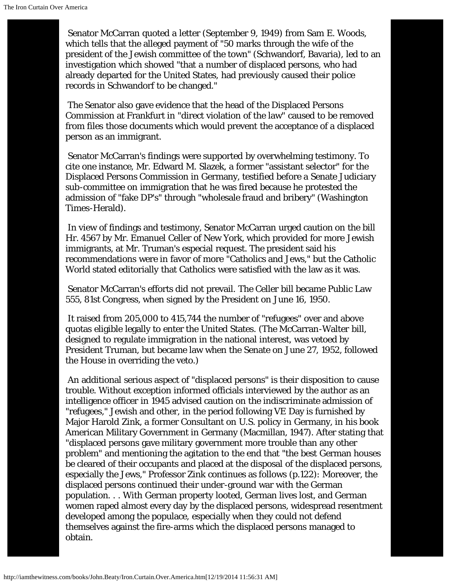Senator McCarran quoted a letter (September 9, 1949) from Sam E. Woods, which tells that the alleged payment of "50 marks through the wife of the president of the Jewish committee of the town" (Schwandorf, Bavaria), led to an investigation which showed "that a number of displaced persons, who had already departed for the United States, had previously caused their police records in Schwandorf to be changed."

 The Senator also gave evidence that the head of the Displaced Persons Commission at Frankfurt in "direct violation of the law" caused to be removed from files those documents which would prevent the acceptance of a displaced person as an immigrant.

 Senator McCarran's findings were supported by overwhelming testimony. To cite one instance, Mr. Edward M. Slazek, a former "assistant selector" for the Displaced Persons Commission in Germany, testified before a Senate Judiciary sub-committee on immigration that he was fired because he protested the admission of "fake DP's" through "wholesale fraud and bribery" (Washington Times-Herald).

 In view of findings and testimony, Senator McCarran urged caution on the bill Hr. 4567 by Mr. Emanuel Celler of New York, which provided for more Jewish immigrants, at Mr. Truman's especial request. The president said his recommendations were in favor of more "Catholics and Jews," but the Catholic World stated editorially that Catholics were satisfied with the law as it was.

 Senator McCarran's efforts did not prevail. The Celler bill became Public Law 555, 81st Congress, when signed by the President on June 16, 1950.

 It raised from 205,000 to 415,744 the number of "refugees" over and above quotas eligible legally to enter the United States. (The McCarran-Walter bill, designed to regulate immigration in the national interest, was vetoed by President Truman, but became law when the Senate on June 27, 1952, followed the House in overriding the veto.)

 An additional serious aspect of "displaced persons" is their disposition to cause trouble. Without exception informed officials interviewed by the author as an intelligence officer in 1945 advised caution on the indiscriminate admission of "refugees," Jewish and other, in the period following VE Day is furnished by Major Harold Zink, a former Consultant on U.S. policy in Germany, in his book American Military Government in Germany (Macmillan, 1947). After stating that "displaced persons gave military government more trouble than any other problem" and mentioning the agitation to the end that "the best German houses be cleared of their occupants and placed at the disposal of the displaced persons, especially the Jews," Professor Zink continues as follows (p.122): Moreover, the displaced persons continued their under-ground war with the German population. . . With German property looted, German lives lost, and German women raped almost every day by the displaced persons, widespread resentment developed among the populace, especially when they could not defend themselves against the fire-arms which the displaced persons managed to obtain.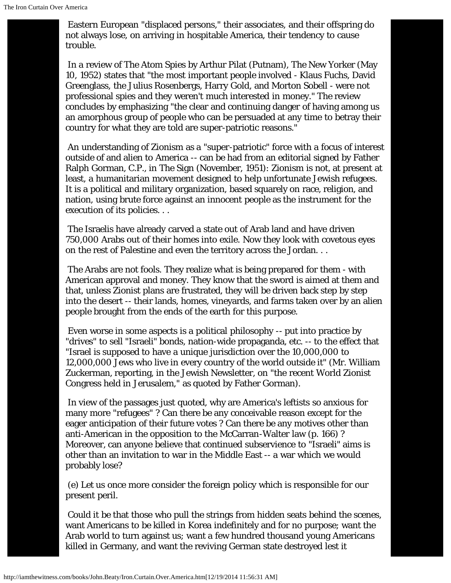Eastern European "displaced persons," their associates, and their offspring do not always lose, on arriving in hospitable America, their tendency to cause trouble.

 In a review of The Atom Spies by Arthur Pilat (Putnam), The New Yorker (May 10, 1952) states that "the most important people involved - Klaus Fuchs, David Greenglass, the Julius Rosenbergs, Harry Gold, and Morton Sobell - were not professional spies and they weren't much interested in money." The review concludes by emphasizing "the clear and continuing danger of having among us an amorphous group of people who can be persuaded at any time to betray their country for what they are told are super-patriotic reasons."

 An understanding of Zionism as a "super-patriotic" force with a focus of interest outside of and alien to America -- can be had from an editorial signed by Father Ralph Gorman, C.P., in The Sign (November, 1951): Zionism is not, at present at least, a humanitarian movement designed to help unfortunate Jewish refugees. It is a political and military organization, based squarely on race, religion, and nation, using brute force against an innocent people as the instrument for the execution of its policies. . .

 The Israelis have already carved a state out of Arab land and have driven 750,000 Arabs out of their homes into exile. Now they look with covetous eyes on the rest of Palestine and even the territory across the Jordan. . .

 The Arabs are not fools. They realize what is being prepared for them - with American approval and money. They know that the sword is aimed at them and that, unless Zionist plans are frustrated, they will be driven back step by step into the desert -- their lands, homes, vineyards, and farms taken over by an alien people brought from the ends of the earth for this purpose.

 Even worse in some aspects is a political philosophy -- put into practice by "drives" to sell "Israeli" bonds, nation-wide propaganda, etc. -- to the effect that "Israel is supposed to have a unique jurisdiction over the 10,000,000 to 12,000,000 Jews who live in every country of the world outside it" (Mr. William Zuckerman, reporting, in the Jewish Newsletter, on "the recent World Zionist Congress held in Jerusalem," as quoted by Father Gorman).

 In view of the passages just quoted, why are America's leftists so anxious for many more "refugees" ? Can there be any conceivable reason except for the eager anticipation of their future votes ? Can there be any motives other than anti-American in the opposition to the McCarran-Walter law (p. 166) ? Moreover, can anyone believe that continued subservience to "Israeli" aims is other than an invitation to war in the Middle East -- a war which we would probably lose?

 (e) Let us once more consider the foreign policy which is responsible for our present peril.

 Could it be that those who pull the strings from hidden seats behind the scenes, want Americans to be killed in Korea indefinitely and for no purpose; want the Arab world to turn against us; want a few hundred thousand young Americans killed in Germany, and want the reviving German state destroyed lest it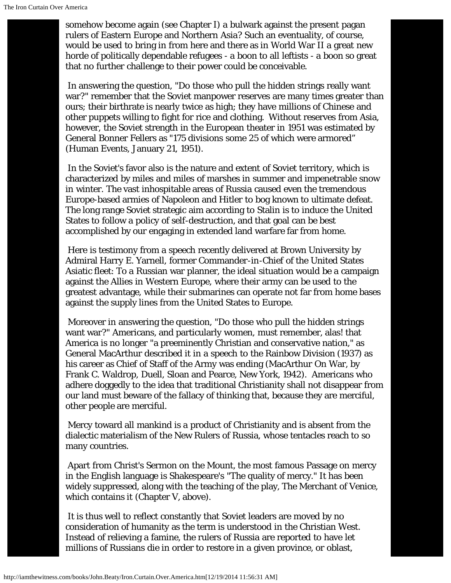somehow become again (see Chapter I) a bulwark against the present pagan rulers of Eastern Europe and Northern Asia? Such an eventuality, of course, would be used to bring in from here and there as in World War II a great new horde of politically dependable refugees - a boon to all leftists - a boon so great that no further challenge to their power could be conceivable.

 In answering the question, "Do those who pull the hidden strings really want war?" remember that the Soviet manpower reserves are many times greater than ours; their birthrate is nearly twice as high; they have millions of Chinese and other puppets willing to fight for rice and clothing. Without reserves from Asia, however, the Soviet strength in the European theater in 1951 was estimated by General Bonner Fellers as "175 divisions some 25 of which were armored" (Human Events, January 21, 1951).

 In the Soviet's favor also is the nature and extent of Soviet territory, which is characterized by miles and miles of marshes in summer and impenetrable snow in winter. The vast inhospitable areas of Russia caused even the tremendous Europe-based armies of Napoleon and Hitler to bog known to ultimate defeat. The long range Soviet strategic aim according to Stalin is to induce the United States to follow a policy of self-destruction, and that goal can be best accomplished by our engaging in extended land warfare far from home.

 Here is testimony from a speech recently delivered at Brown University by Admiral Harry E. Yarnell, former Commander-in-Chief of the United States Asiatic fleet: To a Russian war planner, the ideal situation would be a campaign against the Allies in Western Europe, where their army can be used to the greatest advantage, while their submarines can operate not far from home bases against the supply lines from the United States to Europe.

 Moreover in answering the question, "Do those who pull the hidden strings want war?" Americans, and particularly women, must remember, alas! that America is no longer "a preeminently Christian and conservative nation," as General MacArthur described it in a speech to the Rainbow Division (1937) as his career as Chief of Staff of the Army was ending (MacArthur On War, by Frank C. Waldrop, Duell, Sloan and Pearce, New York, 1942). Americans who adhere doggedly to the idea that traditional Christianity shall not disappear from our land must beware of the fallacy of thinking that, because they are merciful, other people are merciful.

 Mercy toward all mankind is a product of Christianity and is absent from the dialectic materialism of the New Rulers of Russia, whose tentacles reach to so many countries.

 Apart from Christ's Sermon on the Mount, the most famous Passage on mercy in the English language is Shakespeare's "The quality of mercy." It has been widely suppressed, along with the teaching of the play, The Merchant of Venice, which contains it (Chapter V, above).

 It is thus well to reflect constantly that Soviet leaders are moved by no consideration of humanity as the term is understood in the Christian West. Instead of relieving a famine, the rulers of Russia are reported to have let millions of Russians die in order to restore in a given province, or oblast,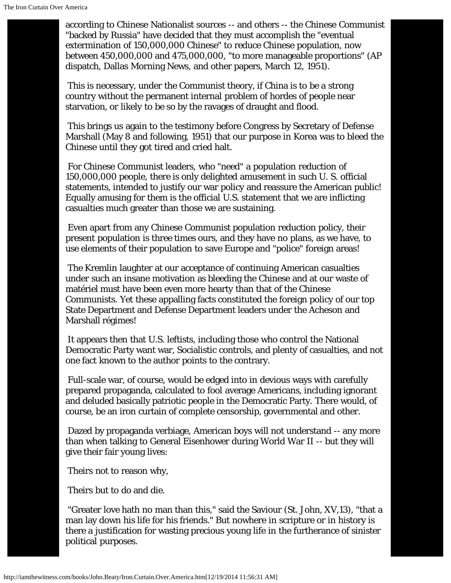according to Chinese Nationalist sources -- and others -- the Chinese Communist "backed by Russia" have decided that they must accomplish the "eventual extermination of 150,000,000 Chinese" to reduce Chinese population, now between 450,000,000 and 475,000,000, "to more manageable proportions" (AP dispatch, Dallas Morning News, and other papers, March 12, 1951).

 This is necessary, under the Communist theory, if China is to be a strong country without the permanent internal problem of hordes of people near starvation, or likely to be so by the ravages of draught and flood.

 This brings us again to the testimony before Congress by Secretary of Defense Marshall (May 8 and following, 1951) that our purpose in Korea was to bleed the Chinese until they got tired and cried halt.

 For Chinese Communist leaders, who "need" a population reduction of 150,000,000 people, there is only delighted amusement in such U. S. official statements, intended to justify our war policy and reassure the American public! Equally amusing for them is the official U.S. statement that we are inflicting casualties much greater than those we are sustaining.

 Even apart from any Chinese Communist population reduction policy, their present population is three times ours, and they have no plans, as we have, to use elements of their population to save Europe and "police" foreign areas!

 The Kremlin laughter at our acceptance of continuing American casualties under such an insane motivation as bleeding the Chinese and at our waste of matériel must have been even more hearty than that of the Chinese Communists. Yet these appalling facts constituted the foreign policy of our top State Department and Defense Department leaders under the Acheson and Marshall régimes!

 It appears then that U.S. leftists, including those who control the National Democratic Party want war, Socialistic controls, and plenty of casualties, and not one fact known to the author points to the contrary.

 Full-scale war, of course, would be edged into in devious ways with carefully prepared propaganda, calculated to fool average Americans, including ignorant and deluded basically patriotic people in the Democratic Party. There would, of course, be an iron curtain of complete censorship, governmental and other.

 Dazed by propaganda verbiage, American boys will not understand -- any more than when talking to General Eisenhower during World War II -- but they will give their fair young lives:

Theirs not to reason why,

Theirs but to do and die.

 "Greater love hath no man than this," said the Saviour (St. John, XV,13), "that a man lay down his life for his friends." But nowhere in scripture or in history is there a justification for wasting precious young life in the furtherance of sinister political purposes.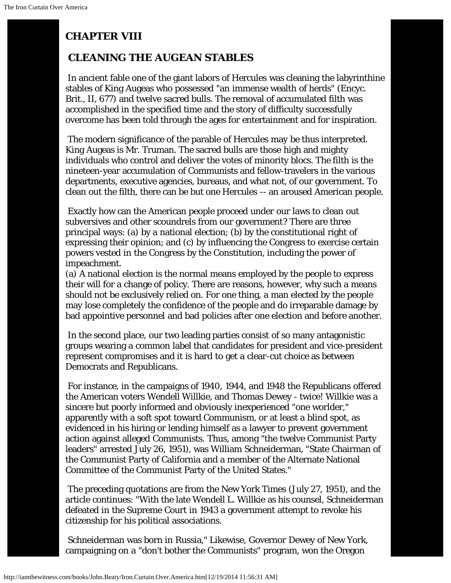# **CHAPTER VIII**

## **CLEANING THE AUGEAN STABLES**

 In ancient fable one of the giant labors of Hercules was cleaning the labyrinthine stables of King Augeas who possessed "an immense wealth of herds" (Encyc. Brit., II, 677) and twelve sacred bulls. The removal of accumulated filth was accomplished in the specified time and the story of difficulty successfully overcome has been told through the ages for entertainment and for inspiration.

 The modern significance of the parable of Hercules may be thus interpreted. King Augeas is Mr. Truman. The sacred bulls are those high and mighty individuals who control and deliver the votes of minority blocs. The filth is the nineteen-year accumulation of Communists and fellow-travelers in the various departments, executive agencies, bureaus, and what not, of our government. To clean out the filth, there can be but one Hercules -- an aroused American people.

 Exactly how can the American people proceed under our laws to clean out subversives and other scoundrels from our government? There are three principal ways: (a) by a national election; (b) by the constitutional right of expressing their opinion; and (c) by influencing the Congress to exercise certain powers vested in the Congress by the Constitution, including the power of impeachment.

(a) A national election is the normal means employed by the people to express their will for a change of policy. There are reasons, however, why such a means should not be exclusively relied on. For one thing, a man elected by the people may lose completely the confidence of the people and do irreparable damage by bad appointive personnel and bad policies after one election and before another.

 In the second place, our two leading parties consist of so many antagonistic groups wearing a common label that candidates for president and vice-president represent compromises and it is hard to get a clear-cut choice as between Democrats and Republicans.

 For instance, in the campaigns of 1940, 1944, and 1948 the Republicans offered the American voters Wendell Willkie, and Thomas Dewey - twice! Willkie was a sincere but poorly informed and obviously inexperienced "one worlder," apparently with a soft spot toward Communism, or at least a blind spot, as evidenced in his hiring or lending himself as a lawyer to prevent government action against alleged Communists. Thus, among "the twelve Communist Party leaders" arrested July 26, 1951), was William Schneiderman, "State Chairman of the Communist Party of California and a member of the Alternate National Committee of the Communist Party of the United States."

 The preceding quotations are from the New York Times (July 27, 1951), and the article continues: "With the late Wendell L. Willkie as his counsel, Schneiderman defeated in the Supreme Court in 1943 a government attempt to revoke his citizenship for his political associations.

 Schneiderman was born in Russia," Likewise, Governor Dewey of New York, campaigning on a "don't bother the Communists" program, won the Oregon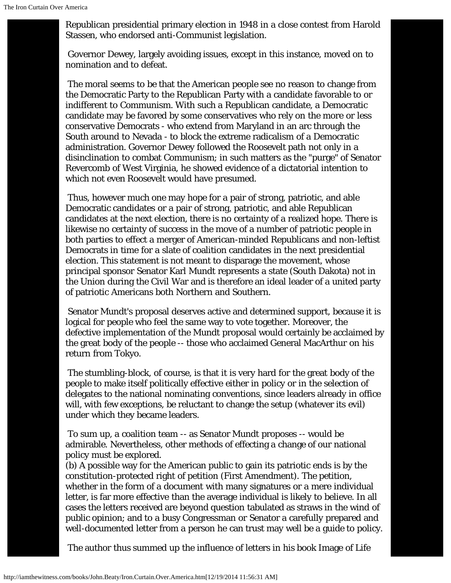Republican presidential primary election in 1948 in a close contest from Harold Stassen, who endorsed anti-Communist legislation.

 Governor Dewey, largely avoiding issues, except in this instance, moved on to nomination and to defeat.

 The moral seems to be that the American people see no reason to change from the Democratic Party to the Republican Party with a candidate favorable to or indifferent to Communism. With such a Republican candidate, a Democratic candidate may be favored by some conservatives who rely on the more or less conservative Democrats - who extend from Maryland in an arc through the South around to Nevada - to block the extreme radicalism of a Democratic administration. Governor Dewey followed the Roosevelt path not only in a disinclination to combat Communism; in such matters as the "purge" of Senator Revercomb of West Virginia, he showed evidence of a dictatorial intention to which not even Roosevelt would have presumed.

 Thus, however much one may hope for a pair of strong, patriotic, and able Democratic candidates or a pair of strong, patriotic, and able Republican candidates at the next election, there is no certainty of a realized hope. There is likewise no certainty of success in the move of a number of patriotic people in both parties to effect a merger of American-minded Republicans and non-leftist Democrats in time for a slate of coalition candidates in the next presidential election. This statement is not meant to disparage the movement, whose principal sponsor Senator Karl Mundt represents a state (South Dakota) not in the Union during the Civil War and is therefore an ideal leader of a united party of patriotic Americans both Northern and Southern.

 Senator Mundt's proposal deserves active and determined support, because it is logical for people who feel the same way to vote together. Moreover, the defective implementation of the Mundt proposal would certainly be acclaimed by the great body of the people -- those who acclaimed General MacArthur on his return from Tokyo.

 The stumbling-block, of course, is that it is very hard for the great body of the people to make itself politically effective either in policy or in the selection of delegates to the national nominating conventions, since leaders already in office will, with few exceptions, be reluctant to change the setup (whatever its evil) under which they became leaders.

 To sum up, a coalition team -- as Senator Mundt proposes -- would be admirable. Nevertheless, other methods of effecting a change of our national policy must be explored.

(b) A possible way for the American public to gain its patriotic ends is by the constitution-protected right of petition (First Amendment). The petition, whether in the form of a document with many signatures or a mere individual letter, is far more effective than the average individual is likely to believe. In all cases the letters received are beyond question tabulated as straws in the wind of public opinion; and to a busy Congressman or Senator a carefully prepared and well-documented letter from a person he can trust may well be a guide to policy.

The author thus summed up the influence of letters in his book Image of Life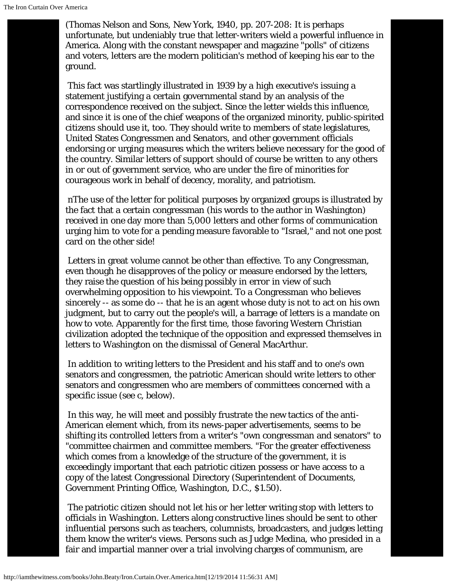(Thomas Nelson and Sons, New York, 1940, pp. 207-208: It is perhaps unfortunate, but undeniably true that letter-writers wield a powerful influence in America. Along with the constant newspaper and magazine "polls" of citizens and voters, letters are the modern politician's method of keeping his ear to the ground.

 This fact was startlingly illustrated in 1939 by a high executive's issuing a statement justifying a certain governmental stand by an analysis of the correspondence received on the subject. Since the letter wields this influence, and since it is one of the chief weapons of the organized minority, public-spirited citizens should use it, too. They should write to members of state legislatures, United States Congressmen and Senators, and other government officials endorsing or urging measures which the writers believe necessary for the good of the country. Similar letters of support should of course be written to any others in or out of government service, who are under the fire of minorities for courageous work in behalf of decency, morality, and patriotism.

 nThe use of the letter for political purposes by organized groups is illustrated by the fact that a certain congressman (his words to the author in Washington) received in one day more than 5,000 letters and other forms of communication urging him to vote for a pending measure favorable to "Israel," and not one post card on the other side!

 Letters in great volume cannot be other than effective. To any Congressman, even though he disapproves of the policy or measure endorsed by the letters, they raise the question of his being possibly in error in view of such overwhelming opposition to his viewpoint. To a Congressman who believes sincerely -- as some do -- that he is an agent whose duty is not to act on his own judgment, but to carry out the people's will, a barrage of letters is a mandate on how to vote. Apparently for the first time, those favoring Western Christian civilization adopted the technique of the opposition and expressed themselves in letters to Washington on the dismissal of General MacArthur.

 In addition to writing letters to the President and his staff and to one's own senators and congressmen, the patriotic American should write letters to other senators and congressmen who are members of committees concerned with a specific issue (see c, below).

 In this way, he will meet and possibly frustrate the new tactics of the anti-American element which, from its news-paper advertisements, seems to be shifting its controlled letters from a writer's "own congressman and senators" to "committee chairmen and committee members. "For the greater effectiveness which comes from a knowledge of the structure of the government, it is exceedingly important that each patriotic citizen possess or have access to a copy of the latest Congressional Directory (Superintendent of Documents, Government Printing Office, Washington, D.C., \$1.50).

 The patriotic citizen should not let his or her letter writing stop with letters to officials in Washington. Letters along constructive lines should be sent to other influential persons such as teachers, columnists, broadcasters, and judges letting them know the writer's views. Persons such as Judge Medina, who presided in a fair and impartial manner over a trial involving charges of communism, are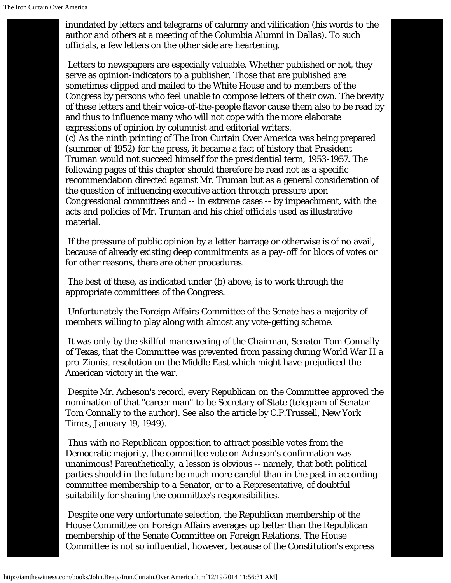inundated by letters and telegrams of calumny and vilification (his words to the author and others at a meeting of the Columbia Alumni in Dallas). To such officials, a few letters on the other side are heartening.

 Letters to newspapers are especially valuable. Whether published or not, they serve as opinion-indicators to a publisher. Those that are published are sometimes clipped and mailed to the White House and to members of the Congress by persons who feel unable to compose letters of their own. The brevity of these letters and their voice-of-the-people flavor cause them also to be read by and thus to influence many who will not cope with the more elaborate expressions of opinion by columnist and editorial writers. (c) As the ninth printing of The Iron Curtain Over America was being prepared (summer of 1952) for the press, it became a fact of history that President Truman would not succeed himself for the presidential term, 1953-1957. The following pages of this chapter should therefore be read not as a specific recommendation directed against Mr. Truman but as a general consideration of the question of influencing executive action through pressure upon Congressional committees and -- in extreme cases -- by impeachment, with the acts and policies of Mr. Truman and his chief officials used as illustrative material.

 If the pressure of public opinion by a letter barrage or otherwise is of no avail, because of already existing deep commitments as a pay-off for blocs of votes or for other reasons, there are other procedures.

 The best of these, as indicated under (b) above, is to work through the appropriate committees of the Congress.

 Unfortunately the Foreign Affairs Committee of the Senate has a majority of members willing to play along with almost any vote-getting scheme.

 It was only by the skillful maneuvering of the Chairman, Senator Tom Connally of Texas, that the Committee was prevented from passing during World War II a pro-Zionist resolution on the Middle East which might have prejudiced the American victory in the war.

 Despite Mr. Acheson's record, every Republican on the Committee approved the nomination of that "career man" to be Secretary of State (telegram of Senator Tom Connally to the author). See also the article by C.P.Trussell, New York Times, January 19, 1949).

 Thus with no Republican opposition to attract possible votes from the Democratic majority, the committee vote on Acheson's confirmation was unanimous! Parenthetically, a lesson is obvious -- namely, that both political parties should in the future be much more careful than in the past in according committee membership to a Senator, or to a Representative, of doubtful suitability for sharing the committee's responsibilities.

 Despite one very unfortunate selection, the Republican membership of the House Committee on Foreign Affairs averages up better than the Republican membership of the Senate Committee on Foreign Relations. The House Committee is not so influential, however, because of the Constitution's express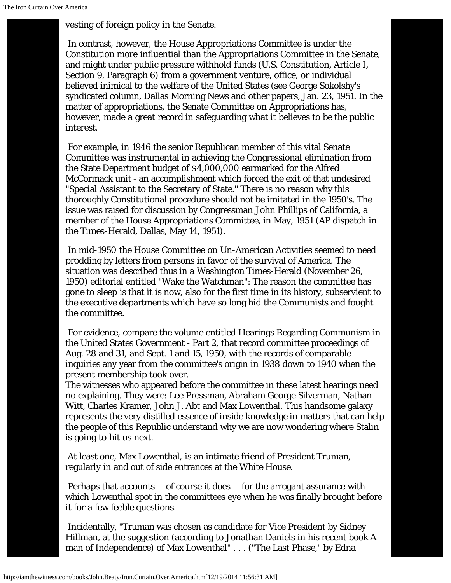vesting of foreign policy in the Senate.

 In contrast, however, the House Appropriations Committee is under the Constitution more influential than the Appropriations Committee in the Senate, and might under public pressure withhold funds (U.S. Constitution, Article I, Section 9, Paragraph 6) from a government venture, office, or individual believed inimical to the welfare of the United States (see George Sokolshy's syndicated column, Dallas Morning News and other papers, Jan. 23, 1951. In the matter of appropriations, the Senate Committee on Appropriations has, however, made a great record in safeguarding what it believes to be the public interest.

 For example, in 1946 the senior Republican member of this vital Senate Committee was instrumental in achieving the Congressional elimination from the State Department budget of \$4,000,000 earmarked for the Alfred McCormack unit - an accomplishment which forced the exit of that undesired "Special Assistant to the Secretary of State." There is no reason why this thoroughly Constitutional procedure should not be imitated in the 1950's. The issue was raised for discussion by Congressman John Phillips of California, a member of the House Appropriations Committee, in May, 1951 (AP dispatch in the Times-Herald, Dallas, May 14, 1951).

 In mid-1950 the House Committee on Un-American Activities seemed to need prodding by letters from persons in favor of the survival of America. The situation was described thus in a Washington Times-Herald (November 26, 1950) editorial entitled "Wake the Watchman": The reason the committee has gone to sleep is that it is now, also for the first time in its history, subservient to the executive departments which have so long hid the Communists and fought the committee.

 For evidence, compare the volume entitled Hearings Regarding Communism in the United States Government - Part 2, that record committee proceedings of Aug. 28 and 31, and Sept. 1 and 15, 1950, with the records of comparable inquiries any year from the committee's origin in 1938 down to 1940 when the present membership took over.

The witnesses who appeared before the committee in these latest hearings need no explaining. They were: Lee Pressman, Abraham George Silverman, Nathan Witt, Charles Kramer, John J. Abt and Max Lowenthal. This handsome galaxy represents the very distilled essence of inside knowledge in matters that can help the people of this Republic understand why we are now wondering where Stalin is going to hit us next.

 At least one, Max Lowenthal, is an intimate friend of President Truman, regularly in and out of side entrances at the White House.

 Perhaps that accounts -- of course it does -- for the arrogant assurance with which Lowenthal spot in the committees eye when he was finally brought before it for a few feeble questions.

 Incidentally, "Truman was chosen as candidate for Vice President by Sidney Hillman, at the suggestion (according to Jonathan Daniels in his recent book A man of Independence) of Max Lowenthal" . . . ("The Last Phase," by Edna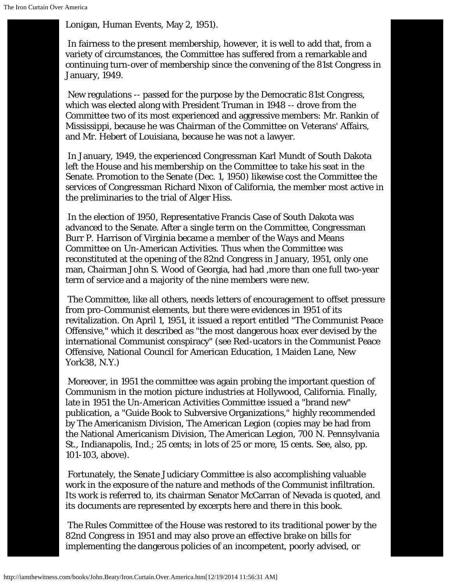Lonigan, Human Events, May 2, 1951).

 In fairness to the present membership, however, it is well to add that, from a variety of circumstances, the Committee has suffered from a remarkable and continuing turn-over of membership since the convening of the 81st Congress in January, 1949.

 New regulations -- passed for the purpose by the Democratic 81st Congress, which was elected along with President Truman in 1948 -- drove from the Committee two of its most experienced and aggressive members: Mr. Rankin of Mississippi, because he was Chairman of the Committee on Veterans' Affairs, and Mr. Hebert of Louisiana, because he was not a lawyer.

 In January, 1949, the experienced Congressman Karl Mundt of South Dakota left the House and his membership on the Committee to take his seat in the Senate. Promotion to the Senate (Dec. 1, 1950) likewise cost the Committee the services of Congressman Richard Nixon of California, the member most active in the preliminaries to the trial of Alger Hiss.

 In the election of 1950, Representative Francis Case of South Dakota was advanced to the Senate. After a single term on the Committee, Congressman Burr P. Harrison of Virginia became a member of the Ways and Means Committee on Un-American Activities. Thus when the Committee was reconstituted at the opening of the 82nd Congress in January, 1951, only one man, Chairman John S. Wood of Georgia, had had ,more than one full two-year term of service and a majority of the nine members were new.

 The Committee, like all others, needs letters of encouragement to offset pressure from pro-Communist elements, but there were evidences in 1951 of its revitalization. On April 1, 1951, it issued a report entitled "The Communist Peace Offensive," which it described as "the most dangerous hoax ever devised by the international Communist conspiracy" (see Red-ucators in the Communist Peace Offensive, National Council for American Education, 1 Maiden Lane, New York38, N.Y.)

 Moreover, in 1951 the committee was again probing the important question of Communism in the motion picture industries at Hollywood, California. Finally, late in 1951 the Un-American Activities Committee issued a "brand new" publication, a "Guide Book to Subversive Organizations," highly recommended by The Americanism Division, The American Legion (copies may be had from the National Americanism Division, The American Legion, 700 N. Pennsylvania St., Indianapolis, Ind.; 25 cents; in lots of 25 or more, 15 cents. See, also, pp. 101-103, above).

 Fortunately, the Senate Judiciary Committee is also accomplishing valuable work in the exposure of the nature and methods of the Communist infiltration. Its work is referred to, its chairman Senator McCarran of Nevada is quoted, and its documents are represented by excerpts here and there in this book.

 The Rules Committee of the House was restored to its traditional power by the 82nd Congress in 1951 and may also prove an effective brake on bills for implementing the dangerous policies of an incompetent, poorly advised, or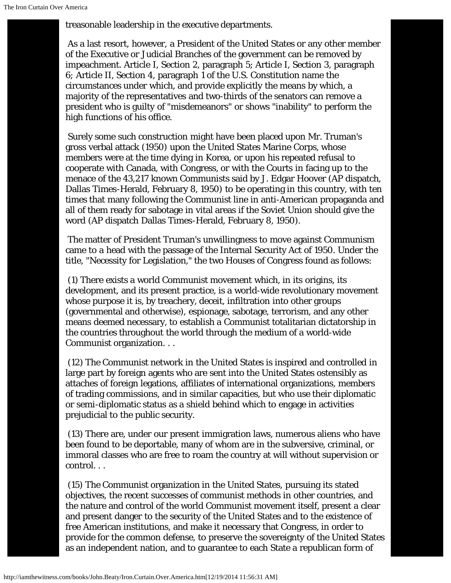treasonable leadership in the executive departments.

 As a last resort, however, a President of the United States or any other member of the Executive or Judicial Branches of the government can be removed by impeachment. Article I, Section 2, paragraph 5; Article I, Section 3, paragraph 6; Article II, Section 4, paragraph 1 of the U.S. Constitution name the circumstances under which, and provide explicitly the means by which, a majority of the representatives and two-thirds of the senators can remove a president who is guilty of "misdemeanors" or shows "inability" to perform the high functions of his office.

 Surely some such construction might have been placed upon Mr. Truman's gross verbal attack (1950) upon the United States Marine Corps, whose members were at the time dying in Korea, or upon his repeated refusal to cooperate with Canada, with Congress, or with the Courts in facing up to the menace of the 43,217 known Communists said by J. Edgar Hoover (AP dispatch, Dallas Times-Herald, February 8, 1950) to be operating in this country, with ten times that many following the Communist line in anti-American propaganda and all of them ready for sabotage in vital areas if the Soviet Union should give the word (AP dispatch Dallas Times-Herald, February 8, 1950).

 The matter of President Truman's unwillingness to move against Communism came to a head with the passage of the Internal Security Act of 1950. Under the title, "Necessity for Legislation," the two Houses of Congress found as follows:

 (1) There exists a world Communist movement which, in its origins, its development, and its present practice, is a world-wide revolutionary movement whose purpose it is, by treachery, deceit, infiltration into other groups (governmental and otherwise), espionage, sabotage, terrorism, and any other means deemed necessary, to establish a Communist totalitarian dictatorship in the countries throughout the world through the medium of a world-wide Communist organization. . .

 (12) The Communist network in the United States is inspired and controlled in large part by foreign agents who are sent into the United States ostensibly as attaches of foreign legations, affiliates of international organizations, members of trading commissions, and in similar capacities, but who use their diplomatic or semi-diplomatic status as a shield behind which to engage in activities prejudicial to the public security.

 (13) There are, under our present immigration laws, numerous aliens who have been found to be deportable, many of whom are in the subversive, criminal, or immoral classes who are free to roam the country at will without supervision or control. . .

 (15) The Communist organization in the United States, pursuing its stated objectives, the recent successes of communist methods in other countries, and the nature and control of the world Communist movement itself, present a clear and present danger to the security of the United States and to the existence of free American institutions, and make it necessary that Congress, in order to provide for the common defense, to preserve the sovereignty of the United States as an independent nation, and to guarantee to each State a republican form of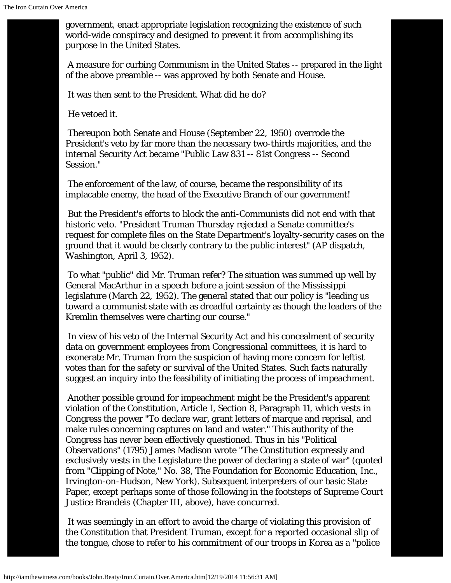government, enact appropriate legislation recognizing the existence of such world-wide conspiracy and designed to prevent it from accomplishing its purpose in the United States.

 A measure for curbing Communism in the United States -- prepared in the light of the above preamble -- was approved by both Senate and House.

It was then sent to the President. What did he do?

He vetoed it.

 Thereupon both Senate and House (September 22, 1950) overrode the President's veto by far more than the necessary two-thirds majorities, and the internal Security Act became "Public Law 831 -- 81st Congress -- Second Session."

 The enforcement of the law, of course, became the responsibility of its implacable enemy, the head of the Executive Branch of our government!

 But the President's efforts to block the anti-Communists did not end with that historic veto. "President Truman Thursday rejected a Senate committee's request for complete files on the State Department's loyalty-security cases on the ground that it would be clearly contrary to the public interest" (AP dispatch, Washington, April 3, 1952).

 To what "public" did Mr. Truman refer? The situation was summed up well by General MacArthur in a speech before a joint session of the Mississippi legislature (March 22, 1952). The general stated that our policy is "leading us toward a communist state with as dreadful certainty as though the leaders of the Kremlin themselves were charting our course."

 In view of his veto of the Internal Security Act and his concealment of security data on government employees from Congressional committees, it is hard to exonerate Mr. Truman from the suspicion of having more concern for leftist votes than for the safety or survival of the United States. Such facts naturally suggest an inquiry into the feasibility of initiating the process of impeachment.

 Another possible ground for impeachment might be the President's apparent violation of the Constitution, Article I, Section 8, Paragraph 11, which vests in Congress the power "To declare war, grant letters of marque and reprisal, and make rules concerning captures on land and water." This authority of the Congress has never been effectively questioned. Thus in his "Political Observations" (1795) James Madison wrote "The Constitution expressly and exclusively vests in the Legislature the power of declaring a state of war" (quoted from "Clipping of Note," No. 38, The Foundation for Economic Education, Inc., Irvington-on-Hudson, New York). Subsequent interpreters of our basic State Paper, except perhaps some of those following in the footsteps of Supreme Court Justice Brandeis (Chapter III, above), have concurred.

 It was seemingly in an effort to avoid the charge of violating this provision of the Constitution that President Truman, except for a reported occasional slip of the tongue, chose to refer to his commitment of our troops in Korea as a "police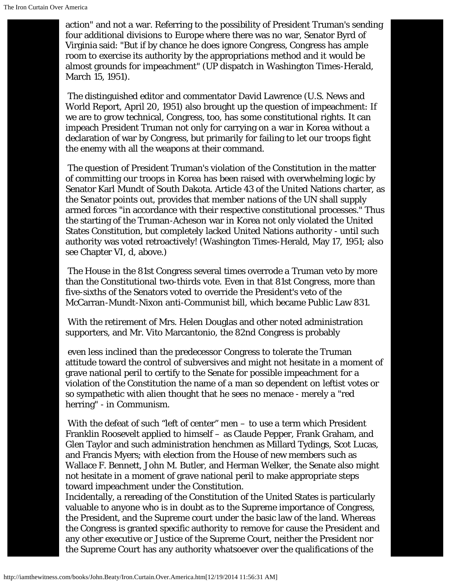action" and not a war. Referring to the possibility of President Truman's sending four additional divisions to Europe where there was no war, Senator Byrd of Virginia said: "But if by chance he does ignore Congress, Congress has ample room to exercise its authority by the appropriations method and it would be almost grounds for impeachment" (UP dispatch in Washington Times-Herald, March 15, 1951).

 The distinguished editor and commentator David Lawrence (U.S. News and World Report, April 20, 1951) also brought up the question of impeachment: If we are to grow technical, Congress, too, has some constitutional rights. It can impeach President Truman not only for carrying on a war in Korea without a declaration of war by Congress, but primarily for failing to let our troops fight the enemy with all the weapons at their command.

 The question of President Truman's violation of the Constitution in the matter of committing our troops in Korea has been raised with overwhelming logic by Senator Karl Mundt of South Dakota. Article 43 of the United Nations charter, as the Senator points out, provides that member nations of the UN shall supply armed forces "in accordance with their respective constitutional processes." Thus the starting of the Truman-Acheson war in Korea not only violated the United States Constitution, but completely lacked United Nations authority - until such authority was voted retroactively! (Washington Times-Herald, May 17, 1951; also see Chapter VI, d, above.)

 The House in the 81st Congress several times overrode a Truman veto by more than the Constitutional two-thirds vote. Even in that 81st Congress, more than five-sixths of the Senators voted to override the President's veto of the McCarran-Mundt-Nixon anti-Communist bill, which became Public Law 831.

 With the retirement of Mrs. Helen Douglas and other noted administration supporters, and Mr. Vito Marcantonio, the 82nd Congress is probably

 even less inclined than the predecessor Congress to tolerate the Truman attitude toward the control of subversives and might not hesitate in a moment of grave national peril to certify to the Senate for possible impeachment for a violation of the Constitution the name of a man so dependent on leftist votes or so sympathetic with alien thought that he sees no menace - merely a "red herring" - in Communism.

With the defeat of such "left of center" men – to use a term which President Franklin Roosevelt applied to himself – as Claude Pepper, Frank Graham, and Glen Taylor and such administration henchmen as Millard Tydings, Scot Lucas, and Francis Myers; with election from the House of new members such as Wallace F. Bennett, John M. Butler, and Herman Welker, the Senate also might not hesitate in a moment of grave national peril to make appropriate steps toward impeachment under the Constitution.

Incidentally, a rereading of the Constitution of the United States is particularly valuable to anyone who is in doubt as to the Supreme importance of Congress, the President, and the Supreme court under the basic law of the land. Whereas the Congress is granted specific authority to remove for cause the President and any other executive or Justice of the Supreme Court, neither the President nor the Supreme Court has any authority whatsoever over the qualifications of the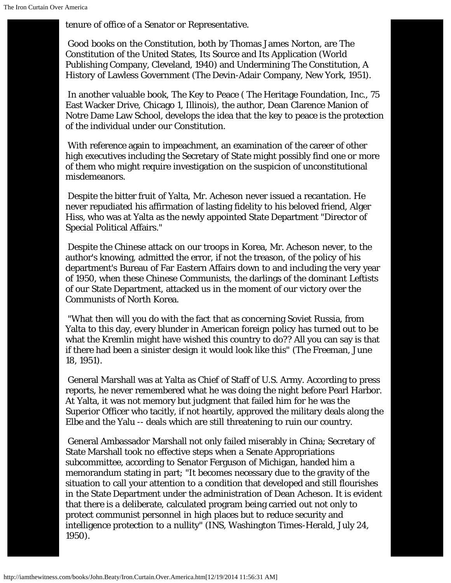tenure of office of a Senator or Representative.

 Good books on the Constitution, both by Thomas James Norton, are The Constitution of the United States, Its Source and Its Application (World Publishing Company, Cleveland, 1940) and Undermining The Constitution, A History of Lawless Government (The Devin-Adair Company, New York, 1951).

 In another valuable book, The Key to Peace ( The Heritage Foundation, Inc., 75 East Wacker Drive, Chicago 1, Illinois), the author, Dean Clarence Manion of Notre Dame Law School, develops the idea that the key to peace is the protection of the individual under our Constitution.

 With reference again to impeachment, an examination of the career of other high executives including the Secretary of State might possibly find one or more of them who might require investigation on the suspicion of unconstitutional misdemeanors.

 Despite the bitter fruit of Yalta, Mr. Acheson never issued a recantation. He never repudiated his affirmation of lasting fidelity to his beloved friend, Alger Hiss, who was at Yalta as the newly appointed State Department "Director of Special Political Affairs."

 Despite the Chinese attack on our troops in Korea, Mr. Acheson never, to the author's knowing, admitted the error, if not the treason, of the policy of his department's Bureau of Far Eastern Affairs down to and including the very year of 1950, when these Chinese Communists, the darlings of the dominant Leftists of our State Department, attacked us in the moment of our victory over the Communists of North Korea.

 "What then will you do with the fact that as concerning Soviet Russia, from Yalta to this day, every blunder in American foreign policy has turned out to be what the Kremlin might have wished this country to do?? All you can say is that if there had been a sinister design it would look like this" (The Freeman, June 18, 1951).

 General Marshall was at Yalta as Chief of Staff of U.S. Army. According to press reports, he never remembered what he was doing the night before Pearl Harbor. At Yalta, it was not memory but judgment that failed him for he was the Superior Officer who tacitly, if not heartily, approved the military deals along the Elbe and the Yalu -- deals which are still threatening to ruin our country.

 General Ambassador Marshall not only failed miserably in China; Secretary of State Marshall took no effective steps when a Senate Appropriations subcommittee, according to Senator Ferguson of Michigan, handed him a memorandum stating in part; "It becomes necessary due to the gravity of the situation to call your attention to a condition that developed and still flourishes in the State Department under the administration of Dean Acheson. It is evident that there is a deliberate, calculated program being carried out not only to protect communist personnel in high places but to reduce security and intelligence protection to a nullity" (INS, Washington Times-Herald, July 24, 1950).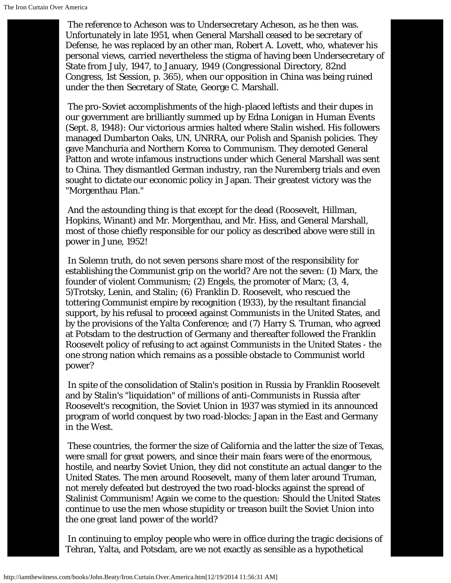The reference to Acheson was to Undersecretary Acheson, as he then was. Unfortunately in late 1951, when General Marshall ceased to be secretary of Defense, he was replaced by an other man, Robert A. Lovett, who, whatever his personal views, carried nevertheless the stigma of having been Undersecretary of State from July, 1947, to January, 1949 (Congressional Directory, 82nd Congress, 1st Session, p. 365), when our opposition in China was being ruined under the then Secretary of State, George C. Marshall.

 The pro-Soviet accomplishments of the high-placed leftists and their dupes in our government are brilliantly summed up by Edna Lonigan in Human Events (Sept. 8, 1948): Our victorious armies halted where Stalin wished. His followers managed Dumbarton Oaks, UN, UNRRA, our Polish and Spanish policies. They gave Manchuria and Northern Korea to Communism. They demoted General Patton and wrote infamous instructions under which General Marshall was sent to China. They dismantled German industry, ran the Nuremberg trials and even sought to dictate our economic policy in Japan. Their greatest victory was the "Morgenthau Plan."

 And the astounding thing is that except for the dead (Roosevelt, Hillman, Hopkins, Winant) and Mr. Morgenthau, and Mr. Hiss, and General Marshall, most of those chiefly responsible for our policy as described above were still in power in June, 1952!

 In Solemn truth, do not seven persons share most of the responsibility for establishing the Communist grip on the world? Are not the seven: (1) Marx, the founder of violent Communism; (2) Engels, the promoter of Marx; (3, 4, 5)Trotsky, Lenin, and Stalin; (6) Franklin D. Roosevelt, who rescued the tottering Communist empire by recognition (1933), by the resultant financial support, by his refusal to proceed against Communists in the United States, and by the provisions of the Yalta Conference; and (7) Harry S. Truman, who agreed at Potsdam to the destruction of Germany and thereafter followed the Franklin Roosevelt policy of refusing to act against Communists in the United States - the one strong nation which remains as a possible obstacle to Communist world power?

 In spite of the consolidation of Stalin's position in Russia by Franklin Roosevelt and by Stalin's "liquidation" of millions of anti-Communists in Russia after Roosevelt's recognition, the Soviet Union in 1937 was stymied in its announced program of world conquest by two road-blocks: Japan in the East and Germany in the West.

 These countries, the former the size of California and the latter the size of Texas, were small for great powers, and since their main fears were of the enormous, hostile, and nearby Soviet Union, they did not constitute an actual danger to the United States. The men around Roosevelt, many of them later around Truman, not merely defeated but destroyed the two road-blocks against the spread of Stalinist Communism! Again we come to the question: Should the United States continue to use the men whose stupidity or treason built the Soviet Union into the one great land power of the world?

 In continuing to employ people who were in office during the tragic decisions of Tehran, Yalta, and Potsdam, are we not exactly as sensible as a hypothetical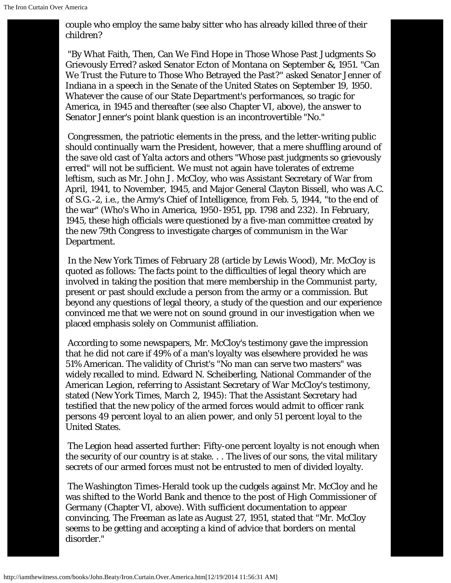couple who employ the same baby sitter who has already killed three of their children?

 "By What Faith, Then, Can We Find Hope in Those Whose Past Judgments So Grievously Erred? asked Senator Ecton of Montana on September &, 1951. "Can We Trust the Future to Those Who Betrayed the Past?" asked Senator Jenner of Indiana in a speech in the Senate of the United States on September 19, 1950. Whatever the cause of our State Department's performances, so tragic for America, in 1945 and thereafter (see also Chapter VI, above), the answer to Senator Jenner's point blank question is an incontrovertible "No."

 Congressmen, the patriotic elements in the press, and the letter-writing public should continually warn the President, however, that a mere shuffling around of the save old cast of Yalta actors and others "Whose past judgments so grievously erred" will not be sufficient. We must not again have tolerates of extreme leftism, such as Mr. John J. McCloy, who was Assistant Secretary of War from April, 1941, to November, 1945, and Major General Clayton Bissell, who was A.C. of S.G.-2, i.e., the Army's Chief of Intelligence, from Feb. 5, 1944, "to the end of the war" (Who's Who in America, 1950-1951, pp. 1798 and 232). In February, 1945, these high officials were questioned by a five-man committee created by the new 79th Congress to investigate charges of communism in the War Department.

 In the New York Times of February 28 (article by Lewis Wood), Mr. McCloy is quoted as follows: The facts point to the difficulties of legal theory which are involved in taking the position that mere membership in the Communist party, present or past should exclude a person from the army or a commission. But beyond any questions of legal theory, a study of the question and our experience convinced me that we were not on sound ground in our investigation when we placed emphasis solely on Communist affiliation.

 According to some newspapers, Mr. McCloy's testimony gave the impression that he did not care if 49% of a man's loyalty was elsewhere provided he was 51% American. The validity of Christ's "No man can serve two masters" was widely recalled to mind. Edward N. Scheiberling, National Commander of the American Legion, referring to Assistant Secretary of War McCloy's testimony, stated (New York Times, March 2, 1945): That the Assistant Secretary had testified that the new policy of the armed forces would admit to officer rank persons 49 percent loyal to an alien power, and only 51 percent loyal to the United States.

 The Legion head asserted further: Fifty-one percent loyalty is not enough when the security of our country is at stake. . . The lives of our sons, the vital military secrets of our armed forces must not be entrusted to men of divided loyalty.

 The Washington Times-Herald took up the cudgels against Mr. McCloy and he was shifted to the World Bank and thence to the post of High Commissioner of Germany (Chapter VI, above). With sufficient documentation to appear convincing, The Freeman as late as August 27, 1951, stated that "Mr. McCloy seems to be getting and accepting a kind of advice that borders on mental disorder."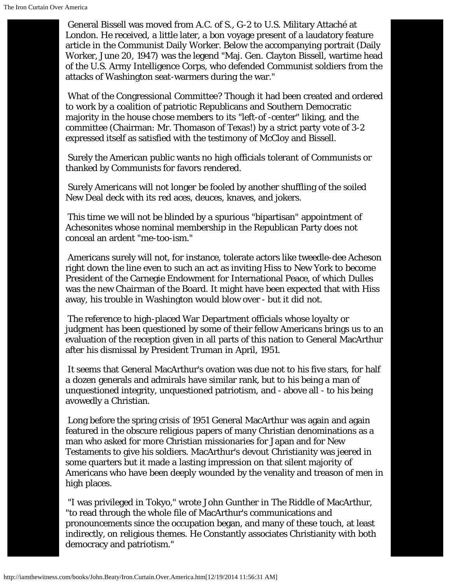General Bissell was moved from A.C. of S., G-2 to U.S. Military Attaché at London. He received, a little later, a bon voyage present of a laudatory feature article in the Communist Daily Worker. Below the accompanying portrait (Daily Worker, June 20, 1947) was the legend "Maj. Gen. Clayton Bissell, wartime head of the U.S. Army Intelligence Corps, who defended Communist soldiers from the attacks of Washington seat-warmers during the war."

 What of the Congressional Committee? Though it had been created and ordered to work by a coalition of patriotic Republicans and Southern Democratic majority in the house chose members to its "left-of -center" liking, and the committee (Chairman: Mr. Thomason of Texas!) by a strict party vote of 3-2 expressed itself as satisfied with the testimony of McCloy and Bissell.

 Surely the American public wants no high officials tolerant of Communists or thanked by Communists for favors rendered.

 Surely Americans will not longer be fooled by another shuffling of the soiled New Deal deck with its red aces, deuces, knaves, and jokers.

 This time we will not be blinded by a spurious "bipartisan" appointment of Achesonites whose nominal membership in the Republican Party does not conceal an ardent "me-too-ism."

 Americans surely will not, for instance, tolerate actors like tweedle-dee Acheson right down the line even to such an act as inviting Hiss to New York to become President of the Carnegie Endowment for International Peace, of which Dulles was the new Chairman of the Board. It might have been expected that with Hiss away, his trouble in Washington would blow over - but it did not.

 The reference to high-placed War Department officials whose loyalty or judgment has been questioned by some of their fellow Americans brings us to an evaluation of the reception given in all parts of this nation to General MacArthur after his dismissal by President Truman in April, 1951.

 It seems that General MacArthur's ovation was due not to his five stars, for half a dozen generals and admirals have similar rank, but to his being a man of unquestioned integrity, unquestioned patriotism, and - above all - to his being avowedly a Christian.

 Long before the spring crisis of 1951 General MacArthur was again and again featured in the obscure religious papers of many Christian denominations as a man who asked for more Christian missionaries for Japan and for New Testaments to give his soldiers. MacArthur's devout Christianity was jeered in some quarters but it made a lasting impression on that silent majority of Americans who have been deeply wounded by the venality and treason of men in high places.

 "I was privileged in Tokyo," wrote John Gunther in The Riddle of MacArthur, "to read through the whole file of MacArthur's communications and pronouncements since the occupation began, and many of these touch, at least indirectly, on religious themes. He Constantly associates Christianity with both democracy and patriotism."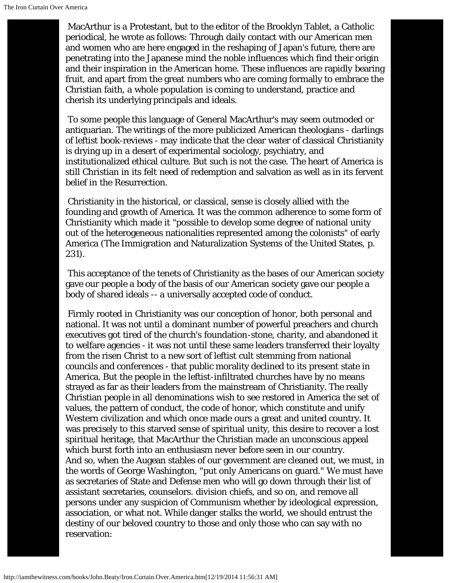MacArthur is a Protestant, but to the editor of the Brooklyn Tablet, a Catholic periodical, he wrote as follows: Through daily contact with our American men and women who are here engaged in the reshaping of Japan's future, there are penetrating into the Japanese mind the noble influences which find their origin and their inspiration in the American home. These influences are rapidly bearing fruit, and apart from the great numbers who are coming formally to embrace the Christian faith, a whole population is coming to understand, practice and cherish its underlying principals and ideals.

 To some people this language of General MacArthur's may seem outmoded or antiquarian. The writings of the more publicized American theologians - darlings of leftist book-reviews - may indicate that the clear water of classical Christianity is drying up in a desert of experimental sociology, psychiatry, and institutionalized ethical culture. But such is not the case. The heart of America is still Christian in its felt need of redemption and salvation as well as in its fervent belief in the Resurrection.

 Christianity in the historical, or classical, sense is closely allied with the founding and growth of America. It was the common adherence to some form of Christianity which made it "possible to develop some degree of national unity out of the heterogeneous nationalities represented among the colonists" of early America (The Immigration and Naturalization Systems of the United States, p. 231).

 This acceptance of the tenets of Christianity as the bases of our American society gave our people a body of the basis of our American society gave our people a body of shared ideals -- a universally accepted code of conduct.

 Firmly rooted in Christianity was our conception of honor, both personal and national. It was not until a dominant number of powerful preachers and church executives got tired of the church's foundation-stone, charity, and abandoned it to welfare agencies - it was not until these same leaders transferred their loyalty from the risen Christ to a new sort of leftist cult stemming from national councils and conferences - that public morality declined to its present state in America. But the people in the leftist-infiltrated churches have by no means strayed as far as their leaders from the mainstream of Christianity. The really Christian people in all denominations wish to see restored in America the set of values, the pattern of conduct, the code of honor, which constitute and unify Western civilization and which once made ours a great and united country. It was precisely to this starved sense of spiritual unity, this desire to recover a lost spiritual heritage, that MacArthur the Christian made an unconscious appeal which burst forth into an enthusiasm never before seen in our country. And so, when the Augean stables of our government are cleaned out, we must, in the words of George Washington, "put only Americans on guard." We must have as secretaries of State and Defense men who will go down through their list of assistant secretaries, counselors. division chiefs, and so on, and remove all persons under any suspicion of Communism whether by ideological expression, association, or what not. While danger stalks the world, we should entrust the destiny of our beloved country to those and only those who can say with no reservation: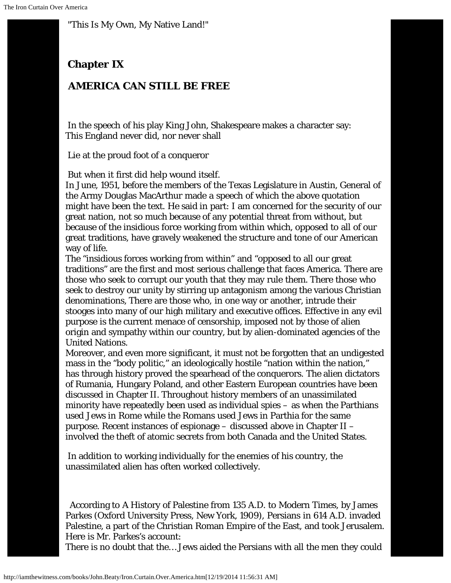"This Is My Own, My Native Land!"

### **Chapter IX**

## **AMERICA CAN STILL BE FREE**

 In the speech of his play King John, Shakespeare makes a character say: This England never did, nor never shall

Lie at the proud foot of a conqueror

But when it first did help wound itself.

In June, 1951, before the members of the Texas Legislature in Austin, General of the Army Douglas MacArthur made a speech of which the above quotation might have been the text. He said in part: I am concerned for the security of our great nation, not so much because of any potential threat from without, but because of the insidious force working from within which, opposed to all of our great traditions, have gravely weakened the structure and tone of our American way of life.

The "insidious forces working from within" and "opposed to all our great traditions" are the first and most serious challenge that faces America. There are those who seek to corrupt our youth that they may rule them. There those who seek to destroy our unity by stirring up antagonism among the various Christian denominations, There are those who, in one way or another, intrude their stooges into many of our high military and executive offices. Effective in any evil purpose is the current menace of censorship, imposed not by those of alien origin and sympathy within our country, but by alien-dominated agencies of the United Nations.

Moreover, and even more significant, it must not be forgotten that an undigested mass in the "body politic," an ideologically hostile "nation within the nation," has through history proved the spearhead of the conquerors. The alien dictators of Rumania, Hungary Poland, and other Eastern European countries have been discussed in Chapter II. Throughout history members of an unassimilated minority have repeatedly been used as individual spies – as when the Parthians used Jews in Rome while the Romans used Jews in Parthia for the same purpose. Recent instances of espionage – discussed above in Chapter II – involved the theft of atomic secrets from both Canada and the United States.

 In addition to working individually for the enemies of his country, the unassimilated alien has often worked collectively.

 According to A History of Palestine from 135 A.D. to Modern Times, by James Parkes (Oxford University Press, New York, 1909), Persians in 614 A.D. invaded Palestine, a part of the Christian Roman Empire of the East, and took Jerusalem. Here is Mr. Parkes's account:

There is no doubt that the… Jews aided the Persians with all the men they could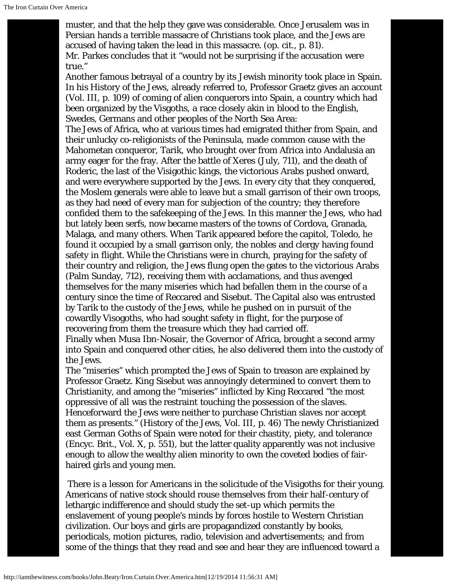muster, and that the help they gave was considerable. Once Jerusalem was in Persian hands a terrible massacre of Christians took place, and the Jews are accused of having taken the lead in this massacre. (op. cit., p. 81). Mr. Parkes concludes that it "would not be surprising if the accusation were true."

Another famous betrayal of a country by its Jewish minority took place in Spain. In his History of the Jews, already referred to, Professor Graetz gives an account (Vol. III, p. 109) of coming of alien conquerors into Spain, a country which had been organized by the Visgoths, a race closely akin in blood to the English, Swedes, Germans and other peoples of the North Sea Area:

The Jews of Africa, who at various times had emigrated thither from Spain, and their unlucky co-religionists of the Peninsula, made common cause with the Mahometan conqueror, Tarik, who brought over from Africa into Andalusia an army eager for the fray. After the battle of Xeres (July, 711), and the death of Roderic, the last of the Visigothic kings, the victorious Arabs pushed onward, and were everywhere supported by the Jews. In every city that they conquered, the Moslem generals were able to leave but a small garrison of their own troops, as they had need of every man for subjection of the country; they therefore confided them to the safekeeping of the Jews. In this manner the Jews, who had but lately been serfs, now became masters of the towns of Cordova, Granada, Malaga, and many others. When Tarik appeared before the capitol, Toledo, he found it occupied by a small garrison only, the nobles and clergy having found safety in flight. While the Christians were in church, praying for the safety of their country and religion, the Jews flung open the gates to the victorious Arabs (Palm Sunday, 712), receiving them with acclamations, and thus avenged themselves for the many miseries which had befallen them in the course of a century since the time of Reccared and Sisebut. The Capital also was entrusted by Tarik to the custody of the Jews, while he pushed on in pursuit of the cowardly Visogoths, who had sought safety in flight, for the purpose of recovering from them the treasure which they had carried off. Finally when Musa Ibn-Nosair, the Governor of Africa, brought a second army

into Spain and conquered other cities, he also delivered them into the custody of the Jews.

The "miseries" which prompted the Jews of Spain to treason are explained by Professor Graetz. King Sisebut was annoyingly determined to convert them to Christianity, and among the "miseries" inflicted by King Reccared "the most oppressive of all was the restraint touching the possession of the slaves. Henceforward the Jews were neither to purchase Christian slaves nor accept them as presents." (History of the Jews, Vol. III, p. 46) The newly Christianized east German Goths of Spain were noted for their chastity, piety, and tolerance (Encyc. Brit., Vol. X, p. 551), but the latter quality apparently was not inclusive enough to allow the wealthy alien minority to own the coveted bodies of fairhaired girls and young men.

 There is a lesson for Americans in the solicitude of the Visigoths for their young. Americans of native stock should rouse themselves from their half-century of lethargic indifference and should study the set-up which permits the enslavement of young people's minds by forces hostile to Western Christian civilization. Our boys and girls are propagandized constantly by books, periodicals, motion pictures, radio, television and advertisements; and from some of the things that they read and see and hear they are influenced toward a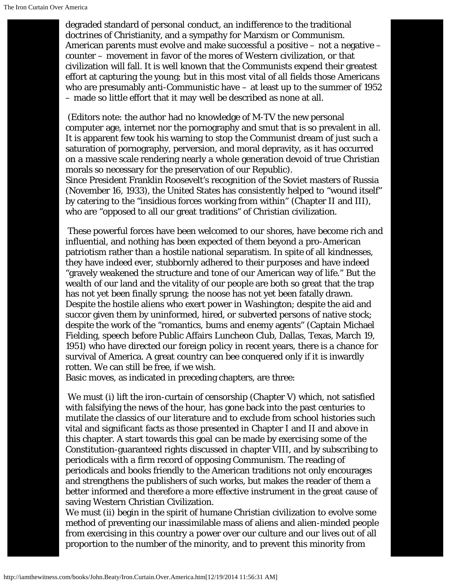degraded standard of personal conduct, an indifference to the traditional doctrines of Christianity, and a sympathy for Marxism or Communism. American parents must evolve and make successful a positive – not a negative – counter – movement in favor of the mores of Western civilization, or that civilization will fall. It is well known that the Communists expend their greatest effort at capturing the young; but in this most vital of all fields those Americans who are presumably anti-Communistic have  $-$  at least up to the summer of 1952 – made so little effort that it may well be described as none at all.

 (Editors note: the author had no knowledge of M-TV the new personal computer age, internet nor the pornography and smut that is so prevalent in all. It is apparent few took his warning to stop the Communist dream of just such a saturation of pornography, perversion, and moral depravity, as it has occurred on a massive scale rendering nearly a whole generation devoid of true Christian morals so necessary for the preservation of our Republic).

Since President Franklin Roosevelt's recognition of the Soviet masters of Russia (November 16, 1933), the United States has consistently helped to "wound itself" by catering to the "insidious forces working from within" (Chapter II and III), who are "opposed to all our great traditions" of Christian civilization.

 These powerful forces have been welcomed to our shores, have become rich and influential, and nothing has been expected of them beyond a pro-American patriotism rather than a hostile national separatism. In spite of all kindnesses, they have indeed ever, stubbornly adhered to their purposes and have indeed "gravely weakened the structure and tone of our American way of life." But the wealth of our land and the vitality of our people are both so great that the trap has not yet been finally sprung; the noose has not yet been fatally drawn. Despite the hostile aliens who exert power in Washington; despite the aid and succor given them by uninformed, hired, or subverted persons of native stock; despite the work of the "romantics, bums and enemy agents" (Captain Michael Fielding, speech before Public Affairs Luncheon Club, Dallas, Texas, March 19, 1951) who have directed our foreign policy in recent years, there is a chance for survival of America. A great country can bee conquered only if it is inwardly rotten. We can still be free, if we wish.

Basic moves, as indicated in preceding chapters, are three:

We must (i) lift the iron-curtain of censorship (Chapter V) which, not satisfied with falsifying the news of the hour, has gone back into the past centuries to mutilate the classics of our literature and to exclude from school histories such vital and significant facts as those presented in Chapter I and II and above in this chapter. A start towards this goal can be made by exercising some of the Constitution-guaranteed rights discussed in chapter VIII, and by subscribing to periodicals with a firm record of opposing Communism. The reading of periodicals and books friendly to the American traditions not only encourages and strengthens the publishers of such works, but makes the reader of them a better informed and therefore a more effective instrument in the great cause of saving Western Christian Civilization.

We must (ii) begin in the spirit of humane Christian civilization to evolve some method of preventing our inassimilable mass of aliens and alien-minded people from exercising in this country a power over our culture and our lives out of all proportion to the number of the minority, and to prevent this minority from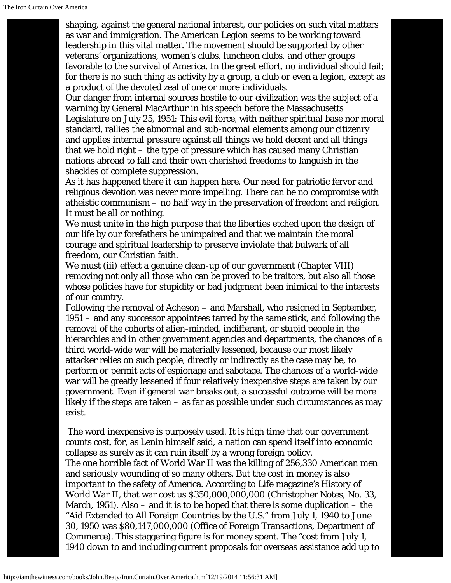shaping, against the general national interest, our policies on such vital matters as war and immigration. The American Legion seems to be working toward leadership in this vital matter. The movement should be supported by other veterans' organizations, women's clubs, luncheon clubs, and other groups favorable to the survival of America. In the great effort, no individual should fail; for there is no such thing as activity by a group, a club or even a legion, except as a product of the devoted zeal of one or more individuals.

Our danger from internal sources hostile to our civilization was the subject of a warning by General MacArthur in his speech before the Massachusetts Legislature on July 25, 1951: This evil force, with neither spiritual base nor moral standard, rallies the abnormal and sub-normal elements among our citizenry and applies internal pressure against all things we hold decent and all things that we hold right – the type of pressure which has caused many Christian nations abroad to fall and their own cherished freedoms to languish in the shackles of complete suppression.

As it has happened there it can happen here. Our need for patriotic fervor and religious devotion was never more impelling. There can be no compromise with atheistic communism – no half way in the preservation of freedom and religion. It must be all or nothing.

We must unite in the high purpose that the liberties etched upon the design of our life by our forefathers be unimpaired and that we maintain the moral courage and spiritual leadership to preserve inviolate that bulwark of all freedom, our Christian faith.

We must (iii) effect a genuine clean-up of our government (Chapter VIII) removing not only all those who can be proved to be traitors, but also all those whose policies have for stupidity or bad judgment been inimical to the interests of our country.

Following the removal of Acheson – and Marshall, who resigned in September, 1951 – and any successor appointees tarred by the same stick, and following the removal of the cohorts of alien-minded, indifferent, or stupid people in the hierarchies and in other government agencies and departments, the chances of a third world-wide war will be materially lessened, because our most likely attacker relies on such people, directly or indirectly as the case may be, to perform or permit acts of espionage and sabotage. The chances of a world-wide war will be greatly lessened if four relatively inexpensive steps are taken by our government. Even if general war breaks out, a successful outcome will be more likely if the steps are taken – as far as possible under such circumstances as may exist.

 The word inexpensive is purposely used. It is high time that our government counts cost, for, as Lenin himself said, a nation can spend itself into economic collapse as surely as it can ruin itself by a wrong foreign policy. The one horrible fact of World War II was the killing of 256,330 American men and seriously wounding of so many others. But the cost in money is also important to the safety of America. According to Life magazine's History of World War II, that war cost us \$350,000,000,000 (Christopher Notes, No. 33, March, 1951). Also – and it is to be hoped that there is some duplication – the "Aid Extended to All Foreign Countries by the U.S." from July 1, 1940 to June 30, 1950 was \$80,147,000,000 (Office of Foreign Transactions, Department of Commerce). This staggering figure is for money spent. The "cost from July 1, 1940 down to and including current proposals for overseas assistance add up to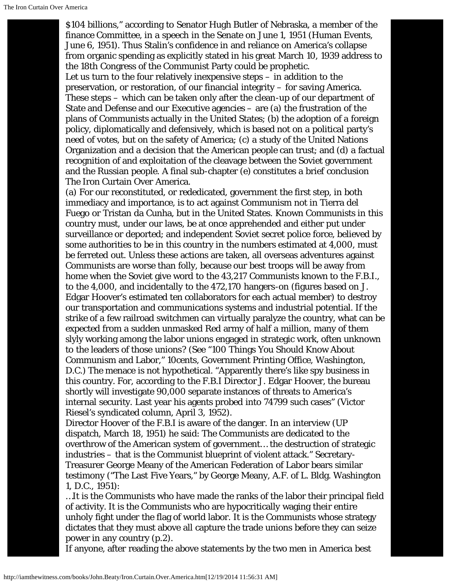\$104 billions," according to Senator Hugh Butler of Nebraska, a member of the finance Committee, in a speech in the Senate on June 1, 1951 (Human Events, June 6, 1951). Thus Stalin's confidence in and reliance on America's collapse from organic spending as explicitly stated in his great March 10, 1939 address to the 18th Congress of the Communist Party could be prophetic.

Let us turn to the four relatively inexpensive steps – in addition to the preservation, or restoration, of our financial integrity – for saving America. These steps – which can be taken only after the clean-up of our department of State and Defense and our Executive agencies – are (a) the frustration of the plans of Communists actually in the United States; (b) the adoption of a foreign policy, diplomatically and defensively, which is based not on a political party's need of votes, but on the safety of America; (c) a study of the United Nations Organization and a decision that the American people can trust; and (d) a factual recognition of and exploitation of the cleavage between the Soviet government and the Russian people. A final sub-chapter (e) constitutes a brief conclusion The Iron Curtain Over America.

(a) For our reconstituted, or rededicated, government the first step, in both immediacy and importance, is to act against Communism not in Tierra del Fuego or Tristan da Cunha, but in the United States. Known Communists in this country must, under our laws, be at once apprehended and either put under surveillance or deported; and independent Soviet secret police force, believed by some authorities to be in this country in the numbers estimated at 4,000, must be ferreted out. Unless these actions are taken, all overseas adventures against Communists are worse than folly, because our best troops will be away from home when the Soviet give word to the 43,217 Communists known to the F.B.I., to the 4,000, and incidentally to the 472,170 hangers-on (figures based on J. Edgar Hoover's estimated ten collaborators for each actual member) to destroy our transportation and communications systems and industrial potential. If the strike of a few railroad switchmen can virtually paralyze the country, what can be expected from a sudden unmasked Red army of half a million, many of them slyly working among the labor unions engaged in strategic work, often unknown to the leaders of those unions? (See "100 Things You Should Know About Communism and Labor," 10cents, Government Printing Office, Washington, D.C.) The menace is not hypothetical. "Apparently there's like spy business in this country. For, according to the F.B.I Director J. Edgar Hoover, the bureau shortly will investigate 90,000 separate instances of threats to America's internal security. Last year his agents probed into 74799 such cases" (Victor Riesel's syndicated column, April 3, 1952).

Director Hoover of the F.B.I is aware of the danger. In an interview (UP dispatch, March 18, 1951) he said: The Communists are dedicated to the overthrow of the American system of government… the destruction of strategic industries – that is the Communist blueprint of violent attack." Secretary-Treasurer George Meany of the American Federation of Labor bears similar testimony ("The Last Five Years," by George Meany, A.F. of L. Bldg. Washington 1, D.C., 1951):

…It is the Communists who have made the ranks of the labor their principal field of activity. It is the Communists who are hypocritically waging their entire unholy fight under the flag of world labor. It is the Communists whose strategy dictates that they must above all capture the trade unions before they can seize power in any country (p.2).

If anyone, after reading the above statements by the two men in America best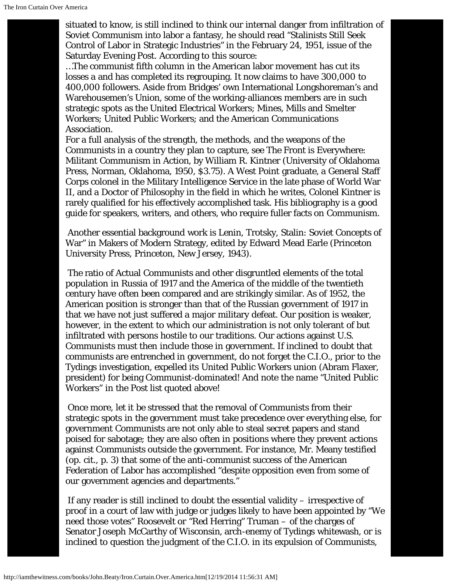situated to know, is still inclined to think our internal danger from infiltration of Soviet Communism into labor a fantasy, he should read "Stalinists Still Seek Control of Labor in Strategic Industries" in the February 24, 1951, issue of the Saturday Evening Post. According to this source:

…The communist fifth column in the American labor movement has cut its losses a and has completed its regrouping. It now claims to have 300,000 to 400,000 followers. Aside from Bridges' own International Longshoreman's and Warehousemen's Union, some of the working-alliances members are in such strategic spots as the United Electrical Workers; Mines, Mills and Smelter Workers; United Public Workers; and the American Communications Association.

For a full analysis of the strength, the methods, and the weapons of the Communists in a country they plan to capture, see The Front is Everywhere: Militant Communism in Action, by William R. Kintner (University of Oklahoma Press, Norman, Oklahoma, 1950, \$3.75). A West Point graduate, a General Staff Corps colonel in the Military Intelligence Service in the late phase of World War II, and a Doctor of Philosophy in the field in which he writes, Colonel Kintner is rarely qualified for his effectively accomplished task. His bibliography is a good guide for speakers, writers, and others, who require fuller facts on Communism.

 Another essential background work is Lenin, Trotsky, Stalin: Soviet Concepts of War" in Makers of Modern Strategy, edited by Edward Mead Earle (Princeton University Press, Princeton, New Jersey, 1943).

 The ratio of Actual Communists and other disgruntled elements of the total population in Russia of 1917 and the America of the middle of the twentieth century have often been compared and are strikingly similar. As of 1952, the American position is stronger than that of the Russian government of 1917 in that we have not just suffered a major military defeat. Our position is weaker, however, in the extent to which our administration is not only tolerant of but infiltrated with persons hostile to our traditions. Our actions against U.S. Communists must then include those in government. If inclined to doubt that communists are entrenched in government, do not forget the C.I.O., prior to the Tydings investigation, expelled its United Public Workers union (Abram Flaxer, president) for being Communist-dominated! And note the name "United Public Workers" in the Post list quoted above!

 Once more, let it be stressed that the removal of Communists from their strategic spots in the government must take precedence over everything else, for government Communists are not only able to steal secret papers and stand poised for sabotage; they are also often in positions where they prevent actions against Communists outside the government. For instance, Mr. Meany testified (op. cit., p. 3) that some of the anti-communist success of the American Federation of Labor has accomplished "despite opposition even from some of our government agencies and departments."

 If any reader is still inclined to doubt the essential validity – irrespective of proof in a court of law with judge or judges likely to have been appointed by "We need those votes" Roosevelt or "Red Herring" Truman – of the charges of Senator Joseph McCarthy of Wisconsin, arch-enemy of Tydings whitewash, or is inclined to question the judgment of the C.I.O. in its expulsion of Communists,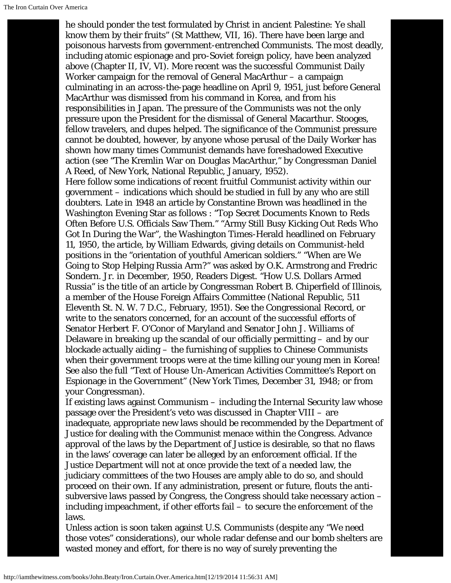he should ponder the test formulated by Christ in ancient Palestine: Ye shall know them by their fruits" (St Matthew, VII, 16). There have been large and poisonous harvests from government-entrenched Communists. The most deadly, including atomic espionage and pro-Soviet foreign policy, have been analyzed above (Chapter II, IV, VI). More recent was the successful Communist Daily Worker campaign for the removal of General MacArthur – a campaign culminating in an across-the-page headline on April 9, 1951, just before General MacArthur was dismissed from his command in Korea, and from his responsibilities in Japan. The pressure of the Communists was not the only pressure upon the President for the dismissal of General Macarthur. Stooges, fellow travelers, and dupes helped. The significance of the Communist pressure cannot be doubted, however, by anyone whose perusal of the Daily Worker has shown how many times Communist demands have foreshadowed Executive action (see "The Kremlin War on Douglas MacArthur," by Congressman Daniel A Reed, of New York, National Republic, January, 1952).

Here follow some indications of recent fruitful Communist activity within our government – indications which should be studied in full by any who are still doubters. Late in 1948 an article by Constantine Brown was headlined in the Washington Evening Star as follows : "Top Secret Documents Known to Reds Often Before U.S. Officials Saw Them." "Army Still Busy Kicking Out Reds Who Got In During the War", the Washington Times-Herald headlined on February 11, 1950, the article, by William Edwards, giving details on Communist-held positions in the "orientation of youthful American soldiers." "When are We Going to Stop Helping Russia Arm?" was asked by O.K. Armstrong and Fredric Sondern. Jr. in December, 1950, Readers Digest. "How U.S. Dollars Armed Russia" is the title of an article by Congressman Robert B. Chiperfield of Illinois, a member of the House Foreign Affairs Committee (National Republic, 511 Eleventh St. N. W. 7 D.C., February, 1951). See the Congressional Record, or write to the senators concerned, for an account of the successful efforts of Senator Herbert F. O'Conor of Maryland and Senator John J. Williams of Delaware in breaking up the scandal of our officially permitting – and by our blockade actually aiding – the furnishing of supplies to Chinese Communists when their government troops were at the time killing our young men in Korea! See also the full "Text of House Un-American Activities Committee's Report on Espionage in the Government" (New York Times, December 31, 1948; or from your Congressman).

If existing laws against Communism – including the Internal Security law whose passage over the President's veto was discussed in Chapter VIII – are inadequate, appropriate new laws should be recommended by the Department of Justice for dealing with the Communist menace within the Congress. Advance approval of the laws by the Department of Justice is desirable, so that no flaws in the laws' coverage can later be alleged by an enforcement official. If the Justice Department will not at once provide the text of a needed law, the judiciary committees of the two Houses are amply able to do so, and should proceed on their own. If any administration, present or future, flouts the antisubversive laws passed by Congress, the Congress should take necessary action – including impeachment, if other efforts fail – to secure the enforcement of the laws.

Unless action is soon taken against U.S. Communists (despite any "We need those votes" considerations), our whole radar defense and our bomb shelters are wasted money and effort, for there is no way of surely preventing the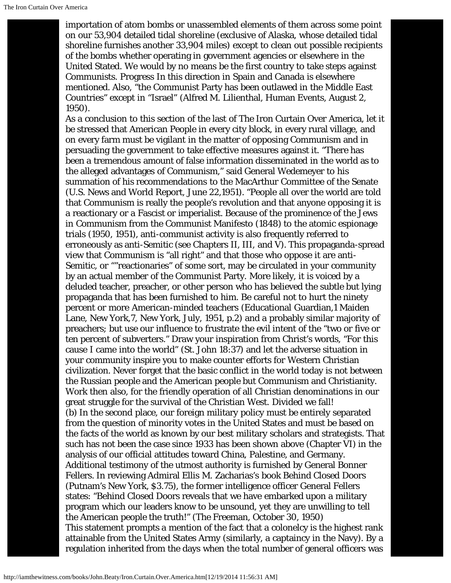importation of atom bombs or unassembled elements of them across some point on our 53,904 detailed tidal shoreline (exclusive of Alaska, whose detailed tidal shoreline furnishes another 33,904 miles) except to clean out possible recipients of the bombs whether operating in government agencies or elsewhere in the United Stated. We would by no means be the first country to take steps against Communists. Progress In this direction in Spain and Canada is elsewhere mentioned. Also, "the Communist Party has been outlawed in the Middle East Countries" except in "Israel" (Alfred M. Lilienthal, Human Events, August 2, 1950).

As a conclusion to this section of the last of The Iron Curtain Over America, let it be stressed that American People in every city block, in every rural village, and on every farm must be vigilant in the matter of opposing Communism and in persuading the government to take effective measures against it. "There has been a tremendous amount of false information disseminated in the world as to the alleged advantages of Communism," said General Wedemeyer to his summation of his recommendations to the MacArthur Committee of the Senate (U.S. News and World Report, June 22,1951). "People all over the world are told that Communism is really the people's revolution and that anyone opposing it is a reactionary or a Fascist or imperialist. Because of the prominence of the Jews in Communism from the Communist Manifesto (1848) to the atomic espionage trials (1950, 1951), anti-communist activity is also frequently referred to erroneously as anti-Semitic (see Chapters II, III, and V). This propaganda-spread view that Communism is "all right" and that those who oppose it are anti-Semitic, or ""reactionaries" of some sort, may be circulated in your community by an actual member of the Communist Party. More likely, it is voiced by a deluded teacher, preacher, or other person who has believed the subtle but lying propaganda that has been furnished to him. Be careful not to hurt the ninety percent or more American-minded teachers (Educational Guardian,1 Maiden Lane, New York,7, New York, July, 1951, p.2) and a probably similar majority of preachers; but use our influence to frustrate the evil intent of the "two or five or ten percent of subverters." Draw your inspiration from Christ's words, "For this cause I came into the world" (St. John 18:37) and let the adverse situation in your community inspire you to make counter efforts for Western Christian civilization. Never forget that the basic conflict in the world today is not between the Russian people and the American people but Communism and Christianity. Work then also, for the friendly operation of all Christian denominations in our great struggle for the survival of the Christian West. Divided we fall! (b) In the second place, our foreign military policy must be entirely separated from the question of minority votes in the United States and must be based on the facts of the world as known by our best military scholars and strategists. That such has not been the case since 1933 has been shown above (Chapter VI) in the analysis of our official attitudes toward China, Palestine, and Germany. Additional testimony of the utmost authority is furnished by General Bonner Fellers. In reviewing Admiral Ellis M. Zacharias's book Behind Closed Doors (Putnam's New York, \$3.75), the former intelligence officer General Fellers states: "Behind Closed Doors reveals that we have embarked upon a military program which our leaders know to be unsound, yet they are unwilling to tell the American people the truth!" (The Freeman, October 30, 1950) This statement prompts a mention of the fact that a colonelcy is the highest rank attainable from the United States Army (similarly, a captaincy in the Navy). By a regulation inherited from the days when the total number of general officers was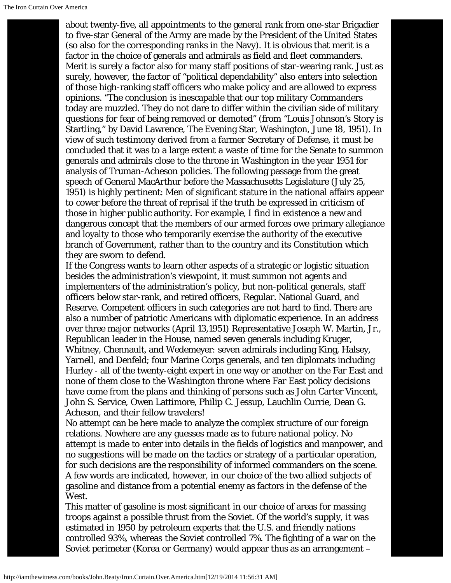about twenty-five, all appointments to the general rank from one-star Brigadier to five-star General of the Army are made by the President of the United States (so also for the corresponding ranks in the Navy). It is obvious that merit is a factor in the choice of generals and admirals as field and fleet commanders. Merit is surely a factor also for many staff positions of star-wearing rank. Just as surely, however, the factor of "political dependability" also enters into selection of those high-ranking staff officers who make policy and are allowed to express opinions. "The conclusion is inescapable that our top military Commanders today are muzzled. They do not dare to differ within the civilian side of military questions for fear of being removed or demoted" (from "Louis Johnson's Story is Startling," by David Lawrence, The Evening Star, Washington, June 18, 1951). In view of such testimony derived from a farmer Secretary of Defense, it must be concluded that it was to a large extent a waste of time for the Senate to summon generals and admirals close to the throne in Washington in the year 1951 for analysis of Truman-Acheson policies. The following passage from the great speech of General MacArthur before the Massachusetts Legislature (July 25, 1951) is highly pertinent: Men of significant stature in the national affairs appear to cower before the threat of reprisal if the truth be expressed in criticism of those in higher public authority. For example, I find in existence a new and dangerous concept that the members of our armed forces owe primary allegiance and loyalty to those who temporarily exercise the authority of the executive branch of Government, rather than to the country and its Constitution which they are sworn to defend.

If the Congress wants to learn other aspects of a strategic or logistic situation besides the administration's viewpoint, it must summon not agents and implementers of the administration's policy, but non-political generals, staff officers below star-rank, and retired officers, Regular. National Guard, and Reserve. Competent officers in such categories are not hard to find. There are also a number of patriotic Americans with diplomatic experience. In an address over three major networks (April 13,1951) Representative Joseph W. Martin, Jr., Republican leader in the House, named seven generals including Kruger, Whitney, Chennault, and Wedemeyer: seven admirals including King, Halsey, Yarnell, and Denfeld; four Marine Corps generals, and ten diplomats including Hurley - all of the twenty-eight expert in one way or another on the Far East and none of them close to the Washington throne where Far East policy decisions have come from the plans and thinking of persons such as John Carter Vincent, John S. Service, Owen Lattimore, Philip C. Jessup, Lauchlin Currie, Dean G. Acheson, and their fellow travelers!

No attempt can be here made to analyze the complex structure of our foreign relations. Nowhere are any guesses made as to future national policy. No attempt is made to enter into details in the fields of logistics and manpower, and no suggestions will be made on the tactics or strategy of a particular operation, for such decisions are the responsibility of informed commanders on the scene. A few words are indicated, however, in our choice of the two allied subjects of gasoline and distance from a potential enemy as factors in the defense of the West.

This matter of gasoline is most significant in our choice of areas for massing troops against a possible thrust from the Soviet. Of the world's supply, it was estimated in 1950 by petroleum experts that the U.S. and friendly nations controlled 93%, whereas the Soviet controlled 7%. The fighting of a war on the Soviet perimeter (Korea or Germany) would appear thus as an arrangement –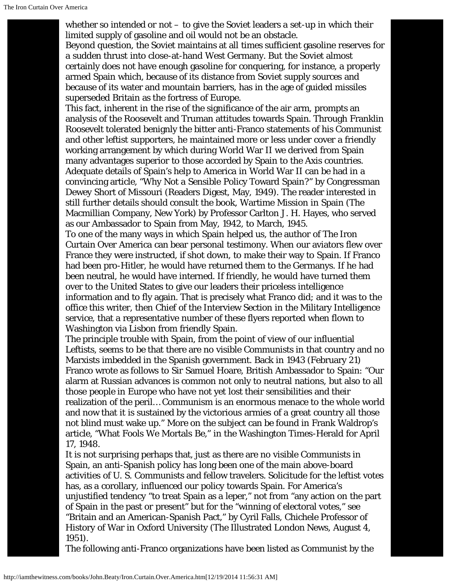whether so intended or not – to give the Soviet leaders a set-up in which their limited supply of gasoline and oil would not be an obstacle.

Beyond question, the Soviet maintains at all times sufficient gasoline reserves for a sudden thrust into close-at-hand West Germany. But the Soviet almost certainly does not have enough gasoline for conquering, for instance, a properly armed Spain which, because of its distance from Soviet supply sources and because of its water and mountain barriers, has in the age of guided missiles superseded Britain as the fortress of Europe.

This fact, inherent in the rise of the significance of the air arm, prompts an analysis of the Roosevelt and Truman attitudes towards Spain. Through Franklin Roosevelt tolerated benignly the bitter anti-Franco statements of his Communist and other leftist supporters, he maintained more or less under cover a friendly working arrangement by which during World War II we derived from Spain many advantages superior to those accorded by Spain to the Axis countries. Adequate details of Spain's help to America in World War II can be had in a convincing article, "Why Not a Sensible Policy Toward Spain?" by Congressman Dewey Short of Missouri (Readers Digest, May, 1949). The reader interested in still further details should consult the book, Wartime Mission in Spain (The Macmillian Company, New York) by Professor Carlton J. H. Hayes, who served as our Ambassador to Spain from May, 1942, to March, 1945.

To one of the many ways in which Spain helped us, the author of The Iron Curtain Over America can bear personal testimony. When our aviators flew over France they were instructed, if shot down, to make their way to Spain. If Franco had been pro-Hitler, he would have returned them to the Germanys. If he had been neutral, he would have interned. If friendly, he would have turned them over to the United States to give our leaders their priceless intelligence information and to fly again. That is precisely what Franco did; and it was to the office this writer, then Chief of the Interview Section in the Military Intelligence service, that a representative number of these flyers reported when flown to Washington via Lisbon from friendly Spain.

The principle trouble with Spain, from the point of view of our influential Leftists, seems to be that there are no visible Communists in that country and no Marxists imbedded in the Spanish government. Back in 1943 (February 21) Franco wrote as follows to Sir Samuel Hoare, British Ambassador to Spain: "Our alarm at Russian advances is common not only to neutral nations, but also to all those people in Europe who have not yet lost their sensibilities and their realization of the peril… Communism is an enormous menace to the whole world and now that it is sustained by the victorious armies of a great country all those not blind must wake up." More on the subject can be found in Frank Waldrop's article, "What Fools We Mortals Be," in the Washington Times-Herald for April 17, 1948.

It is not surprising perhaps that, just as there are no visible Communists in Spain, an anti-Spanish policy has long been one of the main above-board activities of U. S. Communists and fellow travelers. Solicitude for the leftist votes has, as a corollary, influenced our policy towards Spain. For America's unjustified tendency "to treat Spain as a leper," not from "any action on the part of Spain in the past or present" but for the "winning of electoral votes," see "Britain and an American-Spanish Pact," by Cyril Falls, Chichele Professor of History of War in Oxford University (The Illustrated London News, August 4, 1951).

The following anti-Franco organizations have been listed as Communist by the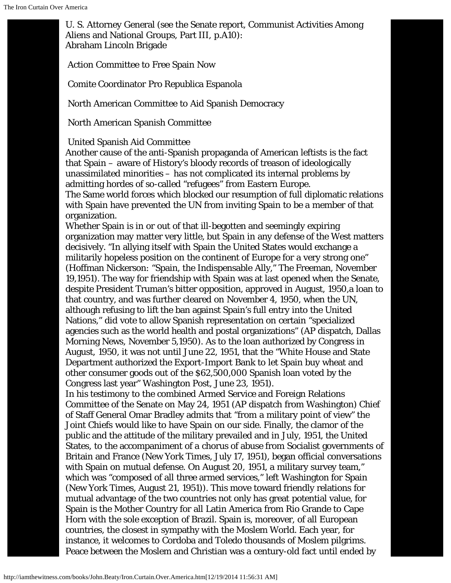U. S. Attorney General (see the Senate report, Communist Activities Among Aliens and National Groups, Part III, p.A10): Abraham Lincoln Brigade

Action Committee to Free Spain Now

Comite Coordinator Pro Republica Espanola

North American Committee to Aid Spanish Democracy

North American Spanish Committee

United Spanish Aid Committee

Another cause of the anti-Spanish propaganda of American leftists is the fact that Spain – aware of History's bloody records of treason of ideologically unassimilated minorities – has not complicated its internal problems by admitting hordes of so-called "refugees" from Eastern Europe.

The Same world forces which blocked our resumption of full diplomatic relations with Spain have prevented the UN from inviting Spain to be a member of that organization.

Whether Spain is in or out of that ill-begotten and seemingly expiring organization may matter very little, but Spain in any defense of the West matters decisively. "In allying itself with Spain the United States would exchange a militarily hopeless position on the continent of Europe for a very strong one" (Hoffman Nickerson: "Spain, the Indispensable Ally," The Freeman, November 19,1951). The way for friendship with Spain was at last opened when the Senate, despite President Truman's bitter opposition, approved in August, 1950,a loan to that country, and was further cleared on November 4, 1950, when the UN, although refusing to lift the ban against Spain's full entry into the United Nations," did vote to allow Spanish representation on certain "specialized agencies such as the world health and postal organizations" (AP dispatch, Dallas Morning News, November 5,1950). As to the loan authorized by Congress in August, 1950, it was not until June 22, 1951, that the "White House and State Department authorized the Export-Import Bank to let Spain buy wheat and other consumer goods out of the \$62,500,000 Spanish loan voted by the Congress last year" Washington Post, June 23, 1951).

In his testimony to the combined Armed Service and Foreign Relations Committee of the Senate on May 24, 1951 (AP dispatch from Washington) Chief of Staff General Omar Bradley admits that "from a military point of view" the Joint Chiefs would like to have Spain on our side. Finally, the clamor of the public and the attitude of the military prevailed and in July, 1951, the United States, to the accompaniment of a chorus of abuse from Socialist governments of Britain and France (New York Times, July 17, 1951), began official conversations with Spain on mutual defense. On August 20, 1951, a military survey team," which was "composed of all three armed services," left Washington for Spain (New York Times, August 21, 1951)). This move toward friendly relations for mutual advantage of the two countries not only has great potential value, for Spain is the Mother Country for all Latin America from Rio Grande to Cape Horn with the sole exception of Brazil. Spain is, moreover, of all European countries, the closest in sympathy with the Moslem World. Each year, for instance, it welcomes to Cordoba and Toledo thousands of Moslem pilgrims. Peace between the Moslem and Christian was a century-old fact until ended by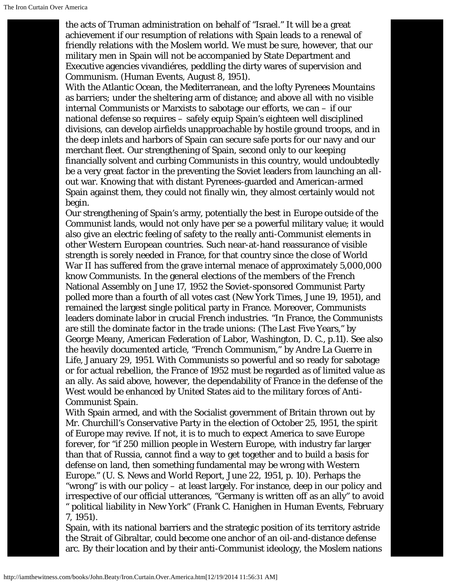the acts of Truman administration on behalf of "Israel." It will be a great achievement if our resumption of relations with Spain leads to a renewal of friendly relations with the Moslem world. We must be sure, however, that our military men in Spain will not be accompanied by State Department and Executive agencies vivandiéres, peddling the dirty wares of supervision and Communism. (Human Events, August 8, 1951).

With the Atlantic Ocean, the Mediterranean, and the lofty Pyrenees Mountains as barriers; under the sheltering arm of distance; and above all with no visible internal Communists or Marxists to sabotage our efforts, we can – if our national defense so requires – safely equip Spain's eighteen well disciplined divisions, can develop airfields unapproachable by hostile ground troops, and in the deep inlets and harbors of Spain can secure safe ports for our navy and our merchant fleet. Our strengthening of Spain, second only to our keeping financially solvent and curbing Communists in this country, would undoubtedly be a very great factor in the preventing the Soviet leaders from launching an allout war. Knowing that with distant Pyrenees-guarded and American-armed Spain against them, they could not finally win, they almost certainly would not begin.

Our strengthening of Spain's army, potentially the best in Europe outside of the Communist lands, would not only have per se a powerful military value; it would also give an electric feeling of safety to the really anti-Communist elements in other Western European countries. Such near-at-hand reassurance of visible strength is sorely needed in France, for that country since the close of World War II has suffered from the grave internal menace of approximately 5,000,000 know Communists. In the general elections of the members of the French National Assembly on June 17, 1952 the Soviet-sponsored Communist Party polled more than a fourth of all votes cast (New York Times, June 19, 1951), and remained the largest single political party in France. Moreover, Communists leaders dominate labor in crucial French industries. "In France, the Communists are still the dominate factor in the trade unions: (The Last Five Years," by George Meany, American Federation of Labor, Washington, D. C., p.11). See also the heavily documented article, "French Communism," by Andre La Guerre in Life, January 29, 1951. With Communists so powerful and so ready for sabotage or for actual rebellion, the France of 1952 must be regarded as of limited value as an ally. As said above, however, the dependability of France in the defense of the West would be enhanced by United States aid to the military forces of Anti-Communist Spain.

With Spain armed, and with the Socialist government of Britain thrown out by Mr. Churchill's Conservative Party in the election of October 25, 1951, the spirit of Europe may revive. If not, it is to much to expect America to save Europe forever, for "if 250 million people in Western Europe, with industry far larger than that of Russia, cannot find a way to get together and to build a basis for defense on land, then something fundamental may be wrong with Western Europe." (U. S. News and World Report, June 22, 1951, p. 10). Perhaps the "wrong" is with our policy – at least largely. For instance, deep in our policy and irrespective of our official utterances, "Germany is written off as an ally" to avoid " political liability in New York" (Frank C. Hanighen in Human Events, February 7, 1951).

Spain, with its national barriers and the strategic position of its territory astride the Strait of Gibraltar, could become one anchor of an oil-and-distance defense arc. By their location and by their anti-Communist ideology, the Moslem nations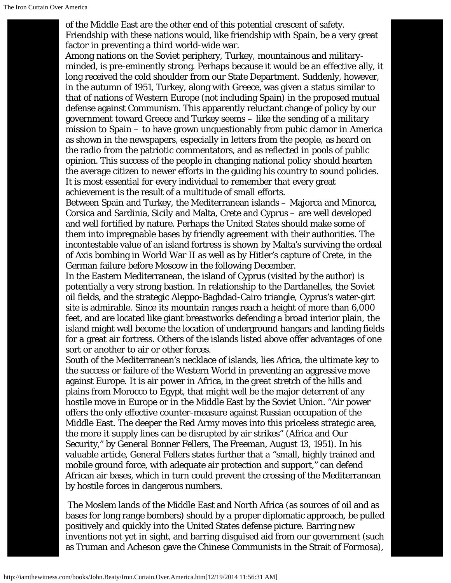of the Middle East are the other end of this potential crescent of safety. Friendship with these nations would, like friendship with Spain, be a very great factor in preventing a third world-wide war.

Among nations on the Soviet periphery, Turkey, mountainous and militaryminded, is pre-eminently strong. Perhaps because it would be an effective ally, it long received the cold shoulder from our State Department. Suddenly, however, in the autumn of 1951, Turkey, along with Greece, was given a status similar to that of nations of Western Europe (not including Spain) in the proposed mutual defense against Communism. This apparently reluctant change of policy by our government toward Greece and Turkey seems – like the sending of a military mission to Spain – to have grown unquestionably from pubic clamor in America as shown in the newspapers, especially in letters from the people, as heard on the radio from the patriotic commentators, and as reflected in pools of public opinion. This success of the people in changing national policy should hearten the average citizen to newer efforts in the guiding his country to sound policies. It is most essential for every individual to remember that every great achievement is the result of a multitude of small efforts.

Between Spain and Turkey, the Mediterranean islands – Majorca and Minorca, Corsica and Sardinia, Sicily and Malta, Crete and Cyprus – are well developed and well fortified by nature. Perhaps the United States should make some of them into impregnable bases by friendly agreement with their authorities. The incontestable value of an island fortress is shown by Malta's surviving the ordeal of Axis bombing in World War II as well as by Hitler's capture of Crete, in the German failure before Moscow in the following December.

In the Eastern Mediterranean, the island of Cyprus (visited by the author) is potentially a very strong bastion. In relationship to the Dardanelles, the Soviet oil fields, and the strategic Aleppo-Baghdad-Cairo triangle, Cyprus's water-girt site is admirable. Since its mountain ranges reach a height of more than 6,000 feet, and are located like giant breastworks defending a broad interior plain, the island might well become the location of underground hangars and landing fields for a great air fortress. Others of the islands listed above offer advantages of one sort or another to air or other forces.

South of the Mediterranean's necklace of islands, lies Africa, the ultimate key to the success or failure of the Western World in preventing an aggressive move against Europe. It is air power in Africa, in the great stretch of the hills and plains from Morocco to Egypt, that might well be the major deterrent of any hostile move in Europe or in the Middle East by the Soviet Union. "Air power offers the only effective counter-measure against Russian occupation of the Middle East. The deeper the Red Army moves into this priceless strategic area, the more it supply lines can be disrupted by air strikes" (Africa and Our Security," by General Bonner Fellers, The Freeman, August 13, 1951). In his valuable article, General Fellers states further that a "small, highly trained and mobile ground force, with adequate air protection and support," can defend African air bases, which in turn could prevent the crossing of the Mediterranean by hostile forces in dangerous numbers.

 The Moslem lands of the Middle East and North Africa (as sources of oil and as bases for long range bombers) should by a proper diplomatic approach, be pulled positively and quickly into the United States defense picture. Barring new inventions not yet in sight, and barring disguised aid from our government (such as Truman and Acheson gave the Chinese Communists in the Strait of Formosa),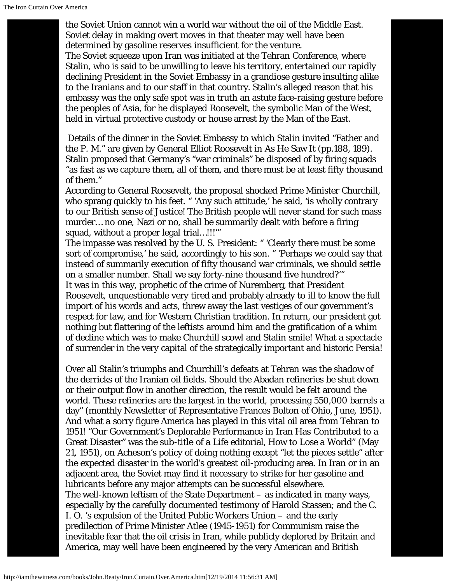the Soviet Union cannot win a world war without the oil of the Middle East. Soviet delay in making overt moves in that theater may well have been determined by gasoline reserves insufficient for the venture. The Soviet squeeze upon Iran was initiated at the Tehran Conference, where Stalin, who is said to be unwilling to leave his territory, entertained our rapidly declining President in the Soviet Embassy in a grandiose gesture insulting alike to the Iranians and to our staff in that country. Stalin's alleged reason that his embassy was the only safe spot was in truth an astute face-raising gesture before the peoples of Asia, for he displayed Roosevelt, the symbolic Man of the West, held in virtual protective custody or house arrest by the Man of the East.

 Details of the dinner in the Soviet Embassy to which Stalin invited "Father and the P. M." are given by General Elliot Roosevelt in As He Saw It (pp.188, 189). Stalin proposed that Germany's "war criminals" be disposed of by firing squads "as fast as we capture them, all of them, and there must be at least fifty thousand of them."

According to General Roosevelt, the proposal shocked Prime Minister Churchill, who sprang quickly to his feet. " 'Any such attitude,' he said, 'is wholly contrary to our British sense of Justice! The British people will never stand for such mass murder… no one, Nazi or no, shall be summarily dealt with before a firing squad, without a proper legal trial…!!!'"

The impasse was resolved by the U. S. President: " 'Clearly there must be some sort of compromise,' he said, accordingly to his son. " 'Perhaps we could say that instead of summarily execution of fifty thousand war criminals, we should settle on a smaller number. Shall we say forty-nine thousand five hundred?'" It was in this way, prophetic of the crime of Nuremberg, that President Roosevelt, unquestionable very tired and probably already to ill to know the full import of his words and acts, threw away the last vestiges of our government's respect for law, and for Western Christian tradition. In return, our president got nothing but flattering of the leftists around him and the gratification of a whim of decline which was to make Churchill scowl and Stalin smile! What a spectacle of surrender in the very capital of the strategically important and historic Persia!

Over all Stalin's triumphs and Churchill's defeats at Tehran was the shadow of the derricks of the Iranian oil fields. Should the Abadan refineries be shut down or their output flow in another direction, the result would be felt around the world. These refineries are the largest in the world, processing 550,000 barrels a day" (monthly Newsletter of Representative Frances Bolton of Ohio, June, 1951). And what a sorry figure America has played in this vital oil area from Tehran to 1951! "Our Government's Deplorable Performance in Iran Has Contributed to a Great Disaster" was the sub-title of a Life editorial, How to Lose a World" (May 21, 1951), on Acheson's policy of doing nothing except "let the pieces settle" after the expected disaster in the world's greatest oil-producing area. In Iran or in an adjacent area, the Soviet may find it necessary to strike for her gasoline and lubricants before any major attempts can be successful elsewhere. The well-known leftism of the State Department – as indicated in many ways, especially by the carefully documented testimony of Harold Stassen; and the C. I. O. 's expulsion of the United Public Workers Union – and the early predilection of Prime Minister Atlee (1945-1951) for Communism raise the inevitable fear that the oil crisis in Iran, while publicly deplored by Britain and America, may well have been engineered by the very American and British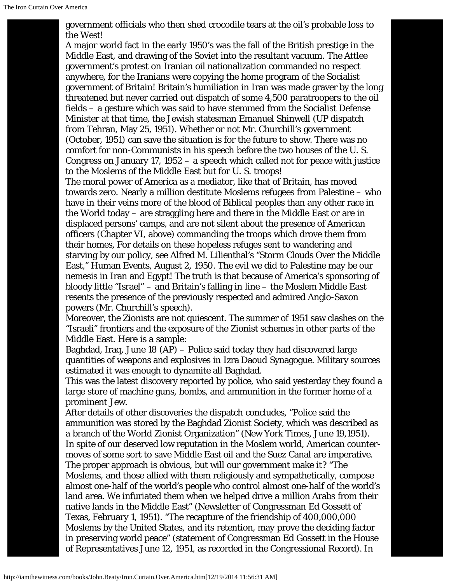government officials who then shed crocodile tears at the oil's probable loss to the West!

A major world fact in the early 1950's was the fall of the British prestige in the Middle East, and drawing of the Soviet into the resultant vacuum. The Attlee government's protest on Iranian oil nationalization commanded no respect anywhere, for the Iranians were copying the home program of the Socialist government of Britain! Britain's humiliation in Iran was made graver by the long threatened but never carried out dispatch of some 4,500 paratroopers to the oil fields – a gesture which was said to have stemmed from the Socialist Defense Minister at that time, the Jewish statesman Emanuel Shinwell (UP dispatch from Tehran, May 25, 1951). Whether or not Mr. Churchill's government (October, 1951) can save the situation is for the future to show. There was no comfort for non-Communists in his speech before the two houses of the U. S. Congress on January 17, 1952 – a speech which called not for peace with justice to the Moslems of the Middle East but for U. S. troops!

The moral power of America as a mediator, like that of Britain, has moved towards zero. Nearly a million destitute Moslems refugees from Palestine – who have in their veins more of the blood of Biblical peoples than any other race in the World today – are straggling here and there in the Middle East or are in displaced persons' camps, and are not silent about the presence of American officers (Chapter VI, above) commanding the troops which drove them from their homes, For details on these hopeless refuges sent to wandering and starving by our policy, see Alfred M. Lilienthal's "Storm Clouds Over the Middle East," Human Events, August 2, 1950. The evil we did to Palestine may be our nemesis in Iran and Egypt! The truth is that because of America's sponsoring of bloody little "Israel" – and Britain's falling in line – the Moslem Middle East resents the presence of the previously respected and admired Anglo-Saxon powers (Mr. Churchill's speech).

Moreover, the Zionists are not quiescent. The summer of 1951 saw clashes on the "Israeli" frontiers and the exposure of the Zionist schemes in other parts of the Middle East. Here is a sample:

Baghdad, Iraq, June 18 (AP) – Police said today they had discovered large quantities of weapons and explosives in Izra Daoud Synagogue. Military sources estimated it was enough to dynamite all Baghdad.

This was the latest discovery reported by police, who said yesterday they found a large store of machine guns, bombs, and ammunition in the former home of a prominent Jew.

After details of other discoveries the dispatch concludes, "Police said the ammunition was stored by the Baghdad Zionist Society, which was described as a branch of the World Zionist Organization" (New York Times, June 19,1951). In spite of our deserved low reputation in the Moslem world, American countermoves of some sort to save Middle East oil and the Suez Canal are imperative. The proper approach is obvious, but will our government make it? "The Moslems, and those allied with them religiously and sympathetically, compose almost one-half of the world's people who control almost one-half of the world's land area. We infuriated them when we helped drive a million Arabs from their native lands in the Middle East" (Newsletter of Congressman Ed Gossett of Texas, February 1, 1951). "The recapture of the friendship of 400,000,000 Moslems by the United States, and its retention, may prove the deciding factor in preserving world peace" (statement of Congressman Ed Gossett in the House of Representatives June 12, 1951, as recorded in the Congressional Record). In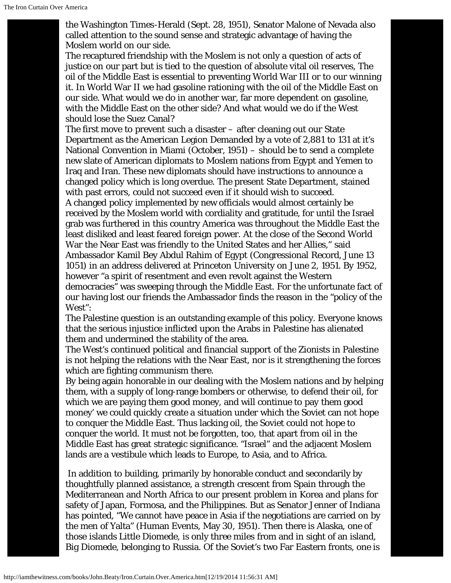the Washington Times-Herald (Sept. 28, 1951), Senator Malone of Nevada also called attention to the sound sense and strategic advantage of having the Moslem world on our side.

The recaptured friendship with the Moslem is not only a question of acts of justice on our part but is tied to the question of absolute vital oil reserves, The oil of the Middle East is essential to preventing World War III or to our winning it. In World War II we had gasoline rationing with the oil of the Middle East on our side. What would we do in another war, far more dependent on gasoline, with the Middle East on the other side? And what would we do if the West should lose the Suez Canal?

The first move to prevent such a disaster – after cleaning out our State Department as the American Legion Demanded by a vote of 2,881 to 131 at it's National Convention in Miami (October, 1951) – should be to send a complete new slate of American diplomats to Moslem nations from Egypt and Yemen to Iraq and Iran. These new diplomats should have instructions to announce a changed policy which is long overdue. The present State Department, stained with past errors, could not succeed even if it should wish to succeed. A changed policy implemented by new officials would almost certainly be received by the Moslem world with cordiality and gratitude, for until the Israel grab was furthered in this country America was throughout the Middle East the least disliked and least feared foreign power. At the close of the Second World War the Near East was friendly to the United States and her Allies," said Ambassador Kamil Bey Abdul Rahim of Egypt (Congressional Record, June 13 1051) in an address delivered at Princeton University on June 2, 1951. By 1952, however "a spirit of resentment and even revolt against the Western

democracies" was sweeping through the Middle East. For the unfortunate fact of our having lost our friends the Ambassador finds the reason in the "policy of the West":

The Palestine question is an outstanding example of this policy. Everyone knows that the serious injustice inflicted upon the Arabs in Palestine has alienated them and undermined the stability of the area.

The West's continued political and financial support of the Zionists in Palestine is not helping the relations with the Near East, nor is it strengthening the forces which are fighting communism there.

By being again honorable in our dealing with the Moslem nations and by helping them, with a supply of long-range bombers or otherwise, to defend their oil, for which we are paying them good money, and will continue to pay them good money' we could quickly create a situation under which the Soviet can not hope to conquer the Middle East. Thus lacking oil, the Soviet could not hope to conquer the world. It must not be forgotten, too, that apart from oil in the Middle East has great strategic significance. "Israel" and the adjacent Moslem lands are a vestibule which leads to Europe, to Asia, and to Africa.

 In addition to building, primarily by honorable conduct and secondarily by thoughtfully planned assistance, a strength crescent from Spain through the Mediterranean and North Africa to our present problem in Korea and plans for safety of Japan, Formosa, and the Philippines. But as Senator Jenner of Indiana has pointed, "We cannot have peace in Asia if the negotiations are carried on by the men of Yalta" (Human Events, May 30, 1951). Then there is Alaska, one of those islands Little Diomede, is only three miles from and in sight of an island, Big Diomede, belonging to Russia. Of the Soviet's two Far Eastern fronts, one is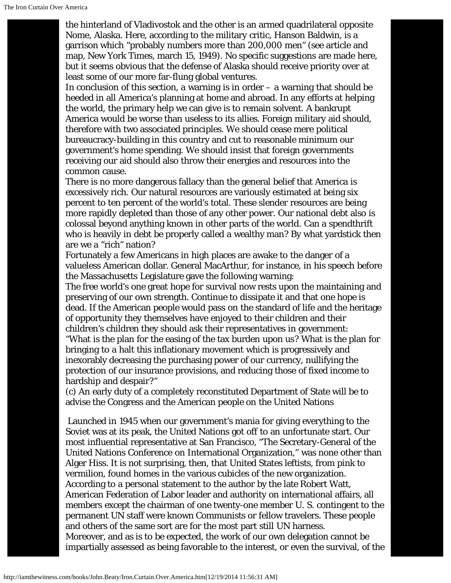the hinterland of Vladivostok and the other is an armed quadrilateral opposite Nome, Alaska. Here, according to the military critic, Hanson Baldwin, is a garrison which "probably numbers more than 200,000 men" (see article and map, New York Times, march 15, 1949). No specific suggestions are made here, but it seems obvious that the defense of Alaska should receive priority over at least some of our more far-flung global ventures.

In conclusion of this section, a warning is in order – a warning that should be heeded in all America's planning at home and abroad. In any efforts at helping the world, the primary help we can give is to remain solvent. A bankrupt America would be worse than useless to its allies. Foreign military aid should, therefore with two associated principles. We should cease mere political bureaucracy-building in this country and cut to reasonable minimum our government's home spending. We should insist that foreign governments receiving our aid should also throw their energies and resources into the common cause.

There is no more dangerous fallacy than the general belief that America is excessively rich. Our natural resources are variously estimated at being six percent to ten percent of the world's total. These slender resources are being more rapidly depleted than those of any other power. Our national debt also is colossal beyond anything known in other parts of the world. Can a spendthrift who is heavily in debt be properly called a wealthy man? By what yardstick then are we a "rich" nation?

Fortunately a few Americans in high places are awake to the danger of a valueless American dollar. General MacArthur, for instance, in his speech before the Massachusetts Legislature gave the following warning:

The free world's one great hope for survival now rests upon the maintaining and preserving of our own strength. Continue to dissipate it and that one hope is dead. If the American people would pass on the standard of life and the heritage of opportunity they themselves have enjoyed to their children and their children's children they should ask their representatives in government: "What is the plan for the easing of the tax burden upon us? What is the plan for bringing to a halt this inflationary movement which is progressively and inexorably decreasing the purchasing power of our currency, nullifying the protection of our insurance provisions, and reducing those of fixed income to hardship and despair?"

(c) An early duty of a completely reconstituted Department of State will be to advise the Congress and the American people on the United Nations

 Launched in 1945 when our government's mania for giving everything to the Soviet was at its peak, the United Nations got off to an unfortunate start. Our most influential representative at San Francisco, "The Secretary-General of the United Nations Conference on International Organization," was none other than Alger Hiss. It is not surprising, then, that United States leftists, from pink to vermilion, found homes in the various cubicles of the new organization. According to a personal statement to the author by the late Robert Watt, American Federation of Labor leader and authority on international affairs, all members except the chairman of one twenty-one member U. S. contingent to the permanent UN staff were known Communists or fellow travelers. These people and others of the same sort are for the most part still UN harness. Moreover, and as is to be expected, the work of our own delegation cannot be impartially assessed as being favorable to the interest, or even the survival, of the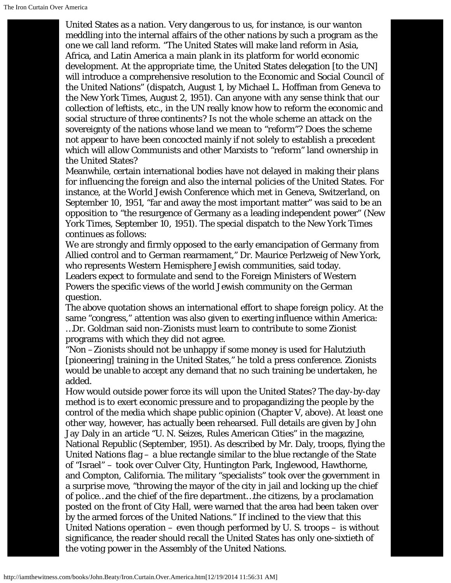United States as a nation. Very dangerous to us, for instance, is our wanton meddling into the internal affairs of the other nations by such a program as the one we call land reform. "The United States will make land reform in Asia, Africa, and Latin America a main plank in its platform for world economic development. At the appropriate time, the United States delegation [to the UN] will introduce a comprehensive resolution to the Economic and Social Council of the United Nations" (dispatch, August 1, by Michael L. Hoffman from Geneva to the New York Times, August 2, 1951). Can anyone with any sense think that our collection of leftists, etc., in the UN really know how to reform the economic and social structure of three continents? Is not the whole scheme an attack on the sovereignty of the nations whose land we mean to "reform"? Does the scheme not appear to have been concocted mainly if not solely to establish a precedent which will allow Communists and other Marxists to "reform" land ownership in the United States?

Meanwhile, certain international bodies have not delayed in making their plans for influencing the foreign and also the internal policies of the United States. For instance, at the World Jewish Conference which met in Geneva, Switzerland, on September 10, 1951, "far and away the most important matter" was said to be an opposition to "the resurgence of Germany as a leading independent power" (New York Times, September 10, 1951). The special dispatch to the New York Times continues as follows:

We are strongly and firmly opposed to the early emancipation of Germany from Allied control and to German rearmament," Dr. Maurice Perlzweig of New York, who represents Western Hemisphere Jewish communities, said today. Leaders expect to formulate and send to the Foreign Ministers of Western Powers the specific views of the world Jewish community on the German question.

The above quotation shows an international effort to shape foreign policy. At the same "congress," attention was also given to exerting influence within America: …Dr. Goldman said non-Zionists must learn to contribute to some Zionist programs with which they did not agree.

"Non –Zionists should not be unhappy if some money is used for Halutziuth [pioneering] training in the United States," he told a press conference. Zionists would be unable to accept any demand that no such training be undertaken, he added.

How would outside power force its will upon the United States? The day-by-day method is to exert economic pressure and to propagandizing the people by the control of the media which shape public opinion (Chapter V, above). At least one other way, however, has actually been rehearsed. Full details are given by John Jay Daly in an article "U. N. Seizes, Rules American Cities" in the magazine, National Republic (September, 1951). As described by Mr. Daly, troops, flying the United Nations flag – a blue rectangle similar to the blue rectangle of the State of "Israel" – took over Culver City, Huntington Park, Inglewood, Hawthorne, and Compton, California. The military "specialists" took over the government in a surprise move, "throwing the mayor of the city in jail and locking up the chief of police…and the chief of the fire department…the citizens, by a proclamation posted on the front of City Hall, were warned that the area had been taken over by the armed forces of the United Nations." If inclined to the view that this United Nations operation – even though performed by U. S. troops – is without significance, the reader should recall the United States has only one-sixtieth of the voting power in the Assembly of the United Nations.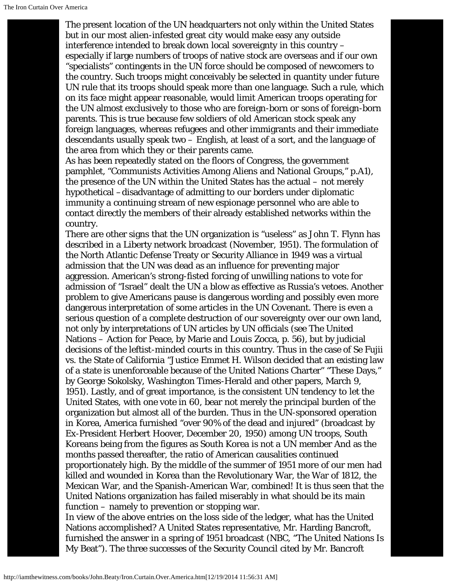The present location of the UN headquarters not only within the United States but in our most alien-infested great city would make easy any outside interference intended to break down local sovereignty in this country – especially if large numbers of troops of native stock are overseas and if our own "specialists" contingents in the UN force should be composed of newcomers to the country. Such troops might conceivably be selected in quantity under future UN rule that its troops should speak more than one language. Such a rule, which on its face might appear reasonable, would limit American troops operating for the UN almost exclusively to those who are foreign-born or sons of foreign-born parents. This is true because few soldiers of old American stock speak any foreign languages, whereas refugees and other immigrants and their immediate descendants usually speak two – English, at least of a sort, and the language of the area from which they or their parents came.

As has been repeatedly stated on the floors of Congress, the government pamphlet, "Communists Activities Among Aliens and National Groups," p.A1), the presence of the UN within the United States has the actual – not merely hypothetical –disadvantage of admitting to our borders under diplomatic immunity a continuing stream of new espionage personnel who are able to contact directly the members of their already established networks within the country.

There are other signs that the UN organization is "useless" as John T. Flynn has described in a Liberty network broadcast (November, 1951). The formulation of the North Atlantic Defense Treaty or Security Alliance in 1949 was a virtual admission that the UN was dead as an influence for preventing major aggression. American's strong-fisted forcing of unwilling nations to vote for admission of "Israel" dealt the UN a blow as effective as Russia's vetoes. Another problem to give Americans pause is dangerous wording and possibly even more dangerous interpretation of some articles in the UN Covenant. There is even a serious question of a complete destruction of our sovereignty over our own land, not only by interpretations of UN articles by UN officials (see The United Nations – Action for Peace, by Marie and Louis Zocca, p. 56), but by judicial decisions of the leftist-minded courts in this country. Thus in the case of Se Fujii vs. the State of California "Justice Emmet H. Wilson decided that an existing law of a state is unenforceable because of the United Nations Charter" "These Days," by George Sokolsky, Washington Times-Herald and other papers, March 9, 1951). Lastly, and of great importance, is the consistent UN tendency to let the United States, with one vote in 60, bear not merely the principal burden of the organization but almost all of the burden. Thus in the UN-sponsored operation in Korea, America furnished "over 90% of the dead and injured" (broadcast by Ex-President Herbert Hoover, December 20, 1950) among UN troops, South Koreans being from the figures as South Korea is not a UN member And as the months passed thereafter, the ratio of American causalities continued proportionately high. By the middle of the summer of 1951 more of our men had killed and wounded in Korea than the Revolutionary War, the War of 1812, the Mexican War, and the Spanish-American War, combined! It is thus seen that the United Nations organization has failed miserably in what should be its main function – namely to prevention or stopping war.

In view of the above entries on the loss side of the ledger, what has the United Nations accomplished? A United States representative, Mr. Harding Bancroft, furnished the answer in a spring of 1951 broadcast (NBC, "The United Nations Is My Beat"). The three successes of the Security Council cited by Mr. Bancroft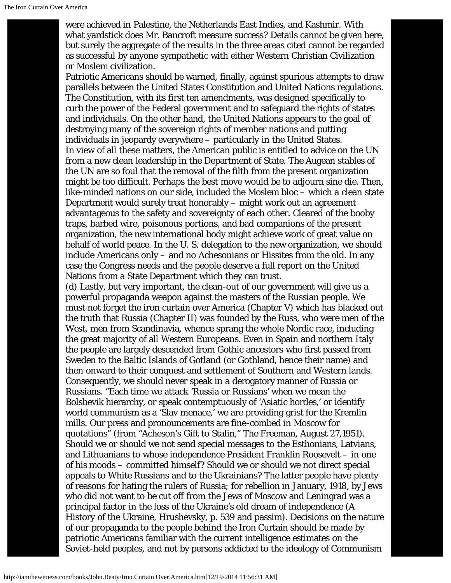were achieved in Palestine, the Netherlands East Indies, and Kashmir. With what yardstick does Mr. Bancroft measure success? Details cannot be given here, but surely the aggregate of the results in the three areas cited cannot be regarded as successful by anyone sympathetic with either Western Christian Civilization or Moslem civilization.

Patriotic Americans should be warned, finally, against spurious attempts to draw parallels between the United States Constitution and United Nations regulations. The Constitution, with its first ten amendments, was designed specifically to curb the power of the Federal government and to safeguard the rights of states and individuals. On the other hand, the United Nations appears to the goal of destroying many of the sovereign rights of member nations and putting individuals in jeopardy everywhere – particularly in the United States. In view of all these matters, the American public is entitled to advice on the UN from a new clean leadership in the Department of State. The Augean stables of the UN are so foul that the removal of the filth from the present organization might be too difficult. Perhaps the best move would be to adjourn sine die. Then, like-minded nations on our side, included the Moslem bloc – which a clean state Department would surely treat honorably – might work out an agreement advantageous to the safety and sovereignty of each other. Cleared of the booby traps, barbed wire, poisonous portions, and bad companions of the present organization, the new international body might achieve work of great value on behalf of world peace. In the U. S. delegation to the new organization, we should include Americans only – and no Achesonians or Hissites from the old. In any case the Congress needs and the people deserve a full report on the United Nations from a State Department which they can trust.

(d) Lastly, but very important, the clean-out of our government will give us a powerful propaganda weapon against the masters of the Russian people. We must not forget the iron curtain over America (Chapter V) which has blacked out the truth that Russia (Chapter II) was founded by the Russ, who were men of the West, men from Scandinavia, whence sprang the whole Nordic race, including the great majority of all Western Europeans. Even in Spain and northern Italy the people are largely descended from Gothic ancestors who first passed from Sweden to the Baltic Islands of Gotland (or Gothland, hence their name) and then onward to their conquest and settlement of Southern and Western lands. Consequently, we should never speak in a derogatory manner of Russia or Russians. "Each time we attack 'Russia or Russians' when we mean the Bolshevik hierarchy, or speak contemptuously of 'Asiatic hordes,' or identify world communism as a 'Slav menace,' we are providing grist for the Kremlin mills. Our press and pronouncements are fine-combed in Moscow for quotations" (from "Acheson's Gift to Stalin," The Freeman, August 27,1951). Should we or should we not send special messages to the Esthonians, Latvians, and Lithuanians to whose independence President Franklin Roosevelt – in one of his moods – committed himself? Should we or should we not direct special appeals to White Russians and to the Ukrainians? The latter people have plenty of reasons for hating the rulers of Russia; for rebellion in January, 1918, by Jews who did not want to be cut off from the Jews of Moscow and Leningrad was a principal factor in the loss of the Ukraine's old dream of independence (A History of the Ukraine, Hrushevsky, p. 539 and passim). Decisions on the nature of our propaganda to the people behind the Iron Curtain should be made by patriotic Americans familiar with the current intelligence estimates on the Soviet-held peoples, and not by persons addicted to the ideology of Communism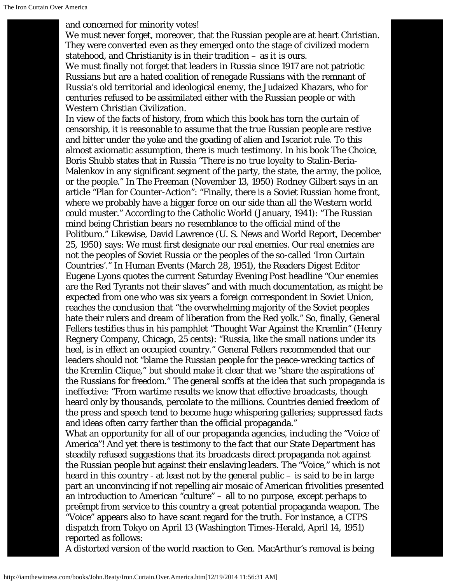and concerned for minority votes!

We must never forget, moreover, that the Russian people are at heart Christian. They were converted even as they emerged onto the stage of civilized modern statehood, and Christianity is in their tradition – as it is ours.

We must finally not forget that leaders in Russia since 1917 are not patriotic Russians but are a hated coalition of renegade Russians with the remnant of Russia's old territorial and ideological enemy, the Judaized Khazars, who for centuries refused to be assimilated either with the Russian people or with Western Christian Civilization.

In view of the facts of history, from which this book has torn the curtain of censorship, it is reasonable to assume that the true Russian people are restive and bitter under the yoke and the goading of alien and Iscariot rule. To this almost axiomatic assumption, there is much testimony. In his book The Choice, Boris Shubb states that in Russia "There is no true loyalty to Stalin-Beria-Malenkov in any significant segment of the party, the state, the army, the police, or the people." In The Freeman (November 13, 1950) Rodney Gilbert says in an article "Plan for Counter-Action": "Finally, there is a Soviet Russian home front, where we probably have a bigger force on our side than all the Western world could muster." According to the Catholic World (January, 1941): "The Russian mind being Christian bears no resemblance to the official mind of the Politburo." Likewise, David Lawrence (U. S. News and World Report, December 25, 1950) says: We must first designate our real enemies. Our real enemies are not the peoples of Soviet Russia or the peoples of the so-called 'Iron Curtain Countries'." In Human Events (March 28, 1951), the Readers Digest Editor Eugene Lyons quotes the current Saturday Evening Post headline "Our enemies are the Red Tyrants not their slaves" and with much documentation, as might be expected from one who was six years a foreign correspondent in Soviet Union, reaches the conclusion that "the overwhelming majority of the Soviet peoples hate their rulers and dream of liberation from the Red yolk." So, finally, General Fellers testifies thus in his pamphlet "Thought War Against the Kremlin" (Henry Regnery Company, Chicago, 25 cents): "Russia, like the small nations under its heel, is in effect an occupied country." General Fellers recommended that our leaders should not "blame the Russian people for the peace-wrecking tactics of the Kremlin Clique," but should make it clear that we "share the aspirations of the Russians for freedom." The general scoffs at the idea that such propaganda is ineffective: "From wartime results we know that effective broadcasts, though heard only by thousands, percolate to the millions. Countries denied freedom of the press and speech tend to become huge whispering galleries; suppressed facts and ideas often carry farther than the official propaganda."

What an opportunity for all of our propaganda agencies, including the "Voice of America"! And yet there is testimony to the fact that our State Department has steadily refused suggestions that its broadcasts direct propaganda not against the Russian people but against their enslaving leaders. The "Voice," which is not heard in this country - at least not by the general public – is said to be in large part an unconvincing if not repelling air mosaic of American frivolities presented an introduction to American "culture" – all to no purpose, except perhaps to preëmpt from service to this country a great potential propaganda weapon. The "Voice" appears also to have scant regard for the truth. For instance, a CTPS dispatch from Tokyo on April 13 (Washington Times-Herald, April 14, 1951) reported as follows:

A distorted version of the world reaction to Gen. MacArthur's removal is being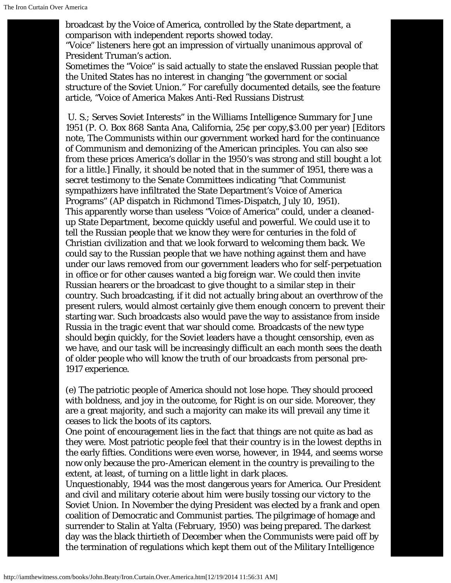broadcast by the Voice of America, controlled by the State department, a comparison with independent reports showed today.

"Voice" listeners here got an impression of virtually unanimous approval of President Truman's action.

Sometimes the "Voice" is said actually to state the enslaved Russian people that the United States has no interest in changing "the government or social structure of the Soviet Union." For carefully documented details, see the feature article, "Voice of America Makes Anti-Red Russians Distrust

 U. S.; Serves Soviet Interests" in the Williams Intelligence Summary for June 1951 (P. O. Box 868 Santa Ana, California, 25¢ per copy,\$3.00 per year) [Editors note, The Communists within our government worked hard for the continuance of Communism and demonizing of the American principles. You can also see from these prices America's dollar in the 1950's was strong and still bought a lot for a little.] Finally, it should be noted that in the summer of 1951, there was a secret testimony to the Senate Committees indicating "that Communist sympathizers have infiltrated the State Department's Voice of America Programs" (AP dispatch in Richmond Times-Dispatch, July 10, 1951). This apparently worse than useless "Voice of America" could, under a cleanedup State Department, become quickly useful and powerful. We could use it to tell the Russian people that we know they were for centuries in the fold of Christian civilization and that we look forward to welcoming them back. We could say to the Russian people that we have nothing against them and have under our laws removed from our government leaders who for self-perpetuation in office or for other causes wanted a big foreign war. We could then invite Russian hearers or the broadcast to give thought to a similar step in their country. Such broadcasting, if it did not actually bring about an overthrow of the present rulers, would almost certainly give them enough concern to prevent their starting war. Such broadcasts also would pave the way to assistance from inside Russia in the tragic event that war should come. Broadcasts of the new type should begin quickly, for the Soviet leaders have a thought censorship, even as we have, and our task will be increasingly difficult an each month sees the death of older people who will know the truth of our broadcasts from personal pre-1917 experience.

(e) The patriotic people of America should not lose hope. They should proceed with boldness, and joy in the outcome, for Right is on our side. Moreover, they are a great majority, and such a majority can make its will prevail any time it ceases to lick the boots of its captors.

One point of encouragement lies in the fact that things are not quite as bad as they were. Most patriotic people feel that their country is in the lowest depths in the early fifties. Conditions were even worse, however, in 1944, and seems worse now only because the pro-American element in the country is prevailing to the extent, at least, of turning on a little light in dark places.

Unquestionably, 1944 was the most dangerous years for America. Our President and civil and military coterie about him were busily tossing our victory to the Soviet Union. In November the dying President was elected by a frank and open coalition of Democratic and Communist parties. The pilgrimage of homage and surrender to Stalin at Yalta (February, 1950) was being prepared. The darkest day was the black thirtieth of December when the Communists were paid off by the termination of regulations which kept them out of the Military Intelligence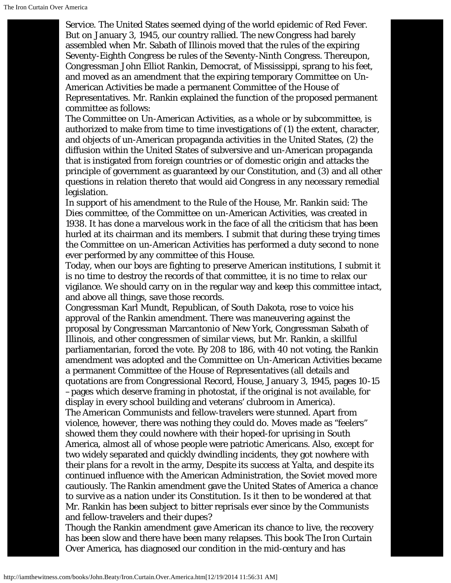Service. The United States seemed dying of the world epidemic of Red Fever. But on January 3, 1945, our country rallied. The new Congress had barely assembled when Mr. Sabath of Illinois moved that the rules of the expiring Seventy-Eighth Congress be rules of the Seventy-Ninth Congress. Thereupon, Congressman John Elliot Rankin, Democrat, of Mississippi, sprang to his feet, and moved as an amendment that the expiring temporary Committee on Un-American Activities be made a permanent Committee of the House of Representatives. Mr. Rankin explained the function of the proposed permanent committee as follows:

The Committee on Un-American Activities, as a whole or by subcommittee, is authorized to make from time to time investigations of (1) the extent, character, and objects of un-American propaganda activities in the United States, (2) the diffusion within the United States of subversive and un-American propaganda that is instigated from foreign countries or of domestic origin and attacks the principle of government as guaranteed by our Constitution, and (3) and all other questions in relation thereto that would aid Congress in any necessary remedial legislation.

In support of his amendment to the Rule of the House, Mr. Rankin said: The Dies committee, of the Committee on un-American Activities, was created in 1938. It has done a marvelous work in the face of all the criticism that has been hurled at its chairman and its members. I submit that during these trying times the Committee on un-American Activities has performed a duty second to none ever performed by any committee of this House.

Today, when our boys are fighting to preserve American institutions, I submit it is no time to destroy the records of that committee, it is no time to relax our vigilance. We should carry on in the regular way and keep this committee intact, and above all things, save those records.

Congressman Karl Mundt, Republican, of South Dakota, rose to voice his approval of the Rankin amendment. There was maneuvering against the proposal by Congressman Marcantonio of New York, Congressman Sabath of Illinois, and other congressmen of similar views, but Mr. Rankin, a skillful parliamentarian, forced the vote. By 208 to 186, with 40 not voting, the Rankin amendment was adopted and the Committee on Un-American Activities became a permanent Committee of the House of Representatives (all details and quotations are from Congressional Record, House, January 3, 1945, pages 10-15 –pages which deserve framing in photostat, if the original is not available, for display in every school building and veterans' clubroom in America). The American Communists and fellow-travelers were stunned. Apart from violence, however, there was nothing they could do. Moves made as "feelers" showed them they could nowhere with their hoped-for uprising in South America, almost all of whose people were patriotic Americans. Also, except for two widely separated and quickly dwindling incidents, they got nowhere with their plans for a revolt in the army, Despite its success at Yalta, and despite its continued influence with the American Administration, the Soviet moved more cautiously. The Rankin amendment gave the United States of America a chance to survive as a nation under its Constitution. Is it then to be wondered at that Mr. Rankin has been subject to bitter reprisals ever since by the Communists and fellow-travelers and their dupes?

Though the Rankin amendment gave American its chance to live, the recovery has been slow and there have been many relapses. This book The Iron Curtain Over America, has diagnosed our condition in the mid-century and has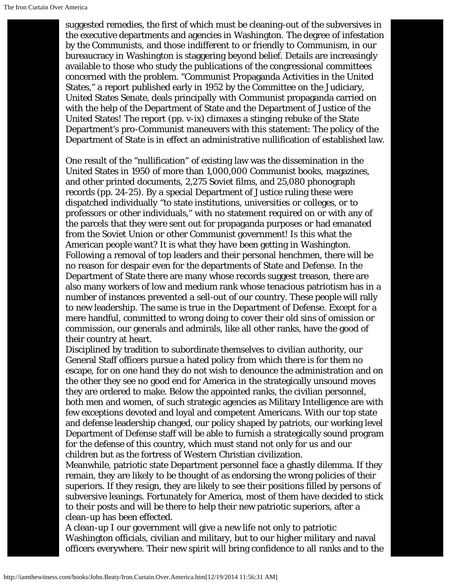suggested remedies, the first of which must be cleaning-out of the subversives in the executive departments and agencies in Washington. The degree of infestation by the Communists, and those indifferent to or friendly to Communism, in our bureaucracy in Washington is staggering beyond belief. Details are increasingly available to those who study the publications of the congressional committees concerned with the problem. "Communist Propaganda Activities in the United States," a report published early in 1952 by the Committee on the Judiciary, United States Senate, deals principally with Communist propaganda carried on with the help of the Department of State and the Department of Justice of the United States! The report (pp. v-ix) climaxes a stinging rebuke of the State Department's pro-Communist maneuvers with this statement: The policy of the Department of State is in effect an administrative nullification of established law.

One result of the "nullification" of existing law was the dissemination in the United States in 1950 of more than 1,000,000 Communist books, magazines, and other printed documents, 2,275 Soviet films, and 25,080 phonograph records (pp. 24-25). By a special Department of Justice ruling these were dispatched individually "to state institutions, universities or colleges, or to professors or other individuals," with no statement required on or with any of the parcels that they were sent out for propaganda purposes or had emanated from the Soviet Union or other Communist government! Is this what the American people want? It is what they have been getting in Washington. Following a removal of top leaders and their personal henchmen, there will be no reason for despair even for the departments of State and Defense. In the Department of State there are many whose records suggest treason, there are also many workers of low and medium rank whose tenacious patriotism has in a number of instances prevented a sell-out of our country. These people will rally to new leadership. The same is true in the Department of Defense. Except for a mere handful, committed to wrong doing to cover their old sins of omission or commission, our generals and admirals, like all other ranks, have the good of their country at heart.

Disciplined by tradition to subordinate themselves to civilian authority, our General Staff officers pursue a hated policy from which there is for them no escape, for on one hand they do not wish to denounce the administration and on the other they see no good end for America in the strategically unsound moves they are ordered to make. Below the appointed ranks, the civilian personnel, both men and women, of such strategic agencies as Military Intelligence are with few exceptions devoted and loyal and competent Americans. With our top state and defense leadership changed, our policy shaped by patriots, our working level Department of Defense staff will be able to furnish a strategically sound program for the defense of this country, which must stand not only for us and our children but as the fortress of Western Christian civilization.

Meanwhile, patriotic state Department personnel face a ghastly dilemma. If they remain, they are likely to be thought of as endorsing the wrong policies of their superiors. If they resign, they are likely to see their positions filled by persons of subversive leanings. Fortunately for America, most of them have decided to stick to their posts and will be there to help their new patriotic superiors, after a clean-up has been effected.

A clean-up I our government will give a new life not only to patriotic Washington officials, civilian and military, but to our higher military and naval officers everywhere. Their new spirit will bring confidence to all ranks and to the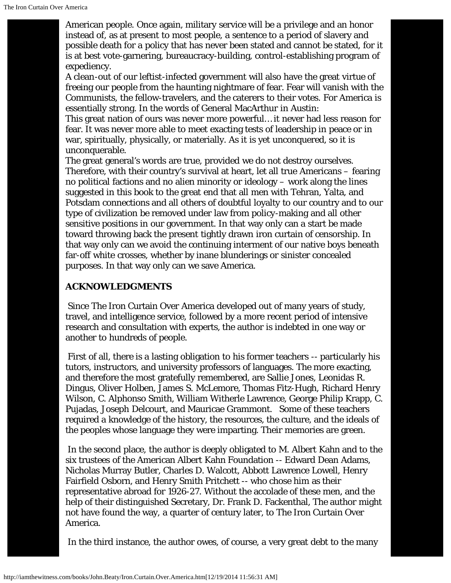American people. Once again, military service will be a privilege and an honor instead of, as at present to most people, a sentence to a period of slavery and possible death for a policy that has never been stated and cannot be stated, for it is at best vote-garnering, bureaucracy-building, control-establishing program of expediency.

A clean-out of our leftist-infected government will also have the great virtue of freeing our people from the haunting nightmare of fear. Fear will vanish with the Communists, the fellow-travelers, and the caterers to their votes. For America is essentially strong. In the words of General MacArthur in Austin:

This great nation of ours was never more powerful… it never had less reason for fear. It was never more able to meet exacting tests of leadership in peace or in war, spiritually, physically, or materially. As it is yet unconquered, so it is unconquerable.

The great general's words are true, provided we do not destroy ourselves. Therefore, with their country's survival at heart, let all true Americans – fearing no political factions and no alien minority or ideology – work along the lines suggested in this book to the great end that all men with Tehran, Yalta, and Potsdam connections and all others of doubtful loyalty to our country and to our type of civilization be removed under law from policy-making and all other sensitive positions in our government. In that way only can a start be made toward throwing back the present tightly drawn iron curtain of censorship. In that way only can we avoid the continuing interment of our native boys beneath far-off white crosses, whether by inane blunderings or sinister concealed purposes. In that way only can we save America.

#### **ACKNOWLEDGMENTS**

 Since The Iron Curtain Over America developed out of many years of study, travel, and intelligence service, followed by a more recent period of intensive research and consultation with experts, the author is indebted in one way or another to hundreds of people.

 First of all, there is a lasting obligation to his former teachers -- particularly his tutors, instructors, and university professors of languages. The more exacting, and therefore the most gratefully remembered, are Sallie Jones, Leonidas R. Dingus, Oliver Holben, James S. McLemore, Thomas Fitz-Hugh, Richard Henry Wilson, C. Alphonso Smith, William Witherle Lawrence, George Philip Krapp, C. Pujadas, Joseph Delcourt, and Mauricae Grammont. Some of these teachers required a knowledge of the history, the resources, the culture, and the ideals of the peoples whose language they were imparting. Their memories are green.

 In the second place, the author is deeply obligated to M. Albert Kahn and to the six trustees of the American Albert Kahn Foundation -- Edward Dean Adams, Nicholas Murray Butler, Charles D. Walcott, Abbott Lawrence Lowell, Henry Fairfield Osborn, and Henry Smith Pritchett -- who chose him as their representative abroad for 1926-27. Without the accolade of these men, and the help of their distinguished Secretary, Dr. Frank D. Fackenthal, The author might not have found the way, a quarter of century later, to The Iron Curtain Over America.

In the third instance, the author owes, of course, a very great debt to the many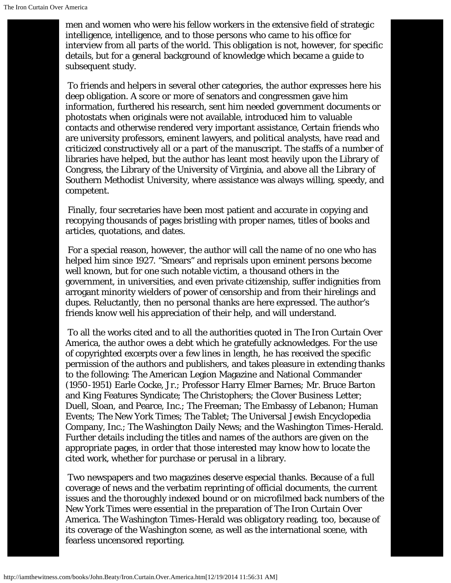men and women who were his fellow workers in the extensive field of strategic intelligence, intelligence, and to those persons who came to his office for interview from all parts of the world. This obligation is not, however, for specific details, but for a general background of knowledge which became a guide to subsequent study.

 To friends and helpers in several other categories, the author expresses here his deep obligation. A score or more of senators and congressmen gave him information, furthered his research, sent him needed government documents or photostats when originals were not available, introduced him to valuable contacts and otherwise rendered very important assistance, Certain friends who are university professors, eminent lawyers, and political analysts, have read and criticized constructively all or a part of the manuscript. The staffs of a number of libraries have helped, but the author has leant most heavily upon the Library of Congress, the Library of the University of Virginia, and above all the Library of Southern Methodist University, where assistance was always willing, speedy, and competent.

 Finally, four secretaries have been most patient and accurate in copying and recopying thousands of pages bristling with proper names, titles of books and articles, quotations, and dates.

 For a special reason, however, the author will call the name of no one who has helped him since 1927. "Smears" and reprisals upon eminent persons become well known, but for one such notable victim, a thousand others in the government, in universities, and even private citizenship, suffer indignities from arrogant minority wielders of power of censorship and from their hirelings and dupes. Reluctantly, then no personal thanks are here expressed. The author's friends know well his appreciation of their help, and will understand.

 To all the works cited and to all the authorities quoted in The Iron Curtain Over America, the author owes a debt which he gratefully acknowledges. For the use of copyrighted excerpts over a few lines in length, he has received the specific permission of the authors and publishers, and takes pleasure in extending thanks to the following: The American Legion Magazine and National Commander (1950-1951) Earle Cocke, Jr.; Professor Harry Elmer Barnes; Mr. Bruce Barton and King Features Syndicate; The Christophers; the Clover Business Letter; Duell, Sloan, and Pearce, Inc.; The Freeman; The Embassy of Lebanon; Human Events; The New York Times; The Tablet; The Universal Jewish Encyclopedia Company, Inc.; The Washington Daily News; and the Washington Times-Herald. Further details including the titles and names of the authors are given on the appropriate pages, in order that those interested may know how to locate the cited work, whether for purchase or perusal in a library.

 Two newspapers and two magazines deserve especial thanks. Because of a full coverage of news and the verbatim reprinting of official documents, the current issues and the thoroughly indexed bound or on microfilmed back numbers of the New York Times were essential in the preparation of The Iron Curtain Over America. The Washington Times-Herald was obligatory reading, too, because of its coverage of the Washington scene, as well as the international scene, with fearless uncensored reporting.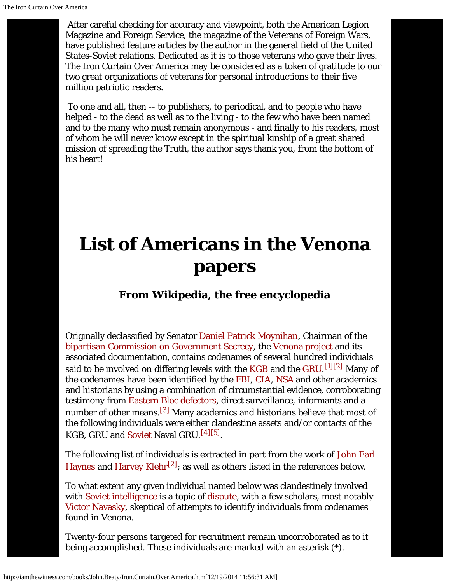After careful checking for accuracy and viewpoint, both the American Legion Magazine and Foreign Service, the magazine of the Veterans of Foreign Wars, have published feature articles by the author in the general field of the United States-Soviet relations. Dedicated as it is to those veterans who gave their lives. The Iron Curtain Over America may be considered as a token of gratitude to our two great organizations of veterans for personal introductions to their five million patriotic readers.

 To one and all, then -- to publishers, to periodical, and to people who have helped - to the dead as well as to the living - to the few who have been named and to the many who must remain anonymous - and finally to his readers, most of whom he will never know except in the spiritual kinship of a great shared mission of spreading the Truth, the author says thank you, from the bottom of his heart!

# **List of Americans in the Venona papers**

#### **From Wikipedia, the free encyclopedia**

<span id="page-159-0"></span>Originally declassified by Senator [Daniel Patrick Moynihan](http://en.wikipedia.org/wiki/Daniel_Patrick_Moynihan), Chairman of the [bipartisan](http://en.wikipedia.org/wiki/Bipartisan) [Commission on Government Secrecy,](http://en.wikipedia.org/wiki/Commission_on_Government_Secrecy) the [Venona project](http://en.wikipedia.org/wiki/Venona_project) and its associated documentation, contains codenames of several hundred individuals said to be involved on differing levels with the [KGB](http://en.wikipedia.org/wiki/KGB) and the [GRU.](http://en.wikipedia.org/wiki/GRU)  $^{\left[1\right] \left[2\right] }$  Many of the codenames have been identified by the [FBI](http://en.wikipedia.org/wiki/FBI), [CIA,](http://en.wikipedia.org/wiki/CIA) [NSA](http://en.wikipedia.org/wiki/NSA) and other academics and historians by using a combination of circumstantial evidence, corroborating testimony from [Eastern Bloc](http://en.wikipedia.org/wiki/Eastern_Bloc) [defectors,](http://en.wikipedia.org/wiki/Defection) direct surveillance, informants and a number of other means.<sup>[3]</sup> Many academics and historians believe that most of the following individuals were either clandestine assets and/or contacts of the KGB, GRU and [Soviet](http://en.wikipedia.org/wiki/Soviet_Union) Naval GRU.<sup>[\[4\]](#page-168-3)[5]</sup>.

<span id="page-159-3"></span><span id="page-159-2"></span><span id="page-159-1"></span>The following list of individuals is extracted in part from the work of [John Earl](http://en.wikipedia.org/wiki/John_Earl_Haynes) [Haynes](http://en.wikipedia.org/wiki/John_Earl_Haynes) and [Harvey Klehr](http://en.wikipedia.org/wiki/Harvey_Klehr)<sup>[2]</sup>; as well as others listed in the references below.

To what extent any given individual named below was clandestinely involved with [Soviet intelligence](http://en.wikipedia.org/wiki/Chronology_of_Soviet_secret_police_agencies) is a topic of [dispute,](http://en.wikipedia.org/wiki/Venona_project#Critical_Views) with a few scholars, most notably [Victor Navasky,](http://en.wikipedia.org/wiki/Victor_Navasky) skeptical of attempts to identify individuals from codenames found in Venona.

Twenty-four persons targeted for recruitment remain uncorroborated as to it being accomplished. These individuals are marked with an asterisk (\*).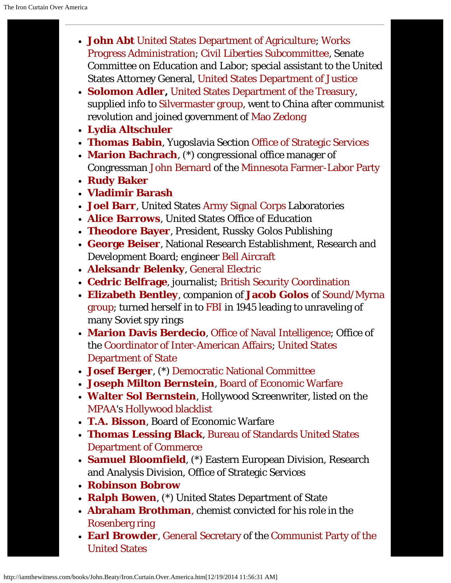| • John Abt United States Department of Agriculture; Works           |
|---------------------------------------------------------------------|
| Progress Administration; Civil Liberties Subcommittee, Senate       |
| Committee on Education and Labor; special assistant to the United   |
| <b>States Attorney General, United States Department of Justice</b> |
| • Solomon Adler, United States Department of the Treasury,          |
| supplied info to Silvermaster group, went to China after communist  |
| revolution and joined government of Mao Zedong                      |

- **[Lydia Altschuler](http://en.wikipedia.org/w/index.php?title=Lydia_Altschuler&action=edit)**
- **[Thomas Babin](http://en.wikipedia.org/wiki/Thomas_Babin)**, Yugoslavia Section [Office of Strategic Services](http://en.wikipedia.org/wiki/Office_of_Strategic_Services)
- **[Marion Bachrach](http://en.wikipedia.org/wiki/Marion_Bachrach)**, (\*) congressional office manager of Congressman [John Bernard](http://en.wikipedia.org/wiki/John_Bernard) of the [Minnesota Farmer-Labor Party](http://en.wikipedia.org/wiki/Minnesota_Farmer-Labor_Party)
- **[Rudy Baker](http://en.wikipedia.org/wiki/Rudy_Baker)**
- **[Vladimir Barash](http://en.wikipedia.org/w/index.php?title=Vladimir_Barash&action=edit)**
- **[Joel Barr](http://en.wikipedia.org/wiki/Joel_Barr)**, United States [Army Signal Corps](http://en.wikipedia.org/wiki/Army_Signal_Corps#World_War_II) Laboratories
- **[Alice Barrows](http://en.wikipedia.org/wiki/Alice_Barrows)**, United States Office of Education
- **[Theodore Bayer](http://en.wikipedia.org/wiki/Theodore_Bayer)**, President, *Russky Golos* Publishing
- **[George Beiser](http://en.wikipedia.org/wiki/George_Beiser)**, National Research Establishment, Research and Development Board; engineer [Bell Aircraft](http://en.wikipedia.org/wiki/Bell_Aircraft)
- **[Aleksandr Belenky](http://en.wikipedia.org/wiki/Aleksandr_Belenky)**, [General Electric](http://en.wikipedia.org/wiki/General_Electric)
- **[Cedric Belfrage](http://en.wikipedia.org/wiki/Cedric_Belfrage)**, journalist; [British Security Coordination](http://en.wikipedia.org/wiki/British_Security_Coordination)
- **[Elizabeth Bentley](http://en.wikipedia.org/wiki/Elizabeth_Bentley)**, companion of **[Jacob Golos](http://en.wikipedia.org/wiki/Jacob_Golos)** of [Sound/Myrna](http://en.wikipedia.org/wiki/List_of_secret_agents#Sound_and_Myrna_groups) [group;](http://en.wikipedia.org/wiki/List_of_secret_agents#Sound_and_Myrna_groups) turned herself in to [FBI](http://en.wikipedia.org/wiki/FBI) in 1945 leading to unraveling of many Soviet spy rings
- **[Marion Davis Berdecio](http://en.wikipedia.org/wiki/Marion_Davis_Berdecio)**, [Office of Naval Intelligence;](http://en.wikipedia.org/wiki/Office_of_Naval_Intelligence) Office of the [Coordinator of Inter-American Affairs](http://en.wikipedia.org/wiki/Coordinator_of_Inter-American_Affairs); [United States](http://en.wikipedia.org/wiki/United_States_Department_of_State) [Department of State](http://en.wikipedia.org/wiki/United_States_Department_of_State)
- **[Josef Berger](http://en.wikipedia.org/wiki/Josef_Berger)**, (\*) [Democratic National Committee](http://en.wikipedia.org/wiki/Democratic_National_Committee)
- **[Joseph Milton Bernstein](http://en.wikipedia.org/wiki/Joseph_Milton_Bernstein)**, [Board of Economic Warfare](http://en.wikipedia.org/wiki/Board_of_Economic_Warfare)
- **[Walter Sol Bernstein](http://en.wikipedia.org/wiki/Walter_Bernstein)**, Hollywood Screenwriter, listed on the [MPAA](http://en.wikipedia.org/wiki/MPAA)'s [Hollywood blacklist](http://en.wikipedia.org/wiki/Hollywood_blacklist)
- **[T.A. Bisson](http://en.wikipedia.org/wiki/T.A._Bisson)**, Board of Economic Warfare
- **[Thomas Lessing Black](http://en.wikipedia.org/wiki/Thomas_Lessing_Black)**, [Bureau of Standards](http://en.wikipedia.org/wiki/National_Institute_of_Standards_and_Technology) [United States](http://en.wikipedia.org/wiki/United_States_Department_of_Commerce) [Department of Commerce](http://en.wikipedia.org/wiki/United_States_Department_of_Commerce)
- **[Samuel Bloomfield](http://en.wikipedia.org/wiki/Samuel_Bloomfield)**, (\*) Eastern European Division, Research and Analysis Division, Office of Strategic Services
- **[Robinson Bobrow](http://en.wikipedia.org/w/index.php?title=Robinson_Bobrow&action=edit)**
- **[Ralph Bowen](http://en.wikipedia.org/wiki/Ralph_Bowen)**, (\*) United States Department of State
- **[Abraham Brothman](http://www.time.com/time/archive/preview/0,10987,813940,00.html)**[,](http://www.time.com/time/archive/preview/0,10987,813940,00.html) chemist convicted for his role in the [Rosenberg ring](http://en.wikipedia.org/wiki/List_of_secret_agents#Rosenberg_ring)
- **[Earl Browder](http://en.wikipedia.org/wiki/Earl_Browder)**, [General Secretary](http://en.wikipedia.org/wiki/General_Secretary) of the [Communist Party of the](http://en.wikipedia.org/wiki/Communist_Party_of_the_United_States) [United States](http://en.wikipedia.org/wiki/Communist_Party_of_the_United_States)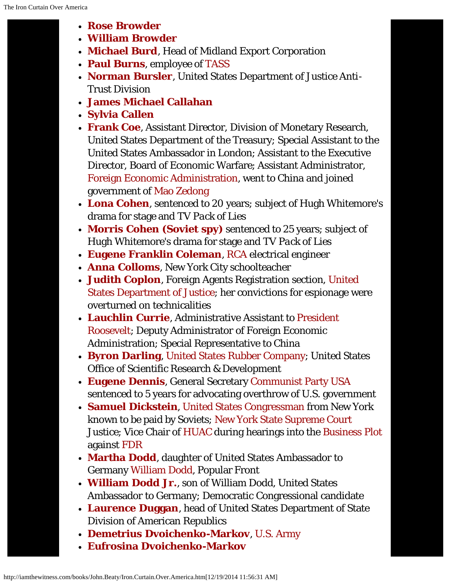- **[Rose Browder](http://en.wikipedia.org/w/index.php?title=Rose_Browder&action=edit)**
- **[William Browder](http://en.wikipedia.org/wiki/William_Browder)**
- **[Michael Burd](http://en.wikipedia.org/wiki/Michael_Burd)**, Head of Midland Export Corporation
- **[Paul Burns](http://en.wikipedia.org/wiki/Paul_Burns)**, employee of [TASS](http://en.wikipedia.org/wiki/TASS_(USSR%2529)
- **[Norman Bursler](http://en.wikipedia.org/wiki/Norman_Bursler)**, United States Department of Justice Anti-Trust Division
- **[James Michael Callahan](http://en.wikipedia.org/wiki/James_Michael_Callahan)**
- **[Sylvia Callen](http://en.wikipedia.org/wiki/Sylvia_Callen)**
- **[Frank Coe](http://en.wikipedia.org/wiki/Frank_Coe)**, Assistant Director, Division of Monetary Research, United States Department of the Treasury; Special Assistant to the United States Ambassador in London; Assistant to the Executive Director, Board of Economic Warfare; Assistant Administrator, [Foreign Economic Administration,](http://en.wikipedia.org/wiki/Foreign_Economic_Administration) went to China and joined government of [Mao Zedong](http://en.wikipedia.org/wiki/Mao_Zedong)
- **[Lona Cohen](http://en.wikipedia.org/wiki/Lona_Cohen)**, sentenced to 20 years; subject of Hugh Whitemore's drama for stage and TV *Pack of Lies*
- **[Morris Cohen \(Soviet spy\)](http://en.wikipedia.org/wiki/Morris_Cohen_(Soviet_spy%2529)** sentenced to 25 years; subject of Hugh Whitemore's drama for stage and TV *Pack of Lies*
- **[Eugene Franklin Coleman](http://en.wikipedia.org/wiki/Eugene_Franklin_Coleman)**, [RCA](http://en.wikipedia.org/wiki/RCA) electrical engineer
- **[Anna Colloms](http://en.wikipedia.org/wiki/Anna_Colloms)**, New York City schoolteacher
- **[Judith Coplon](http://en.wikipedia.org/wiki/Judith_Coplon)**, Foreign Agents Registration section, [United](http://en.wikipedia.org/wiki/United_States_Department_of_Justice) [States Department of Justice;](http://en.wikipedia.org/wiki/United_States_Department_of_Justice) her convictions for espionage were overturned on technicalities
- **[Lauchlin Currie](http://en.wikipedia.org/wiki/Lauchlin_Currie)**, Administrative Assistant to [President](http://en.wikipedia.org/wiki/Franklin_D._Roosevelt) [Roosevelt;](http://en.wikipedia.org/wiki/Franklin_D._Roosevelt) Deputy Administrator of Foreign Economic Administration; Special Representative to China
- **[Byron Darling](http://en.wikipedia.org/wiki/Byron_Darling)**, [United States Rubber Company](http://en.wikipedia.org/wiki/United_States_Rubber_Company); United States Office of Scientific Research & Development
- **[Eugene Dennis](http://en.wikipedia.org/wiki/Eugene_Dennis)**, General Secretary [Communist Party USA](http://en.wikipedia.org/wiki/Communist_Party_USA) sentenced to 5 years for advocating overthrow of U.S. government
- **[Samuel Dickstein](http://en.wikipedia.org/wiki/Samuel_Dickstein_(congressman%2529)**, [United States Congressman](http://en.wikipedia.org/wiki/United_States_Congressman) from New York known to be paid by Soviets; [New York State Supreme Court](http://en.wikipedia.org/wiki/New_York_Supreme_Court) Justice; Vice Chair of [HUAC](http://en.wikipedia.org/wiki/HUAC) during hearings into the [Business Plot](http://en.wikipedia.org/wiki/Business_Plot) against [FDR](http://en.wikipedia.org/wiki/FDR)
- **[Martha Dodd](http://en.wikipedia.org/wiki/Martha_Dodd)**, daughter of United States Ambassador to Germany [William Dodd](http://en.wikipedia.org/wiki/William_Dodd), Popular Front
- **[William Dodd Jr.](http://en.wikipedia.org/wiki/William_Dodd_(Soviet_spy%2529)**, son of William Dodd, United States Ambassador to Germany; Democratic Congressional candidate
- **[Laurence Duggan](http://en.wikipedia.org/wiki/Laurence_Duggan)**, head of United States Department of State Division of American Republics
- **[Demetrius Dvoichenko-Markov](http://en.wikipedia.org/wiki/Demetrius_Dvoichenko-Markov)**, [U.S. Army](http://en.wikipedia.org/wiki/U.S._Army)
- **[Eufrosina Dvoichenko-Markov](http://en.wikipedia.org/wiki/Eufrosina_Dvoichenko-Markov)**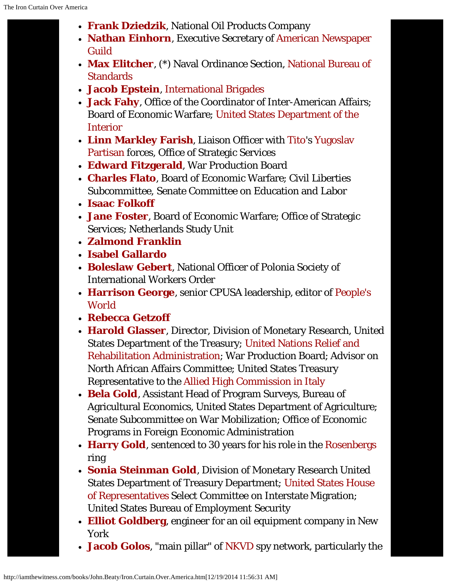- **[Frank Dziedzik](http://en.wikipedia.org/wiki/Frank_Dziedzik)**, National Oil Products Company
- **[Nathan Einhorn](http://en.wikipedia.org/wiki/Nathan_Einhorn)**, Executive Secretary of [American Newspaper](http://en.wikipedia.org/wiki/American_Newspaper_Guild) [Guild](http://en.wikipedia.org/wiki/American_Newspaper_Guild)
- **[Max Elitcher](http://en.wikipedia.org/wiki/Max_Elitcher)**, (\*) Naval Ordinance Section, [National Bureau of](http://en.wikipedia.org/wiki/National_Bureau_of_Standards) **[Standards](http://en.wikipedia.org/wiki/National_Bureau_of_Standards)**
- **[Jacob Epstein](http://en.wikipedia.org/wiki/Jacob_Epstein_(student%2529)**, [International Brigades](http://en.wikipedia.org/wiki/International_Brigades)
- **[Jack Fahy](http://en.wikipedia.org/wiki/Jack_Fahy)**, Office of the Coordinator of Inter-American Affairs; Board of Economic Warfare; [United States Department of the](http://en.wikipedia.org/wiki/United_States_Department_of_the_Interior) [Interior](http://en.wikipedia.org/wiki/United_States_Department_of_the_Interior)
- **[Linn Markley Farish](http://en.wikipedia.org/wiki/Linn_Markley_Farish)**, Liaison Officer with [Tito](http://en.wikipedia.org/wiki/Tito)'s [Yugoslav](http://en.wikipedia.org/wiki/Partisans_(Yugoslavia%2529) [Partisan](http://en.wikipedia.org/wiki/Partisans_(Yugoslavia%2529) forces, Office of Strategic Services
- **[Edward Fitzgerald](http://en.wikipedia.org/wiki/Edward_Fitzgerald_(adviser%2529)**, War Production Board
- **[Charles Flato](http://en.wikipedia.org/wiki/Charles_Flato)**, Board of Economic Warfare; Civil Liberties Subcommittee, Senate Committee on Education and Labor
- **[Isaac Folkoff](http://en.wikipedia.org/wiki/Isaac_Folkoff)**
- **[Jane Foster](http://en.wikipedia.org/wiki/Jane_Foster)**, Board of Economic Warfare; Office of Strategic Services; Netherlands Study Unit
- **[Zalmond Franklin](http://en.wikipedia.org/wiki/Zalmond_Franklin)**
- **[Isabel Gallardo](http://en.wikipedia.org/wiki/Isabel_Gallardo)**
- **[Boleslaw Gebert](http://en.wikipedia.org/wiki/Boleslaw_Gebert)**, National Officer of Polonia Society of International Workers Order
- **[Harrison George](http://en.wikipedia.org/wiki/Harrison_George)**, senior CPUSA leadership, editor of *[People's](http://en.wikipedia.org/wiki/People) [World](http://en.wikipedia.org/wiki/People)*
- **[Rebecca Getzoff](http://en.wikipedia.org/wiki/Rebecca_Getzoff)**
- **[Harold Glasser](http://en.wikipedia.org/wiki/Harold_Glasser)**, Director, Division of Monetary Research, United States Department of the Treasury; [United Nations Relief and](http://en.wikipedia.org/wiki/United_Nations_Relief_and_Rehabilitation_Administration) [Rehabilitation Administration;](http://en.wikipedia.org/wiki/United_Nations_Relief_and_Rehabilitation_Administration) War Production Board; Advisor on North African Affairs Committee; United States Treasury Representative to the [Allied High Commission in Italy](http://en.wikipedia.org/wiki/Allied_Commission)
- **[Bela Gold](http://en.wikipedia.org/wiki/Bela_Gold)**, Assistant Head of Program Surveys, Bureau of Agricultural Economics, United States Department of Agriculture; Senate Subcommittee on War Mobilization; Office of Economic Programs in Foreign Economic Administration
- **[Harry Gold](http://en.wikipedia.org/wiki/Harry_Gold)**, sentenced to 30 years for his role in the [Rosenbergs](http://en.wikipedia.org/wiki/Rosenbergs) ring
- **[Sonia Steinman Gold](http://en.wikipedia.org/wiki/Sonia_Steinman_Gold)**, Division of Monetary Research United States Department of Treasury Department; [United States House](http://en.wikipedia.org/wiki/United_States_House_of_Representatives) [of Representatives](http://en.wikipedia.org/wiki/United_States_House_of_Representatives) Select Committee on Interstate Migration; United States Bureau of Employment Security
- **[Elliot Goldberg](http://en.wikipedia.org/w/index.php?title=Elliot_Goldberg&action=edit)**, engineer for an oil equipment company in New York
- **[Jacob Golos](http://en.wikipedia.org/wiki/Jacob_Golos)**, "main pillar" of [NKVD](http://en.wikipedia.org/wiki/NKVD) spy network, particularly the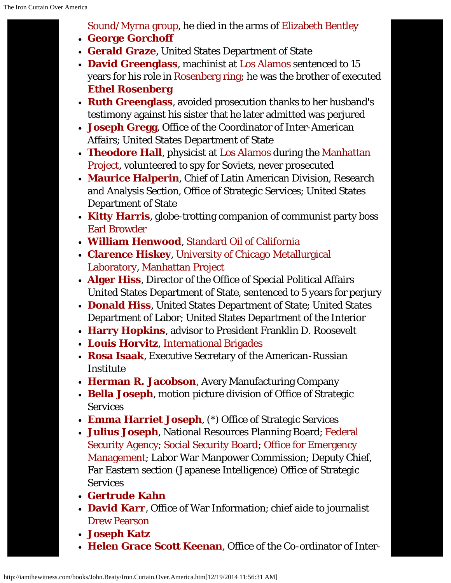[Sound/Myrna group,](http://en.wikipedia.org/wiki/List_of_secret_agents#Sound_and_Myrna_groups) he died in the arms of [Elizabeth Bentley](http://en.wikipedia.org/wiki/Elizabeth_Bentley)

- **[George Gorchoff](http://en.wikipedia.org/wiki/George_Gorchoff)**
- **[Gerald Graze](http://en.wikipedia.org/wiki/Gerald_Graze)**, United States Department of State
- **[David Greenglass](http://en.wikipedia.org/wiki/David_Greenglass)**, machinist at [Los Alamos](http://en.wikipedia.org/wiki/Los_Alamos) sentenced to 15 years for his role in [Rosenberg ring;](http://en.wikipedia.org/wiki/List_of_secret_agents#Rosenberg_ring) he was the brother of executed **[Ethel Rosenberg](http://en.wikipedia.org/wiki/Ethel_Rosenberg)**
- **[Ruth Greenglass](http://en.wikipedia.org/wiki/Ruth_Greenglass)**, avoided prosecution thanks to her husband's testimony against his sister that he later admitted was perjured
- **[Joseph Gregg](http://en.wikipedia.org/wiki/Joseph_Gregg)**, Office of the Coordinator of Inter-American Affairs; United States Department of State
- **[Theodore Hall](http://en.wikipedia.org/wiki/Theodore_Hall)**, physicist at [Los Alamos](http://en.wikipedia.org/wiki/Los_Alamos) during the [Manhattan](http://en.wikipedia.org/wiki/Manhattan_Project) [Project,](http://en.wikipedia.org/wiki/Manhattan_Project) volunteered to spy for Soviets, never prosecuted
- **[Maurice Halperin](http://en.wikipedia.org/wiki/Maurice_Halperin)**, Chief of Latin American Division, Research and Analysis Section, Office of Strategic Services; United States Department of State
- **[Kitty Harris](http://en.wikipedia.org/wiki/Kitty_Harris)**, globe-trotting companion of communist party boss [Earl Browder](http://en.wikipedia.org/wiki/Earl_Browder)
- **[William Henwood](http://en.wikipedia.org/w/index.php?title=William_Henwood&action=edit)**, [Standard Oil of California](http://en.wikipedia.org/wiki/Standard_Oil_of_California)
- **[Clarence Hiskey](http://en.wikipedia.org/wiki/Clarence_Hiskey)**, [University of Chicago Metallurgical](http://en.wikipedia.org/wiki/University_of_Chicago_Metallurgical_Laboratory) [Laboratory,](http://en.wikipedia.org/wiki/University_of_Chicago_Metallurgical_Laboratory) [Manhattan Project](http://en.wikipedia.org/wiki/Manhattan_Project)
- **[Alger Hiss](http://en.wikipedia.org/wiki/Alger_Hiss)**, Director of the Office of Special Political Affairs United States Department of State, sentenced to 5 years for perjury
- **[Donald Hiss](http://en.wikipedia.org/wiki/Donald_Hiss)**, United States Department of State; United States Department of Labor; United States Department of the Interior
- **[Harry Hopkins](http://en.wikipedia.org/wiki/Harry_Hopkins)**, advisor to President Franklin D. Roosevelt
- **[Louis Horvitz](http://en.wikipedia.org/wiki/Louis_Horvitz)**, [International Brigades](http://en.wikipedia.org/wiki/International_Brigades)
- **[Rosa Isaak](http://en.wikipedia.org/wiki/Rosa_Isaak)**, Executive Secretary of the American-Russian Institute
- **[Herman R. Jacobson](http://en.wikipedia.org/w/index.php?title=Herman_R._Jacobson&action=edit)**, Avery Manufacturing Company
- **[Bella Joseph](http://en.wikipedia.org/wiki/Bella_Joseph)**, motion picture division of Office of Strategic Services
- **[Emma Harriet Joseph](http://en.wikipedia.org/wiki/Emma_Harriet_Joseph)**, (\*) Office of Strategic Services
- **[Julius Joseph](http://en.wikipedia.org/wiki/Julius_Joseph)**, National Resources Planning Board; [Federal](http://en.wikipedia.org/wiki/Federal_Security_Agency) [Security Agency;](http://en.wikipedia.org/wiki/Federal_Security_Agency) [Social Security Board](http://en.wikipedia.org/wiki/Social_Security_Board); [Office for Emergency](http://en.wikipedia.org/wiki/Office_for_Emergency_Management) [Management;](http://en.wikipedia.org/wiki/Office_for_Emergency_Management) Labor War Manpower Commission; Deputy Chief, Far Eastern section (Japanese Intelligence) Office of Strategic Services
- **[Gertrude Kahn](http://en.wikipedia.org/wiki/Gertrude_Kahn)**
- **[David Karr](http://en.wikipedia.org/wiki/David_Karr)**, Office of War Information; chief aide to journalist [Drew Pearson](http://en.wikipedia.org/wiki/Drew_Pearson_(journalist%2529)
- **[Joseph Katz](http://en.wikipedia.org/wiki/Joseph_Katz)**
- **[Helen Grace Scott Keenan](http://en.wikipedia.org/wiki/Helen_Grace_Scott_Keenan)**, Office of the Co-ordinator of Inter-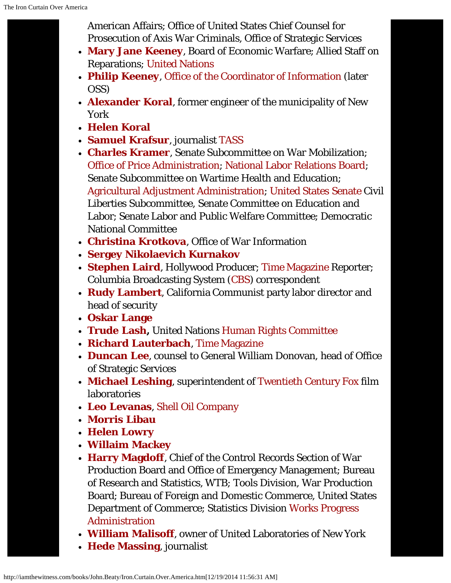American Affairs; Office of United States Chief Counsel for Prosecution of Axis War Criminals, Office of Strategic Services **[Mary Jane Keeney](http://en.wikipedia.org/wiki/Mary_Jane_Keeney)**, Board of Economic Warfare; Allied Staff on Reparations; [United Nations](http://en.wikipedia.org/wiki/United_Nations) **[Philip Keeney](http://en.wikipedia.org/wiki/Philip_Keeney)**, [Office of the Coordinator of Information](http://en.wikipedia.org/wiki/Office_of_the_Coordinator_of_Information) (later OSS) **[Alexander Koral](http://en.wikipedia.org/wiki/Alexander_Koral)**, former engineer of the municipality of New York **[Helen Koral](http://en.wikipedia.org/wiki/Helen_Koral) [Samuel Krafsur](http://en.wikipedia.org/wiki/Samuel_Krafsur)**, journalist [TASS](http://en.wikipedia.org/wiki/TASS_(USSR%2529) **[Charles Kramer](http://en.wikipedia.org/wiki/Charles_Kramer)**, Senate Subcommittee on War Mobilization; [Office of Price Administration](http://en.wikipedia.org/wiki/Office_of_Price_Administration); [National Labor Relations Board;](http://en.wikipedia.org/wiki/National_Labor_Relations_Board) Senate Subcommittee on Wartime Health and Education; [Agricultural Adjustment Administration;](http://en.wikipedia.org/wiki/Agricultural_Adjustment_Administration) [United States Senate](http://en.wikipedia.org/wiki/United_States_Senate) Civil Liberties Subcommittee, Senate Committee on Education and Labor; Senate Labor and Public Welfare Committee; Democratic National Committee **[Christina Krotkova](http://en.wikipedia.org/wiki/Christina_Krotkova)**, Office of War Information **[Sergey Nikolaevich Kurnakov](http://en.wikipedia.org/wiki/Sergey_Nikolaevich_Kurnakov) [Stephen Laird](http://en.wikipedia.org/wiki/Stephen_Laird)**, Hollywood Producer; [Time Magazine](http://en.wikipedia.org/wiki/Time_Magazine) Reporter; Columbia Broadcasting System ([CBS\)](http://en.wikipedia.org/wiki/CBS) correspondent **[Rudy Lambert](http://en.wikipedia.org/wiki/Rudy_Lambert)**, California Communist party labor director and head of security **[Oskar Lange](http://en.wikipedia.org/wiki/Oskar_Lange) [Trude Lash,](http://en.wikipedia.org/wiki/Trude_Lash)** United Nations [Human Rights Committee](http://en.wikipedia.org/wiki/Human_Rights_Committee) **[Richard Lauterbach](http://en.wikipedia.org/wiki/Richard_Lauterbach)**, [Time Magazine](http://en.wikipedia.org/wiki/Time_Magazine) **[Duncan Lee](http://en.wikipedia.org/wiki/Duncan_Lee)**, counsel to General William Donovan, head of Office of Strategic Services **[Michael Leshing](http://en.wikipedia.org/wiki/Michael_Leshing)**, superintendent of [Twentieth Century Fox](http://en.wikipedia.org/wiki/Twentieth_Century_Fox) film laboratories **[Leo Levanas](http://en.wikipedia.org/w/index.php?title=Leo_Levanas&action=edit)**, [Shell Oil Company](http://en.wikipedia.org/wiki/Shell_Oil_Company) **[Morris Libau](http://en.wikipedia.org/wiki/Morris_Libau) [Helen Lowry](http://en.wikipedia.org/wiki/Helen_Lowry) [Willaim Mackey](http://en.wikipedia.org/wiki/Willaim_Mackey) [Harry Magdoff](http://en.wikipedia.org/wiki/Harry_Magdoff)**, Chief of the Control Records Section of War Production Board and Office of Emergency Management; Bureau of Research and Statistics, WTB; Tools Division, War Production Board; Bureau of Foreign and Domestic Commerce, United States Department of Commerce; Statistics Division [Works Progress](http://en.wikipedia.org/wiki/Works_Progress_Administration) [Administration](http://en.wikipedia.org/wiki/Works_Progress_Administration) **[William Malisoff](http://en.wikipedia.org/wiki/William_Malisoff)**, owner of United Laboratories of New York **[Hede Massing](http://en.wikipedia.org/wiki/Hede_Massing)**, journalist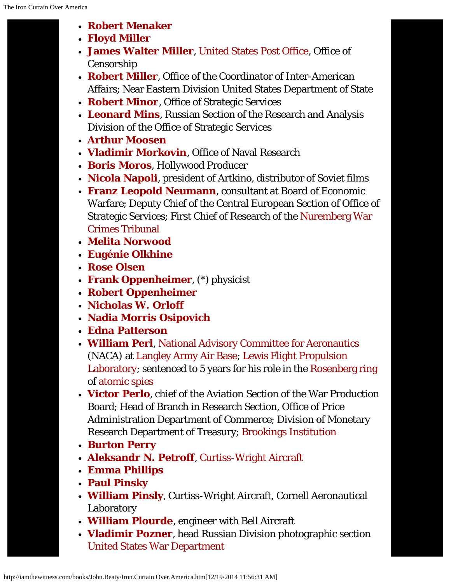- **[Robert Menaker](http://en.wikipedia.org/wiki/Robert_Menaker)**
- **[Floyd Miller](http://en.wikipedia.org/wiki/Floyd_Miller)**
- **[James Walter Miller](http://en.wikipedia.org/wiki/James_Walter_Miller)**, [United States Post Office,](http://en.wikipedia.org/wiki/United_States_Post_Office) Office of Censorship
- **[Robert Miller](http://en.wikipedia.org/wiki/Robert_Miller)**, Office of the Coordinator of Inter-American Affairs; Near Eastern Division United States Department of State
- **[Robert Minor](http://en.wikipedia.org/wiki/Robert_Minor)**, Office of Strategic Services
- **[Leonard Mins](http://en.wikipedia.org/wiki/Leonard_Mins)**, Russian Section of the Research and Analysis Division of the Office of Strategic Services
- **[Arthur Moosen](http://en.wikipedia.org/w/index.php?title=Arthur_Moosen&action=edit)**
- **[Vladimir Morkovin](http://en.wikipedia.org/wiki/Vladimir_Morkovin)**, Office of Naval Research
- **[Boris Moros](http://en.wikipedia.org/wiki/Boris_Moros)**, Hollywood Producer
- **[Nicola Napoli](http://en.wikipedia.org/wiki/Nicola_Napoli)**, president of Artkino, distributor of Soviet films
- **[Franz Leopold Neumann](http://en.wikipedia.org/wiki/Franz_Leopold_Neumann)**, consultant at Board of Economic Warfare; Deputy Chief of the Central European Section of Office of Strategic Services; First Chief of Research of the [Nuremberg War](http://en.wikipedia.org/wiki/Nuremberg_War_Crimes_Tribunal) [Crimes Tribunal](http://en.wikipedia.org/wiki/Nuremberg_War_Crimes_Tribunal)
- **[Melita Norwood](http://en.wikipedia.org/wiki/Melita_Norwood)**
- **[Eugénie Olkhine](http://en.wikipedia.org/wiki/Eug�nie_Olkhine)**
- **[Rose Olsen](http://en.wikipedia.org/w/index.php?title=Rose_Olsen&action=edit)**
- **[Frank Oppenheimer](http://en.wikipedia.org/wiki/Frank_Oppenheimer)**, (\*) physicist
- **[Robert Oppenheimer](http://en.wikipedia.org/wiki/Robert_Oppenheimer)**
- **[Nicholas W. Orloff](http://en.wikipedia.org/wiki/Nicholas_W._Orloff)**
- **[Nadia Morris Osipovich](http://en.wikipedia.org/wiki/Nadia_Morris_Osipovich)**
- **[Edna Patterson](http://en.wikipedia.org/wiki/Edna_Patterson)**
- **[William Perl](http://en.wikipedia.org/wiki/William_Perl)**, [National Advisory Committee for Aeronautics](http://en.wikipedia.org/wiki/National_Advisory_Committee_for_Aeronautics) (NACA) at [Langley Army Air Base](http://en.wikipedia.org/wiki/Langley_Air_Force_Base); [Lewis Flight Propulsion](http://en.wikipedia.org/wiki/Lewis_Flight_Propulsion_Laboratory) [Laboratory;](http://en.wikipedia.org/wiki/Lewis_Flight_Propulsion_Laboratory) sentenced to 5 years for his role in the [Rosenberg ring](http://en.wikipedia.org/wiki/List_of_secret_agents#Rosenberg_ring) of [atomic spies](http://en.wikipedia.org/wiki/Atomic_spies)
- **[Victor Perlo](http://en.wikipedia.org/wiki/Perlo_group)**, chief of the Aviation Section of the War Production Board; Head of Branch in Research Section, Office of Price Administration Department of Commerce; Division of Monetary Research Department of Treasury; [Brookings Institution](http://en.wikipedia.org/wiki/Brookings_Institution)
- **[Burton Perry](http://en.wikipedia.org/wiki/Burton_Perry)**
- **[Aleksandr N. Petroff](http://en.wikipedia.org/wiki/Aleksandr_N._Petroff)**, [Curtiss-Wright Aircraft](http://en.wikipedia.org/wiki/Curtiss-Wright_Aircraft)
- **[Emma Phillips](http://en.wikipedia.org/w/index.php?title=Emma_Phillips&action=edit)**
- **[Paul Pinsky](http://en.wikipedia.org/w/index.php?title=Paul_Pinsky&action=edit)**
- **[William Pinsly](http://en.wikipedia.org/wiki/William_Pinsly)**, Curtiss-Wright Aircraft, Cornell Aeronautical Laboratory
- **[William Plourde](http://en.wikipedia.org/wiki/William_Plourde)**, engineer with Bell Aircraft
- **[Vladimir Pozner](http://en.wikipedia.org/wiki/Vladimir_Pozner)**, head Russian Division photographic section [United States War Department](http://en.wikipedia.org/wiki/United_States_War_Department)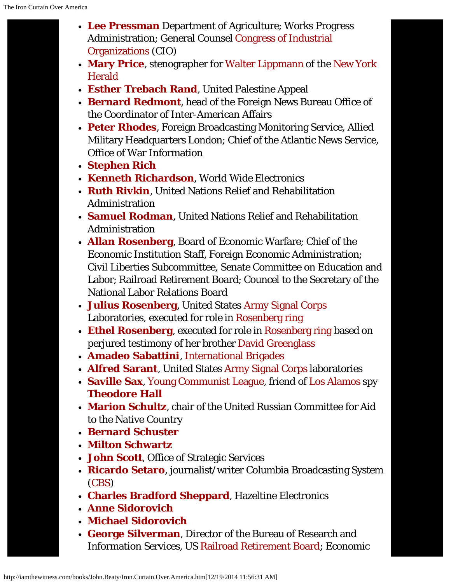- **[Lee Pressman](http://en.wikipedia.org/wiki/Lee_Pressman)** Department of Agriculture; Works Progress Administration; General Counsel [Congress of Industrial](http://en.wikipedia.org/wiki/Congress_of_Industrial_Organizations) [Organizations](http://en.wikipedia.org/wiki/Congress_of_Industrial_Organizations) (CIO)
- **[Mary Price](http://en.wikipedia.org/wiki/Mary_Price)**, stenographer for [Walter Lippmann](http://en.wikipedia.org/wiki/Walter_Lippmann) of the [New York](http://en.wikipedia.org/wiki/New_York_Herald) [Herald](http://en.wikipedia.org/wiki/New_York_Herald)
- **[Esther Trebach Rand](http://en.wikipedia.org/wiki/Esther_Trebach_Rand)**, United Palestine Appeal
- **[Bernard Redmont](http://en.wikipedia.org/wiki/Bernard_Redmont)**, head of the Foreign News Bureau Office of the Coordinator of Inter-American Affairs
- **[Peter Rhodes](http://en.wikipedia.org/wiki/Peter_Rhodes)**, Foreign Broadcasting Monitoring Service, Allied Military Headquarters London; Chief of the Atlantic News Service, Office of War Information
- **[Stephen Rich](http://en.wikipedia.org/wiki/Stephen_Rich)**
- **[Kenneth Richardson](http://en.wikipedia.org/wiki/Kenneth_Richardson)**, World Wide Electronics
- **[Ruth Rivkin](http://en.wikipedia.org/wiki/Ruth_Rivkin)**, United Nations Relief and Rehabilitation Administration
- **[Samuel Rodman](http://en.wikipedia.org/wiki/Samuel_Rodman)**, United Nations Relief and Rehabilitation Administration
- **[Allan Rosenberg](http://en.wikipedia.org/wiki/Allan_Rosenberg)**, Board of Economic Warfare; Chief of the Economic Institution Staff, Foreign Economic Administration; Civil Liberties Subcommittee, Senate Committee on Education and Labor; Railroad Retirement Board; Councel to the Secretary of the National Labor Relations Board
- **[Julius Rosenberg](http://en.wikipedia.org/wiki/Julius_Rosenberg)**, United States [Army Signal Corps](http://en.wikipedia.org/wiki/Army_Signal_Corps#World_War_II) Laboratories, executed for role in [Rosenberg ring](http://en.wikipedia.org/wiki/List_of_secret_agents#Rosenberg_ring)
- **[Ethel Rosenberg](http://en.wikipedia.org/wiki/Ethel_Rosenberg)**, executed for role in [Rosenberg ring](http://en.wikipedia.org/wiki/List_of_secret_agents#Rosenberg_ring) based on perjured testimony of her brother [David Greenglass](http://en.wikipedia.org/wiki/David_Greenglass)
- **[Amadeo Sabattini](http://en.wikipedia.org/wiki/Amadeo_Sabattini)**, [International Brigades](http://en.wikipedia.org/wiki/International_Brigades)
- **[Alfred Sarant](http://en.wikipedia.org/wiki/Alfred_Sarant)**, United States [Army Signal Corps](http://en.wikipedia.org/wiki/Army_Signal_Corps#World_War_II) laboratories
- **[Saville Sax](http://en.wikipedia.org/w/index.php?title=Saville_Sax&action=edit)**, [Young Communist League,](http://en.wikipedia.org/wiki/Young_Communist_League) friend of [Los Alamos](http://en.wikipedia.org/wiki/Los_Alamos) spy **[Theodore Hall](http://en.wikipedia.org/wiki/Theodore_Hall)**
- **[Marion Schultz](http://en.wikipedia.org/wiki/Marion_Schultz)**, chair of the United Russian Committee for Aid to the Native Country
- **[Bernard Schuster](http://en.wikipedia.org/w/index.php?title=Bernard_Schuster&action=edit)**
- **[Milton Schwartz](http://en.wikipedia.org/wiki/Milton_Schwartz)**
- **[John Scott](http://en.wikipedia.org/wiki/John_Scott_(writer%2529)**, Office of Strategic Services
- **[Ricardo Setaro](http://en.wikipedia.org/wiki/Ricardo_Setaro)**, journalist/writer Columbia Broadcasting System ([CBS\)](http://en.wikipedia.org/wiki/CBS)
- **[Charles Bradford Sheppard](http://en.wikipedia.org/wiki/Charles_Bradford_Sheppard)**, Hazeltine Electronics
- **[Anne Sidorovich](http://en.wikipedia.org/w/index.php?title=Anne_Sidorovich&action=edit)**
- **[Michael Sidorovich](http://en.wikipedia.org/w/index.php?title=Michael_Sidorovich&action=edit)**
- **[George Silverman](http://en.wikipedia.org/wiki/George_Silverman)**, Director of the Bureau of Research and Information Services, US [Railroad Retirement Board;](http://en.wikipedia.org/wiki/Railroad_Retirement_Board) Economic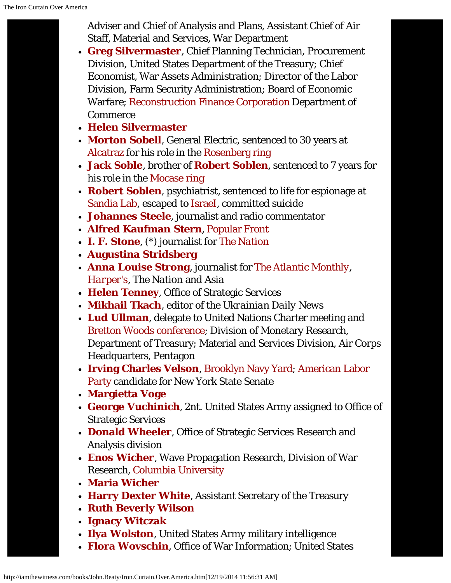Adviser and Chief of Analysis and Plans, Assistant Chief of Air Staff, Material and Services, War Department

- **[Greg Silvermaster](http://en.wikipedia.org/wiki/Greg_Silvermaster)**, Chief Planning Technician, Procurement Division, United States Department of the Treasury; Chief Economist, War Assets Administration; Director of the Labor Division, Farm Security Administration; Board of Economic Warfare; [Reconstruction Finance Corporation](http://en.wikipedia.org/wiki/Reconstruction_Finance_Corporation) Department of Commerce
- **[Helen Silvermaster](http://en.wikipedia.org/wiki/Helen_Silvermaster)**
- **[Morton Sobell](http://en.wikipedia.org/wiki/Morton_Sobell)**, General Electric, sentenced to 30 years at [Alcatraz](http://en.wikipedia.org/wiki/Alcatraz) for his role in the [Rosenberg ring](http://en.wikipedia.org/wiki/List_of_secret_agents#Rosenberg_ring)
- **[Jack Soble](http://en.wikipedia.org/wiki/Jack_Soble)**, brother of **[Robert Soblen](http://en.wikipedia.org/wiki/Robert_Soblen)**, sentenced to 7 years for his role in the [Mocase ring](http://en.wikipedia.org/wiki/List_of_secret_agents#Mocase)
- **[Robert Soblen](http://en.wikipedia.org/wiki/Robert_Soblen)**, psychiatrist, sentenced to life for espionage at [Sandia Lab,](http://en.wikipedia.org/wiki/Sandia_National_Laboratories#Lab_history) escaped to [IsraeI](http://en.wikipedia.org/w/index.php?title=IsraeI&action=edit), committed suicide
- **[Johannes Steele](http://en.wikipedia.org/wiki/Johannes_Steele)**, journalist and radio commentator
- **[Alfred Kaufman Stern](http://en.wikipedia.org/w/index.php?title=Alfred_Kaufman_Stern&action=edit)**, [Popular Front](http://en.wikipedia.org/wiki/Popular_Front)
- **[I. F. Stone](http://en.wikipedia.org/wiki/I._F._Stone)**, (\*) journalist for *[The Nation](http://en.wikipedia.org/wiki/The_Nation)*
- **[Augustina Stridsberg](http://en.wikipedia.org/wiki/Augustina_Stridsberg)**
- **[Anna Louise Strong](http://en.wikipedia.org/wiki/Anna_Louise_Strong)**, journalist for *[The Atlantic Monthly](http://en.wikipedia.org/wiki/The_Atlantic_Monthly)*, *[Harper's](http://en.wikipedia.org/wiki/Harper)*, *The Nation* and *Asia*
- **[Helen Tenney](http://en.wikipedia.org/wiki/Helen_Tenney)**, Office of Strategic Services
- **[Mikhail Tkach](http://en.wikipedia.org/wiki/Mikhail_Tkach)**, editor of the *Ukrainian Daily News*
- **[Lud Ullman](http://en.wikipedia.org/wiki/Lud_Ullman)**, delegate to United Nations Charter meeting and [Bretton Woods conference;](http://en.wikipedia.org/wiki/United_Nations_Monetary_and_Financial_Conference) Division of Monetary Research, Department of Treasury; Material and Services Division, Air Corps Headquarters, Pentagon
- **[Irving Charles Velson](http://en.wikipedia.org/wiki/Irving_Charles_Velson)**, [Brooklyn Navy Yard;](http://en.wikipedia.org/wiki/Brooklyn_Navy_Yard) [American Labor](http://en.wikipedia.org/wiki/American_Labor_Party) [Party](http://en.wikipedia.org/wiki/American_Labor_Party) candidate for New York State Senate
- **[Margietta Voge](http://en.wikipedia.org/wiki/Margietta_Voge)**
- **[George Vuchinich](http://en.wikipedia.org/wiki/George_Vuchinich)**, 2nt. United States Army assigned to Office of Strategic Services
- **[Donald Wheeler](http://en.wikipedia.org/wiki/Donald_Wheeler)**, Office of Strategic Services Research and Analysis division
- **[Enos Wicher](http://en.wikipedia.org/wiki/Enos_Wicher)**, Wave Propagation Research, Division of War Research, [Columbia University](http://en.wikipedia.org/wiki/Columbia_University)
- **[Maria Wicher](http://en.wikipedia.org/wiki/Maria_Wicher)**
- **[Harry Dexter White](http://en.wikipedia.org/wiki/Harry_Dexter_White)**, Assistant Secretary of the Treasury
- **[Ruth Beverly Wilson](http://en.wikipedia.org/wiki/Ruth_Wilson)**
- **[Ignacy Witczak](http://en.wikipedia.org/wiki/Ignacy_Witczak)**
- **[Ilya Wolston](http://en.wikipedia.org/wiki/Ilya_Wolston)**, United States Army military intelligence
- **[Flora Wovschin](http://en.wikipedia.org/wiki/Flora_Don_Wovschin)**, Office of War Information; United States